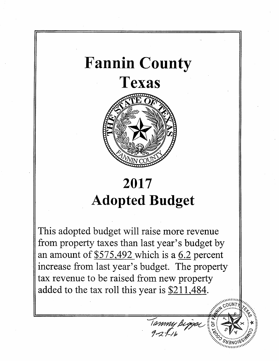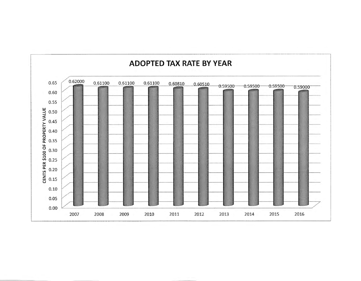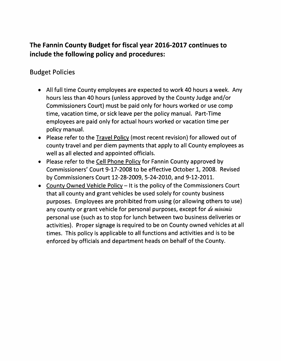## **The Fannin County Budget for fiscal year 2016-2017 continues to include the following policy and procedures:**

### Budget Policies

- All full time County employees are expected to work 40 hours a week. Any hours less than 40 hours (unless approved by the County Judge and/or Commissioners Court) must be paid only for hours worked or use camp time, vacation time, or sick leave per the policy manual. Part-Time employees are paid only for actual hours worked or vacation time per policy manual.
- Please refer to the Travel Policy (most recent revision) for allowed out of county travel and per diem payments that apply to all County employees as well as all elected and appointed officials.
- Please refer to the Cell Phone Policy for Fannin County approved by Commissioners' Court 9-17-2008 to be effective October 1, 2008. Revised by Commissioners Court 12-28-2009, 5-24-2010, and 9-12-2011.
- County Owned Vehicle Policy- It is the policy of the Commissioners Court that all county and grant vehicles be used solely for county business purposes. Employees are prohibited from using (or allowing others to use) any county or grant vehicle for personal purposes, except for *tfe minimis*  personal use (such as to stop for lunch between two business deliveries or activities). Proper signage is required to be on County owned vehicles at all times. This policy is applicable to all functions and activities and is to be enforced by officials and department heads on behalf of the County.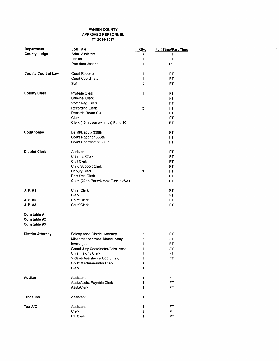#### FANNIN COUNTY APPROVED PERSONNEL FY 2016·2017

| <b>Department</b>            | Job Title                           | Qty.           | <b>Full Time/Part Time</b> |
|------------------------------|-------------------------------------|----------------|----------------------------|
| <b>County Judge</b>          | Adm. Assistant                      | 1              | FT                         |
|                              | Janitor                             | 1              | <b>FT</b>                  |
|                              | Part-time Janitor                   | 1              | PT                         |
| <b>County Court at Law</b>   | Court Reporter                      | 1              | FT                         |
|                              | Court Coordinator                   | 1              | FT                         |
|                              | Baliff                              | 1              | FT                         |
| <b>County Clerk</b>          | Probate Clerk                       | 1              | FT                         |
|                              | <b>Criminal Clerk</b>               | 1              | FT                         |
|                              | Voter Reg. Clerk                    | 1              | FT                         |
|                              | <b>Recording Clerk</b>              | 2              | FT                         |
|                              | Records Room Clk.                   | 1              | FT                         |
|                              | Clerk                               | 1              | <b>FT</b>                  |
|                              | Clerk (15 hr. per wk. max) Fund 20  | 1              | PT.                        |
| Courthouse                   | Bailiff/Deputy 336th                | 1              | FT                         |
|                              | Court Reporter 336th                | 1              | FT                         |
|                              | Court Coordinator 336th             | 1              | FT.                        |
| <b>District Clerk</b>        | Assistant                           | 1              | FT                         |
|                              | <b>Criminal Clerk</b>               | 1              | FT                         |
|                              | Civil Clerk                         | 1              | FT                         |
|                              | <b>Child Support Clerk</b>          | 1              | FT                         |
|                              | Deputy Clerk                        | 3              | FT                         |
|                              | Part-time Clerk                     | 1              | <b>PT</b>                  |
|                              | Clerk (20hr. Per wk max) Fund 19&34 | 1              | PT                         |
| J. P. #1                     | <b>Chief Clerk</b>                  | 1              | FT                         |
|                              | <b>Clerk</b>                        | 1              | FT                         |
| J. P. #2                     | <b>Chief Clerk</b>                  | 1              | FT                         |
| J. P. #3                     | <b>Chief Clerk</b>                  | 1              | <b>FT</b>                  |
| Constable #1                 |                                     |                |                            |
| Constable #2<br>Constable #3 |                                     |                |                            |
|                              |                                     |                |                            |
| <b>District Attorney</b>     | Felony Asst. District Attorney      | 2              | FT                         |
|                              | Misdemeanor Asst. District Attny.   | $\overline{c}$ | FT                         |
|                              | Investigator                        | 1              | FT                         |
|                              | Grand Jury Coordinator/Adm. Asst.   | 1              | FT                         |
|                              | Chief Felony Clerk                  | 1              | FT                         |
|                              | Victims Assistance Coordinator      | 1              | FT                         |
|                              | Chief Misdemeandor Clerk            | 1              | FT.                        |
|                              | Clerk                               | 1              | <b>FT</b>                  |
| <b>Auditor</b>               | Assistant                           | 1              | FT                         |
|                              | Asst./Accts. Payable Clerk          | 1              | FT                         |
|                              | Asst./Clerk                         | 1              | FT                         |
| Treasurer                    | Assistant                           | 1              | FT                         |
| Tax A/C                      | Assistant                           | 1              | FT                         |
|                              | Clerk                               | 3              | FT.                        |
|                              | PT Clerk                            | 1              | PT                         |

 $\sim 10^7$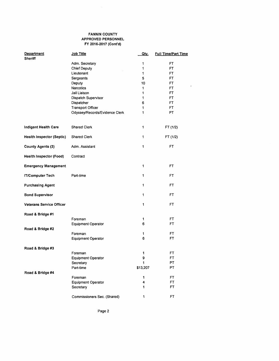#### FANNIN COUNTY APPROVED PERSONNEL FY 2016-2017 (Cont'd)

 $\sim 10^6$ 

| <b>Department</b><br><b>Sheriff</b> | Job Title                            | <u>Qty.</u>  | <b>Full Time/Part Time</b> |
|-------------------------------------|--------------------------------------|--------------|----------------------------|
|                                     | Adm. Secretary                       | 1            | FT                         |
|                                     | <b>Chief Deputy</b>                  | 1            | <b>FT</b>                  |
|                                     | Lieutenant                           | 1            | FT                         |
|                                     | Sergeants                            | 5            | FT.                        |
|                                     | Deputy                               | 10           | <b>FT</b>                  |
|                                     | <b>Narcotics</b>                     | 1            | FT                         |
|                                     | Jail Liaison                         | 1            | FT.                        |
|                                     | Dispatch Supervisor                  | 1            | FT.                        |
|                                     | Dispatcher                           | 6            | FT                         |
|                                     | <b>Transport Officer</b>             | 1            | FT                         |
|                                     | Odyssey/Records/Evidence Clerk       | 1            | PT                         |
|                                     |                                      |              |                            |
| Indigent Health Care                | Shared Clerk                         | 1            | FT (1/2)                   |
| <b>Health Inspector (Septic)</b>    | Shared Clerk                         | 1            | FT (1/2)                   |
| <b>County Agents (3)</b>            | Adm. Assistant                       | $\mathbf{1}$ | FT                         |
| <b>Health Inspector (Food)</b>      | Contract                             |              |                            |
| <b>Emergency Management</b>         |                                      | $\mathbf{1}$ | FT                         |
| <b>IT/Computer Tech</b>             | Part-time                            | 1            | FT                         |
| <b>Purchasing Agent</b>             |                                      | 1            | FT.                        |
| <b>Bond Supervisor</b>              |                                      | 1            | FT                         |
| <b>Veterans Service Officer</b>     |                                      | 1            | FT                         |
| Road & Bridge #1                    |                                      |              |                            |
|                                     | Foreman                              | 1            | FT                         |
|                                     | <b>Equipment Operator</b>            | 6            | FT                         |
| Road & Bridge #2                    |                                      |              |                            |
|                                     | Foreman                              | 1            | FT                         |
|                                     | <b>Equipment Operator</b>            | 6            | FT                         |
|                                     |                                      |              |                            |
| Road & Bridge #3                    |                                      |              |                            |
|                                     | Foreman<br><b>Equipment Operator</b> | 1<br>9       | FT<br>FT                   |
|                                     |                                      | 1            | PT                         |
|                                     | Secretary<br>Part-time               | \$13,207     | PT                         |
|                                     |                                      |              |                            |
| Road & Bridge #4                    | Foreman                              | 1            | FT                         |
|                                     | Equipment Operator                   | 4            | <b>FT</b>                  |
|                                     | Secretary                            | 1            | FT                         |
|                                     |                                      |              |                            |
|                                     | Commissioners Sec. (Shared)          | 1            | <b>FT</b>                  |

Page 2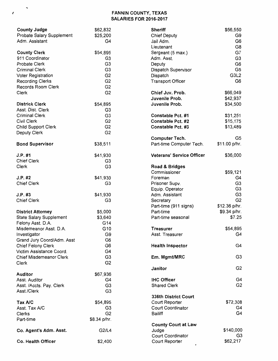#### *t* FANNIN COUNTY, TEXAS SALARIES FOR 2016-2017

| Probate Salary Supplement<br>\$25,200<br><b>Chief Deputy</b><br>G9<br>G <sub>6</sub><br>Adm. Assistant<br>G4<br>Jail Adm.<br>G8<br>Lieutenant<br>G7<br><b>County Clerk</b><br>\$54,895<br>Sergeant (5 max.)<br>911 Coordinator<br>G <sub>3</sub><br>G <sub>3</sub><br>Adm. Asst.<br>G <sub>6</sub><br>G <sub>3</sub><br>Probate Clerk<br>Deputy<br>G <sub>5</sub><br><b>Criminal Clerk</b><br>G <sub>3</sub><br>Dispatch Supervisor<br>G3L2<br>G <sub>2</sub><br>Voter Registration<br>Dispatch<br>G <sub>2</sub><br>G <sub>6</sub><br><b>Recording Clerks</b><br><b>Transport Officer</b><br>Records Room Clerk<br>G <sub>2</sub><br>G <sub>2</sub><br>Chief Juv. Prob.<br>\$66,049<br>Clerk<br>\$42,937<br>Juvenile Prob.<br><b>Districk Clerk</b><br>\$54,895<br>Juvenile Prob.<br>\$34,500<br>Asst. Dist. Clerk<br>G <sub>3</sub><br>G <sub>3</sub><br>\$31,251<br><b>Criminal Clerk</b><br><b>Constable Pct. #1</b><br>G <sub>2</sub><br>Civil Clerk<br><b>Constable Pct. #2</b><br>\$15,175<br>G <sub>2</sub><br><b>Child Support Clerk</b><br>Constable Pct. #3<br>\$13,489<br>G <sub>2</sub><br>Deputy Clerk<br>G <sub>5</sub><br><b>Computer Tech.</b><br>\$11.00 p/hr.<br>Part-time Computer Tech.<br><b>Bond Supervisor</b><br>\$38,511<br><b>Veterans' Service Officer</b><br>\$36,000<br>\$41,930<br>G <sub>3</sub><br>G <sub>3</sub><br>Clerk<br>Road & Bridges<br>\$59,121<br>Commissioner<br>J.P. #2<br>\$41,930<br>G4<br>Foreman<br>G <sub>3</sub><br><b>Chief Clerk</b><br>G <sub>3</sub><br>Prisoner Supv.<br>G <sub>3</sub><br>Equip. Operator<br>G <sub>3</sub><br>\$41,930<br>J.P. #3<br>Adm. Assistant<br>G <sub>2</sub><br><b>Chief Clerk</b><br>G3<br>Secretary<br>Part-time (911 signs)<br>\$12.36 p/hr.<br>\$5,000<br>Part-time<br>\$9.34 p/hr.<br><b>District Attorney</b><br>\$7.25<br><b>State Salary Supplement</b><br>\$3,640<br>Part-time seasonal<br>Felony Asst. D.A.<br>G14<br>G10<br>\$54,895<br>Misdemeanor Asst. D.A.<br><b>Treasurer</b><br>G4<br>G9<br>Asst. Treasurer<br>Investigator<br>G <sub>6</sub><br>Grand Jury Coord/Adm. Asst<br>G4<br>G <sub>6</sub><br><b>Chief Felony Clerk</b><br><b>Health Inspector</b><br>Victim Assistance Coord.<br>G4<br>G <sub>3</sub><br><b>Chief Misdemeanor Clerk</b><br>G <sub>3</sub><br>Em. Mgmt/MRC<br>G <sub>2</sub><br>Clerk<br>G <sub>2</sub><br>Janitor<br>\$67,936<br><b>IHC Officer</b><br>G4<br>Asst. Auditor<br>G4<br>G <sub>2</sub><br>G <sub>3</sub><br><b>Shared Clerk</b><br>Asst. /Accts. Pay. Clerk<br>G <sub>3</sub><br>Asst./Clerk<br>336th District Court<br>\$72,308<br>Tax A/C<br>\$54,895<br>Court Reporter<br>Asst. Tax A/C<br>Court Coordinator<br>G <sub>3</sub><br>G4<br>G4<br>G <sub>2</sub><br><b>Bailiff</b><br>Clerks<br>Part-time<br>\$8.34 p/hr.<br><b>County Court at Law</b><br>\$140,000<br>G2/L4<br>Judge<br>Co. Agent's Adm. Asst.<br>Court Coordinator<br>G <sub>3</sub><br>\$62,217<br>Court Reporter<br>Co. Health Officer<br>\$2,400 | <b>County Judge</b> | \$62,832 | <b>Sheriff</b> | \$56,550 |
|-----------------------------------------------------------------------------------------------------------------------------------------------------------------------------------------------------------------------------------------------------------------------------------------------------------------------------------------------------------------------------------------------------------------------------------------------------------------------------------------------------------------------------------------------------------------------------------------------------------------------------------------------------------------------------------------------------------------------------------------------------------------------------------------------------------------------------------------------------------------------------------------------------------------------------------------------------------------------------------------------------------------------------------------------------------------------------------------------------------------------------------------------------------------------------------------------------------------------------------------------------------------------------------------------------------------------------------------------------------------------------------------------------------------------------------------------------------------------------------------------------------------------------------------------------------------------------------------------------------------------------------------------------------------------------------------------------------------------------------------------------------------------------------------------------------------------------------------------------------------------------------------------------------------------------------------------------------------------------------------------------------------------------------------------------------------------------------------------------------------------------------------------------------------------------------------------------------------------------------------------------------------------------------------------------------------------------------------------------------------------------------------------------------------------------------------------------------------------------------------------------------------------------------------------------------------------------------------------------------------------------------------------------------------------------------------------------------------------------------------------------------------------------------------------------------------------------------------------------------------------------------------------------------------------------------------------------------------|---------------------|----------|----------------|----------|
|                                                                                                                                                                                                                                                                                                                                                                                                                                                                                                                                                                                                                                                                                                                                                                                                                                                                                                                                                                                                                                                                                                                                                                                                                                                                                                                                                                                                                                                                                                                                                                                                                                                                                                                                                                                                                                                                                                                                                                                                                                                                                                                                                                                                                                                                                                                                                                                                                                                                                                                                                                                                                                                                                                                                                                                                                                                                                                                                                                 |                     |          |                |          |
|                                                                                                                                                                                                                                                                                                                                                                                                                                                                                                                                                                                                                                                                                                                                                                                                                                                                                                                                                                                                                                                                                                                                                                                                                                                                                                                                                                                                                                                                                                                                                                                                                                                                                                                                                                                                                                                                                                                                                                                                                                                                                                                                                                                                                                                                                                                                                                                                                                                                                                                                                                                                                                                                                                                                                                                                                                                                                                                                                                 |                     |          |                |          |
|                                                                                                                                                                                                                                                                                                                                                                                                                                                                                                                                                                                                                                                                                                                                                                                                                                                                                                                                                                                                                                                                                                                                                                                                                                                                                                                                                                                                                                                                                                                                                                                                                                                                                                                                                                                                                                                                                                                                                                                                                                                                                                                                                                                                                                                                                                                                                                                                                                                                                                                                                                                                                                                                                                                                                                                                                                                                                                                                                                 |                     |          |                |          |
|                                                                                                                                                                                                                                                                                                                                                                                                                                                                                                                                                                                                                                                                                                                                                                                                                                                                                                                                                                                                                                                                                                                                                                                                                                                                                                                                                                                                                                                                                                                                                                                                                                                                                                                                                                                                                                                                                                                                                                                                                                                                                                                                                                                                                                                                                                                                                                                                                                                                                                                                                                                                                                                                                                                                                                                                                                                                                                                                                                 |                     |          |                |          |
|                                                                                                                                                                                                                                                                                                                                                                                                                                                                                                                                                                                                                                                                                                                                                                                                                                                                                                                                                                                                                                                                                                                                                                                                                                                                                                                                                                                                                                                                                                                                                                                                                                                                                                                                                                                                                                                                                                                                                                                                                                                                                                                                                                                                                                                                                                                                                                                                                                                                                                                                                                                                                                                                                                                                                                                                                                                                                                                                                                 |                     |          |                |          |
|                                                                                                                                                                                                                                                                                                                                                                                                                                                                                                                                                                                                                                                                                                                                                                                                                                                                                                                                                                                                                                                                                                                                                                                                                                                                                                                                                                                                                                                                                                                                                                                                                                                                                                                                                                                                                                                                                                                                                                                                                                                                                                                                                                                                                                                                                                                                                                                                                                                                                                                                                                                                                                                                                                                                                                                                                                                                                                                                                                 |                     |          |                |          |
|                                                                                                                                                                                                                                                                                                                                                                                                                                                                                                                                                                                                                                                                                                                                                                                                                                                                                                                                                                                                                                                                                                                                                                                                                                                                                                                                                                                                                                                                                                                                                                                                                                                                                                                                                                                                                                                                                                                                                                                                                                                                                                                                                                                                                                                                                                                                                                                                                                                                                                                                                                                                                                                                                                                                                                                                                                                                                                                                                                 |                     |          |                |          |
|                                                                                                                                                                                                                                                                                                                                                                                                                                                                                                                                                                                                                                                                                                                                                                                                                                                                                                                                                                                                                                                                                                                                                                                                                                                                                                                                                                                                                                                                                                                                                                                                                                                                                                                                                                                                                                                                                                                                                                                                                                                                                                                                                                                                                                                                                                                                                                                                                                                                                                                                                                                                                                                                                                                                                                                                                                                                                                                                                                 |                     |          |                |          |
|                                                                                                                                                                                                                                                                                                                                                                                                                                                                                                                                                                                                                                                                                                                                                                                                                                                                                                                                                                                                                                                                                                                                                                                                                                                                                                                                                                                                                                                                                                                                                                                                                                                                                                                                                                                                                                                                                                                                                                                                                                                                                                                                                                                                                                                                                                                                                                                                                                                                                                                                                                                                                                                                                                                                                                                                                                                                                                                                                                 |                     |          |                |          |
|                                                                                                                                                                                                                                                                                                                                                                                                                                                                                                                                                                                                                                                                                                                                                                                                                                                                                                                                                                                                                                                                                                                                                                                                                                                                                                                                                                                                                                                                                                                                                                                                                                                                                                                                                                                                                                                                                                                                                                                                                                                                                                                                                                                                                                                                                                                                                                                                                                                                                                                                                                                                                                                                                                                                                                                                                                                                                                                                                                 |                     |          |                |          |
|                                                                                                                                                                                                                                                                                                                                                                                                                                                                                                                                                                                                                                                                                                                                                                                                                                                                                                                                                                                                                                                                                                                                                                                                                                                                                                                                                                                                                                                                                                                                                                                                                                                                                                                                                                                                                                                                                                                                                                                                                                                                                                                                                                                                                                                                                                                                                                                                                                                                                                                                                                                                                                                                                                                                                                                                                                                                                                                                                                 |                     |          |                |          |
|                                                                                                                                                                                                                                                                                                                                                                                                                                                                                                                                                                                                                                                                                                                                                                                                                                                                                                                                                                                                                                                                                                                                                                                                                                                                                                                                                                                                                                                                                                                                                                                                                                                                                                                                                                                                                                                                                                                                                                                                                                                                                                                                                                                                                                                                                                                                                                                                                                                                                                                                                                                                                                                                                                                                                                                                                                                                                                                                                                 |                     |          |                |          |
|                                                                                                                                                                                                                                                                                                                                                                                                                                                                                                                                                                                                                                                                                                                                                                                                                                                                                                                                                                                                                                                                                                                                                                                                                                                                                                                                                                                                                                                                                                                                                                                                                                                                                                                                                                                                                                                                                                                                                                                                                                                                                                                                                                                                                                                                                                                                                                                                                                                                                                                                                                                                                                                                                                                                                                                                                                                                                                                                                                 |                     |          |                |          |
|                                                                                                                                                                                                                                                                                                                                                                                                                                                                                                                                                                                                                                                                                                                                                                                                                                                                                                                                                                                                                                                                                                                                                                                                                                                                                                                                                                                                                                                                                                                                                                                                                                                                                                                                                                                                                                                                                                                                                                                                                                                                                                                                                                                                                                                                                                                                                                                                                                                                                                                                                                                                                                                                                                                                                                                                                                                                                                                                                                 |                     |          |                |          |
|                                                                                                                                                                                                                                                                                                                                                                                                                                                                                                                                                                                                                                                                                                                                                                                                                                                                                                                                                                                                                                                                                                                                                                                                                                                                                                                                                                                                                                                                                                                                                                                                                                                                                                                                                                                                                                                                                                                                                                                                                                                                                                                                                                                                                                                                                                                                                                                                                                                                                                                                                                                                                                                                                                                                                                                                                                                                                                                                                                 |                     |          |                |          |
|                                                                                                                                                                                                                                                                                                                                                                                                                                                                                                                                                                                                                                                                                                                                                                                                                                                                                                                                                                                                                                                                                                                                                                                                                                                                                                                                                                                                                                                                                                                                                                                                                                                                                                                                                                                                                                                                                                                                                                                                                                                                                                                                                                                                                                                                                                                                                                                                                                                                                                                                                                                                                                                                                                                                                                                                                                                                                                                                                                 |                     |          |                |          |
|                                                                                                                                                                                                                                                                                                                                                                                                                                                                                                                                                                                                                                                                                                                                                                                                                                                                                                                                                                                                                                                                                                                                                                                                                                                                                                                                                                                                                                                                                                                                                                                                                                                                                                                                                                                                                                                                                                                                                                                                                                                                                                                                                                                                                                                                                                                                                                                                                                                                                                                                                                                                                                                                                                                                                                                                                                                                                                                                                                 |                     |          |                |          |
|                                                                                                                                                                                                                                                                                                                                                                                                                                                                                                                                                                                                                                                                                                                                                                                                                                                                                                                                                                                                                                                                                                                                                                                                                                                                                                                                                                                                                                                                                                                                                                                                                                                                                                                                                                                                                                                                                                                                                                                                                                                                                                                                                                                                                                                                                                                                                                                                                                                                                                                                                                                                                                                                                                                                                                                                                                                                                                                                                                 |                     |          |                |          |
|                                                                                                                                                                                                                                                                                                                                                                                                                                                                                                                                                                                                                                                                                                                                                                                                                                                                                                                                                                                                                                                                                                                                                                                                                                                                                                                                                                                                                                                                                                                                                                                                                                                                                                                                                                                                                                                                                                                                                                                                                                                                                                                                                                                                                                                                                                                                                                                                                                                                                                                                                                                                                                                                                                                                                                                                                                                                                                                                                                 |                     |          |                |          |
|                                                                                                                                                                                                                                                                                                                                                                                                                                                                                                                                                                                                                                                                                                                                                                                                                                                                                                                                                                                                                                                                                                                                                                                                                                                                                                                                                                                                                                                                                                                                                                                                                                                                                                                                                                                                                                                                                                                                                                                                                                                                                                                                                                                                                                                                                                                                                                                                                                                                                                                                                                                                                                                                                                                                                                                                                                                                                                                                                                 |                     |          |                |          |
|                                                                                                                                                                                                                                                                                                                                                                                                                                                                                                                                                                                                                                                                                                                                                                                                                                                                                                                                                                                                                                                                                                                                                                                                                                                                                                                                                                                                                                                                                                                                                                                                                                                                                                                                                                                                                                                                                                                                                                                                                                                                                                                                                                                                                                                                                                                                                                                                                                                                                                                                                                                                                                                                                                                                                                                                                                                                                                                                                                 |                     |          |                |          |
|                                                                                                                                                                                                                                                                                                                                                                                                                                                                                                                                                                                                                                                                                                                                                                                                                                                                                                                                                                                                                                                                                                                                                                                                                                                                                                                                                                                                                                                                                                                                                                                                                                                                                                                                                                                                                                                                                                                                                                                                                                                                                                                                                                                                                                                                                                                                                                                                                                                                                                                                                                                                                                                                                                                                                                                                                                                                                                                                                                 | J.P. #1             |          |                |          |
|                                                                                                                                                                                                                                                                                                                                                                                                                                                                                                                                                                                                                                                                                                                                                                                                                                                                                                                                                                                                                                                                                                                                                                                                                                                                                                                                                                                                                                                                                                                                                                                                                                                                                                                                                                                                                                                                                                                                                                                                                                                                                                                                                                                                                                                                                                                                                                                                                                                                                                                                                                                                                                                                                                                                                                                                                                                                                                                                                                 | <b>Chief Clerk</b>  |          |                |          |
|                                                                                                                                                                                                                                                                                                                                                                                                                                                                                                                                                                                                                                                                                                                                                                                                                                                                                                                                                                                                                                                                                                                                                                                                                                                                                                                                                                                                                                                                                                                                                                                                                                                                                                                                                                                                                                                                                                                                                                                                                                                                                                                                                                                                                                                                                                                                                                                                                                                                                                                                                                                                                                                                                                                                                                                                                                                                                                                                                                 |                     |          |                |          |
|                                                                                                                                                                                                                                                                                                                                                                                                                                                                                                                                                                                                                                                                                                                                                                                                                                                                                                                                                                                                                                                                                                                                                                                                                                                                                                                                                                                                                                                                                                                                                                                                                                                                                                                                                                                                                                                                                                                                                                                                                                                                                                                                                                                                                                                                                                                                                                                                                                                                                                                                                                                                                                                                                                                                                                                                                                                                                                                                                                 |                     |          |                |          |
|                                                                                                                                                                                                                                                                                                                                                                                                                                                                                                                                                                                                                                                                                                                                                                                                                                                                                                                                                                                                                                                                                                                                                                                                                                                                                                                                                                                                                                                                                                                                                                                                                                                                                                                                                                                                                                                                                                                                                                                                                                                                                                                                                                                                                                                                                                                                                                                                                                                                                                                                                                                                                                                                                                                                                                                                                                                                                                                                                                 |                     |          |                |          |
|                                                                                                                                                                                                                                                                                                                                                                                                                                                                                                                                                                                                                                                                                                                                                                                                                                                                                                                                                                                                                                                                                                                                                                                                                                                                                                                                                                                                                                                                                                                                                                                                                                                                                                                                                                                                                                                                                                                                                                                                                                                                                                                                                                                                                                                                                                                                                                                                                                                                                                                                                                                                                                                                                                                                                                                                                                                                                                                                                                 |                     |          |                |          |
|                                                                                                                                                                                                                                                                                                                                                                                                                                                                                                                                                                                                                                                                                                                                                                                                                                                                                                                                                                                                                                                                                                                                                                                                                                                                                                                                                                                                                                                                                                                                                                                                                                                                                                                                                                                                                                                                                                                                                                                                                                                                                                                                                                                                                                                                                                                                                                                                                                                                                                                                                                                                                                                                                                                                                                                                                                                                                                                                                                 |                     |          |                |          |
|                                                                                                                                                                                                                                                                                                                                                                                                                                                                                                                                                                                                                                                                                                                                                                                                                                                                                                                                                                                                                                                                                                                                                                                                                                                                                                                                                                                                                                                                                                                                                                                                                                                                                                                                                                                                                                                                                                                                                                                                                                                                                                                                                                                                                                                                                                                                                                                                                                                                                                                                                                                                                                                                                                                                                                                                                                                                                                                                                                 |                     |          |                |          |
|                                                                                                                                                                                                                                                                                                                                                                                                                                                                                                                                                                                                                                                                                                                                                                                                                                                                                                                                                                                                                                                                                                                                                                                                                                                                                                                                                                                                                                                                                                                                                                                                                                                                                                                                                                                                                                                                                                                                                                                                                                                                                                                                                                                                                                                                                                                                                                                                                                                                                                                                                                                                                                                                                                                                                                                                                                                                                                                                                                 |                     |          |                |          |
|                                                                                                                                                                                                                                                                                                                                                                                                                                                                                                                                                                                                                                                                                                                                                                                                                                                                                                                                                                                                                                                                                                                                                                                                                                                                                                                                                                                                                                                                                                                                                                                                                                                                                                                                                                                                                                                                                                                                                                                                                                                                                                                                                                                                                                                                                                                                                                                                                                                                                                                                                                                                                                                                                                                                                                                                                                                                                                                                                                 |                     |          |                |          |
|                                                                                                                                                                                                                                                                                                                                                                                                                                                                                                                                                                                                                                                                                                                                                                                                                                                                                                                                                                                                                                                                                                                                                                                                                                                                                                                                                                                                                                                                                                                                                                                                                                                                                                                                                                                                                                                                                                                                                                                                                                                                                                                                                                                                                                                                                                                                                                                                                                                                                                                                                                                                                                                                                                                                                                                                                                                                                                                                                                 |                     |          |                |          |
|                                                                                                                                                                                                                                                                                                                                                                                                                                                                                                                                                                                                                                                                                                                                                                                                                                                                                                                                                                                                                                                                                                                                                                                                                                                                                                                                                                                                                                                                                                                                                                                                                                                                                                                                                                                                                                                                                                                                                                                                                                                                                                                                                                                                                                                                                                                                                                                                                                                                                                                                                                                                                                                                                                                                                                                                                                                                                                                                                                 |                     |          |                |          |
|                                                                                                                                                                                                                                                                                                                                                                                                                                                                                                                                                                                                                                                                                                                                                                                                                                                                                                                                                                                                                                                                                                                                                                                                                                                                                                                                                                                                                                                                                                                                                                                                                                                                                                                                                                                                                                                                                                                                                                                                                                                                                                                                                                                                                                                                                                                                                                                                                                                                                                                                                                                                                                                                                                                                                                                                                                                                                                                                                                 |                     |          |                |          |
|                                                                                                                                                                                                                                                                                                                                                                                                                                                                                                                                                                                                                                                                                                                                                                                                                                                                                                                                                                                                                                                                                                                                                                                                                                                                                                                                                                                                                                                                                                                                                                                                                                                                                                                                                                                                                                                                                                                                                                                                                                                                                                                                                                                                                                                                                                                                                                                                                                                                                                                                                                                                                                                                                                                                                                                                                                                                                                                                                                 |                     |          |                |          |
|                                                                                                                                                                                                                                                                                                                                                                                                                                                                                                                                                                                                                                                                                                                                                                                                                                                                                                                                                                                                                                                                                                                                                                                                                                                                                                                                                                                                                                                                                                                                                                                                                                                                                                                                                                                                                                                                                                                                                                                                                                                                                                                                                                                                                                                                                                                                                                                                                                                                                                                                                                                                                                                                                                                                                                                                                                                                                                                                                                 |                     |          |                |          |
|                                                                                                                                                                                                                                                                                                                                                                                                                                                                                                                                                                                                                                                                                                                                                                                                                                                                                                                                                                                                                                                                                                                                                                                                                                                                                                                                                                                                                                                                                                                                                                                                                                                                                                                                                                                                                                                                                                                                                                                                                                                                                                                                                                                                                                                                                                                                                                                                                                                                                                                                                                                                                                                                                                                                                                                                                                                                                                                                                                 |                     |          |                |          |
|                                                                                                                                                                                                                                                                                                                                                                                                                                                                                                                                                                                                                                                                                                                                                                                                                                                                                                                                                                                                                                                                                                                                                                                                                                                                                                                                                                                                                                                                                                                                                                                                                                                                                                                                                                                                                                                                                                                                                                                                                                                                                                                                                                                                                                                                                                                                                                                                                                                                                                                                                                                                                                                                                                                                                                                                                                                                                                                                                                 |                     |          |                |          |
|                                                                                                                                                                                                                                                                                                                                                                                                                                                                                                                                                                                                                                                                                                                                                                                                                                                                                                                                                                                                                                                                                                                                                                                                                                                                                                                                                                                                                                                                                                                                                                                                                                                                                                                                                                                                                                                                                                                                                                                                                                                                                                                                                                                                                                                                                                                                                                                                                                                                                                                                                                                                                                                                                                                                                                                                                                                                                                                                                                 |                     |          |                |          |
|                                                                                                                                                                                                                                                                                                                                                                                                                                                                                                                                                                                                                                                                                                                                                                                                                                                                                                                                                                                                                                                                                                                                                                                                                                                                                                                                                                                                                                                                                                                                                                                                                                                                                                                                                                                                                                                                                                                                                                                                                                                                                                                                                                                                                                                                                                                                                                                                                                                                                                                                                                                                                                                                                                                                                                                                                                                                                                                                                                 |                     |          |                |          |
|                                                                                                                                                                                                                                                                                                                                                                                                                                                                                                                                                                                                                                                                                                                                                                                                                                                                                                                                                                                                                                                                                                                                                                                                                                                                                                                                                                                                                                                                                                                                                                                                                                                                                                                                                                                                                                                                                                                                                                                                                                                                                                                                                                                                                                                                                                                                                                                                                                                                                                                                                                                                                                                                                                                                                                                                                                                                                                                                                                 |                     |          |                |          |
|                                                                                                                                                                                                                                                                                                                                                                                                                                                                                                                                                                                                                                                                                                                                                                                                                                                                                                                                                                                                                                                                                                                                                                                                                                                                                                                                                                                                                                                                                                                                                                                                                                                                                                                                                                                                                                                                                                                                                                                                                                                                                                                                                                                                                                                                                                                                                                                                                                                                                                                                                                                                                                                                                                                                                                                                                                                                                                                                                                 |                     |          |                |          |
|                                                                                                                                                                                                                                                                                                                                                                                                                                                                                                                                                                                                                                                                                                                                                                                                                                                                                                                                                                                                                                                                                                                                                                                                                                                                                                                                                                                                                                                                                                                                                                                                                                                                                                                                                                                                                                                                                                                                                                                                                                                                                                                                                                                                                                                                                                                                                                                                                                                                                                                                                                                                                                                                                                                                                                                                                                                                                                                                                                 |                     |          |                |          |
|                                                                                                                                                                                                                                                                                                                                                                                                                                                                                                                                                                                                                                                                                                                                                                                                                                                                                                                                                                                                                                                                                                                                                                                                                                                                                                                                                                                                                                                                                                                                                                                                                                                                                                                                                                                                                                                                                                                                                                                                                                                                                                                                                                                                                                                                                                                                                                                                                                                                                                                                                                                                                                                                                                                                                                                                                                                                                                                                                                 | <b>Auditor</b>      |          |                |          |
|                                                                                                                                                                                                                                                                                                                                                                                                                                                                                                                                                                                                                                                                                                                                                                                                                                                                                                                                                                                                                                                                                                                                                                                                                                                                                                                                                                                                                                                                                                                                                                                                                                                                                                                                                                                                                                                                                                                                                                                                                                                                                                                                                                                                                                                                                                                                                                                                                                                                                                                                                                                                                                                                                                                                                                                                                                                                                                                                                                 |                     |          |                |          |
|                                                                                                                                                                                                                                                                                                                                                                                                                                                                                                                                                                                                                                                                                                                                                                                                                                                                                                                                                                                                                                                                                                                                                                                                                                                                                                                                                                                                                                                                                                                                                                                                                                                                                                                                                                                                                                                                                                                                                                                                                                                                                                                                                                                                                                                                                                                                                                                                                                                                                                                                                                                                                                                                                                                                                                                                                                                                                                                                                                 |                     |          |                |          |
|                                                                                                                                                                                                                                                                                                                                                                                                                                                                                                                                                                                                                                                                                                                                                                                                                                                                                                                                                                                                                                                                                                                                                                                                                                                                                                                                                                                                                                                                                                                                                                                                                                                                                                                                                                                                                                                                                                                                                                                                                                                                                                                                                                                                                                                                                                                                                                                                                                                                                                                                                                                                                                                                                                                                                                                                                                                                                                                                                                 |                     |          |                |          |
|                                                                                                                                                                                                                                                                                                                                                                                                                                                                                                                                                                                                                                                                                                                                                                                                                                                                                                                                                                                                                                                                                                                                                                                                                                                                                                                                                                                                                                                                                                                                                                                                                                                                                                                                                                                                                                                                                                                                                                                                                                                                                                                                                                                                                                                                                                                                                                                                                                                                                                                                                                                                                                                                                                                                                                                                                                                                                                                                                                 |                     |          |                |          |
|                                                                                                                                                                                                                                                                                                                                                                                                                                                                                                                                                                                                                                                                                                                                                                                                                                                                                                                                                                                                                                                                                                                                                                                                                                                                                                                                                                                                                                                                                                                                                                                                                                                                                                                                                                                                                                                                                                                                                                                                                                                                                                                                                                                                                                                                                                                                                                                                                                                                                                                                                                                                                                                                                                                                                                                                                                                                                                                                                                 |                     |          |                |          |
|                                                                                                                                                                                                                                                                                                                                                                                                                                                                                                                                                                                                                                                                                                                                                                                                                                                                                                                                                                                                                                                                                                                                                                                                                                                                                                                                                                                                                                                                                                                                                                                                                                                                                                                                                                                                                                                                                                                                                                                                                                                                                                                                                                                                                                                                                                                                                                                                                                                                                                                                                                                                                                                                                                                                                                                                                                                                                                                                                                 |                     |          |                |          |
|                                                                                                                                                                                                                                                                                                                                                                                                                                                                                                                                                                                                                                                                                                                                                                                                                                                                                                                                                                                                                                                                                                                                                                                                                                                                                                                                                                                                                                                                                                                                                                                                                                                                                                                                                                                                                                                                                                                                                                                                                                                                                                                                                                                                                                                                                                                                                                                                                                                                                                                                                                                                                                                                                                                                                                                                                                                                                                                                                                 |                     |          |                |          |
|                                                                                                                                                                                                                                                                                                                                                                                                                                                                                                                                                                                                                                                                                                                                                                                                                                                                                                                                                                                                                                                                                                                                                                                                                                                                                                                                                                                                                                                                                                                                                                                                                                                                                                                                                                                                                                                                                                                                                                                                                                                                                                                                                                                                                                                                                                                                                                                                                                                                                                                                                                                                                                                                                                                                                                                                                                                                                                                                                                 |                     |          |                |          |
|                                                                                                                                                                                                                                                                                                                                                                                                                                                                                                                                                                                                                                                                                                                                                                                                                                                                                                                                                                                                                                                                                                                                                                                                                                                                                                                                                                                                                                                                                                                                                                                                                                                                                                                                                                                                                                                                                                                                                                                                                                                                                                                                                                                                                                                                                                                                                                                                                                                                                                                                                                                                                                                                                                                                                                                                                                                                                                                                                                 |                     |          |                |          |
|                                                                                                                                                                                                                                                                                                                                                                                                                                                                                                                                                                                                                                                                                                                                                                                                                                                                                                                                                                                                                                                                                                                                                                                                                                                                                                                                                                                                                                                                                                                                                                                                                                                                                                                                                                                                                                                                                                                                                                                                                                                                                                                                                                                                                                                                                                                                                                                                                                                                                                                                                                                                                                                                                                                                                                                                                                                                                                                                                                 |                     |          |                |          |
|                                                                                                                                                                                                                                                                                                                                                                                                                                                                                                                                                                                                                                                                                                                                                                                                                                                                                                                                                                                                                                                                                                                                                                                                                                                                                                                                                                                                                                                                                                                                                                                                                                                                                                                                                                                                                                                                                                                                                                                                                                                                                                                                                                                                                                                                                                                                                                                                                                                                                                                                                                                                                                                                                                                                                                                                                                                                                                                                                                 |                     |          |                |          |
|                                                                                                                                                                                                                                                                                                                                                                                                                                                                                                                                                                                                                                                                                                                                                                                                                                                                                                                                                                                                                                                                                                                                                                                                                                                                                                                                                                                                                                                                                                                                                                                                                                                                                                                                                                                                                                                                                                                                                                                                                                                                                                                                                                                                                                                                                                                                                                                                                                                                                                                                                                                                                                                                                                                                                                                                                                                                                                                                                                 |                     |          |                |          |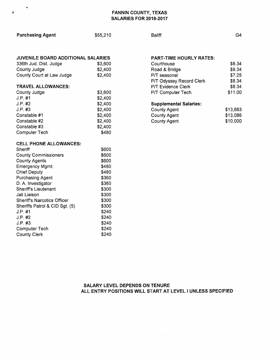#### FANNIN COUNTY, TEXAS SALARIES FOR 2016-2017

| <b>Purchasing Agent</b>            | \$55,210         | <b>Baliff</b>       |
|------------------------------------|------------------|---------------------|
|                                    |                  |                     |
| JUVENILE BOARD ADDITIONAL SALARIES |                  | <b>PART-TIME</b>    |
| 336th Jud. Dist. Judge             | \$3,600          | Courthouse          |
| County Judge                       | \$2,400          | Road & Bridg        |
| County Court at Law Judge          | \$2,400          | P/T seasonal        |
|                                    |                  | P/T Odyssey         |
| <b>TRAVEL ALLOWANCES:</b>          |                  | <b>P/T Evidence</b> |
| County Judge                       | \$3,600          | P/T Compute         |
| J.P. #1                            | \$2,400          |                     |
| J.P. #2                            | \$2,400          | Supplement          |
| J.P. #3                            | \$2,400          | <b>County Agent</b> |
| Constable #1                       | \$2,400          | <b>County Agent</b> |
| Constable #2<br>Constable #3       | \$2,400          | <b>County Agent</b> |
|                                    | \$2,400<br>\$480 |                     |
| <b>Computer Tech</b>               |                  |                     |
| <b>CELL PHONE ALLOWANCES:</b>      |                  |                     |
| Sheriff                            | \$600            |                     |
| <b>County Commissioners</b>        | \$600            |                     |
| <b>County Agents</b>               | \$600            |                     |
| Emergency Mgmt.                    | \$480            |                     |
| <b>Chief Deputy</b>                | \$480            |                     |
| Purchasing Agent                   | \$360            |                     |
| D. A. Investigator                 | \$360            |                     |
| <b>Sheriff's Lieutenant</b>        | \$300            |                     |
| Jail Liaison                       | \$300            |                     |
| <b>Sheriff's Narcotics Officer</b> | \$300            |                     |
| Sheriffs Patrol & CID Sgt. (5)     | \$300            |                     |
| $J.P.$ #1                          | \$240            |                     |
| $J.P.$ #2                          | \$240            |                     |
| J.P. #3                            | \$240            |                     |
| Computer Tech                      | \$240            |                     |
| <b>County Clerk</b>                | \$240            |                     |

×

 $\pmb{\ell}$ 

**HOURLY RATES:** 

| Courthouse                | \$8.34  |
|---------------------------|---------|
| Road & Bridge             | \$9.34  |
| P/T seasonal              | \$7.25  |
| P/T Odyssey Record Clerk  | \$8.34  |
| <b>P/T Evidence Clerk</b> | \$8.34  |
| P/T Computer Tech.        | \$11.00 |
|                           |         |

G4

#### al Salaries:

| County Agent | \$13,883 |
|--------------|----------|
| County Agent | \$13,086 |
| County Agent | \$10,000 |

#### SALARY LEVEL DEPENDS ON TENURE ALL ENTRY POSITIONS WILL START AT LEVEL I UNLESS SPECIFIED

 $\sim 10^{11}$  km s  $^{-1}$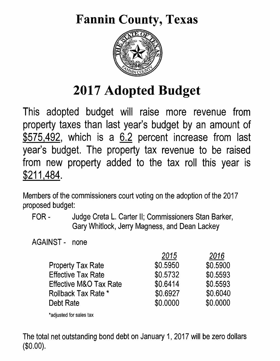## Fannin County, Texas



# 2017 Adopted Budget

This adopted budget will raise more revenue from property taxes than last year's budget by an amount of \$575,492, which is a 6.2 percent increase from last year's budget. The property tax revenue to be raised from new property added to the tax roll this year is \$211,484.

Members of the commissioners court voting on the adoption of the 2017 proposed budget:

FOR- Judge Creta L. Carter II; Commissioners Stan Barker, Gary Whitlock, Jerry Magness, and Dean Lackey

AGAINST - none

|                                   | 2015     | 2016     |
|-----------------------------------|----------|----------|
| <b>Property Tax Rate</b>          | \$0.5950 | \$0.5900 |
| <b>Effective Tax Rate</b>         | \$0.5732 | \$0.5593 |
| <b>Effective M&amp;O Tax Rate</b> | \$0.6414 | \$0.5593 |
| Rollback Tax Rate *               | \$0.6927 | \$0.6040 |
| Debt Rate                         | \$0,0000 | \$0.0000 |
|                                   |          |          |

\*adjusted for sales tax

The total net outstanding bond debt on January 1, 2017 will be zero dollars (\$0.00).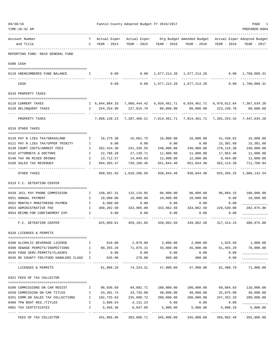| 09/30/16 | TIME:10:32 AM                                                                                    |                     |              | Fannin County Adopted Budget FY 2016/2017       |                                          |                                                                                                                        |                                | PAGE<br>PREPARER: 0004       |
|----------|--------------------------------------------------------------------------------------------------|---------------------|--------------|-------------------------------------------------|------------------------------------------|------------------------------------------------------------------------------------------------------------------------|--------------------------------|------------------------------|
|          | ----------------------<br>Account Number<br>and Title                                            | T –<br>$\mathbf{C}$ | YEAR - 2014  |                                                 |                                          | Actual Exper Actual Exper Org Budget Amended Budget Actual Exper Adopted Budget<br>YEAR - 2015 YEAR - 2016 YEAR - 2016 | YEAR - 2016                    | YEAR - 2017                  |
|          | REPORTING FUND: 0010 GENERAL FUND                                                                |                     |              |                                                 |                                          |                                                                                                                        |                                |                              |
|          | 0300 CASH                                                                                        |                     |              |                                                 |                                          |                                                                                                                        |                                |                              |
|          | 0110 UNENCUMBERED FUND BALANCE<br><b>I</b> I                                                     |                     | 0.00         |                                                 |                                          | $0.00 \quad 1,677,214.28 \quad 1,677,214.28 \quad 0.00 \quad 1,760,089.31$                                             |                                |                              |
|          |                                                                                                  |                     |              |                                                 |                                          |                                                                                                                        |                                | -------------                |
|          | CASH                                                                                             |                     | 0.00         |                                                 |                                          | $0.00 \quad 1,677,214.28 \quad 1,677,214.28$                                                                           | 0.00                           | 1,760,089.31                 |
|          | 0310 PROPERTY TAXES                                                                              |                     |              |                                                 |                                          |                                                                                                                        |                                |                              |
|          | 0110 CURRENT TAXES                                                                               |                     |              |                                                 |                                          | 1,060,444.884.33 7,060,444.42 6,934,461.71 6,934,461.71 6,979,012.64 7,367,634.28                                      |                                |                              |
|          | 0120 DELINQUENT TAXES                                                                            |                     | I 254,254.90 | 227,015.79 80,000.00                            |                                          | 80,000.00 223,240.78                                                                                                   |                                | 80,000.00                    |
|          | PROPERTY TAXES                                                                                   |                     |              |                                                 | ------------                             | 7,099,139.23 7,287,460.21 7,014,461.71 7,014,461.71 7,202,253.42 7,447,634.28                                          |                                |                              |
|          | 0318 OTHER TAXES                                                                                 |                     |              |                                                 |                                          |                                                                                                                        |                                |                              |
|          | 0120 PAY N LIEU TAX/GRASSLAND                                                                    | $\mathbb{I}$        | 16,275.30    |                                                 |                                          | 16,000.00                                                                                                              | 41,436.62                      | 16,000.00                    |
|          | 0121 PAY N LIEU TAX/UPPER TRINITY                                                                | $\mathbf{I}$        | 0.00         | 0.00                                            | 0.00                                     | 0.00                                                                                                                   | 15,381.60                      | 15,381.60                    |
|          | 0130 COURT COSTS/ARREST FEES                                                                     | $\mathbb{I}$        | 262,424.30   | 241,336.55                                      | 240,000.00                               | 240,000.00                                                                                                             | 179, 115.38                    | 240,000.00                   |
|          | 0132 ATTORNEYS & DOCTORS                                                                         | Ι.                  | 22,786.28    | 27,139.71                                       | 11,000.00                                | 11,000.00                                                                                                              | 17,853.46                      | 11,000.00                    |
|          | 0140 TAX ON MIXED DRINKS                                                                         | $\mathbf{I}$        | 13,712.57    | 14,049.03                                       | 12,000.00                                | 12,000.00                                                                                                              |                                | 9,454.80 12,000.00           |
|          | 0160 SALES TAX REVENUES                                                                          | $\mathbf{I}$        | 684, 383.47  | 720,109.46                                      | 651,844.40                               | 651,844.40                                                                                                             | 562,114.39                     | 711,760.94<br>-----------    |
|          | OTHER TAXES                                                                                      |                     |              | 999,581.92 1,018,296.50                         | 930,844.40                               | 930,844.40                                                                                                             |                                | 825, 356. 25 1, 006, 142. 54 |
|          | 0319 F.C. DETENTION CENTER                                                                       |                     |              |                                                 |                                          |                                                                                                                        |                                |                              |
|          | 0420 JAIL PAY PHONE COMMISSION                                                                   | $\mathbf{I}$        |              | 248, 367. 31 115, 116. 85                       | 96,000.00                                |                                                                                                                        | 96,000.00 90,884.15 108,000.00 |                              |
|          | 0551 ANNUAL PAYMENT                                                                              | $\mathbb{I}$        | 10,000.00    | 10,000.00                                       | 10,000.00                                | 10,000.00                                                                                                              | 0.00                           | 10,000.00                    |
|          | $\mathbb{I}$<br>0552 MONTHLY MONITORING PAYMEN                                                   |                     | 6,500.00     | 0.00                                            | 0.00                                     | 0.00                                                                                                                   | 0.00                           |                              |
|          | 0553 ADMINISTRATIVE FEE                                                                          | $\mathbf{I}$        | 360,202.50   | 333,985.00                                      | 333,062.50                               | 333,062.50                                                                                                             | 226,530.00                     | 282,875.00                   |
|          | 0554 REIMB.FOR CONFINEMENT EXP.                                                                  | I.                  | 0.00         | 0.00                                            | 0.00                                     | 0.00                                                                                                                   | 0.00                           |                              |
|          | F.C. DETENTION CENTER                                                                            |                     | 625,069.81   | 459,101.85                                      | 439,062.50                               | 439,062.50                                                                                                             | 317,414.15                     | 400,875.00                   |
|          | 0320 LICENSES & PERMITS                                                                          |                     |              |                                                 |                                          |                                                                                                                        |                                |                              |
|          | 0200 ALCOHLIC BEVERAGE LICENSE                                                                   |                     |              |                                                 |                                          | $I$ 816.00 2,079.00 2,000.00 2,000.00 1,025.50 1,000.00                                                                |                                |                              |
|          | 0300 SEWAGE PERMITS/INSPECTIONS                                                                  |                     | I 60,355.26  |                                                 | 71,875.31 45,000.00                      | 45,000.00                                                                                                              | 61,455.29                      | 70,000.00                    |
|          | 0545 FOOD SERV.PERMITS/CLASSES                                                                   | $\mathbb{I}$        | 0.00         | 0.00                                            | 0.00                                     | 0.00                                                                                                                   | 0.00                           |                              |
|          | 0546 \$5 COUNTY FEE/FOOD HANDLERS CLASS I                                                        |                     | 635.00       | 270.00                                          | 900.00                                   | 900.00<br>--------------                                                                                               | 0.00<br>. <u>.</u>             |                              |
|          | LICENSES & PERMITS                                                                               |                     |              | $61,806.26$ $74,224.31$ $47,900.00$ $47,900.00$ |                                          |                                                                                                                        | 62,480.79                      | 71,000.00                    |
|          | 0321 FEES OF TAX COLLECTOR                                                                       |                     |              |                                                 |                                          |                                                                                                                        |                                |                              |
|          | 0200 COMMISSIONS ON CAR REGIST<br>$\blacksquare$ . The set of $\blacksquare$                     |                     |              |                                                 |                                          | 96,036.69 94,092.71 100,000.00 100,000.00                                                                              | 69,884.83 110,000.00           |                              |
|          | 0250 COMMISSION ON CAR TITLES<br>$\mathbf{I}$ and $\mathbf{I}$ and $\mathbf{I}$ and $\mathbf{I}$ |                     |              | 43,391.74 43,735.00                             | 40,000.00                                | 40,000.00                                                                                                              |                                | 32,875.00 40,000.00          |
|          | 0251 COMM.ON SALES TAX COLLECTIONS 1 192,725.63 235,600.72 200,000.00                            |                     |              |                                                 |                                          | 200,000.00                                                                                                             |                                | 247, 352.33 200, 000.00      |
|          | 0400 TPW BOAT REG./TITLES                                                                        |                     | I 3,806.54   | 4,131.23                                        | 0.00                                     | 0.00                                                                                                                   | 0.00                           |                              |
|          | 0901 TAX CERTIFICATES                                                                            | $\mathbb{I}$        | 5,945.36     | 6,047.05                                        | 5,800.00<br>---------------------------- | 5,800.00<br>--------------                                                                                             | 5,890.33<br>-------------      | 5,800.00<br>-------------    |
|          | FEES OF TAX COLLECTOR                                                                            |                     | 341,905.96   |                                                 | 383,606.71 345,800.00                    | 345,800.00                                                                                                             | 356,002.49                     | 355,800.00                   |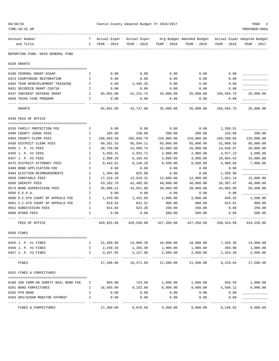| 09/30/16 |                                              |              |                             | Fannin County Adopted Budget FY 2016/2017 |             |                                                                      |                     | PAGE                    |
|----------|----------------------------------------------|--------------|-----------------------------|-------------------------------------------|-------------|----------------------------------------------------------------------|---------------------|-------------------------|
|          | TIME:10:32 AM<br>----------                  |              |                             |                                           |             |                                                                      |                     | PREPARER: 0004          |
|          | Account Number<br>and Title                  | $\mathbf{C}$ | Actual Exper<br>YEAR - 2014 | Actual Exper<br>YEAR - 2015               | YEAR - 2016 | Org Budget Amended Budget Actual Exper Adopted Budget<br>YEAR - 2016 | YEAR - 2016         | YEAR - 2017             |
|          | -------<br>REPORTING FUND: 0010 GENERAL FUND |              |                             |                                           |             |                                                                      |                     |                         |
|          | 0330 GRANTS                                  |              |                             |                                           |             |                                                                      |                     |                         |
|          | 0100 FEDERAL GRANT-SCAAP                     | Ι.           | 0.00                        | 0.00                                      | 0.00        | 0.00                                                                 | 0.00                |                         |
|          | 0313 COURTHOUSE RESTORATION                  | I            | 0.00                        | 0.00                                      | 0.00        | 0.00                                                                 | 0.00                |                         |
|          | 0403 TEAM REDEVELOPMENT TRAINING             | $\mathbf{I}$ | 0.00                        | 1,495.33                                  | 0.00        | 0.00                                                                 | 0.00                |                         |
|          | 0431 SECOEECB GRANT CS0710                   | Ι.           | 0.00                        | 0.00                                      | 0.00        | 0.00                                                                 | 0.00                |                         |
|          | 0437 INDIGENT DEFENSE GRANT                  | $\mathbb{I}$ | 65,091.00                   | 41,231.75                                 | 35,000.00   | 35,000.00                                                            | 166,594.75          | 35,000.00               |
|          | 0559 TEXAS VINE PROGRAM                      | $\mathbf{I}$ | 0.00                        | 0.00                                      | 0.00        | 0.00                                                                 | 0.00<br>----------  |                         |
|          | GRANTS                                       |              | 65,091.00                   | 42,727.08                                 | 35,000.00   | 35,000.00                                                            | 166,594.75          | 35,000.00               |
|          | 0340 FEES OF OFFICE                          |              |                             |                                           |             |                                                                      |                     |                         |
|          | 0135 FAMILY PROTECTION FEE                   | I.           | 0.00                        | 0.00                                      | 0.00        | 0.00                                                                 | 1,350.51            |                         |
|          | 0400 COUNTY JUDGE FEES                       | $\mathbf{I}$ | 185.00                      | 138.00                                    | 200.00      | 200.00                                                               | 133.00              | 200.00                  |
|          | 0403 COUNTY CLERK FEES                       | $\mathbf{I}$ | 198,663.50                  | 195,020.79                                | 210,000.00  | 210,000.00                                                           | 156,298.85          | 210,000.00              |
|          | 0450 DISTRICT CLERK FEES                     | $\mathbb{I}$ | 80,261.53                   | 85,594.11                                 | 85,000.00   | 85,000.00                                                            | 52,060.63           | 85,000.00               |
|          | 0455 J. P. #1 FEES                           | $\mathbf{I}$ | 30,728.88                   | 23,989.74                                 | 25,000.00   | 25,000.00                                                            | 14,838.97           | 20,000.00               |
|          | 0456 J. P. #2 FEES                           | $\mathbf{I}$ | 5,550.41                    | 2,932.71                                  | 2,000.00    | 2,000.00                                                             | 4,977.13            | 2,000.00                |
|          | 0457 J. P. #3 FEES                           | $\mathbf I$  | 2,998.20                    | 6,166.55                                  | 3,000.00    | 3,000.00                                                             | 10,664.42           | 15,000.00               |
|          | 0475 DISTRICT ATTORNEY FEES                  | Ι.           | 9,443.61                    | 9,148.10                                  | 8,500.00    | 8,500.00                                                             | 5,988.68            | 7,000.00                |
|          | 0480 BOND APPLICATION FEE                    | I.           | 0.00                        | 0.00                                      | 0.00        | 0.00                                                                 | 0.00                |                         |
|          | 0484 ELECTION REIMBURSEMENTS                 | $\mathbb{I}$ | 1,394.00                    | 825.00                                    | 0.00        | 0.00                                                                 | 1,358.96            |                         |
|          | 0550 CONSTABLE FEES                          | $\mathbf{I}$ | 17,315.10                   | 15,619.31                                 | 12,000.00   | 12,000.00                                                            | 7,821.14            | 12,000.00               |
|          | 0560 SHERIFF FEES                            | $\mathbf{I}$ | 43,182.79                   | 42,405.05                                 | 40,000.00   | 40,000.00                                                            | 28,387.47           | 40,000.00               |
|          | 0573 BOND SUPERVISION FEES                   | I.           | 35,998.21                   | 43,921.00                                 | 38,000.00   | 38,000.00                                                            | 44,883.00           | 50,000.00               |
|          | 0595 E.E.P.A.                                | $\mathbf{I}$ | 0.00                        | 0.00                                      | 0.00        | 0.00                                                                 | 0.00                |                         |
|          | 0600 D.C.6TH COURT OF APPEALS FEE            | $\mathbf{I}$ | 1,470.00                    | 1,432.95                                  | 2,000.00    | 2,000.00                                                             | 946.32              | 1,500.00                |
|          | 0601 C.C.6TH COURT OF APPEALS FEE            | $\mathbf{I}$ | 819.83<br>914.84            | 822.51                                    | 900.00      | 900.00                                                               | 615.81              | 800.00                  |
|          | 0652 SUBDIVISION FEES                        | Ι.           |                             | 523.26                                    | 250.00      | 250.00                                                               | 0.00                | 250.00                  |
|          | 0900 OTHER FEES                              | I            | 0.00                        | 0.00<br>------------                      | 500.00      | 500.00                                                               | 0.00<br>----------- | 500.00                  |
|          | FEES OF OFFICE                               |              | 428,925.90                  | 428,539.08                                | 427,350.00  | 427,350.00                                                           |                     | 330, 324.89 444, 250.00 |
|          | 0350 FINES                                   |              |                             |                                           |             |                                                                      |                     |                         |
|          | 0455 J. P. #1 FINES                          | I.           |                             | 21,589.66 14,060.39 18,000.00             |             | 18,000.00                                                            |                     | 7,435.35 14,000.00      |
|          | 0456 J. P. #2 FINES                          | I.           | 2,249.35                    | 1,283.50                                  | 1,000.00    | 1,000.00                                                             | 450.90              | 1,000.00                |
|          | 0457 J. P. #3 FINES                          | I.           | 3,447.05                    | 3,127.80                                  | 2,500.00    | 2,500.00                                                             | 1,324.39            | 2,500.00                |
|          | FINES                                        |              | 27,286.06                   | 18,471.69                                 | 21,500.00   | 21,500.00                                                            | 9,210.64            | 17,500.00               |
|          | 0352 FINES & FORFEITURES                     |              |                             |                                           |             |                                                                      |                     |                         |
|          | 0100 10% COMM.ON SURETY BAIL BOND FEE        | Ι.           | 804.00                      | 724.50                                    | 1,000.00    | 1,000.00                                                             | 550.50              | 1,000.00                |
|          | 0201 BOND FORFEITURES                        | I.           | 16,565.00                   | 9,152.00                                  | 8,000.00    | 8,000.00                                                             | 5,596.12            | 8,000.00                |
|          | 0202 PTR BOND                                | I            | 0.00                        | 0.00                                      | 0.00        | 0.00                                                                 | 0.00                |                         |
|          | 0203 GPS/SCRAM MONITOR PAYMENT               | I            | 0.00                        | 0.00                                      | 0.00        | 0.00                                                                 | 0.00                |                         |
|          | FINES & FORFEITURES                          |              | 17,369.00                   | 9,876.50                                  | 9,000.00    | 9,000.00                                                             | 6,146.62            | 9,000.00                |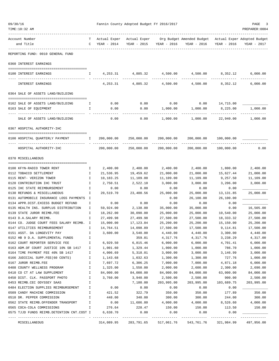| 09/30/16<br>TIME:10:32 AM                                   |               |                                 | Fannin County Adopted Budget FY 2016/2017 |                            |                                                                                   |                       | PAGE<br>PREPARER: 0004 |
|-------------------------------------------------------------|---------------|---------------------------------|-------------------------------------------|----------------------------|-----------------------------------------------------------------------------------|-----------------------|------------------------|
|                                                             |               |                                 |                                           |                            |                                                                                   |                       |                        |
| Account Number<br>and Title                                 | T –           | Actual Exper<br>$C$ YEAR - 2014 | YEAR - 2015                               | YEAR - 2016                | Actual Exper Org Budget Amended Budget Actual Exper Adopted Budget<br>YEAR - 2016 | YEAR - 2016           | YEAR - 2017            |
| REPORTING FUND: 0010 GENERAL FUND                           |               |                                 |                                           |                            |                                                                                   |                       |                        |
| 0360 INTEREST EARNINGS                                      |               |                                 |                                           |                            |                                                                                   |                       |                        |
| 0100 INTEREST EARNINGS                                      | I.            |                                 |                                           |                            | $4,253.31$ $4,885.32$ $4,500.00$ $4,500.00$ $8,352.12$                            |                       | 6,000.00               |
| INTEREST EARNINGS                                           |               | 4,253.31                        | 4,885.32                                  | 4,500.00                   | 4,500.00                                                                          | 8,352.12              | 6,000.00               |
| 0364 SALE OF ASSETS LAND/BUILDING                           |               |                                 |                                           |                            |                                                                                   |                       |                        |
| 0162 SALE OF ASSETS LAND/BUILDING                           | <b>I</b>      | 0.00                            | 0.00                                      | 0.00                       | 0.00                                                                              | 14,715.00             |                        |
| 0163 SALE OF EQUIPMENT                                      | Ι.            | 0.00                            | 0.00                                      | 1,000.00                   | 1,000.00                                                                          | 8,225.00              | 1,000.00               |
| SALE OF ASSETS LAND/BUILDING                                |               | 0.00                            | 0.00                                      | 1,000.00                   | 1,000.00                                                                          | 22,940.00             | 1,000.00               |
| 0367 HOSPITAL AUTHORITY-IHC                                 |               |                                 |                                           |                            |                                                                                   |                       |                        |
|                                                             |               |                                 |                                           |                            |                                                                                   |                       |                        |
| 0100 HOSPITAL QUARTERLY PAYMENT                             | Ι.            | 200,000.00                      | 250,000.00                                | 200,000.00                 |                                                                                   | 200,000.00 100,000.00 |                        |
| HOSPITAL AUTHORITY-IHC                                      |               | 200,000.00                      | 250,000.00                                | 200,000.00                 | 200,000.00                                                                        | 100,000.00            | 0.00                   |
| 0370 MISCELLANEOUS                                          |               |                                 |                                           |                            |                                                                                   |                       |                        |
| 0100 KFYN-RADIO TOWER RENT                                  | Ι.            | 2,400.00                        | 2,400.00                                  | 2,400.00                   | 2,400.00                                                                          | 1,800.00              | 2,400.00               |
| 0112 TOBACCO SETTLEMENT                                     | Ι.            | 21,536.95                       | 19,459.62                                 | 21,000.00                  | 21,000.00                                                                         | 15,627.44             | 21,000.00              |
| 0115 RENT- VERIZON TOWER                                    | I             | 10,183.25                       | 11,109.00                                 | 11,109.00                  | 11,109.00                                                                         | 9,257.50              | 11,109.00              |
| 0120 CONTRIBUTION IHC TRUST                                 | Ι.            | 2,750.51                        | 2,522.10                                  | 3,000.00                   | 3,000.00                                                                          | 3,206.00              | 3,000.00               |
| 0125 IHC STATE REIMBURSEMENT                                | $\mathbf I$   | 0.00                            | 0.00                                      | 0.00                       | 0.00                                                                              | 0.00                  |                        |
| 0130 REFUNDS & MISCELLANEOUS                                | Ι.            | 20,519.70                       | 23,400.56                                 | 25,000.00                  | 25,000.00                                                                         | 13, 131.85            | 25,000.00              |
| 0131 AUTOMOBILE INSURANCE LOSS PAYMENTS I                   |               |                                 |                                           | 0.00                       | 26,100.00                                                                         | 26,100.00             |                        |
| 0134 APPR.DIST.EXCESS BUDGET REFUND                         | I             | 0.00                            | 0.00                                      | 0.00                       | 0.00                                                                              | 0.00                  |                        |
| 0135 HEALTH INS. SURPLUS DISTRIBUTION                       | Ι.            | 59,924.00                       | 2,138.00                                  | 35,000.00                  | 35,000.00                                                                         | 0.00                  | 16,505.00              |
| 0139 STATE JUROR REIMB.FEE                                  | Ι.            | 18,262.00                       | 30,090.00                                 | 25,000.00                  | 25,000.00                                                                         | 10,540.00             | 25,000.00              |
| 0143 D.A.SALARY REIMB.                                      | I             | 27,499.98<br>15,000.00          | 27,499.98                                 | 27,500.00                  | 27,500.00                                                                         | 18,333.32             | 27,500.00              |
| 0144 CO. JUDGE COURT FEES SALARY REIMB. I                   |               | 14,764.51                       | 17,123.84                                 | 25,200.00<br>17,500.00     | 25,200.00<br>17,500.00                                                            | 15,150.00<br>9,114.81 | 25,200.00<br>17,500.00 |
| 0147 UTILITIES REIMBURSEMENT<br>0151 ASST. DA LONGEVITY PAY | I<br>I        | 3,600.00                        | 14,098.89<br>3,540.00                     | 4,440.00                   | 4,440.00                                                                          | 3,300.00              | 4,440.00               |
| 0152 HB 9 D.A. SUPPLEMENTAL FUNDS                           | I             |                                 | 359.81                                    | 4,317.76                   | 4,317.76                                                                          | 3,238.29              | 4,317.00               |
| 0162 COURT REPORTER SERVICE FEE                             | Ι.            | 6,929.50                        | 6,815.46                                  | 6,000.00                   | 6,000.00                                                                          | 4,701.41              | 6,000.00               |
| 0163 ADM.OF COURT JUSTICE 10% SB 1417                       | Ι.            | 1,001.60                        | 1,329.44                                  | 1,000.00                   | 1,000.00                                                                          | 786.70                | 1,000.00               |
| 0164 TIME PAYMENT FEE 40% SB 1417                           | Ι.            | 4,006.69                        | 5,318.01                                  | 3,000.00                   | 3,000.00                                                                          | 3,146.99              | 3,000.00               |
| 0166 JUDICIAL SUPP.FEE(60 CENTS)                            | Ι.            | 1,143.68                        | 1,032.63                                  | 1,300.00                   | 1,300.00                                                                          | 727.76                | 1,000.00               |
| 0167 JUROR REIMB.FEE                                        | I             | 7,697.72                        | 6,306.25                                  | 7,000.00                   | 7,000.00                                                                          | 4,871.18              | 6,000.00               |
| 0408 COUNTY WELLNESS PROGRAM                                | Ι.            | 1,325.00                        | 1,550.00                                  | 2,000.00                   | 2,600.00                                                                          | 2,300.00              | 2,690.00               |
| 0410 CO CT AT LAW SUPPLEMENT                                | $\mathbbm{1}$ | 84,000.00                       | 84,000.00                                 | 84,000.00                  | 84,000.00                                                                         | 63,000.00             | 84,000.00              |
| 0450 DIST. CLK. PASSPORT PHOTO                              | $\mathbbm{1}$ | 3,760.00                        | 3,940.00                                  | 2,500.00                   | 2,500.00                                                                          | 900.00                | 2,500.00               |
| 0453 REIMB.CEC ODYSSEY SAAS                                 | I             |                                 | 7,180.00                                  | 203,995.00                 | 203,995.00                                                                        | 103,689.75            | 203,995.00             |
| 0484 ELECTION SUPPLIES REIMBURSEMENT                        | Ι.            | 0.00                            | 0.00                                      | 0.00                       | 0.00                                                                              | 0.00                  |                        |
| 0509 CANDY MACHINE COMMISSION                               | Ι.            | 421.52                          | 322.79                                    | 350.00                     | 350.00                                                                            | 177.89                | 350.00                 |
| 0510 DR. PEPPER COMMISSION                                  | I.            | 448.00                          | 340.00                                    | 300.00                     | 300.00                                                                            | 244.00                | 300.00                 |
| 0562 STATE REIMB.OFFENDER TRANSPORT                         | $\mathbf I$   | 0.00                            | 11,686.80                                 | 4,000.00                   | 4,000.00                                                                          | 8,526.60              | 4,000.00               |
| 0565 COCA-COLA COMMISSIONS                                  | I.            | 276.64                          | 228.47                                    | 150.00                     | 150.00                                                                            | 113.50                | 150.00                 |
| 0575 TJJD FUNDS REIMB.DETENTION CNT.COST I                  |               | 6,638.70                        | 0.00                                      | 0.00                       | 0.00                                                                              | 0.00                  |                        |
| MISCELLANEOUS                                               |               | 314,089.95                      | 283,791.65                                | ------------<br>517,061.76 | 543,761.76                                                                        | 321,984.99            | 497,956.00             |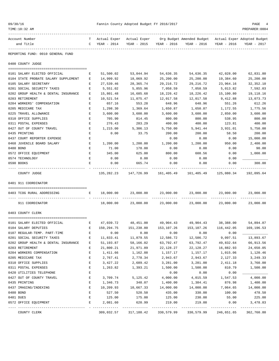| 09/30/16                                 |              |              | Fannin County Adopted Budget FY 2016/2017 |                             |                                                       |                             | PAGE<br>4                   |
|------------------------------------------|--------------|--------------|-------------------------------------------|-----------------------------|-------------------------------------------------------|-----------------------------|-----------------------------|
| TIME:10:32 AM                            |              |              |                                           |                             |                                                       |                             | PREPARER: 0004              |
| Account Number                           | T            | Actual Exper | Actual Exper                              |                             | Org Budget Amended Budget Actual Exper Adopted Budget |                             |                             |
| and Title                                | $\mathbb{C}$ | YEAR - 2014  | YEAR - 2015                               | YEAR - 2016                 | YEAR - 2016                                           | YEAR - 2016                 | YEAR - 2017                 |
| REPORTING FUND: 0010 GENERAL FUND        |              |              |                                           |                             |                                                       |                             |                             |
| 0400 COUNTY JUDGE                        |              |              |                                           |                             |                                                       |                             |                             |
| 0101 SALARY ELECTED OFFICIAL             | E            | 51,500.02    | 53,044.94                                 | 54,636.35                   | 54,636.35                                             | 42,028.00                   | 62,831.80                   |
| 0104 STATE PROBATE SALARY SUPPLEMENT     | Е            | 14,999.92    | 18,069.92                                 | 25,200.00                   | 25,200.00                                             | 19,384.60                   | 25,200.00                   |
| 0105 SALARY SECRETARY                    | Ε            | 27,539.46    | 28,365.74                                 | 29, 216.72                  | 29, 216.72                                            | 23,964.16                   | 32, 352.10                  |
| 0201 SOCIAL SECURITY TAXES               | Ε            | 5,551.02     | 5,855.96                                  | 7,058.59                    | 7,058.59                                              | 5,013.82                    | 7,592.03                    |
| 0202 GROUP HEALTH & DENTAL INSURANCE     | Е            | 15,801.48    | 16,685.68                                 | 18,226.42                   | 18,226.42                                             | 15,100.80                   | 19,118.16                   |
| 0203 RETIREMENT                          | Ε            | 10,521.54    | 11,075.47                                 | 12,017.58                   | 12,017.58                                             | 9,412.88                    | 13,073.73                   |
| 0204 WORKERS' COMPENSATION               | Е            | 657.16       | 553.28                                    | 648.96                      | 648.96                                                | 551.26                      | 612.26                      |
| 0205 MEDICARE TAX                        | Ε            | 1,298.30     | 1,369.64                                  | 1,650.87                    | 1,650.87                                              | 1,172.55                    | 1,775.56                    |
| 0225 TRAVEL ALLOWANCE                    | E            | 3,600.00     | 3,600.00                                  | 3,600.00                    | 3,600.00                                              | 2,850.00                    | 3,600.00                    |
| 0310 OFFICE SUPPLIES                     | Е            | 705.90       | 814.45                                    | 800.00                      | 800.00                                                | 538.95                      | 800.00                      |
| 0311 POSTAL EXPENSES                     | Ε            | 276.43       | 283.29                                    | 400.00                      | 400.00                                                | 123.81                      | 400.00                      |
| 0427 OUT OF COUNTY TRAVEL                | Е            | 1,215.00     | 5,306.13                                  | 5,750.00                    | 5,941.44                                              | 3,931.01                    | 5,750.00                    |
| 0435 PRINTING                            | Е            | 0.00         | 33.75                                     | 200.00                      | 200.00                                                | 58.50                       | 200.00                      |
| 0437 COURT REPORTER EXPENSE              | Ε            |              |                                           | 0.00                        | 0.00                                                  | 0.00                        | 15,000.00                   |
| 0468 JUVENILE BOARD SALARY               | Е            | 1,200.00     | 1,200.00                                  | 1,200.00                    | 1,200.00                                              | 950.00                      | 2,400.00                    |
| 0480 BOND                                | Ε            | 71.00        | 178.00                                    | 0.00                        | 0.00                                                  | 0.00                        | 90.00                       |
| 0572 OFFICE EQUIPMENT                    | Е            | 345.00       | 625.00                                    | 800.00                      | 608.56                                                | 0.00                        | 1,000.00                    |
| 0574 TECHNOLOGY                          | Е            | 0.00         | 0.00                                      | 0.00                        | 0.00                                                  | 0.00                        |                             |
|                                          | E            | 0.00         | 665.74                                    | 0.00                        |                                                       | 0.00                        | 300.00                      |
| 0590 BOOKS                               |              |              |                                           |                             | 0.00                                                  |                             |                             |
| COUNTY JUDGE                             |              | 135,282.23   | 147,726.99                                |                             |                                                       | 125,080.34                  | 192,095.64                  |
| 0401 911 COORDINATOR                     |              |              |                                           |                             |                                                       |                             |                             |
| 0403 TCOG RURAL ADDRESSING               | Е            | 18,000.00    | 23,000.00                                 | 23,000.00                   | 23,000.00                                             | 23,000.00                   | 23,000.00                   |
| 911 COORDINATOR                          |              | 18,000.00    | 23,000.00                                 | 23,000.00                   | 23,000.00                                             | 23,000.00                   | 23,000.00                   |
| 0403 COUNTY CLERK                        |              |              |                                           |                             |                                                       |                             |                             |
|                                          |              |              |                                           |                             |                                                       |                             |                             |
| 0101 SALARY ELECTED OFFICIAL<br><b>E</b> |              |              | 47,039.72 48,451.00                       | 49,904.43                   | 49,904.43                                             | 38,388.00                   | 54,894.87                   |
| 0104 SALARY DEPUTIES                     | Ε            | 150,294.75   | 151,238.80                                | 153,107.26                  | 153,107.26                                            | 116,442.05                  | 169,196.53                  |
| 0107 REGULAR-TEMP. PART-TIME             | Ε            | 0.00         | 0.00                                      | 0.00                        | 0.00                                                  | 0.00                        |                             |
| 0201 SOCIAL SECURITY TAXES               | Е            | 11,833.41    | 11,879.55                                 | 12,586.72                   | 12,586.72                                             | 9,097.51                    | 13,893.67                   |
| 0202 GROUP HEALTH & DENTAL INSURANCE     | Ε            | 51,193.87    | 58,166.02                                 | 63,792.47                   | 63,792.47                                             | 49,832.64                   | 66,913.56                   |
| 0203 RETIREMENT                          | Ε            | 21,800.21    | 21,971.89                                 | 22,128.27                   | 22,128.27                                             | 16,882.93                   | 24,650.05                   |
| 0204 WORKERS COMPENSATION                | E            | 1,411.66     | 1,162.88                                  | 1,157.17                    | 1,157.17                                              | 1,015.06                    | 1,120.46                    |
| 0205 MEDICARE TAX                        | Ε            | 2,767.41     | 2,778.34                                  | 2,943.67                    | 2,943.67                                              | 2,127.33                    | 3,249.33                    |
| 0310 OFFICE SUPPLIES                     | E            | 3,427.22     | 2,689.42                                  | 3,281.00                    | 3,281.00                                              | 2,411.18                    | 3,760.00                    |
| 0311 POSTAL EXPENSES                     | Ε            | 1,263.82     | 1,393.21                                  | 1,500.00                    | 1,500.00                                              | 810.79                      | 1,500.00                    |
| 0420 UTILITIES TELEPHONE                 | E            |              |                                           | 0.00                        | 0.00                                                  | 0.00                        |                             |
| 0427 OUT OF COUNTY TRAVEL                | E            | 3,709.74     | 5,125.42                                  | 4,000.00                    | 4,015.59                                              | 1,547.53                    | 4,000.00                    |
| 0435 PRINTING                            | E            | 1,346.73     | 348.07                                    | 1,400.00                    | 1,384.41                                              | 876.98                      | 1,400.00                    |
| 0437 IMAGING/INDEXING                    | E            | 10,209.93    | 10,667.33                                 | 14,000.00                   | 14,000.00                                             | 7,064.65                    | 14,000.00                   |
| 0480 BOND                                | E            | 527.50       | 520.50                                    | 435.00                      | 330.00                                                | 100.00                      | 478.50                      |
| 0481 DUES                                | Ε            | 125.00       | 175.00                                    | 125.00                      | 230.00                                                | 55.00                       | 225.00                      |
| 0572 OFFICE EQUIPMENT                    | $\mathbf E$  | 2,081.60     | 620.99                                    | 219.00                      | 219.00                                                | 0.00                        | 3,478.83                    |
| COUNTY CLERK                             |              | 309,032.57   | -------------<br>317,188.42               | -------------<br>330,579.99 | -------------<br>330,579.99                           | -------------<br>246,651.65 | -------------<br>362,760.80 |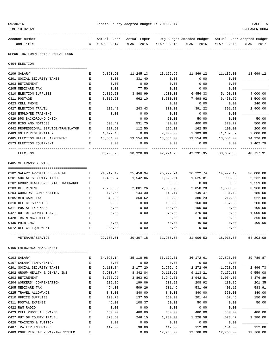| 09/30/16                                            |             |                 | Fannin County Adopted Budget FY 2016/2017 |                         |                                                                                   |                                    | PAGE<br>-5          |
|-----------------------------------------------------|-------------|-----------------|-------------------------------------------|-------------------------|-----------------------------------------------------------------------------------|------------------------------------|---------------------|
| TIME:10:32 AM                                       |             |                 |                                           |                         |                                                                                   |                                    | PREPARER: 0004      |
| Account Number                                      |             |                 |                                           |                         | T Actual Exper Actual Exper Org Budget Amended Budget Actual Exper Adopted Budget |                                    |                     |
| and Title                                           |             | $C$ YEAR - 2014 |                                           |                         | YEAR - 2015 YEAR - 2016 YEAR - 2016                                               | YEAR - 2016                        | YEAR - 2017         |
| --------------<br>REPORTING FUND: 0010 GENERAL FUND |             |                 |                                           |                         |                                                                                   |                                    |                     |
| 0404 ELECTION                                       |             |                 |                                           |                         |                                                                                   |                                    |                     |
| 0109 SALARY                                         | Е           | 9,863.90        | 11,245.13 13,162.95                       |                         | 11,869.12                                                                         |                                    | 11,135.00 13,699.12 |
| 0201 SOCIAL SECURITY TAXES                          | Е           | 0.00            | 331.40                                    | 0.00                    | 0.00                                                                              | 0.00                               |                     |
| 0203 RETIREMENT                                     | Е           | 0.00            | 0.00                                      | 0.00                    | 0.00                                                                              | 0.00                               |                     |
| 0205 MEDICARE TAX                                   | Е           | 0.00            | 77.50                                     | 0.00                    | 0.00                                                                              | 0.00                               |                     |
| 0310 ELECTION SUPPLIES                              | Ε           | 2,812.23        | 3,868.99                                  | 4,200.00                | 6,456.33                                                                          | 5,493.83                           | 4,000.00            |
| 0311 POSTAGE                                        | Е           | 8,315.23        | 962.10                                    | 8,500.00                | 7,498.92                                                                          | 6,450.72                           | 8,500.00            |
| 0423 CELL PHONE                                     | Е           |                 |                                           | 0.00                    | 0.00                                                                              | 0.00                               | 240.00              |
| 0427 ELECTION TRAVEL                                | Е           | 139.48          | 243.43                                    | 300.00                  | 391.22                                                                            | 391.22                             | 2,900.00            |
| 0428 EMPLOYEE TRAINING                              | Е           | 0.00            | 0.00                                      | 0.00                    | 0.00                                                                              | 0.00                               |                     |
| 0429 DPS BACKGROUND CHECK                           | Е           |                 | 0.00                                      | 50.00                   | 50.00                                                                             | 0.00                               | 50.00               |
| 0430 BIDS AND NOTICES                               | Е           | 508.49          | 531.75                                    | 400.00                  | 400.00                                                                            | 370.72                             | 500.00              |
| 0442 PROFESSIONAL SERVICE/TRANSLATOR                | Е           | 237.50          | 112.50                                    | 125.00                  | 162.50                                                                            | 100.00                             | 200.00              |
| 0483 VOTER REGISTRATION                             | Е           | 1,472.45        | 0.00                                      | 2,000.00                | 1,909.86                                                                          | 1,137.39                           | 2,000.00            |
| 0485 ELECTION MAINT. AGREEMENT                      | E           | 13,554.00       | 13,554.00                                 |                         | 13,554.00 13,554.00                                                               | 13,554.00                          | 14,226.00           |
| 0573 ELECTION EQUIPMENT                             | Е           | 0.00            | 0.00                                      | 0.00                    | 0.00                                                                              | 0.00                               | 2,402.79            |
| ELECTION                                            |             | _______________ | 36,903.28 30,926.80                       | ----------<br>42,291.95 | -------------                                                                     | -----------<br>42,291.95 38,632.88 | 48,717.91           |
| 0405 VETERANS'SERVICE                               |             |                 |                                           |                         |                                                                                   |                                    |                     |
|                                                     |             |                 |                                           |                         |                                                                                   |                                    |                     |
| 0102 SALARY APPOINTED OFFICIAL                      | Е           | 24,717.42       | 25,458.94                                 | 26,222.74               | 26,222.74                                                                         | 14,972.19                          | 36,000.00           |
| 0201 SOCIAL SECURITY TAXES                          | Е           | 1,496.04        | 1,542.06                                  | 1,625.81                | 1,625.81                                                                          | 908.66                             | 2,232.00            |
| 0202 GROUP HEALTH & DENTAL INSURANCE                | Е           |                 |                                           | 0.00                    | 0.00                                                                              | 0.00                               | 9,559.08            |
| 0203 RETIREMENT                                     | Е           | 2,730.80        | 2,801.26                                  | 2,858.28                | 2,858.28                                                                          | 1,633.30                           | 3,960.00            |
| 0204 WORKERS' COMPENSATION                          | Е           | 170.56          | 144.30                                    | 149.47                  | 149.47                                                                            | 131.12                             | 180.00              |
| 0205 MEDICARE TAX                                   | Е           | 349.96          | 360.62                                    | 380.23                  | 380.23                                                                            | 212.55                             | 522.00              |
| 0310 OFFICE SUPPLIES                                | E           | 0.00            | 0.00                                      | 150.00                  | 160.00                                                                            | 157.68                             | 200.00              |
| 0311 POSTAL EXPENSES<br>0427 OUT OF COUNTY TRAVEL   | Е<br>Е      | 0.00<br>0.00    | 0.00<br>0.00                              | 100.00                  | 100.00                                                                            | 0.00                               | 100.00<br>1,000.00  |
| 0428 TRAINING/TUITION                               | E           |                 |                                           | 370.00<br>0.00          | 370.00<br>0.00                                                                    | 0.00                               | 350.00              |
| 0435 PRINTING                                       | E           | 0.00            | 0.00                                      | 50.00                   | 40.00                                                                             | 0.00<br>0.00                       | 100.00              |
| 0572 OFFICE EQUIPMENT                               |             | 288.83          | 0.00                                      | 0.00                    | 0.00                                                                              | 0.00                               |                     |
|                                                     |             |                 |                                           |                         |                                                                                   |                                    |                     |
| VETERANS ' SERVICE                                  |             | 29,753.61       | 30,307.18                                 | 31,906.53               |                                                                                   | 31,906.53 18,015.50                | 54,203.08           |
| 0406 EMERGENCY MANAGEMENT                           |             |                 |                                           |                         |                                                                                   |                                    |                     |
| 0103 SALARY                                         | Е           | 34,096.14       | 35,118.98                                 | 36,172.61               | 36,172.61                                                                         | 27,825.00                          | 39,789.87           |
| 0107 SALARY TEMP./EXTRA                             | Е           | 0.00            | 0.00                                      | 0.00                    | 0.00                                                                              | 0.00                               |                     |
| 0201 SOCIAL SECURITY TAXES                          | Е           | 2,113.84        | 2,177.20                                  | 2,272.46                | 2,272.46                                                                          | 1,723.78                           | 2,496.73            |
| 0202 GROUP HEALTH & DENTAL INS                      | E           | 7,900.74        | 8,342.84                                  | 9, 113. 21              | 9,113.21                                                                          | 7,172.88                           | 9,559.08            |
| 0203 RETIREMENT                                     | Ε           | 3,766.92        | 3,863.93                                  | 3,942.81                | 3,942.81                                                                          | 3,034.05                           | 4,376.89            |
| 0204 WORKERS' COMPENSATION                          | Ε           | 235.26          | 199.06                                    | 208.92                  | 208.92                                                                            | 180.86                             | 201.35              |
| 0205 MEDICARE TAX                                   | E           | 494.30          | 509.26                                    | 531.46                  | 531.46                                                                            | 403.12                             | 583.91              |
| 0225 TRAVEL ALLOWANCE                               | E           | 840.00          | 840.00                                    | 840.00                  | 840.00                                                                            | 560.00                             | 840.00              |
| 0310 OFFICE SUPPLIES                                | Ε           | 123.78          | 137.55                                    | 150.00                  | 201.44                                                                            | 57.46                              | 150.00              |
| 0311 POSTAL EXPENSE                                 | Ε           | 46.00           | 108.37                                    | 50.00                   | 50.00                                                                             | 0.00                               | 50.00               |
| 0422 R&M RADIO                                      | E           | 0.00            | 0.00                                      | 0.00                    | 0.00                                                                              | 0.00                               |                     |
| 0423 CELL PHONE ALLOWANCE                           | $\mathbf E$ | 480.00          | 480.00                                    | 480.00                  | 480.00                                                                            | 380.00                             | 480.00              |
| 0427 OUT OF COUNTY TRAVEL                           | E           | 373.50          | 246.15                                    | 1,280.00                | 1,228.56                                                                          | 573.47                             | 1,280.00            |
| 0428 TRAINING & TUITION                             | Ε           | 0.00            | 0.00                                      | 0.00                    | 0.00                                                                              | 0.00                               |                     |
| 0487 TRAILER INSURANCE                              | Ε           | 112.00          | 98.00                                     | 112.00                  | 112.00                                                                            | 101.00                             | 112.00              |
| 0489 CODE RED EARLY WARNING SYSTEM                  | E           |                 | 0.00                                      | 12,768.00               | 12,768.00                                                                         | 12,768.00                          | 12,768.00           |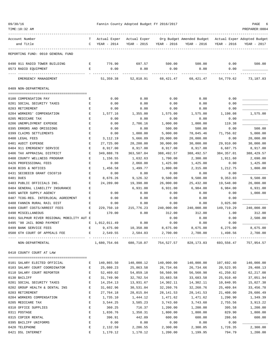| TIME:10:32 AM                              |                    |                         |              |             |                           |             | PREPARER: 0004              |
|--------------------------------------------|--------------------|-------------------------|--------------|-------------|---------------------------|-------------|-----------------------------|
| Account Number                             | т                  | Actual Exper            | Actual Exper |             | Org Budget Amended Budget |             | Actual Exper Adopted Budget |
| and Title                                  | $\mathbf C$        | YEAR - 2014             | YEAR - 2015  | YEAR - 2016 | YEAR - 2016               | YEAR - 2016 | YEAR - 2017                 |
| REPORTING FUND: 0010 GENERAL FUND          |                    |                         |              |             |                           |             |                             |
| 0490 911 RADIO TOWER BUILDING              | $\mathbf{E}$       | 776.90                  | 697.57       | 500.00      | 500.00                    | 0.00        | 500.00                      |
| 0573 RADIO EQUIPMENT                       | Е                  | 0.00                    | 0.00         | 0.00        | 0.00                      | 0.00        |                             |
| EMERGENCY MANAGEMENT                       |                    | 51, 359.38              | 52,818.91    | 68,421.47   | 68,421.47                 | 54,779.62   | 73,187.83                   |
| 0409 NON-DEPARTMENTAL                      |                    |                         |              |             |                           |             |                             |
| 0100 COMPENSATION PAY                      | Е                  | 0.00                    | 0.00         | 0.00        | 0.00                      | 0.00        |                             |
| 0201 SOCIAL SECURITY TAXES                 | Е                  | 0.00                    | 0.00         | 0.00        | 0.00                      | 0.00        |                             |
| 0203 RETIREMENT                            | Ε                  | 0.00                    | 0.00         | 0.00        | 0.00                      | 0.00        |                             |
| 0204 WORKERS' COMPENSATION                 | Е                  | 1,577.16                | 1,355.00     | 1,575.00    | 1,575.00                  | 1,198.08    | 1,575.00                    |
| 0205 MEDICARE TAX                          | E                  | 0.00                    | 0.00         | 0.00        | 0.00                      | 0.00        |                             |
| 0206 UNEMPLOYMENT EXPENSE                  | Е                  | 0.00                    | 2,706.16     | 1,000.00    | 1,000.00                  | 119.38      |                             |
| 0395 ERRORS AND OMISSIONS                  | Е                  | 0.00                    | 0.00         | 500.00      | 500.00                    | 0.00        | 500.00                      |
| 0399 CLAIMS SETTLEMENTS                    | E                  | 0.00                    | 1,000.00     | 5,000.00    | 78,045.46                 | 71,756.02   | 5,000.00                    |
| 0400 LEGAL FEES                            | Ε                  | 3,112.19                | 5,666.89     | 20,000.00   | 20,000.00                 | 0.00        | 20,000.00                   |
| 0401 AUDIT EXPENSE                         | E                  | 27,725.00               | 28,200.00    | 30,000.00   | 30,000.00                 | 29,910.00   | 30,000.00                   |
| 0404 911 EMERGENCY SERVICE                 | E                  | 8,917.00                | 8,917.00     | 8,917.00    | 8,917.00                  | 6,687.75    | 8,917.00                    |
| 0406 TAX APPRAISAL DISTRICT                | Е                  | 349,888.78              | 363,507.04   | 388,492.57  | 388,492.57                | 384, 357.01 | 388, 429.57                 |
| 0408 COUNTY WELLNESS PROGRAM               | Е                  | 1,156.55                | 1,632.63     | 1,700.00    | 2,300.00                  | 1,911.60    | 2,690.00                    |
| 0426 PROFESSIONAL FEES                     | Ε                  | 0.00                    | 2,060.00     | 1,425.00    | 1,425.00                  | 0.00        | 1,425.00                    |
| 0430 BIDS & NOTICES                        | Е                  | 1,456.58                | 1,499.77     | 1,800.00    | 2,315.00                  | 1,212.75    | 1,800.00                    |
| 0431 SECOEECB GRANT CSC0710                | Е                  | 0.00                    | 0.00         | 0.00        | 0.00                      | 0.00        |                             |
| 0481 DUES                                  | Е                  | 8,676.26                | 9,126.32     | 9,500.00    | 9,500.00                  | 9,353.03    | 9,500.00                    |
| 0483 PUBLIC OFFICIALS INS.                 | Е                  | 24,289.00               | 19,398.00    | 26,000.00   | 25,432.00                 | 19,548.00   | 26,000.00                   |
| 0484 GENERAL LIABILITY INSURANCE           | E                  |                         | 6,931.00     | 6,931.00    | 6,984.00                  | 6,984.00    | 6,931.00                    |
| 0485 WATER SUPPLY AGENCY                   | E                  | 0.00                    | 0.00         | 0.00        | 0.00                      | 0.00        | 1,000.00                    |
| 0487 TCOG-REG. INTERLOCAL AGREEMENT        | E                  | 0.00                    | 0.00         | 0.00        | 0.00                      | 0.00        |                             |
| 0488 FANNIN RURAL RAIL DIST                | Е                  | 0.00                    | 0.00         | 0.00        | 0.00                      | 3,025.00    |                             |
| 0489 COURT COSTS/ARREST FEES               | E                  | 229,750.10              | 215,776.23   | 240,000.00  | 240,000.00                | 149,719.29  | 240,000.00                  |
| 0490 MISCELLANEOUS                         | Ε                  | 170.00                  | 0.00         | 312.00      | 312.00                    | 1.00        | 312.00                      |
| 0491 SULPHUR RIVER REGIONAL MOBILITY AUT E |                    |                         |              | 0.00        | 0.00                      | 0.00        | 2,500.00                    |
| 0495 '98 JAIL BOND PAYMENT                 |                    | E 1,012,011.49          | 0.00         | 0.00        | 0.00                      | 0.00        |                             |
| 0499 BANK SERVICE FEES                     | E                  | 9,475.00                | 10,350.00    | 8,675.00    | 8,675.00                  | 6, 275.00   | 8,675.00                    |
| 0500 6TH COURT OF APPEALS FEE              |                    | 2,549.55                | 2,584.03     | 2,700.00    | 2,700.00                  | 1,498.56    | 2,700.00                    |
| NON-DEPARTMENTAL                           |                    | 1,680,754.66 680,710.07 |              |             | 754,527.57 828,173.03     | 693,556.47  | 757,954.57                  |
| 0410 COUNTY COURT AT LAW                   |                    |                         |              |             |                           |             |                             |
| 0101 SALARY ELECTED OFFICIAL               | Е                  | 140,865.50              | 140,000.12   | 140,000.00  | 140,000.00                | 107,692.40  | 140,000.00                  |
| 0103 SALARY COURT COORDINATOR              | Е                  | 25,080.23               | 25,863.58    | 26,734.66   | 26,734.66                 | 20,523.95   | 29,408.13                   |
| 0110 SALARY COURT REPORTER                 | $\mathbf{E}% _{0}$ | 52,469.02               | 54,859.18    | 56,560.98   | 56,560.98                 | 41,250.82   | 62, 217.08                  |
| 0130 BAILIFF                               | $\mathbf{E}% _{0}$ | 31,749.90               | 32,702.54    | 33,683.58   | 33,683.58                 | 25,910.40   | 37,051.94                   |
| 0201 SOCIAL SECURITY TAXES                 | $\mathbf E$        | 14, 254. 13             | 13,931.67    | 14,302.11   | 14,302.11                 | 10,840.95   | 15,027.38                   |
| 0202 GROUP HEALTH & DENTAL INS             | Е                  | 31,602.96               | 30,531.04    | 32,260.76   | 32,260.76                 | 25,409.84   | 33,456.78                   |
| 0203 RETIREMENT                            | Е                  | 27,764.18               | 28,015.84    | 28, 141.53  | 28, 141.53                | 21,408.00   | 29,686.49                   |
| 0204 WORKERS COMPENSATION                  | E                  | 1,735.10                | 1,444.12     | 1,471.62    | 1,471.62                  | 1,290.90    | 1,349.39                    |
| 0205 MEDICARE TAX                          | Ε                  | 3,544.25                | 3,585.23     | 3,743.60    | 3,743.60                  | 2,755.56    | 3,913.22                    |
| 0310 OFFICE SUPPLIES                       | Е                  | 360.25                  | 716.37       | 1,200.00    | 1,200.00                  | 395.58      | 1,200.00                    |
| 0311 POSTAGE                               | Ε                  | 1,836.76                | 1,358.31     | 1,800.00    | 1,800.00                  | 829.90      | 1,800.00                    |
| 0315 COPIER RENTAL                         | Е                  | 396.91                  | 442.09       | 600.00      | 600.00                    | 286.66      | 600.00                      |
| 0395 BAILIFF UNIFORMS                      | E                  | 0.00                    | 0.00         | 0.00        | 0.00                      | 0.00        |                             |
| 0420 TELEPHONE                             | E                  | 2,132.59                | 2,286.55     | 2,300.00    | 2,300.05                  | 1,726.35    | 2,300.00                    |
| 0421 DSL INTERNET                          | E                  | 1,170.12                | 1,170.12     | 1,200.00    | 1,199.95                  | 794.79      | 1,200.00                    |

09/30/16 Fannin County Adopted Budget FY 2016/2017 PAGE 6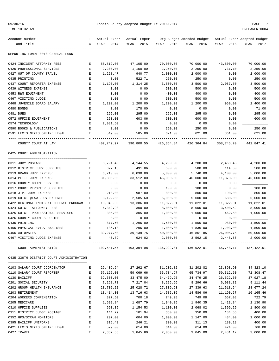| 09/30/1 |  |
|---------|--|
|---------|--|

| TIME:10:32 AM                            |                  |                             |                       |             |                                                         |                       | PREPARER: 0004       |
|------------------------------------------|------------------|-----------------------------|-----------------------|-------------|---------------------------------------------------------|-----------------------|----------------------|
| Account Number                           | T.               | Actual Exper – Actual Exper |                       |             | Org Budget Amended Budget - Actual Exper Adopted Budget |                       |                      |
| and Title                                | C                | YEAR - 2014                 | YEAR - 2015           |             | YEAR - 2016 YEAR - 2016                                 | YEAR - 2016           | YEAR - 2017          |
| REPORTING FUND: 0010 GENERAL FUND        |                  |                             |                       |             |                                                         |                       |                      |
| 0424 INDIGENT ATTORNEY FEES              | Е                | 58,812.00                   | 47,105.00             | 70,000.00   | 70,000.00                                               | 43,500.00             | 70,000.00            |
| 0425 PROFESSIONAL SERVICES               | Е                | 2,200.00                    | 1,150.00              | 2,250.00    | 2,250.00                                                | 731.10                | 2,250.00             |
| 0427 OUT OF COUNTY TRAVEL                | Е                | 1,228.47                    | 940.77                | 2,000.00    | 2,000.00                                                | 0.00                  | 2,000.00             |
| 0435 PRINTING                            | Е                | 0.00                        | 522.71                | 250.00      | 250.00                                                  | 0.00                  | 250.00               |
| 0437 COURT REPORTER EXPENSE              | Е                | 1,195.00                    | 1,314.25              | 3,500.00    | 3,500.00                                                | 2,087.50              | 3,500.00             |
| 0439 WITNESS EXPENSE                     | Е                | 0.00                        | 0.00                  | 500.00      | 500.00                                                  | 0.00                  | 500.00               |
| 0453 R&M EQUIPMENT                       | Ε                | 0.00                        | 0.00                  | 400.00      | 400.00                                                  | 0.00                  | 400.00               |
| 0467 VISITING JUDGE                      | Ε                | 0.00                        | 0.00                  | 500.00      | 500.00                                                  | 0.00                  | 500.00               |
| 0468 JUVENILE BOARD SALARY               | Е                | 1,200.00                    | 1,200.00              | 1,200.00    | 1,200.00                                                | 950.00                | 2,400.00             |
| 0480 BONDS                               | Е                | 0.00                        | 178.00                | 0.00        | 0.00                                                    | 0.00                  | 71.00                |
| 0481 DUES                                | Е                | 265.00                      | 295.00                | 295.00      | 295.00                                                  | 0.00                  | 295.00               |
| 0572 OFFICE EQUIPMENT                    | Е                | 250.00                      | 603.06                | 600.00      | 600.00                                                  | 0.00                  | 600.00               |
| 0574 TECHNOLOGY                          | Е                | 2,081.60                    | 0.00                  | 0.00        | 0.00                                                    | 0.00                  |                      |
| 0590 BOOKS & PUBLICATIONS                | Е                | 0.00                        | 0.00                  | 250.00      | 250.00                                                  | 0.00                  | 250.00               |
| 0591 LEXIS NEXIS ONLINE LEGAL            | Е                | 549.00                      | 585.00                | 621.00      | 621.00                                                  | 361.00                | 621.00               |
| COUNTY COURT AT LAW                      |                  | 402,742.97                  | 390,800.55            | 426,364.84  | 426,364.84                                              | 308,745.70            | 442,847.41           |
| 0425 COURT ADMINISTRATION                |                  |                             |                       |             |                                                         |                       |                      |
| 0311 JURY POSTAGE                        | Е                | 3,791.43                    | 4,144.55              | 4,200.00    | 4,200.00                                                | 2,463.43              | 4,200.00             |
| 0312 DISTRICT JURY SUPPLIES              | Е                | 377.16                      | 491.06                | 500.00      | 500.00                                                  | 114.30                | 500.00               |
| 0313 GRAND JURY EXPENSE                  | Е                | 6,210.00                    | 6,030.00              | 5,000.00    | 5,740.00                                                | 4,100.00              | 5,000.00             |
| 0314 PETIT JURY EXPENSE                  | Е                | 31,806.00                   | 33,512.00             | 46,000.00   | 46,000.00                                               | 11,878.00             | 46,000.00            |
| 0316 COUNTY COURT JURY EXP.              | $\mathbf E$      | 0.00                        | 0.00                  | 0.00        | 0.00                                                    | 0.00                  |                      |
| 0317 COURT REPORTER SUPPLIES             | Е                | 0.00                        | 0.00                  | 100.00      | 100.00                                                  | 0.00                  | 100.00               |
| 0318 J.P. JURY EXPENSE                   | E                | 210.00                      | 987.00                | 800.00      | 800.00                                                  | 190.00                | 800.00               |
| 0319 CO.CT.@LAW JURY EXPENSE             | Ε                | 3,122.03                    | 2,585.60              | 5,000.00    | 5,000.00                                                | 680.00                | 5,000.00             |
| 0422 REGIONAL INDIGENT DEFENSE PROGRAM   | Е                | 10,040.00                   | 13,386.00             | 11,822.01   | 11,822.01                                               | 11,822.01             | 11,822.01            |
| 0424 CO.CT. ATTORNEY FEES                | Ε                | 6,342.93                    | 300.00                | 8,000.00    | 8,000.00                                                | 3,400.52              | 8,000.00             |
| 0425 CO.CT. PROFESSIONAL SERVICES        | Е                | 305.00                      | 305.00                | 1,000.00    | 1,000.00                                                | 462.50                | 1,000.00             |
| 0426 COUNTY COURT SUPPLIES               | Е                | 0.00                        | 0.00                  | 0.00        | 0.00                                                    | 0.00                  |                      |
| 0435 PRINTING                            | Е                | 877.50                      | 1,295.00              | 1,500.00    | 1,500.00                                                | 980.00                | 1,500.00             |
| 0465 PHYSICAL EVID. ANALYSES             | Ε                | 136.13                      | 295.00                | 1,000.00    | 1,836.00                                                | 1,203.00              | 1,500.00             |
| 0466 AUTOPSIES                           |                  | 39, 277.50                  | 39,139.75             | 50,000.00   | 46,861.85                                               | 26,005.75             | 50,000.00            |
| 0467 VISITING JUDGE EXPENSE              |                  | E 45.89                     | 924.02                | 2,000.00    | 3,562.15                                                | 2,448.66              | 2,000.00             |
| COURT ADMINISTRATION                     |                  |                             | 102,541.57 103,394.98 |             |                                                         |                       | 65,748.17 137,422.01 |
| 0435 336TH DISTRICT COURT ADMINISTRATION |                  |                             |                       |             |                                                         |                       |                      |
| 0103 SALARY COURT COORDINATOR            | Е                | 29,409.64                   | 27,262.67             | 31,202.82   | 31,202.82                                               | 23,893.90             | 34, 323. 10          |
| 0110 SALARY COURT REPORTER               | Е                | 57,126.00                   | 59,069.66             | 65,734.97   | 65,734.97                                               | 50,312.60             | 72,308.47            |
|                                          |                  |                             |                       | 34, 479. 25 |                                                         |                       | 37,927.18            |
| 0130 BAILIFF<br>0201 SOCIAL SECURITY     | Е<br>$\mathbf E$ | 32,500.00<br>7,268.73       | 33,475.00<br>7,217.04 | 8,296.66    | 34,479.25<br>8,296.66                                   | 26,522.60<br>6,088.82 | 9,111.44             |
| 0202 GROUP HEALTH INSURANCE              | $\mathbf E$      | 23,702.22                   | 25,028.72             | 27,339.63   | 27,339.63                                               | 21,518.64             | 28,677.24            |
| 0203 RETIREMENT                          | $\mathbf E$      | 13,414.30                   | 13,716.63             | 14,586.06   | 14,586.06                                               | 11,190.67             | 16,165.46            |
| 0204 WORKERS COMPENSATION                | Е                | 827.50                      | 700.18                | 749.08      | 749.08                                                  | 657.08                | 722.79               |
| 0205 MEDICARE                            | Е                | 1,699.84                    | 1,687.79              | 1,940.35    | 1,940.35                                                | 1,423.84              | 2,130.90             |
| 0310 OFFICE SUPPLIES                     | Е                | 693.39                      | 1,154.53              | 1,100.00    | 2,068.02                                                | 1,399.29              | 1,800.00             |
| 0311 DISTRICT JUDGE POSTAGE              | $\mathbf E$      | 144.29                      | 101.94                | 350.00      | 350.00                                                  | 184.56                | 400.00               |
| 0352 GPS/SCRAM MONITORS                  | E                | 207.00                      | 604.00                | 1,000.00    | 1,147.00                                                | 484.00                | 1,000.00             |
| 0395 BAILIFF UNIFORMS                    | Е                | 315.43                      | 246.21                | 300.00      | 311.13                                                  | 189.18                | 400.00               |
| 0421 LEXIS NEXIS ONLINE LEGAL            | Е                | 579.00                      | 614.00                | 614.00      | 614.00                                                  | 424.00                | 768.00               |
| 0427 TRAVEL                              | Е                | 2,382.88                    | 1,845.80              | 2,050.00    | 3,045.00                                                | 2,481.17              | 3,000.00             |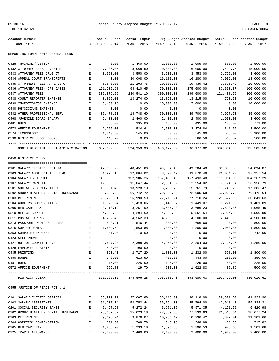|  | 09/30/16 |  |  |
|--|----------|--|--|
|--|----------|--|--|

| TIME:10:32 AM                                       |                                   |                             |                        |                        |                                                             |                         | PREPARER: 0004         |
|-----------------------------------------------------|-----------------------------------|-----------------------------|------------------------|------------------------|-------------------------------------------------------------|-------------------------|------------------------|
| Account Number                                      | T.                                | Actual Exper – Actual Exper |                        |                        | Org Budget Amended Budget - Actual Exper Adopted Budget     |                         |                        |
| and Title                                           | C                                 | YEAR - 2014                 | YEAR - 2015            | YEAR - 2016            | YEAR - 2016                                                 | YEAR - 2016             | YEAR - 2017            |
| REPORTING FUND: 0010 GENERAL FUND                   |                                   |                             |                        |                        |                                                             |                         |                        |
| 0428 TRAINING/TUITION                               | Е                                 | 0.00                        | 1,460.00               | 2,000.00               | 1,005.00                                                    | 680.00                  | 2,500.00               |
| 0432 ATTORNEY FEES JUVENILE                         | Е                                 | 7,136.05                    | 8,068.50               | 10,000.00              | 16,000.00                                                   | 11,492.75               | 15,000.00              |
| 0433 ATTORNEY FEES DRUG CT                          | $\mathbf E$                       | 3,550.00                    | 3,550.00               | 3,600.00               | 3,453.00                                                    | 2,775.00                | 3,600.00               |
| 0434 APPEAL COURT TRANSCRIPTS                       | Е                                 | 0.00                        | 30,098.00              | 16,180.00              | 16,180.00                                                   | 7,032.00                | 18,000.00              |
| 0435 ATTORNEYS FEES APPEALS CT                      | E                                 | 5,640.00                    | 21,203.75              | 20,000.00              | 19,439.42                                                   | 9,895.42                | 20,000.00              |
| 0436 ATTORNEY FEES- CPS CASES                       | Е                                 | 121,705.68                  | 94,410.65              | 70,000.00              | 175,000.00                                                  | 80,560.37               | 100,000.00             |
| 0437 ATTORNEY FEES                                  | Е                                 | 306,879.56                  | 230,541.10             | 300,000.00             | 199,000.00                                                  | 121,488.76              | 300,000.00             |
| 0438 COURT REPORTER EXPENSE                         | E                                 | 3,825.00                    | 13,274.00              | 13,820.00              | 13,215.00                                                   | 723.50                  | 10,000.00              |
| 0439 INVESTIGATOR EXPENSE                           | Е                                 | 6,460.98                    | 0.00                   | 15,000.00              | 5,000.00                                                    | 0.00                    | 10,000.00              |
| 0440 PHYSICIANS EXPENSE                             | Е                                 | 0.00                        | 0.00                   | 0.00                   | 0.00                                                        | 0.00                    |                        |
| 0442 OTHER PROFESSIONAL SERV.                       | Е                                 | 35,478.21                   | 14,748.60              | 50,000.00              | 49,700.00                                                   | 7,977.71                | 35,000.00              |
| 0468 JUVENILE BOARD SALARY                          | Е                                 | 2,400.00                    | 2,400.00               | 2,400.00               | 2,400.00                                                    | 1,900.00                | 3,600.00               |
| 0481 DUES                                           | Е                                 | 335.00                      | 395.00                 | 435.00                 | 435.00                                                      | 145.00                  | 771.00                 |
| 0572 OFFICE EQUIPMENT                               | $\mathbf E$                       | 2,755.00                    | 1,534.61               | 2,500.00               | 2,374.84                                                    | 341.55                  | 2,500.00               |
| 0574 TECHNOLOGY                                     | Е                                 | 1,040.80                    | 545.00                 | 0.00                   | 545.00                                                      | 545.00                  | 5,300.00               |
| 0590 DISTRICT JUDGE BOOKS                           | Е                                 | 146.20                      | 0.00<br>. <u>.</u> .   | 500.00                 | 566.59                                                      | 566.59<br>------------- | 500.00                 |
| 336TH DISTRICT COURT ADMINISTRATION                 |                                   | 667,622.70                  | 594,953.38             | 696,177.82             | 696,177.82                                                  | 392,894.00              | 735,505.58             |
| 0450 DISTRICT CLERK                                 |                                   |                             |                        |                        |                                                             |                         |                        |
|                                                     |                                   |                             |                        |                        |                                                             |                         |                        |
| 0101 SALARY ELECTED OFFICIAL                        | Е                                 | 47,039.72                   | 48,451.00              | 49,904.43              | 49,904.43                                                   | 38,388.00               | 54,894.87              |
| 0103 SALARY ASST. DIST. CLERK                       | Е                                 | 31,926.18                   | 32,884.02              | 33,870.49              | 33,870.49                                                   | 26,054.20               | 37, 257.54             |
| 0104 SALARIES DEPUTIES                              | Е<br>$\mathbf E$                  | 146,083.62                  | 152,906.26             | 157,493.48             | 157,493.48                                                  | 118,014.00              | 164, 267. 29           |
| 0107 SALARY PART-TIME<br>0201 SOCIAL SECURITY TAXES |                                   | 12,339.20                   | 11,047.44              | 12,954.02              | 12,954.02                                                   | 7,174.94                | 23,958.79              |
| 0202 GROUP HEALTH & DENTAL INSURANCE                | Е<br>Е                            | 13,331.48<br>63,205.92      | 13,928.10<br>66,742.72 | 15,761.79<br>72,905.68 | 15,761.79<br>72,905.68                                      | 10,748.20<br>57,062.79  | 17,383.47<br>76,472.64 |
| 0203 RETIREMENT                                     | Е                                 | 26, 225.81                  | 26,990.59              | 27,710.24              | 27,710.24                                                   | 20,677.92               | 30,841.63              |
| 0204 WORKERS COMPENSATION                           | Ε                                 | 1,675.94                    | 1,418.06               | 1,449.07               | 1,449.07                                                    | 1,271.12                | 1,401.89               |
| 0205 MEDICARE TAX                                   | Е                                 | 3,118.19                    | 3,257.09               | 3,686.23               | 3,686.23                                                    | 2,513.86                | 4,065.49               |
| 0310 OFFICE SUPPLIES                                | Е                                 | 4,353.25                    | 4,204.60               | 4,000.00               | 5,551.54                                                    | 3,924.98                | 4,500.00               |
| 0311 POSTAL EXPENSES                                | Е                                 | 4,292.49                    | 4,562.30               | 4,200.00               | 4,200.00                                                    | 2,448.10                | 4,500.00               |
| 0313 PASSPORT PHOTO SUPPLIES                        | Е                                 | 543.91                      | 546.44                 | 800.00                 | 666.60                                                      | 0.00                    | 800.00                 |
| 0315 COPIER RENTAL                                  | Е                                 | 1,604.52                    | 1,563.88               | 1,800.00               | 1,800.00                                                    | 1,058.87                | 1,800.00               |
| 0353 COMPUTER EXPENSE                               |                                   | 81.90                       | 0.00                   | 0.00                   | 0.00                                                        | 0.00                    | 742.00                 |
| 0423 CELL PHONE                                     | Ε                                 |                             |                        | 0.00                   | 0.00                                                        | 0.00                    |                        |
| 0427 OUT OF COUNTY TRAVEL                           | Е                                 | 2,627.98                    | 2,308.38               | 4,250.00               | 2,804.03                                                    | 2,125.16                | 4,250.00               |
| 0428 EMPLOYEE TRAINING                              | E                                 | 440.00                      | 190.00                 | 0.00                   | 0.00                                                        | 0.00                    |                        |
| 0435 PRINTING                                       | Е                                 | 890.41                      | 2,727.20               | 1,800.00               | 1,232.00                                                    | 628.03                  | 1,800.00               |
| 0480 BONDS                                          | Е                                 | 343.00                      | 613.50                 | 400.00                 | 443.00                                                      | 250.00                  | 350.00                 |
| 0481 DUES                                           | Е                                 | 175.00                      | 225.00                 | 195.00                 | 225.00                                                      | 50.00                   | 225.00                 |
| 0572 OFFICE EQUIPMENT                               | $\,$ E                            | 966.83                      | 29.70                  | 500.00                 | 1,022.83                                                    | 85.86                   | 500.00                 |
| DISTRICT CLERK                                      |                                   |                             |                        |                        | 361, 265.35 374, 596.28 393, 680.43 393, 680.43 292, 476.03 |                         | 430,010.61             |
| 0455 JUSTICE OF PEACE PCT # 1                       |                                   |                             |                        |                        |                                                             |                         |                        |
|                                                     |                                   |                             |                        |                        |                                                             |                         |                        |
| 0101 SALARY ELECTED OFFICIAL                        | E                                 | 35,929.92                   | 37,007.88              | 38,118.09              | 38,118.09                                                   | 29,321.60               | 41,929.90              |
| 0103 SALARY ASSISTANTS                              | E                                 | 51,207.74                   | 52,752.44              | 55,794.00              | 55,794.00                                                   | 42,918.40               | 59, 234.31             |
| 0201 SOCIAL SECURITY TAXES                          | Е                                 | 5,497.98                    | 5,272.24               | 5,971.35               | 5,971.35                                                    | 4,171.55                | 6,420.98               |
| 0202 GROUP HEALTH & DENTAL INSURANCE                | Е                                 | 23,687.52                   | 25,023.18              | 27,339.63              | 27,339.63                                                   | 21,518.64               | 28,677.24              |
| 0203 RETIREMENT                                     | Е                                 | 9,626.74                    | 9,876.07               | 10,236.42              | 10,236.42                                                   | 7,877.01                | 11,101.66              |
| 0204 WORKERS' COMPENSATION                          | $\mathbf{E}% _{t}=\mathbf{E}_{t}$ | 601.30                      | 508.78                 | 548.98                 | 548.98                                                      | 468.36                  | 517.82                 |
| 0205 MEDICARE TAX                                   | E                                 | 1,285.90                    | 1,233.18               | 1,396.53               | 1,396.53                                                    | 975.66                  | 1,501.68               |
| 0225 TRAVEL ALLOWANCE                               | Е                                 | 2,400.00                    | 2,400.00               | 2,400.00               | 2,400.00                                                    | 1,900.00                | 2,400.00               |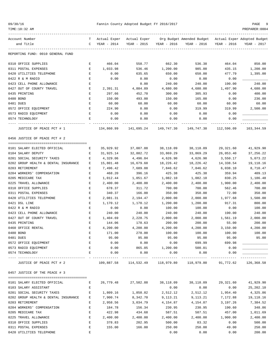| 09/30/1 |  |  |
|---------|--|--|
|---------|--|--|

TIME:10:32 AM PREPARER:0004

| Account Number                                          |        |                       |                                             |                  | T Actual Exper Actual Exper Org Budget Amended Budget Actual Exper Adopted Budget |                    |                    |
|---------------------------------------------------------|--------|-----------------------|---------------------------------------------|------------------|-----------------------------------------------------------------------------------|--------------------|--------------------|
| and Title                                               |        | C YEAR - 2014         | $YEAR - 2015$                               | YEAR - 2016      | YEAR - 2016                                                                       | YEAR - 2016        | YEAR - 2017        |
|                                                         |        |                       |                                             |                  |                                                                                   |                    |                    |
| REPORTING FUND: 0010 GENERAL FUND                       |        |                       |                                             |                  |                                                                                   |                    |                    |
| 0310 OFFICE SUPPLIES                                    | Е      | 466.04                | 558.77                                      | 662.30           | 536.38                                                                            | 464.04             | 850.00             |
| 0311 POSTAL EXPENSES                                    | Е      | 1,033.98              | 536.46                                      | 1,200.00         | 985.00                                                                            | 435.15             | 1,200.00           |
| 0420 UTILITIES TELEPHONE                                | Е      | 0.00                  | 635.65                                      | 650.00           | 650.00                                                                            | 477.79             | 1,395.00           |
| 0422 R & M RADIO                                        | Е      | 0.00                  | 0.00                                        | 0.00             | 0.00                                                                              | 0.00               |                    |
| 0423 CELL PHONE ALLOWANCE                               | Ε      |                       | 0.00                                        | 240.00           | 240.00                                                                            | 190.00             | 240.00             |
| 0427 OUT OF COUNTY TRAVEL                               | Е      | 2,391.31              | 4,884.89                                    | 4,680.00         | 4,680.00                                                                          | 1,497.90           | 4,680.00           |
| 0435 PRINTING                                           | Е      | 297.66                | 452.70                                      | 300.00           | 305.93                                                                            | 0.00               | 400.00             |
| 0480 BOND                                               | E      | 150.00                | 493.00                                      | 150.00           | 165.00                                                                            | 0.00               | 236.00             |
| 0481 DUES                                               | Ε      | 60.00                 | 60.00                                       | 60.00            | 60.00                                                                             | 60.00              | 60.00              |
| 0572 OFFICE EQUIPMENT                                   | Е      | 224.90                | 0.00                                        | 0.00             | 319.99                                                                            | 319.99             | 2,500.00           |
| 0573 RADIO EQUIPMENT                                    | Е      | 0.00                  | 0.00                                        | 0.00             | 0.00                                                                              | 0.00               |                    |
| 0574 TECHNOLOGY                                         | Ε      | 0.00                  | 0.00                                        | 0.00             | 0.00                                                                              | 0.00               |                    |
|                                                         |        |                       |                                             |                  |                                                                                   |                    |                    |
| JUSTICE OF PEACE PCT # 1                                |        | 134,860.99            | 141,695.24                                  | 149,747.30       | 149,747.30                                                                        | 112,596.09         | 163,344.59         |
| 0456 JUSTICE OF PEACE PCT # 2                           |        |                       |                                             |                  |                                                                                   |                    |                    |
| 0101 SALARY ELECTED OFFICIAL                            | Е      | 35,929.92             | 37,007.88                                   | 38,118.09        | 38,118.09                                                                         | 29,321.60          | 41,929.90          |
| 0104 SALARY DEPUTY                                      | Е      | 31,925.14             | 32,882.72                                   | 33,869.29        | 33,869.29                                                                         | 26,053.40          | 37,256.22          |
| 0201 SOCIAL SECURITY TAXES                              | Е      | 4,329.06              | 4,496.84                                    | 4,626.90         |                                                                                   |                    | 5,073.22           |
|                                                         |        |                       |                                             |                  | 4,626.90                                                                          | 3,550.17           |                    |
| 0202 GROUP HEALTH & DENTAL INSURANCE<br>0203 RETIREMENT | Е      | 15,801.48<br>7,496.42 | 16,679.60                                   | 18,226.42        | 18,226.42                                                                         | 14,338.54          | 19,118.16          |
|                                                         | Е      |                       | 7,689.88                                    | 7,846.62         | 7,846.62                                                                          | 6,038.10           | 8,710.47           |
| 0204 WORKERS' COMPENSATION                              | Е      | 468.20                | 396.16                                      | 425.38           | 425.38                                                                            | 359.94             | 409.13             |
| 0205 MEDICARE TAX                                       | E<br>Ε | 1,012.44              | 1,051.67<br>2,400.00                        | 1,082.10         | 1,082.10                                                                          | 830.25<br>1,900.00 | 1,186.48           |
| 0225 TRAVEL ALLOWANCE                                   |        | 2,400.00<br>678.37    |                                             | 2,400.00         | 2,400.00<br>700.00                                                                |                    | 2,400.00<br>700.00 |
| 0310 OFFICE SUPPLIES<br>0311 POSTAL EXPENSES            | Е      |                       | 311.72<br>166.00                            | 700.00           | 350.00                                                                            | 562.46             | 350.00             |
| 0420 UTILITIES TELEPHONE                                | Е      | 340.37                |                                             | 350.00           |                                                                                   | 72.00              |                    |
| 0421 DSL LINE                                           | Е      | 2,081.31              | 2,194.47                                    | 2,000.00         | 2,000.00                                                                          | 1,977.68<br>917.31 | 1,500.00<br>800.00 |
|                                                         | Ε      | 1,170.12              | 1,170.12                                    | 1,200.00         | 1,200.00                                                                          |                    |                    |
| 0422 R & M RADIO                                        | E      | 0.00                  | 0.00                                        | 100.00<br>240.00 | 100.00<br>240.00                                                                  | 0.00               | 100.00             |
| 0423 CELL PHONE ALLOWANCE                               | Е      | 240.00                | 240.00                                      |                  |                                                                                   | 190.00             | 240.00             |
| 0427 OUT OF COUNTY TRAVEL                               | Е      | 1,404.69              | 2,228.75                                    | 2,000.00         | 2,000.00                                                                          | 1,561.19           | 2,000.00           |
| 0435 PRINTING                                           | Е      | 144.06                | 178.63                                      | 200.00           | 200.00                                                                            | 55.00              | 200.00             |
| 0460 OFFICE RENTAL                                      | Ε      | 4,200.00              | 4,200.00                                    | 4,200.00         | 4,200.00                                                                          | 3,150.00           | 4,200.00           |
| 0480 BOND                                               | E      | 171.00                | 278.00                                      | 100.00           | 100.00                                                                            | 100.00             | 100.00             |
| 0481 DUES                                               | Ε      | 95.00                 | 95.00                                       | 95.00            | 95.00                                                                             | 95.00              | 95.00              |
| 0572 OFFICE EOUIPMENT                                   | Е      | 0.00                  | 0.00                                        | 0.00             | 699.99                                                                            | 699.98             |                    |
| 0573 RADIO EQUIPMENT                                    | Е      | 0.00                  | 865.05                                      | 1,200.00         | 500.01                                                                            | 0.00               |                    |
| 0574 TECHNOLOGY                                         | E      | 0.00                  | 0.00                                        | 0.00             | 0.00                                                                              | 0.00               | ------------       |
| JUSTICE OF PEACE PCT # 2                                |        |                       | 109,887.58 114,532.49 118,979.80 118,979.80 |                  |                                                                                   | 91,772.62          | 126,368.58         |
| 0457 JUSTICE OF THE PEACE # 3                           |        |                       |                                             |                  |                                                                                   |                    |                    |
| 0101 SALARY ELECTED OFFICIAL                            | Е      |                       | 26,779.48 27,582.88                         | 38,118.09        | 38,118.09                                                                         | 29,321.60          | 41,929.90          |
| 0103 SALARY ASSISTANT                                   | Е      |                       |                                             | 0.00             | 0.00                                                                              | 0.00               | 25,202.10          |
| 0201 SOCIAL SECURITY TAXES                              | Е      |                       | 1,858.82                                    | 2,512.12         | 2,512.12                                                                          | 1,954.40           | 4,325.86           |
| 0202 GROUP HEALTH & DENTAL INSURANCE                    | Е      | 1,809.16<br>7,900.74  | 8,342.70                                    | 9,113.21         | 9,113.21                                                                          | 7,172.88           | 19,118.16          |
| 0203 RETIREMENT                                         | Ε      | 2,958.56              | 3,034.79                                    | 4,154.87         | 4,154.87                                                                          | 3,197.26           | 7,384.52           |
| 0204 WORKERS' COMPENSATION                              | Е      | 184.78                | 156.34                                      |                  |                                                                                   | 190.60             | 348.86             |
|                                                         |        |                       |                                             | 230.95           | 230.95                                                                            |                    |                    |
| 0205 MEDICARE TAX                                       | Ε<br>Е | 422.98                | 434.68                                      | 587.51           | 587.51                                                                            | 457.00             | 1,011.69           |
| 0225 TRAVEL ALLOWANCE                                   |        | 2,400.00              | 2,400.00                                    | 2,400.00         | 2,400.00                                                                          | 1,900.00           | 2,400.00           |
| 0310 OFFICE SUPPLIES                                    | Ε      | 378.83                | 202.95                                      | 500.00           | 83.32                                                                             | 0.00               | 500.00             |
| 0311 POSTAL EXPENSES                                    | Е      | 155.00                | 166.00                                      | 250.00           | 250.00                                                                            | 49.00              | 250.00             |

0420 UTILITIES TELEPHONE E 0.00 0.00 0.00 200.00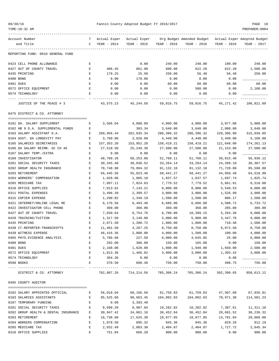| 09/30/16 |  |
|----------|--|
|          |  |

## Pannin County Adopted Budget FY 2016/2017 PAGE 10<br>2004 PREP 1004

| TIME:10:32 AM                        |    |              |              |             |                                                       |             | PREPARER: 0004          |
|--------------------------------------|----|--------------|--------------|-------------|-------------------------------------------------------|-------------|-------------------------|
| Account Number                       | T. | Actual Exper | Actual Exper |             | Org Budget Amended Budget Actual Exper Adopted Budget |             |                         |
| and Title                            | C  | YEAR - 2014  | YEAR - 2015  | YEAR - 2016 | YEAR - 2016                                           | YEAR - 2016 | YEAR - 2017             |
| REPORTING FUND: 0010 GENERAL FUND    |    |              |              |             |                                                       |             |                         |
| 0423 CELL PHONE ALLOWANCE            | Е  |              | 0.00         | 240.00      | 240.00                                                | 190.00      | 240.00                  |
| 0427 OUT OF COUNTY TRAVEL            | Ε  | 406.45       | 861.90       | 600.00      | 622.20                                                | 622.20      | 1,500.00                |
| 0435 PRINTING                        | Ε  | 179.25       | 25.50        | 250.00      | 56.48                                                 | 56.48       | 250.00                  |
| 0480 BOND                            | Ε  | 0.00         | 178.00       | 0.00        | 0.00                                                  | 0.00        |                         |
| 0481 DUES                            | Е  | 0.00         | 0.00         | 60.00       | 60.00                                                 | 60.00       | 60.00                   |
| 0572 OFFICE EQUIPMENT                | Е  | 0.00         | 0.00         | 0.00        | 588.00                                                | 0.00        | 2,100.00                |
| 0574 TECHNOLOGY                      | Е  | 0.00         | 0.00         | 0.00        | 0.00                                                  | 0.00        |                         |
| JUSTICE OF THE PEACE # 3             |    | 43,575.23    | 45,244.56    | 59,016.75   | 59,016.75                                             | 45,171.42   | ---------<br>106,821.09 |
| 0475 DISTRICT & CO. ATTORNEY         |    |              |              |             |                                                       |             |                         |
|                                      |    |              |              |             |                                                       |             |                         |
| 0101 DA. SALARY SUPPLEMENT           | Е  | 3,566.04     | 4,000.09     | 4,000.00    | 4,000.00                                              | 3,077.00    | 5,000.00                |
| 0102 HB 9 D.A. SUPPLEMENTAL FUNDS    | Е  |              | 303.34       | 3,640.00    | 3,640.00                                              | 2,800.00    | 3,640.00                |
| 0103 SALARY ASSISTANT D.A.           | Е  | 269,956.44   | 262,835.34   | 286,396.32  | 286,396.32                                            | 220,306.80  | 315,039.05              |
| 0104 ASST. DA LONGEVITY PAY          | Е  | 3,760.00     | 3,620.00     | 4,440.00    | 4,440.00                                              | 3,440.00    | 5,160.00                |
| 0105 SALARIES SECRETARIES            | Е  | 157, 353.20  | 153,952.26   | 158,419.21  | 158,419.21                                            | 121,648.00  | 174,261.13              |
| 0106 DA SALARY REIMB. GC CH 46       | Е  | 27,518.50    | 25, 249.38   | 27,500.00   | 27,500.00                                             | 21, 153.80  | 27,500.00               |
| 0107 SALARY TEMP./EXTRA              | Е  | 0.00         | 0.00         | 0.00        | 0.00                                                  | 0.00        |                         |
| 0109 INVESTIGATOR                    | Е  | 48,789.26    | 50,253.06    | 51,760.11   | 51,760.11                                             | 39,815.40   | 56,936.12               |
| 0201 SOCIAL SECURITY TAXES           | Е  | 30, 345.40   | 30,036.52    | 33,264.14   | 33,264.14                                             | 24,209.10   | 36, 387.57              |
| 0202 GROUP HEALTH INSURANCE          | Ε  | 78,748.98    | 79,894.32    | 91,132.10   | 91,132.10                                             | 71,728.80   | 95,590.80               |
| 0203 RETIREMENT                      | Е  | 56,445.56    | 55,023.46    | 58,441.27   | 58,441.27                                             | 44,950.48   | 64,518.99               |
| 0204 WORKERS' COMPENSATION           | Е  | 1,928.06     | 1,805.18     | 1,837.57    | 1,837.57                                              | 1,697.74    | 1,825.74                |
| 0205 MEDICARE TAX                    | Ε  | 7,097.11     | 7,024.63     | 7,779.52    | 7,779.52                                              | 5,661.91    | 8,510.00                |
| 0310 OFFICE SUPPLIES                 | Е  | 7,013.62     | 7,143.21     | 8,000.00    | 8,000.00                                              | 5,540.53    | 8,000.00                |
| 0311 POSTAL EXPENSES                 | Е  | 3,496.39     | 2,399.57     | 3,000.00    | 3,000.00                                              | 1,526.99    | 3,000.00                |
| 0315 COPIER EXPENSE                  | Е  | 1,290.82     | 1,349.19     | 1,500.00    | 1,500.00                                              | 886.17      | 1,500.00                |
| 0421 INTERNET/ONLINE LEGAL RE        | Е  | 6,176.56     | 6,493.48     | 6,686.00    | 6,686.00                                              | 4,500.72    | 6,733.72                |
| 0422 INVESTIGATOR CELL PHONE         | Ε  | 360.00       | 360.00       | 360.00      | 360.00                                                | 285.00      | 360.00                  |
| 0427 OUT OF COUNTY TRAVEL            | Е  | 7,039.64     | 6,754.76     | 6,700.00    | 10,399.15                                             | 5,264.36    | 9,000.00                |
| 0428 TRAINING/TUITION                | Е  | 1,317.50     | 3,140.00     | 5,000.00    | 5,000.00                                              | 3,447.78    | 9,000.00                |
| 0435 PRINTING                        | Ε  | 2,871.50     | 1,200.72     | 1,000.00    | 1,000.00                                              | 710.40      | 1,500.00                |
| 0438 CT.REPORTER-TRANSCRIPTS         | Е  | 11,401.50    | 4,267.25     | 8,750.00    | 8,750.00                                              | 6,072.50    | 8,750.00                |
| 0439 WITNESS EXPENSE                 |    | 46,416.36    | 2,800.00     | 4,000.00    | 1,500.00                                              | 100.00      | 4,000.00                |
| 0465 PHYS. EVIDENCE ANALYSIS         | Е  | 5,786.60     | 227.50       | 6,000.00    | 4,645.85                                              | 25.00       | 6,000.00                |
| 0480 BOND                            | E  | 292.00       | 386.00       | 150.00      | 165.00                                                | 0.00        | 150.00                  |
| 0481 DUES                            | Е  | 2,168.00     | 1,628.00     | 1,800.00    | 1,940.00                                              | 1,650.00    | 2,500.00                |
| 0572 OFFICE EQUIPMENT                | Е  | 1,013.36     | 1,466.82     | 3,000.00    | 3,000.00                                              | 1,393.42    | 3,000.00                |
| 0574 TECHNOLOGY                      | Е  | 364.36       | 0.00         | 0.00        | 0.00                                                  | 0.00        |                         |
| 0590 BOOKS                           | E  | 370.50       | 600.48       | 750.00      | 750.00                                                | 498.75      | 750.00<br>-----------   |
| DISTRICT & CO. ATTORNEY              |    | 782,887.26   | 714,214.56   |             | 785,306.24 785,306.24                                 | 592,390.65  | 858,613.12              |
| 0495 COUNTY AUDITOR                  |    |              |              |             |                                                       |             |                         |
|                                      |    |              |              |             |                                                       |             |                         |
| 0102 SALARY APPOINTED OFFICIAL       | Е  | 56,018.04    | 60,166.56    | 61,759.83   | 61,759.83                                             | 47,507.60   | 67,935.81               |
| 0103 SALARIES ASSISTANTS             | Е  | 95,525.66    | 96,663.45    | 104,092.03  | 104,092.03                                            | 78,971.30   | 114,501.23              |
| 0107 TEMPORARY FUNDING               | Е  | 0.00         | 3,393.40     |             |                                                       |             |                         |
| 0201 SOCIAL SECURITY TAXES           | Е  | 8,690.20     | 8,907.84     | 10,282.82   | 10,282.82                                             | 7,387.61    | 11,311.10               |
| 0202 GROUP HEALTH & DENTAL INSURANCE | Е  | 30,947.42    | 34,061.16    | 36,452.84   | 36,452.84                                             | 28,691.52   | 38,236.32               |
| 0203 RETIREMENT                      | Ε  | 16,738.60    | 17,625.30    | 18,077.85   | 18,077.85                                             | 13,791.04   | 20,068.08               |
| 0204 WORKERS COMPENSATION            | E  | 1,078.58     | 895.32       | 945.36      | 945.36                                                | 829.26      | 912.19                  |
| 0205 MEDICARE TAX                    | E  | 2,032.49     | 2,083.30     | 2,404.87    | 2,404.87                                              | 1,727.72    | 2,645.34                |
| 0310 OFFICE SUPPLIES                 | E  | 751.04       | 666.28       | 900.00      | 900.00                                                | 0.00        | 900.00                  |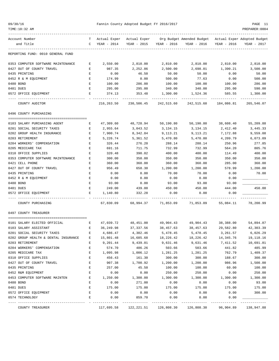| 09/30/16  |                                                           |                               |                       | Fannin County Adopted Budget FY 2016/2017 |                       |                                                                                   |                         | PAGE 11                |
|-----------|-----------------------------------------------------------|-------------------------------|-----------------------|-------------------------------------------|-----------------------|-----------------------------------------------------------------------------------|-------------------------|------------------------|
|           | TIME:10:32 AM                                             |                               |                       |                                           |                       |                                                                                   |                         | PREPARER: 0004         |
|           | Account Number                                            |                               |                       |                                           |                       | T Actual Exper Actual Exper Org Budget Amended Budget Actual Exper Adopted Budget |                         |                        |
|           | and Title                                                 |                               | C YEAR - 2014         | YEAR - 2015                               | YEAR - 2016           | YEAR - 2016                                                                       | YEAR - 2016             | YEAR - 2017            |
|           | REPORTING FUND: 0010 GENERAL FUND                         |                               |                       |                                           |                       |                                                                                   |                         |                        |
|           | 0353 COMPUTER SOFTWARE MAINTENANCE                        | Е                             | 2,550.00              | 2,810.00                                  | 2,810.00              | 2,810.00                                                                          | 2,810.00                | 2,810.00               |
|           | 0427 OUT OF COUNTY TRAVEL                                 | Е                             | 987.35                | 2,252.86                                  | 2,500.00              | 2,698.01                                                                          | 1,390.21                | 3,500.00               |
|           | 0435 PRINTING                                             | Е                             | 0.00                  | 46.50                                     | 50.00                 | 50.00                                                                             | 0.00                    | 50.00                  |
|           | 0452 R & M EQUIPMENT                                      | Е                             | 174.99                | 0.00                                      | 500.00                | 77.63                                                                             | 0.00                    | 500.00                 |
| 0480 BOND |                                                           | $\mathbf E$                   | 100.00                | 286.00                                    | 100.00                | 100.00                                                                            | 100.00                  | 286.00                 |
| 0481 DUES |                                                           | E                             | 295.00                | 295.00                                    | 340.00                | 340.00                                                                            | 295.00                  | 590.00                 |
|           | 0572 OFFICE EQUIPMENT                                     | E                             | 374.13                | 353.48<br>-----------                     | 1,300.00              | 1,524.36                                                                          | 585.55<br>------------- | 1,300.00               |
|           | COUNTY AUDITOR                                            |                               | 216,263.50            | 230,506.45                                | 242,515.60            |                                                                                   | 242,515.60 184,086.81   | 265,546.07             |
|           | 0496 COUNTY PURCHASING                                    |                               |                       |                                           |                       |                                                                                   |                         |                        |
|           |                                                           |                               |                       |                                           |                       |                                                                                   |                         |                        |
|           | 0103 SALARY PURCHASING AGENT                              | Е                             | 47,309.60             | 48,728.94                                 | 50,190.80             | 50,190.80                                                                         | 38,608.40               | 55,209.88              |
|           | 0201 SOCIAL SECURITY TAXES<br>0202 GROUP HEALTH INSURANCE | E<br>E                        | 2,955.64<br>7,900.74  | 3,043.52<br>8,342.84                      | 3,134.15<br>9,113.21  | 3,134.15<br>9,113.21                                                              | 2,412.40<br>7,172.88    | 3,445.33<br>9,559.08   |
|           | 0203 RETIREMENT                                           | E                             | 5,226.74              | 5,361.52                                  | 5,470.80              | 5,470.80                                                                          | 4,209.79                | 6,073.09               |
|           | 0204 WORKERS' COMPENSATION                                | Е                             | 326.44                | 276.20                                    | 288.14                | 288.14                                                                            | 250.96                  | 277.85                 |
|           | 0205 MEDICARE TAX                                         | Е                             | 691.16                | 711.75                                    | 732.99                | 732.99                                                                            | 564.20                  | 805.76                 |
|           | 0310 OFFICE SUPPLIES                                      | E                             | 320.48                | 390.02                                    | 400.00                | 400.00                                                                            | 114.49                  | 400.00                 |
|           | 0353 COMPUTER SOFTWARE MAINTENANCE                        | Е                             | 300.00                | 350.00                                    | 350.00                | 350.00                                                                            | 350.00                  | 350.00                 |
|           | 0421 CELL PHONE                                           | E                             | 360.00                | 360.00                                    | 360.00                | 360.00                                                                            | 285.00                  | 360.00                 |
|           | 0427 OUT OF COUNTY TRAVEL                                 | Е                             | 956.49                | 658.30                                    | 1,200.00              | 1,200.00                                                                          | 578.99                  | 1,200.00               |
|           | 0435 PRINTING                                             | Е                             | 0.00                  | 0.00                                      | 70.00                 | 70.00                                                                             | 0.00                    | 70.00                  |
|           | 0452 R & M EQUIPMENT                                      | E                             | 0.00                  | 0.00                                      | 0.00                  | 0.00                                                                              | 0.00                    |                        |
| 0480 BOND |                                                           | Е                             | 93.00                 | 0.00                                      | 93.00                 | 93.00                                                                             | 93.00                   |                        |
| 0481 DUES |                                                           | E                             | 249.00                | 439.00                                    | 450.00                | 450.00                                                                            | 444.00                  | 450.00                 |
|           | 0572 OFFICE EQUIPMENT                                     | Е                             | 1,140.80              | 332.28                                    | 0.00                  | 0.00                                                                              | 0.00                    |                        |
|           | COUNTY PURCHASING                                         |                               | 67,830.09             | 68,994.37                                 | 71,853.09             | 71,853.09                                                                         | 55,084.11               | 78,200.99              |
|           | 0497 COUNTY TREASURER                                     |                               |                       |                                           |                       |                                                                                   |                         |                        |
|           |                                                           |                               |                       |                                           |                       |                                                                                   |                         |                        |
|           | 0101 SALARY ELECTED OFFICIAL                              | $\mathbf{E}$ and $\mathbf{E}$ |                       |                                           |                       | $47,039.72$ $48,451.00$ $49,904.43$ $49,904.43$ $38,388.00$<br>38,457.63          |                         | 54,894.87<br>42,303.39 |
|           | 0103 SALARY ASSISTANT<br>0201 SOCIAL SECURITY TAXES       | Ε<br>Ε                        | 36,249.98<br>4,686.47 | 37, 337.56<br>4,302.46                    | 38,457.63<br>5,478.45 | 5,478.45                                                                          | 29,582.80<br>3,261.57   | 6,026.29               |
|           | 0202 GROUP HEALTH & DENTAL INSURANCE                      | Е                             | 15,801.48             | 16,685.68                                 | 18,226.42             | 18,226.42                                                                         | 14,345.76               | 19,118.16              |
|           | 0203 RETIREMENT                                           | Ε                             | 9,201.44              | 9,439.01                                  | 9,631.46              | 9,631.46                                                                          | 7,411.52                | 10,691.81              |
|           | 0204 WORKERS' COMPENSATION                                | E                             | 574.70                | 486.26                                    | 503.66                | 503.66                                                                            | 441.82                  | 485.99                 |
|           | 0205 MEDICARE TAX                                         | E                             | 1,095.98              | 1,006.12                                  | 1,281.25              | 1,281.25                                                                          | 762.79                  | 1,409.37               |
|           | 0310 OFFICE SUPPLIES                                      | E                             | 456.43                | 161.30                                    | 300.00                | 300.00                                                                            | 188.67                  | 300.00                 |
|           | 0427 OUT OF COUNTY TRAVEL                                 | Е                             | 907.38                | 1,700.92                                  | 1,200.00              | 1,200.00                                                                          | 986.96                  | 1,500.00               |
|           | 0435 PRINTING                                             | $\mathbf E$                   | 257.00                | 45.50                                     | 100.00                | 100.00                                                                            | 60.00                   | 100.00                 |
|           | 0452 R&M EQUIPMENT                                        | $\mathbf E$                   | 0.00                  | 0.00                                      | 250.00                | 250.00                                                                            | 0.00                    | 250.00                 |
|           | 0453 COMPUTER SOFTWARE MAINTEN                            | E                             | 1,250.00              | 1,300.00                                  | 1,300.00              | 1,300.00                                                                          | 1,300.00                | 1,300.00               |
| 0480 BOND |                                                           | E                             | 0.00                  | 271.00                                    | 0.00                  | 0.00                                                                              | 0.00                    | 93.00                  |
| 0481 DUES |                                                           | E                             | 175.00                | 175.00                                    | 175.00                | 175.00                                                                            | 175.00                  | 175.00                 |
|           | 0572 OFFICE EQUIPMENT                                     | E                             | 0.00                  | 0.00                                      | 0.00                  | 0.00                                                                              | 0.00                    | 300.00                 |
|           | 0574 TECHNOLOGY                                           | E                             | 0.00<br>----------    | 859.70<br>-----------                     | 0.00                  | 0.00                                                                              | 0.00                    | ---------              |
|           | COUNTY TREASURER                                          |                               | 117,695.58            | 122,221.51                                | 126,808.30            | 126,808.30                                                                        | 96,904.89               | 138,947.88             |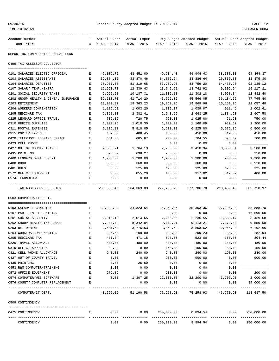| Account Number                       |              | T Actual Exper Actual Exper |            |                         | Org Budget Amended Budget Actual Exper Adopted Budget |             |             |
|--------------------------------------|--------------|-----------------------------|------------|-------------------------|-------------------------------------------------------|-------------|-------------|
| and Title                            |              | $C$ YEAR - 2014             |            | YEAR - 2015 YEAR - 2016 | YEAR - 2016                                           | YEAR - 2016 | YEAR - 2017 |
| REPORTING FUND: 0010 GENERAL FUND    |              |                             |            |                         |                                                       |             |             |
| 0499 TAX ASSESSOR-COLLECTOR          |              |                             |            |                         |                                                       |             |             |
| 0101 SALARIES ELECTED OFFICIAL       | $\mathbf{E}$ | 47,039.72                   | 48,451.00  | 49,904.43               | 49,904.43                                             | 38,388.00   | 54,894.87   |
| 0103 SALARIES ASSISTANTS             | E            | 32,884.02                   | 33,870.46  | 34,886.64               | 34,886.64                                             | 26,835.80   | 38, 375. 30 |
| 0104 SALARIES DEPUTIES               | E.           | 78,951.08                   | 81,319.68  | 83,759.20               | 83,759.20                                             | 64,430.20   | 92, 135. 12 |
| 0107 SALARY TEMP./EXTRA              | Е            | 12,953.73                   | 12,339.43  | 13,742.92               | 13,742.92                                             | 9,302.94    | 15, 117. 21 |
| 0201 SOCIAL SECURITY TAXES           | Е            | 9,925.28                    | 10,187.31  | 11,302.18               | 11,302.18                                             | 8,058.84    | 12,432.40   |
| 0202 GROUP HEALTH & DENTAL INSURANCE | E.           | 39,503.70                   | 41,714.20  | 45,566.05               | 45,566.05                                             | 36,184.65   | 47,795.40   |
| 0203 RETIREMENT                      | E.           | 18,982.82                   | 19,363.23  | 19,869.96               | 19,869.96                                             | 15,151.95   | 22,057.48   |
| 0204 WORKERS COMPENSATION            | $F_{i}$      | 1,185.62                    | 1,003.20   | 1,039.07                | 1,039.07                                              | 911.46      | 1,002.61    |
| 0205 MEDICARE TAX                    | E            | 2,321.13                    | 2,382.41   | 2,643.25                | 2,643.25                                              | 1,884.63    | 2,907.58    |
| 0225 LEONARD OFFICE TRAVEL           | E            | 735.15                      | 720.75     | 750.00                  | 1,025.00                                              | 461.60      | 750.00      |
| 0310 OFFICE SUPPLIES                 | E            | 1,000.25                    | 1,010.30   | 1,000.00                | 1,168.09                                              | 939.52      | 1,200.00    |
| 0311 POSTAL EXPENSES                 | E            | 5,115.82                    | 5,818.05   | 6,500.00                | 6,225.00                                              | 5,676.35    | 6,500.00    |
| 0315 COPIER EXPENSE                  | E            | 437.80                      | 486.45     | 450.00                  | 450.00                                                | 312.56      | 450.00      |
| 0420 TELEPHONE LEONARD OFFICE        | E            | 651.03                      | 685.87     | 700.00                  | 704.55                                                | 528.57      | 700.00      |
| 0423 CELL PHONE                      | $\mathbf E$  |                             |            | 0.00                    | 0.00                                                  | 0.00        |             |
| 0427 OUT OF COUNTY TRAVEL            | E            | 2,638.71                    | 1,764.13   | 2,750.00                | 3,410.34                                              | 3,060.34    | 3,500.00    |
| 0435 PRINTING                        | E            | 676.62                      | 698.27     | 750.00                  | 0.00                                                  | 0.00        | 250.00      |
| 0460 LEONARD OFFICE RENT             | Е            | 1,200.00                    | 1,200.00   | 1,200.00                | 1,200.00                                              | 900.00      | 1,200.00    |
| 0480 BOND                            | E.           | 368.00                      | 368.00     | 368.00                  | 368.00                                                | 0.00        | 3,918.00    |
| 0481 DUES                            | E.           | 85.00                       | 125.00     | 125.00                  | 125.00                                                | 125.00      | 125.00      |
| 0572 OFFICE EOUIPMENT                | E            | 0.00                        | 855.29     | 400.00                  | 317.02                                                | 317.02      | 400.00      |
| 0574 TECHNOLOGY                      | E.           | 0.00                        | 0.00       | 0.00                    | 0.00                                                  | 0.00        |             |
| TAX ASSESSOR-COLLECTOR               |              | 256,655.48                  | 264,363.03 |                         | 277, 706.70 277, 706.70 213, 469.43                   |             | 305,710.97  |
| 0503 COMPUTER/IT DEPT.               |              |                             |            |                         |                                                       |             |             |
| 0103 SALARY-TECHNICIAN               | E            |                             |            |                         | 33,323.94 34,323.64 35,353.36 35,353.36 27,194.80     |             | 38,888.70   |
| 0107 PART TIME TECHNICIAN            | Е            |                             |            | 0.00                    | 0.00                                                  | 0.00        | 16,590.00   |
| 0201 SOCIAL SECURITY                 | E.           | 2,015.12                    | 2,014.65   | 2,236.55                | 2,236.55                                              | 1,539.47    | 3,439.68    |

| 0107 PART TIME TECHNICIAN        |    |           |           | 0.00       | 0.00      | 0.00      | 16,590.00  |
|----------------------------------|----|-----------|-----------|------------|-----------|-----------|------------|
| 0201 SOCIAL SECURITY             | Ε  | 2,015.12  | 2,014.65  | 2,236.55   | 2,236.55  | 1,539.47  | 3,439.68   |
| 0202 GROUP HEALTH INSURANCE      | E. | 7,900.74  | 8,342.84  | 9,113.21   | 9,113.21  | 7,172.88  | 9,559.08   |
| 0203 RETIREMENT                  | E. | 3,681.54  | 3,776.53  | 3,853.52   | 3,853.52  | 2,965.38  | 6,102.66   |
| 0204 WORKERS COMPENSATION        | F. | 226.60    | 199.00    | 209.23     | 209.23    | 180.30    | 282.94     |
| 0205 MEDICARE TAX                | F. | 471.34    | 471.18    | 523.06     | 523.06    | 360.06    | 804.44     |
| 0225 TRAVEL ALLOWANCE            | F. | 480.00    | 480.00    | 480.00     | 480.00    | 380.00    | 480.00     |
| 0310 OFFICE SUPPLIES             | F. | 42.89     | 9.99      | 150.00     | 150.00    | 80.14     | 150.00     |
| 0421 CELL PHONE ALLOWANCE        | E  | 240.00    | 240.00    | 240.00     | 240.00    | 190.00    | 240.00     |
| 0427 OUT OF COUNTY TRAVEL        | F. | 0.00      | 0.00      | 900.00     | 900.00    | 0.00      | 900.00     |
| 0435 PRINTING                    | F. | 0.00      | 25.50     | 0.00       | 0.00      | 0.00      |            |
| 0453 R&M COMPUTER/TRAINING       | F. | 0.00      | 0.00      | 0.00       | 0.00      | 0.00      |            |
| 0572 OFFICE EQUIPMENT            | F. | 279.89    | 0.00      | 200.00     | 0.00      | 0.00      | 200.00     |
| 0574 COMPUTER/WEB SOFTWARE       | F. | 0.00      | 1,307.25  | 22,000.00  | 22,200.00 | 3,707.90  | 2,000.00   |
| 0576 COUNTY COMPUTER REPLACEMENT | E. |           | 0.00      | 0.00       | 0.00      | 0.00      | 34,000.00  |
| COMPUTER/IT DEPT.                |    | 48,662.06 | 51,190.58 | 75,258.93  | 75,258.93 | 43,770.93 | 113,637.50 |
| 0509 CONTINGENCY                 |    |           |           |            |           |           |            |
|                                  |    |           |           |            |           |           |            |
| 0475 CONTINGENCY                 | Ε  | 0.00      | 0.00      | 250,000.00 | 8,894.54  | 0.00      | 250,000.00 |
|                                  |    |           |           |            |           |           |            |

CONTINGENCY 0.00 0.00 250,000.00 8,894.54 0.00 250,000.00

09/30/16 Fannin County Adopted Budget FY 2016/2017 PAGE 12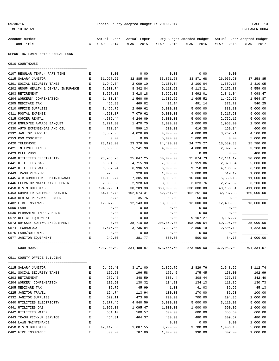| Account Number                       | т           | Actual Exper | Actual Exper |             | Org Budget Amended Budget                                               |             | Actual Exper Adopted Budget |
|--------------------------------------|-------------|--------------|--------------|-------------|-------------------------------------------------------------------------|-------------|-----------------------------|
| and Title                            | C           | YEAR - 2014  | YEAR - 2015  | YEAR - 2016 | YEAR - 2016                                                             | YEAR - 2016 | YEAR - 2017                 |
|                                      |             |              |              |             |                                                                         |             |                             |
| REPORTING FUND: 0010 GENERAL FUND    |             |              |              |             |                                                                         |             |                             |
| 0510 COURTHOUSE                      |             |              |              |             |                                                                         |             |                             |
|                                      |             |              |              |             |                                                                         |             |                             |
| 0107 REGULAR TEMP. - PART TIME       | Ε           | 0.00         | 0.00         | 0.00        | 0.00                                                                    | 0.00        |                             |
| 0115 SALARY JANITOR                  | Е           | 31,927.22    | 32,885.06    | 33,871.68   | 33,871.68                                                               | 26,055.20   | 37, 258.85                  |
| 0201 SOCIAL SECURITY TAXES           | E           | 1,949.64     | 2,009.10     | 2,100.04    | 2,100.04                                                                | 1,589.18    | 2,310.05                    |
| 0202 GROUP HEALTH & DENTAL INSURANCE | Е           | 7,900.74     | 8,342.84     | 9,113.21    | 9,113.21                                                                | 7,172.88    | 9,559.08                    |
| 0203 RETIREMENT                      | Е           | 3,527.18     | 3,618.18     | 3,692.01    | 3,692.01                                                                | 2,841.04    | 4,098.47                    |
| 0204 WORKERS' COMPENSATION           | Ε           | 1,430.34     | 1,560.06     | 1,605.52    | 1,605.52                                                                | 1,422.62    | 1,564.87                    |
| 0205 MEDICARE TAX                    | Ε           | 455.88       | 469.82       | 491.14      | 491.14                                                                  | 371.72      | 540.25                      |
| 0310 OFFICE SUPPLIES                 | Е           | 3,455.75     | 2,969.62     | 5,000.00    | 5,000.00                                                                | 883.80      | 5,000.00                    |
| 0311 POSTAL EXPENSE                  | $\mathbf E$ | 4,523.17     | 7,079.62     | 9,000.00    | 9,000.00                                                                | 3, 217.53   | 9,000.00                    |
| 0315 COPIER RENTAL                   | Е           | 4,582.44     | 4,246.09     | 5,000.00    | 5,000.00                                                                | 2,752.15    | 5,000.00                    |
| 0316 EMPLOYEE AWARDS BANQUET         | Е           | 1,721.30     | 1,470.75     | 2,000.00    | 2,000.00                                                                | 1,953.00    | 2,500.00                    |
| 0330 AUTO EXPENSE-GAS AND OIL        | Ε           | 720.94       | 599.13       | 600.00      | 616.38                                                                  | 169.34      | 600.00                      |
| 0332 JANITOR SUPPLIES                | Е           | 3,857.06     | 4,026.60     | 4,000.00    | 4,000.00                                                                | 3,262.71    | 4,500.00                    |
| 0353 R&M COMPUTER                    | E           | 0.00         | 0.00         | 5,000.00    | 5,000.00                                                                | 0.00        | 5,000.00                    |
| 0420 TELEPHONE                       | Е           | 23,198.00    | 23,376.96    | 24,400.00   | 24,775.27                                                               | 18,589.33   | 25,780.00                   |
| 0421 INTERNET LINES                  | Е           | 3,630.65     | 5,241.98     | 4,000.00    | 4,000.00                                                                | 2,397.62    | 3,200.00                    |
| 0423 CELL PHONE                      | Ε           |              |              | 0.00        | 0.00                                                                    | 0.00        | 400.00                      |
| 0440 UTILITIES ELECTRICITY           | Ε           | 28,956.23    | 25,847.25    | 30,000.00   | 25,874.73                                                               | 17,141.12   | 30,000.00                   |
| 0441 UTILITIES GAS                   | Е           | 6,384.68     | 4,715.98     | 7,000.00    | 6,959.86                                                                | 2,878.54    | 5,000.00                    |
| 0442 UTILITIES WATER                 | $\mathbf E$ | 6,567.94     | 6,996.59     | 6,000.00    | 9,750.00                                                                | 4,136.32    | 6,500.00                    |
| 0443 TRASH PICK-UP                   | Ε           | 928.68       | 928.68       | 1,000.00    | 1,000.00                                                                | 619.12      | 1,000.00                    |
| 0445 AIR CONDITIONER MAINTENANCE     | Е           | 11,138.77    | 7,305.88     | 10,800.00   | 10,800.00                                                               | 5,569.15    | 11,000.00                   |
| 0446 ELEVATOR MAINTENANCE CONTR      | Е           | 2,833.68     | 2,928.60     | 3,000.00    | 3,023.76                                                                | 2,267.82    | 3,200.00                    |
| 0450 R & M BUILDINGS                 | Е           | 194,979.31   | 30,289.30    | 330,000.00  | 330,000.00                                                              | 40,156.31   | 411,000.00                  |
| 0453 COMPUTER SOFTWARE MAINTEN       | $\mathbf E$ | 64,196.73    | 102,574.31   | 152,251.00  | 152,251.00                                                              | 132,937.33  | 160,000.00                  |
| 0463 RENTAL PERSONNEL PAGER          | Е           | 35.76        | 35.76        | 50.00       | 50.00                                                                   | 0.00        |                             |
| 0482 FIRE INSURANCE                  | Е           | 12,377.00    | 12,143.00    | 13,000.00   | 13,000.00                                                               | 12,406.00   | 13,000.00                   |
| 0500 LAND                            | Ε           | 0.00         | 0.00         | 0.00        | 0.00                                                                    | 0.00        |                             |
| 0530 PERMANENT IMPROVEMENTS          | E           | 0.00         | 0.00         | 0.00        | 0.00                                                                    | 0.00        |                             |
| 0572 OFFICE EQUIPMENT                | Ε           | 0.00         | 0.00         | 0.00        | 9,107.27                                                                | 9,107.27    |                             |
| 0573 ODYSSEY SOFTWARE/EQUIPMENT      | Е           | 0.00         | 38,710.00    | 208,859.00  | 198,269.54                                                              | 69,295.00   | 35,000.00                   |
| 0574 TECHNOLOGY                      | Е           | 1,676.00     | 3,735.94     | 1,323.00    | 2,805.19                                                                | 2,805.19    | 1,323.00                    |
| 0575 LAND/BUILDING                   | E           | 0.00         | 0.00         | 0.00        | 0.00                                                                    | 0.00        |                             |
| 0577 JANITOR EQUIPMENT               |             | 249.00       | 381.77       | 500.00      | 500.00                                                                  | 84.73       | 1,000.00                    |
| COURTHOUSE                           |             |              |              |             | 423, 204.09 334, 488.87 873, 656.60 873, 656.60 372, 082.02 794, 334.57 |             |                             |
| 0511 COUNTY OFFICE BUILDING          |             |              |              |             |                                                                         |             |                             |
|                                      |             |              |              |             |                                                                         |             |                             |
| 0115 SALARY JANITOR                  | Е           | 2,462.40     | 3,171.00     | 2,829.76    | 2,829.76                                                                | 2,548.26    | 3,112.74                    |
| 0201 SOCIAL SECURITY TAXES           | Е           | 152.68       | 196.58       | 175.45      | 175.45                                                                  | 158.00      | 192.99                      |
| 0203 RETIREMENT                      | E           | 272.46       | 348.59       | 308.44      | 308.44                                                                  | 277.85      | 342.40                      |
| 0204 WORKER' COMPENSATION            | E           | 119.50       | 130.32       | 134.13      | 134.13                                                                  | 118.86      | 130.73                      |
| 0205 MEDICARE TAX                    | E           | 35.75        | 45.99        | 41.03       | 41.03                                                                   | 36.95       | 45.13                       |
| 0225 JANITOR TRAVEL                  | Е           | 124.74       | 113.94       | 100.00      | 170.00                                                                  | 86.63       | 100.00                      |
| 0332 JANITOR SUPPLIES                | E           | 629.11       | 473.98       | 700.00      | 700.00                                                                  | 294.35      | 1,000.00                    |
| 0440 UTILITIES ELECTRICITY           | E           | 5,177.46     | 4,940.56     | 5,000.00    | 5,000.00                                                                | 3,119.02    | 5,000.00                    |
| 0441 UTILITIES GAS                   | E           | 1,052.38     | 1,095.47     | 1,000.00    | 1,000.00                                                                | 590.09      | 1,000.00                    |
| 0442 UTILITIES WATER                 | Е           | 631.10       | 500.57       | 600.00      | 600.00                                                                  | 355.60      | 600.00                      |
| 0443 TRASH PICK-UP SERVICE           | Е           | 464.31       | 464.37       | 480.00      | 480.00                                                                  | 309.57      | 480.00                      |
| 0444 LAWN MAINTENANCE                | Ε           |              |              | 0.00        | 0.00                                                                    | 0.00        | 1,000.00                    |

0450 R & M BUILDING E 47,442.83 1,087.55 3,700.00 3,700.00 1,406.46 5,000.00 0482 FIRE INSURANCE E 800.00 787.00 1,000.00 930.00 802.00 1,000.00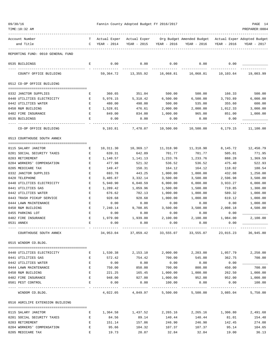| 09/30/16 |  |
|----------|--|
|          |  |

Pannin County Adopted Budget FY 2016/2017<br>PREPAREE:0004

| TIME:10:32 AM                                     |             |                             |                             |                    |                                          |                   | PREPARER: 0004                             |
|---------------------------------------------------|-------------|-----------------------------|-----------------------------|--------------------|------------------------------------------|-------------------|--------------------------------------------|
| Account Number<br>and Title                       | т<br>C      | Actual Exper<br>YEAR - 2014 | Actual Exper<br>YEAR - 2015 | YEAR - 2016        | Org Budget Amended Budget<br>YEAR - 2016 | YEAR - 2016       | Actual Exper Adopted Budget<br>YEAR - 2017 |
| REPORTING FUND: 0010 GENERAL FUND                 |             |                             |                             |                    |                                          |                   |                                            |
| 0535 BUILDINGS                                    | Е           | 0.00                        | 0.00                        | 0.00               | 0.00                                     | 0.00              |                                            |
| COUNTY OFFICE BUILDING                            |             | 59,364.72                   | 13,355.92                   | 16,068.81          | 16,068.81                                | 10,103.64         | 19,003.99                                  |
| 0512 CO-OP OFFICE BUILDING                        |             |                             |                             |                    |                                          |                   |                                            |
| 0332 JANITOR SUPPLIES                             | Е           | 360.65                      | 351.04                      | 500.00             | 500.00                                   | 166.33            | 500.00                                     |
| 0440 UTILITIES ELECTRICITY                        | Е           | 5,976.15                    | 5,318.42                    | 6,500.00           | 6,500.00                                 | 3,793.89          | 6,000.00                                   |
| 0442 UTILITIES WATER                              | E           | 480.00                      | 498.00                      | 500.00             | 535.00                                   | 355.60            | 600.00                                     |
| 0450 R&M BUILDING                                 | Е           | 1,528.01                    | 476.61                      | 2,000.00           | 2,000.00                                 | 1,012.33          | 3,000.00                                   |
| 0482 FIRE INSURANCE                               | Е           | 849.00                      | 834.00                      | 1,000.00           | 965.00                                   | 851.00            | 1,000.00                                   |
| 0535 BUILDINGS                                    | Е           | 0.00                        | 0.00                        | 0.00               | 0.00                                     | 0.00              |                                            |
| CO-OP OFFICE BUILDING                             |             | 9,193.81                    | 7,478.07                    | 10,500.00          | 10,500.00                                | 6,179.15          | 11,100.00                                  |
| 0513 COURTHOUSE SOUTH ANNEX                       |             |                             |                             |                    |                                          |                   |                                            |
|                                                   |             |                             |                             |                    |                                          |                   |                                            |
| 0115 SALARY JANITOR                               | Е           | 10,311.30                   | 10,369.17                   | 11,318.90          | 11,318.90                                | 8,145.72          | 12,450.79                                  |
| 0201 SOCIAL SECURITY TAXES                        | Е           | 639.31                      | 642.89                      | 701.77             | 701.77                                   | 505.01            | 771.95                                     |
| 0203 RETIREMENT                                   | E           | 1,140.57                    | 1,141.13                    | 1,233.76           | 1,233.76                                 | 888.28            | 1,369.59                                   |
| 0204 WORKERS' COMPENSATION                        | Е           | 477.98                      | 521.32                      | 536.52             | 536.52                                   | 475.40            | 522.93                                     |
| 0205 MEDICARE TAX<br>0332 JANITOR SUPPLIES        | Ε<br>Е      | 149.47<br>693.78            | 150.31<br>443.25            | 164.12<br>1,000.00 | 164.12<br>1,000.00                       | 118.02<br>432.08  | 180.54<br>1,250.00                         |
| 0420 TELEPHONE                                    | Ε           | 3,485.87                    | 3,332.14                    | 3,500.00           | 3,500.00                                 | 2,596.98          | 3,500.00                                   |
| 0440 UTILITIES ELECTRICITY                        | E           | 5,940.90                    | 6,040.59                    | 6,000.00           | 6,000.00                                 | 3,933.27          | 6,000.00                                   |
| 0441 UTILITIES GAS                                | Ε           | 1,289.42                    | 1,059.96                    | 1,500.00           | 1,500.00                                 | 719.85            | 1,300.00                                   |
| 0442 UTILITIES WATER                              | Е           | 676.62                      | 782.13                      | 1,000.00           | 1,000.00                                 | 589.32            | 1,000.00                                   |
| 0443 TRASH PICKUP SERVICE                         | Ε           | 928.68                      | 928.68                      | 1,000.00           | 1,000.00                                 | 619.12            | 1,000.00                                   |
| 0444 LAWN MAINTENANCE                             | Ε           | 0.00                        | 0.00                        | 0.00               | 0.00                                     | 0.00              | 1,000.00                                   |
| 0450 R&M BUILDING                                 | Ε           | 7,240.14                    | 9,708.85                    | 3,500.00           | 3,500.00                                 | 2,008.18          | 4,500.00                                   |
| 0455 PARKING LOT                                  | Е           | 0.00                        | 0.00                        | 0.00               | 0.00                                     | 0.00              |                                            |
| 0482 FIRE INSURANCE                               | $\mathbf E$ | 1,979.00                    | 1,939.00                    | 2,100.00           | 2,100.00                                 | 1,984.00          | 2,100.00                                   |
| 0531 ANNEX                                        | Ε           | 0.00                        | 0.00                        | 0.00               | 0.00                                     | 0.00              |                                            |
| COURTHOUSE SOUTH ANNEX                            |             | 34,953.04                   | 37,059.42                   | 33,555.07          | 33,555.07                                | 23,015.23         | 36,945.80                                  |
| 0515 WINDOM CO.BLDG.                              |             |                             |                             |                    |                                          |                   |                                            |
| 0440 UTILITIES ELECTRICITY                        | Е           | 1,530.38                    | 2,153.10                    | 2,000.00           | 2,203.00                                 | 1,057.79          | 2,250.00                                   |
| 0441 UTILITIES GAS                                | Е           | 572.42                      | 754.42                      | 700.00             | 545.00                                   | 362.75            | 700.00                                     |
| 0442 UTILITIES WATER                              | $\mathbf E$ | 0.00                        | 0.00                        | 0.00               | 0.00                                     | 0.00              |                                            |
| 0444 LAWN MAINTENANCE                             | E           | 750.00                      | 850.00                      | 700.00             | 800.00                                   | 450.00            | 700.00                                     |
| 0450 R&M BUILDING                                 | E           | 221.25                      | 165.45                      | 1,000.00           | 1,000.00                                 | 262.50            | 1,000.00                                   |
| 0482 FIRE INSURANCE                               | Е           | 948.00                      | 927.00                      | 1,000.00           | 952.00                                   | 952.00            | 1,000.00                                   |
| 0501 PEST CONTROL                                 | E           | 0.00                        | 0.00                        | 100.00             | 0.00                                     | 0.00              | 100.00                                     |
| WINDOM CO.BLDG.                                   |             | 4,022.05                    | 4,849.97                    | 5,500.00           | 5,500.00                                 | 3,085.04          | 5,750.00                                   |
| 0516 AGRILIFE EXTENSION BUILDING                  |             |                             |                             |                    |                                          |                   |                                            |
|                                                   |             |                             |                             |                    |                                          |                   |                                            |
| 0115 SALARY JANITOR<br>0201 SOCIAL SECURITY TAXES | Е<br>E      | 1,364.58<br>84.56           | 1,437.52<br>89.14           | 2,265.16<br>140.44 | 2,265.16<br>140.44                       | 1,306.80<br>81.01 | 2,491.68<br>154.48                         |
| 0203 RETIREMENT                                   | E           | 151.14                      | 157.86                      | 246.90             | 246.90                                   | 142.45            | 274.08                                     |
| 0204 WORKERS' COMPENSATION                        | Е           | 95.66                       | 104.32                      | 107.37             | 107.37                                   | 95.14             | 104.65                                     |
|                                                   |             |                             |                             |                    |                                          |                   |                                            |

0205 MEDICARE TAX E 19.73 20.87 32.84 32.84 19.00 36.13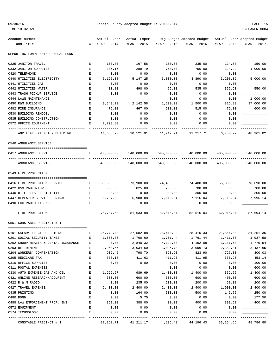| 09/30/1 |
|---------|
|---------|

TIME:10:32 AM PREPARER:0004

#### Fannin County Adopted Budget FY 2016/2017 **PAGE 15**

| Org Budget Amended Budget Actual Exper Adopted Budget<br>Account Number<br>Actual Exper<br>Actual Exper<br>т<br>and Title<br>YEAR - 2014<br>YEAR - 2015<br>YEAR - 2016<br>YEAR - 2016<br>YEAR - 2016<br>YEAR - 2017<br>C<br>REPORTING FUND: 0010 GENERAL FUND<br>0225 JANITOR TRAVEL<br>163.80<br>167.58<br>150.00<br>235.00<br>124.58<br>150.00<br>E<br>0332 JANITOR SUPPLIES<br>386.16<br>289.79<br>750.00<br>750.00<br>124.99<br>1,000.00<br>Е<br>0420 TELEPHONE<br>0.00<br>0.00<br>0.00<br>0.00<br>Е<br>0.00<br>0440 UTILITIES ELECTRICITY<br>5,125.38<br>5,147.25<br>3,208.32<br>5,000.00<br>E<br>5,000.00<br>4,890.00<br>0.00<br>0441 UTILITIES GAS<br>Е<br>0.00<br>0.00<br>0.00<br>0.00<br>0442 UTILITIES WATER<br>E<br>430.80<br>498.00<br>425.00<br>355.60<br>535.00<br>0443 TRASH PICKUP SERVICE<br>$\mathbf{E}% _{0}$<br>0.00<br>0.00<br>0.00<br>0.00<br>0.00<br>0444 LAWN MAINTENANCE<br>1,000.00<br>Е<br>0.00<br>0.00<br>0.00<br>816.83<br>37,000.00<br>0450 R&M BUILDING<br>Е<br>3,543.29<br>2,142.58<br>1,500.00<br>1,500.00<br>0482 FIRE INSURANCE<br>E<br>475.00<br>467.00<br>600.00<br>515.00<br>600.00<br>476.00<br>0530 BUILDING REMODEL<br>E<br>0.00<br>0.00<br>0.00<br>0.00<br>0.00<br>E<br>0.00<br>0535 BUILDING CONSTRUCTION<br>0.00<br>0.00<br>0.00<br>0.00<br>2,793.80<br>0.00<br>0572 OFFICE EQUIPMENT<br>Е<br>0.00<br>0.00<br>0.00<br>48,361.02<br>14,633.90<br>10,521.91<br>11, 217, 71 11, 217, 71<br>6,750.72<br>AGRILIFE EXTENSION BUILDING<br>0540 AMBULANCE SERVICE<br>540,000.00 540,000.00 540,000.00<br>0417 AMBULANCE SERVICE<br>Е<br>540,000.00 405,000.00<br>540,000.00<br>540,000.00<br>405,000.00<br>540,000.00<br>AMBULANCE SERVICE<br>540,000.00<br>540,000.00<br>540,000.00 |                  |
|--------------------------------------------------------------------------------------------------------------------------------------------------------------------------------------------------------------------------------------------------------------------------------------------------------------------------------------------------------------------------------------------------------------------------------------------------------------------------------------------------------------------------------------------------------------------------------------------------------------------------------------------------------------------------------------------------------------------------------------------------------------------------------------------------------------------------------------------------------------------------------------------------------------------------------------------------------------------------------------------------------------------------------------------------------------------------------------------------------------------------------------------------------------------------------------------------------------------------------------------------------------------------------------------------------------------------------------------------------------------------------------------------------------------------------------------------------------------------------------------------------------------------------------------------------------------------------------------------------------------------------------------------------------------------------------------------------------------------|------------------|
|                                                                                                                                                                                                                                                                                                                                                                                                                                                                                                                                                                                                                                                                                                                                                                                                                                                                                                                                                                                                                                                                                                                                                                                                                                                                                                                                                                                                                                                                                                                                                                                                                                                                                                                          |                  |
|                                                                                                                                                                                                                                                                                                                                                                                                                                                                                                                                                                                                                                                                                                                                                                                                                                                                                                                                                                                                                                                                                                                                                                                                                                                                                                                                                                                                                                                                                                                                                                                                                                                                                                                          |                  |
|                                                                                                                                                                                                                                                                                                                                                                                                                                                                                                                                                                                                                                                                                                                                                                                                                                                                                                                                                                                                                                                                                                                                                                                                                                                                                                                                                                                                                                                                                                                                                                                                                                                                                                                          |                  |
|                                                                                                                                                                                                                                                                                                                                                                                                                                                                                                                                                                                                                                                                                                                                                                                                                                                                                                                                                                                                                                                                                                                                                                                                                                                                                                                                                                                                                                                                                                                                                                                                                                                                                                                          |                  |
|                                                                                                                                                                                                                                                                                                                                                                                                                                                                                                                                                                                                                                                                                                                                                                                                                                                                                                                                                                                                                                                                                                                                                                                                                                                                                                                                                                                                                                                                                                                                                                                                                                                                                                                          |                  |
|                                                                                                                                                                                                                                                                                                                                                                                                                                                                                                                                                                                                                                                                                                                                                                                                                                                                                                                                                                                                                                                                                                                                                                                                                                                                                                                                                                                                                                                                                                                                                                                                                                                                                                                          |                  |
|                                                                                                                                                                                                                                                                                                                                                                                                                                                                                                                                                                                                                                                                                                                                                                                                                                                                                                                                                                                                                                                                                                                                                                                                                                                                                                                                                                                                                                                                                                                                                                                                                                                                                                                          |                  |
|                                                                                                                                                                                                                                                                                                                                                                                                                                                                                                                                                                                                                                                                                                                                                                                                                                                                                                                                                                                                                                                                                                                                                                                                                                                                                                                                                                                                                                                                                                                                                                                                                                                                                                                          |                  |
|                                                                                                                                                                                                                                                                                                                                                                                                                                                                                                                                                                                                                                                                                                                                                                                                                                                                                                                                                                                                                                                                                                                                                                                                                                                                                                                                                                                                                                                                                                                                                                                                                                                                                                                          | 550.00           |
|                                                                                                                                                                                                                                                                                                                                                                                                                                                                                                                                                                                                                                                                                                                                                                                                                                                                                                                                                                                                                                                                                                                                                                                                                                                                                                                                                                                                                                                                                                                                                                                                                                                                                                                          |                  |
|                                                                                                                                                                                                                                                                                                                                                                                                                                                                                                                                                                                                                                                                                                                                                                                                                                                                                                                                                                                                                                                                                                                                                                                                                                                                                                                                                                                                                                                                                                                                                                                                                                                                                                                          |                  |
|                                                                                                                                                                                                                                                                                                                                                                                                                                                                                                                                                                                                                                                                                                                                                                                                                                                                                                                                                                                                                                                                                                                                                                                                                                                                                                                                                                                                                                                                                                                                                                                                                                                                                                                          |                  |
|                                                                                                                                                                                                                                                                                                                                                                                                                                                                                                                                                                                                                                                                                                                                                                                                                                                                                                                                                                                                                                                                                                                                                                                                                                                                                                                                                                                                                                                                                                                                                                                                                                                                                                                          |                  |
|                                                                                                                                                                                                                                                                                                                                                                                                                                                                                                                                                                                                                                                                                                                                                                                                                                                                                                                                                                                                                                                                                                                                                                                                                                                                                                                                                                                                                                                                                                                                                                                                                                                                                                                          |                  |
|                                                                                                                                                                                                                                                                                                                                                                                                                                                                                                                                                                                                                                                                                                                                                                                                                                                                                                                                                                                                                                                                                                                                                                                                                                                                                                                                                                                                                                                                                                                                                                                                                                                                                                                          |                  |
|                                                                                                                                                                                                                                                                                                                                                                                                                                                                                                                                                                                                                                                                                                                                                                                                                                                                                                                                                                                                                                                                                                                                                                                                                                                                                                                                                                                                                                                                                                                                                                                                                                                                                                                          |                  |
|                                                                                                                                                                                                                                                                                                                                                                                                                                                                                                                                                                                                                                                                                                                                                                                                                                                                                                                                                                                                                                                                                                                                                                                                                                                                                                                                                                                                                                                                                                                                                                                                                                                                                                                          |                  |
|                                                                                                                                                                                                                                                                                                                                                                                                                                                                                                                                                                                                                                                                                                                                                                                                                                                                                                                                                                                                                                                                                                                                                                                                                                                                                                                                                                                                                                                                                                                                                                                                                                                                                                                          |                  |
|                                                                                                                                                                                                                                                                                                                                                                                                                                                                                                                                                                                                                                                                                                                                                                                                                                                                                                                                                                                                                                                                                                                                                                                                                                                                                                                                                                                                                                                                                                                                                                                                                                                                                                                          |                  |
|                                                                                                                                                                                                                                                                                                                                                                                                                                                                                                                                                                                                                                                                                                                                                                                                                                                                                                                                                                                                                                                                                                                                                                                                                                                                                                                                                                                                                                                                                                                                                                                                                                                                                                                          |                  |
| 0543 FIRE PROTECTION                                                                                                                                                                                                                                                                                                                                                                                                                                                                                                                                                                                                                                                                                                                                                                                                                                                                                                                                                                                                                                                                                                                                                                                                                                                                                                                                                                                                                                                                                                                                                                                                                                                                                                     |                  |
|                                                                                                                                                                                                                                                                                                                                                                                                                                                                                                                                                                                                                                                                                                                                                                                                                                                                                                                                                                                                                                                                                                                                                                                                                                                                                                                                                                                                                                                                                                                                                                                                                                                                                                                          |                  |
| 73,900.00<br>78,698.00<br>68,500.00<br>74,400.00<br>74,400.00<br>55,800.00<br>0416 FIRE PROTECTION SERVICE<br>Е                                                                                                                                                                                                                                                                                                                                                                                                                                                                                                                                                                                                                                                                                                                                                                                                                                                                                                                                                                                                                                                                                                                                                                                                                                                                                                                                                                                                                                                                                                                                                                                                          |                  |
| 700.00<br>0422 R&M RADIO/TOWER<br>500.00<br>825.00<br>700.00<br>700.00<br>Е<br>0.00                                                                                                                                                                                                                                                                                                                                                                                                                                                                                                                                                                                                                                                                                                                                                                                                                                                                                                                                                                                                                                                                                                                                                                                                                                                                                                                                                                                                                                                                                                                                                                                                                                      |                  |
| 300.00<br>300.00<br>300.00<br>0440 UTILITIES ELECTRICITY<br>E<br>0.00<br>0.00<br>0.00                                                                                                                                                                                                                                                                                                                                                                                                                                                                                                                                                                                                                                                                                                                                                                                                                                                                                                                                                                                                                                                                                                                                                                                                                                                                                                                                                                                                                                                                                                                                                                                                                                    |                  |
| E<br>6,707.60<br>6,908.88<br>7,116.04<br>7,116.04<br>7,116.04<br>0447 REPEATER SERVICE CONTRACT<br>7,996.14                                                                                                                                                                                                                                                                                                                                                                                                                                                                                                                                                                                                                                                                                                                                                                                                                                                                                                                                                                                                                                                                                                                                                                                                                                                                                                                                                                                                                                                                                                                                                                                                              |                  |
| 0490 FCC RADIO LICENSE<br>E<br>0.00<br>0.00<br>0.00<br>0.00<br>0.00                                                                                                                                                                                                                                                                                                                                                                                                                                                                                                                                                                                                                                                                                                                                                                                                                                                                                                                                                                                                                                                                                                                                                                                                                                                                                                                                                                                                                                                                                                                                                                                                                                                      |                  |
| 87,694.14<br>FIRE PROTECTION<br>75,707.60<br>81,633.88<br>82,516.04<br>82,516.04<br>62,916.04                                                                                                                                                                                                                                                                                                                                                                                                                                                                                                                                                                                                                                                                                                                                                                                                                                                                                                                                                                                                                                                                                                                                                                                                                                                                                                                                                                                                                                                                                                                                                                                                                            |                  |
| 0551 CONSTABLE PRECINCT # 1                                                                                                                                                                                                                                                                                                                                                                                                                                                                                                                                                                                                                                                                                                                                                                                                                                                                                                                                                                                                                                                                                                                                                                                                                                                                                                                                                                                                                                                                                                                                                                                                                                                                                              |                  |
|                                                                                                                                                                                                                                                                                                                                                                                                                                                                                                                                                                                                                                                                                                                                                                                                                                                                                                                                                                                                                                                                                                                                                                                                                                                                                                                                                                                                                                                                                                                                                                                                                                                                                                                          |                  |
| 26,779.48 27,582.88 28,410.33 28,410.33 21,854.00 31,251.36<br>0101 SALARY ELECTED OFFICIAL<br>$\mathbf{E}$ and $\mathbf{E}$                                                                                                                                                                                                                                                                                                                                                                                                                                                                                                                                                                                                                                                                                                                                                                                                                                                                                                                                                                                                                                                                                                                                                                                                                                                                                                                                                                                                                                                                                                                                                                                             |                  |
| 1,761.44<br>1,937.58<br>1,660.36<br>1,760.60<br>1,761.44<br>1,411.60<br>0201 SOCIAL SECURITY TAXES<br>Ε                                                                                                                                                                                                                                                                                                                                                                                                                                                                                                                                                                                                                                                                                                                                                                                                                                                                                                                                                                                                                                                                                                                                                                                                                                                                                                                                                                                                                                                                                                                                                                                                                  |                  |
| 0202 GROUP HEALTH & DENTAL INSURANCE<br>2,840.32<br>4,192.08<br>4,192.08<br>3,281.68<br>4,779.54<br>Е<br>0.00                                                                                                                                                                                                                                                                                                                                                                                                                                                                                                                                                                                                                                                                                                                                                                                                                                                                                                                                                                                                                                                                                                                                                                                                                                                                                                                                                                                                                                                                                                                                                                                                            |                  |
| 0203 RETIREMENT<br>2,958.56<br>3,034.60<br>3,096.73<br>3,096.73<br>2,382.81<br>3,437.65<br>Е<br>0204 WORKERS' COMPENSATION                                                                                                                                                                                                                                                                                                                                                                                                                                                                                                                                                                                                                                                                                                                                                                                                                                                                                                                                                                                                                                                                                                                                                                                                                                                                                                                                                                                                                                                                                                                                                                                               |                  |
| E<br>902.46<br>798.70<br>823.90<br>823.90<br>727.30<br>0205 MEDICARE TAX<br>E<br>388.18<br>411.63<br>411.95<br>411.95<br>330.20                                                                                                                                                                                                                                                                                                                                                                                                                                                                                                                                                                                                                                                                                                                                                                                                                                                                                                                                                                                                                                                                                                                                                                                                                                                                                                                                                                                                                                                                                                                                                                                          | 800.03<br>453.14 |
| 0310 OFFICE SUPPLIES<br>E<br>0.00<br>0.00<br>0.00<br>0.00<br>0.00                                                                                                                                                                                                                                                                                                                                                                                                                                                                                                                                                                                                                                                                                                                                                                                                                                                                                                                                                                                                                                                                                                                                                                                                                                                                                                                                                                                                                                                                                                                                                                                                                                                        | 100.00           |
| 0311 POSTAL EXPENSES<br>0.00<br>0.00<br>Ε<br>0.00                                                                                                                                                                                                                                                                                                                                                                                                                                                                                                                                                                                                                                                                                                                                                                                                                                                                                                                                                                                                                                                                                                                                                                                                                                                                                                                                                                                                                                                                                                                                                                                                                                                                        | 600.00           |
| 0330 AUTO EXPENSE-GAS AND OIL<br>E<br>1,222.67<br>989.69<br>1,400.00<br>1,400.00<br>352.72<br>1,400.00                                                                                                                                                                                                                                                                                                                                                                                                                                                                                                                                                                                                                                                                                                                                                                                                                                                                                                                                                                                                                                                                                                                                                                                                                                                                                                                                                                                                                                                                                                                                                                                                                   |                  |
| 0421 ONLINE RESEARCH/ACCURINT<br>600.00<br>600.00<br>600.00<br>600.00<br>400.00<br>Е                                                                                                                                                                                                                                                                                                                                                                                                                                                                                                                                                                                                                                                                                                                                                                                                                                                                                                                                                                                                                                                                                                                                                                                                                                                                                                                                                                                                                                                                                                                                                                                                                                     | 600.00           |
| 0422 R & M RADIO<br>E<br>235.00<br>200.00<br>200.00<br>68.08<br>0.00                                                                                                                                                                                                                                                                                                                                                                                                                                                                                                                                                                                                                                                                                                                                                                                                                                                                                                                                                                                                                                                                                                                                                                                                                                                                                                                                                                                                                                                                                                                                                                                                                                                     | 200.00           |
| 0427 TRAVEL EXPENSE<br>E<br>2,400.00<br>2,400.00<br>2,400.00<br>2,400.00<br>1,900.00<br>2,400.00                                                                                                                                                                                                                                                                                                                                                                                                                                                                                                                                                                                                                                                                                                                                                                                                                                                                                                                                                                                                                                                                                                                                                                                                                                                                                                                                                                                                                                                                                                                                                                                                                         |                  |
| 0435 PRINTING<br>E<br>0.00<br>164.00<br>500.00<br>500.00<br>146.75                                                                                                                                                                                                                                                                                                                                                                                                                                                                                                                                                                                                                                                                                                                                                                                                                                                                                                                                                                                                                                                                                                                                                                                                                                                                                                                                                                                                                                                                                                                                                                                                                                                       | 250.00           |
| 0480 BOND<br>E<br>5.75<br>0.00<br>0.00<br>0.00<br>0.00                                                                                                                                                                                                                                                                                                                                                                                                                                                                                                                                                                                                                                                                                                                                                                                                                                                                                                                                                                                                                                                                                                                                                                                                                                                                                                                                                                                                                                                                                                                                                                                                                                                                   | 177.50           |
| 388.00<br>400.00<br>400.00<br>399.52<br>0488 LAW ENFORCEMENT PROF. INS<br>Е<br>351.00                                                                                                                                                                                                                                                                                                                                                                                                                                                                                                                                                                                                                                                                                                                                                                                                                                                                                                                                                                                                                                                                                                                                                                                                                                                                                                                                                                                                                                                                                                                                                                                                                                    | 400.00           |
| 0572 EQUIPMENT<br>E<br>0.00<br>0.00<br>0.00<br>0.00<br>0.00                                                                                                                                                                                                                                                                                                                                                                                                                                                                                                                                                                                                                                                                                                                                                                                                                                                                                                                                                                                                                                                                                                                                                                                                                                                                                                                                                                                                                                                                                                                                                                                                                                                              |                  |
| E<br>0.00<br>0.00<br>0.00<br>0.00<br>0.00<br>0574 TECHNOLOGY                                                                                                                                                                                                                                                                                                                                                                                                                                                                                                                                                                                                                                                                                                                                                                                                                                                                                                                                                                                                                                                                                                                                                                                                                                                                                                                                                                                                                                                                                                                                                                                                                                                             |                  |
| --------<br>37,262.71<br>48,786.80<br>CONSTABLE PRECINCT # 1<br>41,211.17<br>44,196.43<br>44,196.43<br>33,254.66                                                                                                                                                                                                                                                                                                                                                                                                                                                                                                                                                                                                                                                                                                                                                                                                                                                                                                                                                                                                                                                                                                                                                                                                                                                                                                                                                                                                                                                                                                                                                                                                         |                  |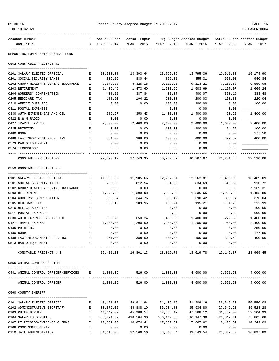| 09/30/16<br>TIME:10:32 AM                                                                  |                                                |             | Fannin County Adopted Budget FY 2016/2017  |                     |                                                                         |                       | PAGE 16<br>PREPARER: 0004 |
|--------------------------------------------------------------------------------------------|------------------------------------------------|-------------|--------------------------------------------|---------------------|-------------------------------------------------------------------------|-----------------------|---------------------------|
| Account Number<br>and Title                                                                | $\mathbf{C}$                                   | YEAR - 2014 | T Actual Exper Actual Exper<br>YEAR - 2015 | YEAR - 2016         | Org Budget Amended Budget - Actual Exper Adopted Budget<br>YEAR - 2016  | YEAR - 2016           | YEAR - 2017               |
| -----------                                                                                |                                                |             |                                            |                     |                                                                         |                       |                           |
| REPORTING FUND: 0010 GENERAL FUND                                                          |                                                |             |                                            |                     |                                                                         |                       |                           |
| 0552 CONSTABLE PRECINCT #2                                                                 |                                                |             |                                            |                     |                                                                         |                       |                           |
| 0101 SALARY ELECTED OFFICIAL                                                               | Е                                              | 13,003.38   |                                            | 13,393.64 13,795.36 | 13,795.36                                                               | 10,611.80             | 15,174.90                 |
| 0201 SOCIAL SECURITY TAXES                                                                 | E                                              | 806.26      | 830.44                                     | 855.31              | 855.31                                                                  | 658.00                | 940.84                    |
| 0202 GROUP HEALTH & DENTAL INSURANCE                                                       | Е                                              | 7,879.38    | 8,325.18                                   | 9,113.21            | 9,113.21                                                                | 7,160.53              | 9,559.08                  |
| 0203 RETIREMENT                                                                            | Е                                              | 1,436.46    | 1,473.60                                   | 1,503.69            | 1,503.69                                                                | 1,157.07              | 1,669.24                  |
| 0204 WORKERS' COMPENSATION                                                                 | Е                                              | 438.22      | 387.84                                     | 400.07              | 400.07                                                                  | 353.16                | 388.48                    |
| 0205 MEDICARE TAX                                                                          | E                                              | 188.50      | 194.22                                     | 200.03              | 200.03                                                                  | 153.80                | 220.04                    |
| 0310 OFFICE SUPPLIES                                                                       | E                                              | 0.00        | 0.00                                       | 100.00              | 100.00                                                                  | 0.00                  | 100.00                    |
| 0311 POSTAL EXPENSES                                                                       | Е                                              |             |                                            | 0.00                | 0.00                                                                    | 0.00                  |                           |
| 0330 AUTO EXPENSE-GAS AND OIL                                                              | Е                                              | 586.97      | 350.43                                     | 1,400.00            | 1,400.00                                                                | 93.22                 | 1,400.00                  |
| 0422 R & M RADIO                                                                           | Е                                              | 0.00        | 0.00                                       | 0.00                | 0.00                                                                    | 0.00                  |                           |
| 0427 TRAVEL EXPENSE                                                                        | Ε                                              | 2,400.00    | 2,400.00                                   | 2,400.00            | 2,400.00                                                                | 1,600.00              | 2,400.00                  |
| 0435 PRINTING                                                                              | Е                                              | 0.00        | 0.00                                       | 100.00              | 100.00                                                                  | 64.75                 | 100.00                    |
| 0480 BOND                                                                                  | Е                                              | 0.00        | 0.00                                       | 0.00                | 0.00                                                                    | 0.00                  | 177.50                    |
| 0488 LAW ENFOREMENT PROF. INS.                                                             | Е                                              | 351.00      | 388.00                                     | 400.00              | 400.00                                                                  | 399.52                | 400.00                    |
| 0573 RADIO EQUIPMENT                                                                       | Е                                              | 0.00        | 0.00                                       | 0.00                | 0.00                                                                    | 0.00                  |                           |
| 0574 TECHNOLOGY                                                                            | Е                                              | 0.00        | 0.00                                       | 0.00                | 0.00                                                                    | 0.00                  |                           |
| CONSTABLE PRECINCT #2                                                                      |                                                | 27,090.17   | 27,743.35                                  | 30,267.67           | 30,267.67                                                               | 22,251.85             | 32,530.08                 |
| 0553 CONSTABLE PRECINCT # 3                                                                |                                                |             |                                            |                     |                                                                         |                       |                           |
| 0101 SALARY ELECTED OFFICIAL                                                               | Е                                              | 11,558.82   | 11,905.66                                  | 12,262.81           | 12,262.81                                                               | 9,433.00              | 13,489.09                 |
| 0201 SOCIAL SECURITY TAXES                                                                 | Е                                              | 790.96      | 812.54                                     | 834.69              | 834.69                                                                  | 646.80                | 910.72                    |
| 0202 GROUP HEALTH & DENTAL INSURANCE                                                       | Е                                              | 0.00        | 0.00                                       | 0.00                | 0.00                                                                    | 0.00                  | 7,169.31                  |
| 0203 RETIREMENT                                                                            | Е                                              | 1,276.96    | 1,309.98                                   | 1,336.65            | 1,336.65                                                                | 1,028.53              | 1,483.80                  |
| 0204 WORKERS' COMPENSATION                                                                 | Е                                              | 389.54      | 344.76                                     | 390.42              | 390.42                                                                  | 313.94                | 376.04                    |
| 0205 MEDICARE TAX                                                                          | E                                              | 185.10      | 189.95                                     | 195.21              | 195.21                                                                  | 151.20                | 212.99                    |
| 0310 OFFICE SUPPLIES                                                                       | Е                                              |             |                                            | 0.00                | 0.00                                                                    | 0.00                  | 100.00                    |
| 0311 POSTAL EXPENSES                                                                       | Е                                              |             |                                            | 0.00                | 0.00                                                                    | 0.00                  | 600.00                    |
| 0330 AUTO EXPENSE-GAS AND OIL                                                              | Е                                              | 658.73      | 650.24                                     | 1,400.00            | 1,400.00                                                                | 222.88                | 1,400.00                  |
| 0427 TRAVEL EXPENSE                                                                        | Е                                              | 1,200.00    | 1,200.00                                   | 1,200.00            | 1,200.00                                                                | 950.00                | 2,400.00                  |
| 0435 PRINTING                                                                              |                                                | 0.00        | 0.00                                       | 0.00                | 0.00                                                                    | 0.00                  | 250.00                    |
| 0480 BOND                                                                                  | $\mathbf{E}$                                   | 0.00        | 0.00                                       | 0.00                | 0.00                                                                    | 0.00                  | 177.50                    |
| 0488 LAW ENFORCEMENT PROF. INS $E$ 351.00 388.00 400.00 400.00 400.00                      |                                                |             |                                            |                     |                                                                         |                       | 399.52 400.00             |
| 0573 RADIO EQUIPMENT                                                                       |                                                | E 0.00      | 0.00                                       |                     | $0.00$ 0.00                                                             | 0.00<br>_____________ |                           |
| CONSTABLE PRECINCT # 3                                                                     |                                                |             |                                            |                     | 16,411.11  16,801.13  18,019.78  18,019.78  13,145.87  28,969.45        |                       |                           |
| 0555 ANIMAL CONTROL OFFICER                                                                |                                                |             |                                            |                     |                                                                         |                       |                           |
| 0441 ANIMAL CONTROL OFFICER/SERVICES E 1,838.19 526.00 1,000.00 4,600.00 2,691.73 4,000.00 |                                                |             |                                            |                     |                                                                         |                       |                           |
|                                                                                            |                                                |             |                                            |                     |                                                                         |                       |                           |
| ANIMAL CONTROL OFFICER                                                                     |                                                |             |                                            |                     | $1,838.19$ $526.00$ $1,000.00$ $4,600.00$ $2,691.73$                    |                       | 4,000.00                  |
| 0560 COUNTY SHERIFF                                                                        |                                                |             |                                            |                     |                                                                         |                       |                           |
| 0101 SALARY ELECTED OFFICIAL                                                               | Е                                              |             | 48,458.02 49,911.94                        | 51,409.16           |                                                                         | 51,409.16 39,545.60   | 56,550.08                 |
| 0102 ADMINISTRATIVE SECRETARY                                                              | E                                              | 33,872.02   | 34,888.10                                  | 35,934.80           | 35,934.80                                                               | 27,642.20             | 39,528.28                 |
| 0103 CHIEF DEPUTY                                                                          | E                                              | 44,649.02   | 45,988.54                                  | 47,368.12           | 47,368.12                                                               | 36,437.00             | 52,104.93                 |
| 0104 SALARIES DEPUTIES                                                                     | E                                              | 463,071.32  | 498,504.30                                 | 536,147.36          | 536,147.36                                                              | 423,817.41            | 575,805.68                |
| 0107 PT RECORDS/EVIDENCE CLERKS E                                                          |                                                |             | 10,632.03    16,874.41                     |                     | 17,867.62 17,867.62                                                     |                       | 8,473.69 14,249.09        |
| 0108 COMPENSATION PAY                                                                      | E                                              | 0.00        | 0.00                                       | 0.00                |                                                                         | $0.00$ 0.00           |                           |
| 0110 JAIL ADMINISTRATOR                                                                    | $\mathbf{E}$ and $\mathbf{E}$ and $\mathbf{E}$ |             |                                            |                     | $31,618.08$ $32,566.56$ $33,543.54$ $33,543.54$ $25,802.80$ $36,897.89$ |                       |                           |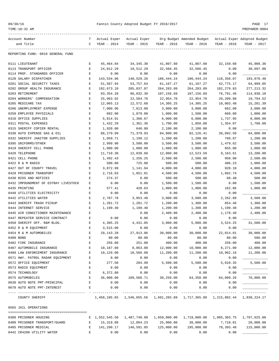|  | 09/30/16 |  |  |
|--|----------|--|--|
|--|----------|--|--|

TIME:10:32 AM PREPARER:0004

| Account Number                       | т            | Actual Exper | Actual Exper                |                      | Org Budget Amended Budget - Actual Exper Adopted Budget                       |                       |             |
|--------------------------------------|--------------|--------------|-----------------------------|----------------------|-------------------------------------------------------------------------------|-----------------------|-------------|
| and Title                            | C            | YEAR - 2014  | YEAR - 2015                 | YEAR - 2016          | YEAR - 2016                                                                   | YEAR - 2016           | YEAR - 2017 |
| REPORTING FUND: 0010 GENERAL FUND    |              |              |                             |                      |                                                                               |                       |             |
| 0111 LIEUTENANT                      | Е            | 45,464.84    | 34, 345. 30                 | 41,807.60            | 41,807.60                                                                     | 32,159.60             | 45,988.36   |
| 0113 TRANSPORT OFFICER               | Е            | 24,012.29    | 18,512.29                   | 32,566.45            | 32,566.45                                                                     | 0.00                  | 30,697.00   |
| 0114 PROF. STANDARDS OFFICER         | $\mathbf E$  | 0.00         | 0.00                        | 0.00                 | 0.00                                                                          | 0.00                  |             |
| 0120 SALARY DISPATCHER               | $\mathbf E$  | 143,534.96   | 148,529.26                  | 186, 444. 24         | 186, 444. 24                                                                  | 110,358.07            | 193,070.48  |
| 0201 SOCIAL SECURITY TAXES           | Е            | 51,587.94    | 53,757.64                   | 61,167.27            | 61,167.27                                                                     | 42,775.17             | 64,999.05   |
| 0202 GROUP HEALTH INSURANCE          | Е            | 192,673.10   | 205,837.87                  | 264, 283.09          | 264,283.09                                                                    | 182, 279.83           | 277, 213.32 |
| 0203 RETIREMENT                      | Е            | 93, 354. 28  | 96,832.39                   | 107,156.69           | 107,156.69                                                                    | 76,791.46             | 114,938.10  |
| 0204 WORKERS' COMPENSATION           | Е            | 25,963.92    | 22,584.76                   | 22,954.70            | 22,954.70                                                                     | 20,209.88             | 19,794.52   |
| 0205 MEDICARE TAX                    | E            | 12,065.13    | 12,572.68                   | 14,305.25            | 14,305.25                                                                     | 10,003.48             | 15,201.39   |
| 0206 UNEMPLOYMENT EXPENSE            | Е            | 7,000.96     | 7,613.00                    | 3,000.00             | 3,000.00                                                                      | 662.00                | 3,000.00    |
| 0250 EMPLOYEE PHYSICALS              | Е            | 892.00       | 1,879.00                    | 1,000.00             | 1,500.00                                                                      | 660.00                | 1,000.00    |
| 0310 OFFICE SUPPLIES                 | Е            | 5,814.91     | 1,360.67                    | 6,000.00             | 6,000.00                                                                      | 1,737.95              | 8,000.00    |
| 0311 POSTAL EXPENSES                 | Е            | 1,432.29     | 1,361.36                    | 1,700.00             | 1,850.00                                                                      | 1,354.07              | 1,700.00    |
| 0315 SHERIFF COPIER RENTAL           | E            | 1,920.00     | 640.00                      | 2,100.00             | 2,100.00                                                                      | 0.00                  |             |
| 0330 AUTO EXPENSE GAS & OIL          | $\mathbf E$  | 88,279.99    | 71,379.93                   | 84,000.00            | 82,126.41                                                                     | 39,092.50             | 84,000.00   |
| 0332 SHERIFF JANITOR SUPPLIES        | $\mathbf E$  | 1,059.71     | 1,199.12                    | 1,200.00             | 1,200.00                                                                      | 768.97                | 1,200.00    |
| 0395 UNIFORMS/OTHER                  | Е            | 2,999.90     | 3,500.00                    | 3,500.00             | 3,500.00                                                                      | 1,479.62              | 3,500.00    |
| 0419 SHERIFF CELL PHONE              | Е            | 1,080.00     | 1,080.00                    | 1,080.00             | 1,080.00                                                                      | 855.00                | 1,080.00    |
| 0420 TELEPHONE                       | Е            | 11,710.38    | 12,039.60                   | 12,000.00            | 12,523.59                                                                     | 9,163.61              | 13,200.00   |
| 0421 CELL PHONE                      | E            | 1,492.43     | 1,256.25                    | 2,500.00             | 2,500.00                                                                      | 950.00                | 2,500.00    |
| 0422 R & M RADIO                     | Е            | 500.00       | 725.00                      | 500.00               | 500.00                                                                        | 406.23                | 1,000.00    |
| 0427 OUT OF COUNTY TRAVEL            | Е            | 3,872.99     | 1,141.94                    | 4,000.00             | 4,000.00                                                                      | 920.10                | 4,000.00    |
| 0428 PRISONER TRANSPORT              | Ε            | 2,716.03     | 1,851.01                    | 4,500.00             | 4,500.00                                                                      | 1,602.74              | 4,500.00    |
| 0430 BIDS AND NOTICES                | Е            | 274.37       | 0.00                        | 500.00               | 500.00                                                                        | 68.40                 | 500.00      |
| 0432 IMPOUNDMENT OF ESTRAY LIVESTOCK | Ε            | 0.00         | 0.00                        | 1,500.00             | 1,500.00                                                                      | 0.00                  | 1,500.00    |
| 0435 PRINTING                        | Е            | 577.41       | 428.63                      | 1,000.00             | 1,000.00                                                                      | 162.86                | 1,000.00    |
| 0440 UTILITIES ELECTRICITY           | Ε            | 0.00         | 0.00                        | 0.00                 | 0.00                                                                          | 0.00                  |             |
| 0442 UTILITIES WATER                 | Е            | 2,787.78     | 3,053.48                    | 3,000.00             | 3,600.00                                                                      | 2,262.89              | 3,500.00    |
| 0443 SHERIFF TRASH PICKUP            | Е            | 1,281.72     | 1,281.72                    | 1,200.00             | 1,300.00                                                                      | 854.48                | 1,300.00    |
| 0444 INTERNET SERVICE                | Е            | 1,199.40     | 1,199.40                    | 1,200.00             | 1,200.00                                                                      | 1,199.40              | 1,200.00    |
| 0445 AIR CONDITIONER MAINTENANCE     | $\mathbf E$  |              | 0.00                        | 2,400.00             | 2,400.00                                                                      | 1,178.40              | 2,400.00    |
| 0447 REPEATER SERVICE CONTRACT       | Е            | 0.00         | 0.00                        | 0.00                 | 0.00                                                                          | 0.00                  |             |
| 0450 SHERIFF OFF. R&M BLDG.          | Е            | 4,385.25     | 4,431.85                    | 3,000.00             | 5,000.00                                                                      | 3,524.25              | 31,500.00   |
| 0452 R & M EQUIPMENT                 | Е            | 3,515.00     | 0.00                        | 0.00                 | 0.00                                                                          | 0.00                  |             |
| 0454 R & M AUTOMOBILES               | Е            | 29, 143. 28  | 27,913.86                   | 30,000.00            | 30,000.00                                                                     | 22,014.01             | 30,000.00   |
| 0480 BOND                            |              | 80.00        | 80.00                       | 80.00                | 80.00                                                                         | 80.00                 | 506.00      |
| 0482 FIRE INSURANCE                  | Е            | 256.00       | 251.00                      | 400.00               | 400.00                                                                        | 256.00                | 400.00      |
| 0487 AUTOMOBILE INSURANCE            | E            | 10,187.60    | 8,863.00                    | 12,000.00            | 10,000.00                                                                     | 8,271.00              | 12,000.00   |
| 0488 LAW ENFORCEMENT INSURANCE       | Е            | 10,129.00    | 10,566.00                   | 11,200.00            | 11,200.00                                                                     | 10,962.16             | 11,200.00   |
| 0571 HWY. PATROL RADAR EQUIPMENT     | Е            | 0.00         | 0.00                        | 0.00                 | 0.00                                                                          | 0.00                  |             |
| 0572 OFFICE EQUIPMENT                | Е            | 277.50       | 284.99                      | 5,500.00             | 5,500.00                                                                      | 5,010.35              | 5,500.00    |
| 0573 RADIO EQUIPMENT                 | E            | 0.00         | 0.00                        | 0.00                 | 0.00                                                                          | 0.00                  |             |
| 0574 TECHNOLOGY                      | Ε            | 6,372.80     | 0.00                        | 0.00                 | 0.00                                                                          | 0.00                  |             |
| 0575 AUTOMOBILES                     | Е            | 36,000.00    | 109,568.71                  | 38,250.00            | 64,350.00                                                                     | 64,009.26             | 70,000.00   |
| 0630 AUTO NOTE PMT-PRINCIPAL         | $\mathbf E$  | 0.00         | 0.00                        | 0.00                 | 0.00                                                                          | 0.00                  |             |
| 0670 AUTO NOTE PMT-INTEREST          | E            | 0.00         | 0.00<br>--------------      | 0.00<br>------------ | 0.00<br>------------                                                          | 0.00<br>------------- |             |
| COUNTY SHERIFF                       |              |              |                             |                      | 1,458,195.65 1,546,655.56 1,691,265.89 1,717,365.89 1,215,802.44 1,838,224.17 |                       |             |
| 0565 JAIL OPERATIONS                 |              |              |                             |                      |                                                                               |                       |             |
| 0380 PRISONER HOUSING                |              |              | E 1,552,545.50 1,487,740.00 |                      | 1,659,000.00   1,719,000.00   1,085,303.75   1,797,625.00                     |                       |             |
| 0400 PRISONER TRANSPORT/GUARD        | $\mathbf{E}$ | 15,319.88    | 12,864.23                   | 25,000.00            | 30,000.00                                                                     | 7,710.01              | 20,000.00   |
| 0405 PRISONER MEDICAL                | Е            | 141,290.17   | 140,591.85                  | 125,000.00           | 195,000.00                                                                    | 78,393.48             | 115,000.00  |
| 0442 CR4200 UTILITY WATER            | $\mathbf{E}$ | 0.00         | 0.00                        | 0.00                 | 0.00                                                                          | 0.00                  |             |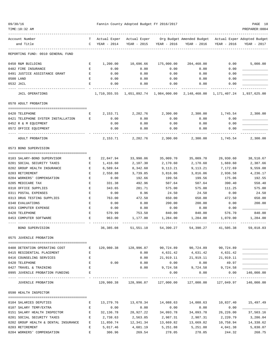| TIME:10:32 AM                                           |              |               |                                                           |                         |                                                              |                     | PREPARER:0004          |
|---------------------------------------------------------|--------------|---------------|-----------------------------------------------------------|-------------------------|--------------------------------------------------------------|---------------------|------------------------|
| Account Number                                          |              |               | T Actual Exper Actual Exper                               |                         | Org Budget Amended Budget Actual Exper Adopted Budget        |                     |                        |
| and Title                                               |              | C YEAR - 2014 |                                                           | YEAR - 2015 YEAR - 2016 | YEAR - 2016                                                  | YEAR - 2016         | YEAR - 2017            |
| REPORTING FUND: 0010 GENERAL FUND                       |              |               |                                                           |                         |                                                              |                     |                        |
| 0450 R&M BUILDING                                       | E            | 1,200.00      | 10,696.66                                                 | 175,000.00              | 204,460.00                                                   | 0.00                | 5,000.00               |
| 0482 FIRE INSURANCE                                     | Е            | 0.00          | 0.00                                                      | 0.00                    | 0.00                                                         | 0.00                |                        |
| 0491 JUSTICE ASSISTANCE GRANT                           | $\mathbf{E}$ | 0.00          | 0.00                                                      | 0.00                    | 0.00                                                         | 0.00                |                        |
| 0500 LAND                                               | Е            | 0.00          | 0.00                                                      | 0.00                    | 0.00                                                         | 0.00                |                        |
| 0532 JAIL                                               | Е            | 0.00          | 0.00                                                      | 0.00                    | 0.00                                                         | 0.00                |                        |
| JAIL OPERATIONS                                         |              | 1,710,355.55  |                                                           |                         | 1,651,892.74    1,984,000.00    2,148,460.00    1,171,407.24 |                     | 1,937,625.00           |
| 0570 ADULT PROBATION                                    |              |               |                                                           |                         |                                                              |                     |                        |
| 0420 TELEPHONE                                          | Е            | 2,153.71      | 2,282.76                                                  | 2,300.00                | 2,300.00                                                     | 1,745.54            | 2,300.00               |
| 0421 TELEPHONE SYSTEM INSTALLATION                      | E            | 0.00          | 0.00                                                      | 0.00                    | 0.00                                                         | 0.00                |                        |
| 0452 R & M EQUIPMENT                                    |              | 0.00          | 0.00                                                      | 0.00                    | 0.00                                                         | 0.00                |                        |
| 0572 OFFICE EQUIPMENT                                   |              | 0.00          | 0.00                                                      | 0.00                    | 0.00                                                         | 0.00                |                        |
|                                                         |              |               |                                                           |                         |                                                              |                     |                        |
| ADULT PROBATION                                         |              | 2,153.71      | 2,282.76                                                  | 2,300.00                | 2,300.00                                                     | 1,745.54            | 2,300.00               |
| 0573 BOND SUPERVISION                                   |              |               |                                                           |                         |                                                              |                     |                        |
| 0103 SALARY-BOND SUPERVISOR                             | E            | 22,847.94     | 33,990.06                                                 | 35,009.70               | 35,009.70                                                    | 26,930.60           | 38,510.67              |
| 0201 SOCIAL SECURITY TAXES                              | E            | 1,416.60      | 2,107.30                                                  | 2,170.60                | 2,170.60                                                     | 1,669.60            | 2,387.66               |
| 0202 GROUP HEALTH INSURANCE                             | Е            | 6,589.64      | 8,342.60                                                  | 9,113.21                | 9,113.21                                                     | 7,172.69            | 9,559.08               |
| 0203 RETIREMENT                                         | Е            | 2,558.88      | 3,739.85                                                  | 3,816.06                | 3,816.06                                                     | 2,936.58            | 4,236.17               |
| 0204 WORKERS' COMPENSATION                              | Е            | 0.00          | 192.66                                                    | 199.56                  | 199.56                                                       | 175.06              | 192.55                 |
| 0205 MEDICARE TAX                                       | Е            | 331.38        | 492.96                                                    | 507.64                  | 507.64                                                       | 390.40              | 558.40                 |
| 0310 OFFICE SUPPLIES                                    | Е            | 343.65        | 281.71                                                    | 575.00                  | 575.00                                                       | 111.25              | 575.00                 |
| 0311 POSTAL EXPENSES                                    | Е            | 0.00          | 0.96                                                      | 24.50                   | 24.50                                                        | 0.00                | 24.50                  |
| 0313 DRUG TESTING SUPPLIES                              | Е            | 763.00        | 472.50                                                    | 650.00                  | 650.00                                                       | 472.50              | 650.00                 |
| 0340 EVALUATIONS                                        | Е            | 0.00          | 0.00                                                      | 200.00                  | 200.00                                                       | 0.00                | 200.00                 |
| 0353 COMPUTER EXPENSE                                   | Е            | 0.00          | 0.00                                                      | 0.00                    | 0.00                                                         | 0.00                |                        |
| 0420 TELEPHONE                                          | E            | 570.99        | 753.50                                                    | 840.00                  | 840.00                                                       | 576.70              | 840.00                 |
| 0453 COMPUTER SOFTWARE                                  | Е            | 963.00        | 1,177.00                                                  | 1,284.00                | 1,284.00                                                     | 1,070.00            | 1,284.00               |
| BOND SUPERVISION                                        |              | 36,385.08     | 51,551.10                                                 | 54,390.27               | 54,390.27                                                    | 41,505.38           | 59,018.03              |
| 0575 JUVENILE PROBATION                                 |              |               |                                                           |                         |                                                              |                     |                        |
| 0408 DETENTION OPERATING COST<br><b>Experience E</b>    |              |               | 120,980.38 128,996.87                                     |                         | 90,724.89 90,724.89                                          | 90,724.89           |                        |
| 0415 RESIDENTIAL PLACEMENT                              | E            |               | 0.00                                                      | 4,631.42                | 4,631.42                                                     | 4,631.42            |                        |
| 0416 COUNSELING SERVICES                                | Е            |               | 0.00                                                      |                         | 21,919.11 21,919.11                                          | 21,919.11           |                        |
| 0420 TELEPHONE                                          | Е            | 0.00          | 0.00                                                      | 0.00                    | 0.00                                                         | 49.97               |                        |
| 0427 TRAVEL & TRAINING                                  | E            |               | 0.00                                                      |                         | 9,724.58 9,724.58                                            | 9,724.58            |                        |
| 0995 JUVENILE PROBATION FUNDING                         | Е            |               |                                                           | 0.00                    | 0.00                                                         | 0.00                | 140,000.00             |
| ---------------------------------<br>JUVENILE PROBATION |              |               | . <u>.</u><br>120,980.38 128,996.87 127,000.00 127,000.00 | -------------           | ------------------------------                               |                     |                        |
| 0590 HEALTH INSPECTOR                                   |              |               |                                                           |                         |                                                              |                     |                        |
| 0104 SALARIES DEPUTIES                                  | Е            | 13,279.76     | 13,678.34                                                 | 14,088.63               | 14,088.63                                                    |                     | 10,837.40    15,497.49 |
| 0107 SALARY TEMP/EXTRA                                  | Е            | 0.00          | 0.00                                                      | 0.00                    | 0.00                                                         | 0.00                |                        |
| 0151 SALARY HEALTH INSPECTOR                            | $\mathbf{E}$ | 32,136.78     | 28,927.22                                                 | 34,093.78               | 34,093.78                                                    | 26,226.00           | 37,503.16              |
| 0201 SOCIAL SECURITY TAXES                              | E            | 2,738.63      | 2,563.85                                                  | 2,987.31                | 2,987.31                                                     | 2,220.79            | 3,286.04               |
| 0202 GROUP HEALTH & DENTAL INSURANCE E                  |              | 11,850.74     |                                                           | 12, 341.34 13, 669.82   |                                                              | 13,669.82 10,758.94 | 14,338.62              |
|                                                         |              |               |                                                           |                         |                                                              |                     |                        |

0203 RETIREMENT E 5,017.46 4,681.19 5,251.88 5,251.88 4,041.38 5,830.07 0204 WORKERS' COMPENSATION E 306.96 269.54 278.05 278.05 244.32 268.75

09/30/16 Fannin County Adopted Budget FY 2016/2017 PAGE 18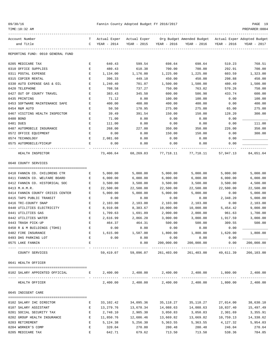|  | 09/30/1 |  |  |
|--|---------|--|--|
|--|---------|--|--|

| TIME:10:32 AM                                                  |                    |                      |                         |                             |                                                       |                      | PREPARER: 0004              |
|----------------------------------------------------------------|--------------------|----------------------|-------------------------|-----------------------------|-------------------------------------------------------|----------------------|-----------------------------|
| Account Number                                                 | т                  | Actual Exper         | Actual Exper            |                             | Org Budget Amended Budget Actual Exper Adopted Budget |                      |                             |
| and Title                                                      | C                  | YEAR - 2014          | YEAR - 2015             | YEAR - 2016                 | YEAR - 2016                                           | YEAR - 2016          | YEAR - 2017                 |
| REPORTING FUND: 0010 GENERAL FUND                              |                    |                      |                         |                             |                                                       |                      |                             |
| 0205 MEDICARE TAX                                              | E                  | 640.43               | 599.54                  | 698.64                      | 698.64                                                | 519.23               | 768.51                      |
| 0310 OFFICE SUPPLIES                                           | Е                  | 480.43               | 610.38                  | 700.00                      | 700.00                                                | 292.91               | 700.00                      |
| 0311 POSTAL EXPENSE                                            | $\mathbf{E}% _{0}$ | 1,134.00             | 1,176.00                | 1,225.00                    | 1,225.00                                              | 603.59               | 1,323.00                    |
| 0315 COPIER RENTAL                                             | Е                  | 396.33               | 449.10                  | 450.00                      | 450.00                                                | 298.88               | 450.00                      |
| 0330 AUTO EXPENSE GAS & OIL                                    | Е                  | 1,240.40             | 701.07                  | 1,500.00                    | 1,500.00                                              | 480.49               | 1,500.00                    |
| 0420 TELEPHONE                                                 | Е                  | 708.58               | 737.27                  | 750.00                      | 763.02                                                | 570.26               | 750.00                      |
| 0427 OUT OF COUNTY TRAVEL                                      | Ε                  | 383.43               | 345.50                  | 600.00                      | 586.98                                                | 433.74               | 600.00                      |
| 0435 PRINTING                                                  | E                  | 71.12                | 0.00                    | 100.00                      | 100.00                                                | 0.00                 | 100.00                      |
| 0453 SOFTWARE MAINTENANCE SAFE                                 | Е                  | 400.00               | 400.00                  | 400.00                      | 400.00                                                | 0.00                 | 400.00                      |
| 0454 R&M AUTO                                                  | Е                  | 50.50                | 170.95                  | 275.00                      | 275.00                                                | 65.00                | 275.00                      |
| 0467 VISITING HEALTH INSPECTOR                                 | Е                  | 39.49                | 391.54                  | 150.00                      | 150.00                                                | 128.20               | 300.00                      |
| 0480 BOND<br>0481 DUES                                         | E<br>Ε             | 71.00<br>111.00      | 0.00<br>0.00            | 0.00<br>0.00                | 0.00<br>0.00                                          | 0.00<br>0.00         | 111.00                      |
| 0487 AUTOMOBILE INSURANCE                                      | Е                  | 268.00               | 227.00                  | 350.00                      | 350.00                                                | 226.00               | 350.00                      |
| 0572 OFFICE EQUIPMENT                                          | Е                  | 0.00                 | 0.00                    | 150.00                      | 150.00                                                | 0.00                 | 300.00                      |
| 0574 TECHNOLOGY                                                | E                  | 2,081.60             | 0.00                    | 0.00                        | 0.00                                                  | 0.00                 |                             |
| 0575 AUTOMOBILE/PICKUP                                         | Е                  | 0.00                 | 0.00                    | 0.00                        | 0.00                                                  | 0.00                 |                             |
|                                                                |                    |                      |                         |                             |                                                       |                      |                             |
| HEALTH INSPECTOR                                               |                    | 73,406.64            | 68,269.83               | 77,718.11                   | 77,718.11                                             | 57,947.13            | 84,651.64                   |
| 0640 COUNTY SERVICES                                           |                    |                      |                         |                             |                                                       |                      |                             |
|                                                                |                    |                      |                         |                             |                                                       |                      |                             |
| 0410 FANNIN CO. CHILDRENS CTR<br>0411 FANNIN CO. WELFARE BOARD | Е<br>Е             | 5,000.00<br>6,000.00 | 5,000.00<br>6,000.00    | 5,000.00<br>6,000.00        | 5,000.00<br>6,000.00                                  | 5,000.00<br>6,000.00 | 5,000.00<br>6,000.00        |
| 0412 FANNIN CO. HISTORICAL SOC                                 | Ε                  | 3,500.00             | 3,500.00                | 3,500.00                    | 3,500.00                                              | 3,500.00             | 4,500.00                    |
| 0413 M.H.M.R.                                                  | E                  | 22,500.00            | 22,500.00               | 22,500.00                   | 22,500.00                                             | 22,500.00            | 22,500.00                   |
| 0414 FANNIN COUNTY CRISIS CENTER                               | E                  | 5,000.00             | 5,000.00                | 5,000.00                    | 5,000.00                                              | 0.00                 | 5,000.00                    |
| 0415 TAPS PUBLIC TRANSIT                                       | Е                  | 0.00                 | 0.00                    | 0.00                        | 0.00                                                  | 2,348.20             | 5,000.00                    |
| 0416 TRI-COUNTY SNAP                                           | Е                  | 2,103.00             | 2,103.00                | 2,103.00                    | 2,103.00                                              | 0.00                 | 2,103.00                    |
| 0440 UTILITIES ELECTRICITY                                     | Ε                  | 8,910.08             | 8,383.67                | 10,000.00                   | 10,000.00                                             | 5,454.42             | 9,000.00                    |
| 0441 UTILITIES GAS                                             | Е                  | 1,709.63             | 1,691.89                | 2,000.00                    | 2,000.00                                              | 961.63               | 1,700.00                    |
| 0442 UTILITIES WATER                                           | Е                  | 2,616.99             | 2,866.20                | 3,000.00                    | 3,000.00                                              | 1,917.59             | 3,000.00                    |
| 0443 TRASH PICK-UP                                             | Е                  | 464.37               | 464.31                  | 500.00                      | 500.00                                                | 309.55               | 500.00                      |
| 0450 R & M BUILDINGS (TDHS)                                    | E                  | 0.00                 | 0.00                    | 0.00                        | 0.00                                                  | 0.00                 |                             |
| 0482 FIRE INSURANCE                                            |                    | 1,615.00             | 1,587.00                | 1,800.00                    | 1,800.00                                              | 1,620.00             | 1,800.00                    |
| 0493 DHS PARKING LOT                                           | Е                  | 0.00                 | 0.00                    | 0.00                        | 0.00                                                  | 0.00                 |                             |
| 0575 LAKE FANNIN                                               | Е                  |                      | 0.00                    | 200,000.00<br>_____________ | 200,000.00<br>_____________                           | 0.00                 | 200,000.00<br>------------- |
| COUNTY SERVICES                                                |                    | 59,419.07            | 59,096.07               | 261,403.00                  |                                                       | 261,403.00 49,611.39 | 266,103.00                  |
| 0641 HEALTH OFFICER                                            |                    |                      |                         |                             |                                                       |                      |                             |
|                                                                |                    |                      |                         |                             |                                                       |                      | 2,400.00                    |
|                                                                |                    |                      |                         |                             |                                                       |                      |                             |
| HEALTH OFFICER                                                 |                    | 2,400.00             |                         |                             | 2,400.00 2,400.00 2,400.00 1,800.00                   |                      | 2,400.00                    |
| 0645 INDIGENT CARE                                             |                    |                      |                         |                             |                                                       |                      |                             |
| 0102 SALARY IHC DIRECTOR                                       | Е                  |                      | 33, 102. 42 34, 095. 36 |                             | 35, 118.27 35, 118.27                                 | 27,014.00            | 38,630.10                   |
| 0107 SALARY ASSISTANT                                          | Е                  |                      | 13, 279. 76 13, 678. 34 | 14,088.63                   | 14,088.63                                             | 10,837.40            | 15,497.49                   |
| 0201 SOCIAL SECURITY TAX                                       | $\mathbf{E}$       | 2,748.10             | 2,905.30                | 3,050.83                    | 3,050.83                                              | 2,301.69             | 3,355.91                    |
| 0202 GROUP HEALTH INSURANCE                                    | $\mathbf{E}$       | 11,850.76            | 12,686.46               | 13,669.82                   | 13,669.82                                             | 10,759.13            | 14,338.62                   |
| 0203 RETIREMENT                                                | $\mathbf{E}$       | 5,124.38             | 5,256.30                | 5,363.55                    | 5,363.55                                              | 4,127.32             | 5,954.03                    |
| 0204 WORKER'S COMP                                             | Е                  | 320.04               | 270.80                  | 280.48                      | 280.48                                                | 246.04               | 270.64                      |
| 0205 MEDICARE TAX                                              | E                  | 642.71               | 679.62                  | 713.50                      | 713.50                                                | 538.36               | 784.85                      |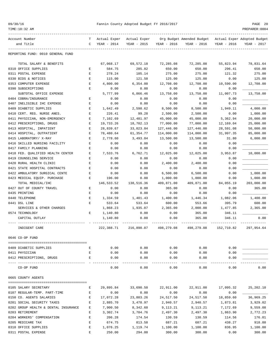| 09/30/16 |  |  |
|----------|--|--|
|----------|--|--|

| TIME:10:32 AM                        |                    |              |              |             |                           |             | PREPARER: 0004              |
|--------------------------------------|--------------------|--------------|--------------|-------------|---------------------------|-------------|-----------------------------|
| Account Number                       | т                  | Actual Exper | Actual Exper |             | Org Budget Amended Budget |             | Actual Exper Adopted Budget |
| and Title                            | C                  | YEAR - 2014  | YEAR - 2015  | YEAR - 2016 | YEAR - 2016               | YEAR - 2016 | YEAR - 2017                 |
| REPORTING FUND: 0010 GENERAL FUND    |                    |              |              |             |                           |             |                             |
| TOTAL SALARY & BENEFITS              |                    | 67,068.17    | 69,572.18    | 72,285.08   | 72,285.08                 | 55,823.94   | 78,831.64                   |
| 0310 OFFICE SUPPLIES                 | Е                  | 584.75       | 285.82       | 650.00      | 650.00                    | 296.41      | 650.00                      |
| 0311 POSTAL EXPENSE                  | Е                  | 278.24       | 105.14       | 275.00      | 275.00                    | 121.32      | 275.00                      |
| 0330 BIDS & NOTICES                  | $\mathbf E$        | 115.00       | 121.50       | 125.00      | 125.00                    | 0.00        | 125.00                      |
| 0353 COMPUTER EXPENSE                | $\mathbf E$        | 4,800.00     | 6,354.00     | 12,708.00   | 12,708.00                 | 10,590.00   | 12,708.00                   |
| 0390 SUBSCRIPTIONS                   | Ε                  | 0.00         | 0.00         | 0.00        | 0.00                      | 0.00        |                             |
| SUBTOTAL OFFICE EXPENSE              |                    | 5,777.99     | 6,866.46     | 13,758.00   | 13,758.00                 | 11,007.73   | 13,758.00                   |
| 0404 COBRA/INSURANCE                 | Ε                  | 0.00         | 0.00         | 0.00        | 0.00                      | 0.00        |                             |
| 0407 INELIGIBLE IHC EXPENSE          | Ε                  | 0.00         | 0.00         | 0.00        | 0.00                      | 0.00        |                             |
| 0409 DIABETIC SUPPLIES               | E                  | 1,642.49     | 2,598.62     | 8,500.00    | 8,500.00                  | 1,949.11    | 4,000.00                    |
| 0410 CERT. REG. NURSE ANES.          | E                  | 226.41       | 99.28        | 2,500.00    | 2,500.00                  | 0.00        | 1,000.00                    |
| 0411 PHYSICIAN, NON-EMERGENCY        | E                  | 7,102.69     | 12,481.97    | 45,000.00   | 45,000.00                 | 5,362.94    | 20,000.00                   |
| 0412 PRESCRIPTIONS, DRUGS            | Ε                  | 19,733.26    | 18,702.13    | 77,000.00   | 77,000.00                 | 12,169.04   | 25,000.00                   |
| 0413 HOSPITAL, INPATIENT             | $\mathbf E$        | 28,839.67    | 33,023.84    | 127,446.00  | 127,446.00                | 28,591.08   | 50,000.00                   |
| 0414 HOSPITAL, OUTPATIENT            | E                  | 78,480.64    | 61,354.77    | 114,000.00  | 114,000.00                | 31,997.35   | 85,000.00                   |
| 0415 LABORATORY/ X-RAY               | E                  | 2,778.60     | 3,493.04     | 13,500.00   | 13,500.00                 | 31.80       | 6,000.00                    |
| 0416 SKILLED NURSING FACILITY        | Ε                  | 0.00         | 0.00         | 0.00        | 0.00                      | 0.00        |                             |
| 0417 FAMILY PLANNING                 | Ε                  | 0.00         | 0.00         | 0.00        | 0.00                      | 0.00        |                             |
| 0418 FED. QUALIFIED HEALTH CENTER    | E                  | 7,533.76     | 6,762.71     | 12,025.00   | 12,025.00                 | 3,953.87    | 10,000.00                   |
| 0419 COUNSELING SERVICE              | Ε                  | 0.00         | 0.00         | 0.00        | 0.00                      | 0.00        |                             |
| 0420 RURAL HEALTH CLINIC             | Ε                  | 0.00         | 0.00         | 2,400.00    | 2,400.00                  | 0.00        |                             |
| 0421 STATE HOSPITAL CONTRACTS        | Ε                  | 0.00         | 0.00         | 0.00        | 0.00                      | 0.00        |                             |
| 0422 AMBULATORY SURGICAL CENTE       | Ε                  | 0.00         | 0.00         | 6,500.00    | 6,500.00                  | 0.00        | 1,000.00                    |
| 0423 MEDICAL EQUIP. PURCHASE         | Е                  | 196.00       | 0.00         | 1,000.00    | 1,000.00                  | 0.00        | 1,000.00                    |
| TOTAL MEDICAL/IHC                    |                    | 146,533.52   | 138,516.36   | 409,871.00  | 409,871.00                | 84,055.19   | 203,000.00                  |
| 0427 OUT OF COUNTY TRAVEL            | Е                  | 0.00         | 0.00         | 365.00      | 0.00                      | 0.00        | 365.00                      |
| 0435 PRINTING                        | E                  | 0.00         | 0.00         | 0.00        | 0.00                      | 0.00        |                             |
| 0440 TELEPHONE                       | Е                  | 1,334.59     | 1,401.43     | 1,400.00    | 1,446.34                  | 1,082.06    | 1,400.00                    |
| 0441 DSL LINE                        | E                  | 533.64       | 533.64       | 600.00      | 553.66                    | 395.79      | 600.00                      |
| SERVICES & OTHER CHARGES             |                    | 1,868.23     | 1,935.07     | 2,365.00    | 2,000.00                  | 1,477.85    | 2,365.00                    |
| 0574 TECHNOLOGY                      | Е                  | 1,140.80     | 0.00         | 0.00        | 365.00                    | 346.11      |                             |
| CAPITAL OUTLAY                       |                    | 1,140.80     | 0.00         | 0.00        | 365.00                    | 346.11      | 0.00                        |
| INDIGENT CARE                        |                    | 222,388.71   | 216,890.07   | 498,279.08  | 498,279.08                | 152,710.82  | 297,954.64                  |
| 0646 CO-OP FUND                      |                    |              |              |             |                           |             |                             |
| 0409 DIABETIC SUPPLIES               | Е                  | 0.00         | 0.00         | 0.00        | 0.00                      | 0.00        |                             |
| 0411 PHYSICIAN                       | Е                  | 0.00         | 0.00         | 0.00        | 0.00                      | 0.00        |                             |
| 0412 PRESCRIPTIONS, DRUGS            | $\mathbf{E}$       | 0.00         | 0.00         | 0.00        | 0.00                      | 0.00        |                             |
| CO-OP FUND                           |                    | 0.00         | 0.00         | 0.00        | 0.00                      | 0.00        | 0.00                        |
| 0665 COUNTY AGENTS                   |                    |              |              |             |                           |             |                             |
| 0105 SALARY SECRETARY                | Е                  | 29,895.84    | 33,690.50    | 22,911.00   | 22,911.00                 | 17,095.32   | 25,202.10                   |
| 0107 REGULAR-TEMP. PART-TIME         | $\mathbf{E}% _{0}$ | 0.00         | 0.00         | 0.00        | 0.00                      | 0.00        |                             |
| 0150 CO. AGENTS SALARIES             | Е                  | 17,072.28    | 23,803.26    | 24,517.50   | 24,517.50                 | 18,859.60   | 36,969.25                   |
| 0201 SOCIAL SECURITY TAXES           | Е                  | 2,885.70     | 3,478.97     | 2,940.57    | 2,940.57                  | 1,873.81    | 3,929.02                    |
| 0202 GROUP HEALTH & DENTAL INSURANCE | Е                  | 7,900.50     | 8,342.60     | 9,113.21    | 9,113.21                  | 7,172.69    | 9,559.08                    |
| 0203 RETIREMENT                      | Е                  | 3,302.74     | 3,704.76     | 2,497.30    | 2,497.30                  | 1,863.90    | 2,772.23                    |
| 0204 WORKERS' COMPENSATION           | Е                  | 206.28       | 174.54       | 130.59      | 130.59                    | 114.56      | 176.01                      |
| 0205 MEDICARE TAX                    | Е                  | 674.75       | 813.58       | 687.21      | 687.21                    | 438.27      | 918.88                      |
| 0310 OFFICE SUPPLIES                 | Е                  | 1,076.25     | 1,119.74     | 1,100.00    | 1,100.00                  | 836.95      | 1,100.00                    |
|                                      |                    |              |              |             |                           |             |                             |

0311 POSTAL EXPENSE E 250.00 294.00 300.00 300.00 0.00 300.00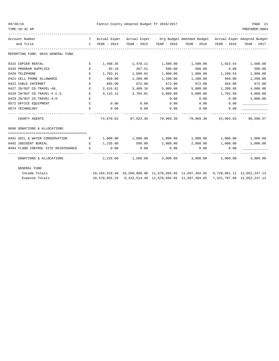| 09/30/16<br>TIME:10:32 AM                                                                                                                                                                                                                                    |                                 |             | Fannin County Adopted Budget FY 2016/2017 |                        |                                                                                                                                                                |          | PAGE 21<br>PREPARER: 0004 |
|--------------------------------------------------------------------------------------------------------------------------------------------------------------------------------------------------------------------------------------------------------------|---------------------------------|-------------|-------------------------------------------|------------------------|----------------------------------------------------------------------------------------------------------------------------------------------------------------|----------|---------------------------|
| Account Number<br>and Title                                                                                                                                                                                                                                  |                                 |             |                                           |                        | T Actual Exper Actual Exper Org Budget Amended Budget Actual Exper Adopted Budget<br>C YEAR - 2014 YEAR - 2015 YEAR - 2016 YEAR - 2016 YEAR - 2016 YEAR - 2017 |          |                           |
| REPORTING FUND: 0010 GENERAL FUND                                                                                                                                                                                                                            |                                 |             |                                           |                        |                                                                                                                                                                |          |                           |
| 0315 COPIER RENTAL                                                                                                                                                                                                                                           | E                               |             |                                           |                        | $1,498.35$ $1,478.11$ $1,500.00$ $1,500.00$                                                                                                                    |          | 1,022.54 1,500.00         |
| 0335 PROGRAM SUPPLIES                                                                                                                                                                                                                                        | E                               | 55.19       | 267.51                                    | 500.00                 | 500.00                                                                                                                                                         | 0.00     | 500.00                    |
| 0420 TELEPHONE                                                                                                                                                                                                                                               | Е                               | 1,793.41    | 1,690.62                                  | 1,900.00               | 1,900.00                                                                                                                                                       | 1,268.54 | 1,800.00                  |
| 0421 CELL PHONE ALLOWANCE                                                                                                                                                                                                                                    | Е                               | 850.00      | 1,200.00                                  | 1,200.00               | 1,200.00                                                                                                                                                       | 950.00   | 1,200.00                  |
| 0422 CABLE INTERNET                                                                                                                                                                                                                                          | E                               | 685.00      | 672.00                                    | 672.00                 | 672.00                                                                                                                                                         | 504.00   | 672.00                    |
| 0427 IN/OUT CO.TRAVEL-AG.                                                                                                                                                                                                                                    | E.                              | 2,416.61    | 3,489.16                                  | 5,000.00               | 5,000.00                                                                                                                                                       | 1,200.66 | 4,000.00                  |
| 0428 IN/OUT CO.TRAVEL-F.C.S.                                                                                                                                                                                                                                 | E                               | 4,115.12    | 3,704.01                                  | 5,000.00               | 5,000.00                                                                                                                                                       | 1,702.99 | 4,000.00                  |
| 0429 IN/OUT CO.TRAVEL-4-H                                                                                                                                                                                                                                    | Е                               |             |                                           | 0.00                   | 0.00                                                                                                                                                           | 0.00     | 4,000.00                  |
| 0572 OFFICE EQUIPMENT                                                                                                                                                                                                                                        | Е                               | 0.00        | 0.00                                      | 0.00                   | 0.00                                                                                                                                                           | 0.00     |                           |
| 0574 TECHNOLOGY                                                                                                                                                                                                                                              | E.                              | 0.00        | 0.00                                      | 0.00                   | 0.00                                                                                                                                                           | 0.00     |                           |
| COUNTY AGENTS                                                                                                                                                                                                                                                |                                 | ----------- |                                           | -----------            | -----------<br>74,678.02 87,923.36 79,969.38 79,969.38 54,903.83 98,598.57                                                                                     |          |                           |
| 0696 DONATIONS & ALLOCATIONS                                                                                                                                                                                                                                 |                                 |             |                                           |                        |                                                                                                                                                                |          |                           |
|                                                                                                                                                                                                                                                              |                                 |             |                                           |                        |                                                                                                                                                                |          |                           |
| 0491 SOIL & WATER CONSERVATION                                                                                                                                                                                                                               | and the state of the Electronic |             |                                           |                        | $1,000.00$ $1,000.00$ $1,000.00$ $1,000.00$ $1,000.00$ $1,000.00$ $1,000.00$                                                                                   |          |                           |
| 0492 INDIGENT BURIAL<br><b>Experimental Experimental Experimental Experimental Experimental Experimental Experimental Experimental Experimental Experimental Experimental Experimental Experimental Experimental Experimental Experimental Experimental </b> |                                 |             | 1,235.00 500.00                           |                        | 2,000.00 2,000.00 1,000.00                                                                                                                                     |          | 2,000.00                  |
| 0494 FLOOD CONTROL SITE MAINTENANCE<br>------------------------------ - -                                                                                                                                                                                    | E                               | 0.00        | 0.00<br>______________                    | 0.00<br>-------------- | 0.00<br>-------------                                                                                                                                          | 0.00     |                           |
| DONATIONS & ALLOCATIONS                                                                                                                                                                                                                                      |                                 |             |                                           |                        | $2,235.00$ $1,500.00$ $3,000.00$ $3,000.00$ $2,000.00$                                                                                                         |          | 3,000.00                  |
| GENERAL FUND                                                                                                                                                                                                                                                 |                                 |             |                                           |                        |                                                                                                                                                                |          |                           |
| Income Totals                                                                                                                                                                                                                                                |                                 |             |                                           |                        | 10, 184, 518, 40 10, 260, 980, 90 11, 670, 694, 65 11, 697, 394, 65 9, 729, 061, 11 12, 052, 247, 13                                                           |          |                           |
| Expense Totals                                                                                                                                                                                                                                               |                                 |             |                                           |                        | 10,579,855.29 9,432,514.40 11,670,694.65 11,697,394.65 7,531,787.00 12,052,247.13                                                                              |          |                           |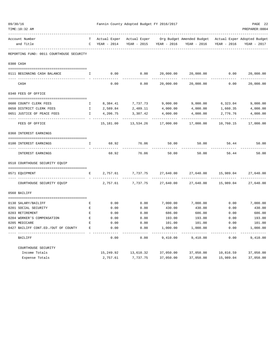| 09/30/16 | TIME:10:32 AM                            |                    | Fannin County Adopted Budget FY 2016/2017<br>PREPARER: 0004 |                            |             |                                                                    |             |                         |  |
|----------|------------------------------------------|--------------------|-------------------------------------------------------------|----------------------------|-------------|--------------------------------------------------------------------|-------------|-------------------------|--|
|          | Account Number                           |                    | T Actual Exper                                              |                            |             | Actual Exper Org Budget Amended Budget Actual Exper Adopted Budget |             |                         |  |
|          | and Title                                | $\mathbb{C}$       | YEAR - 2014                                                 | YEAR - 2015                | YEAR - 2016 | YEAR - 2016                                                        | YEAR - 2016 | YEAR - 2017             |  |
|          | REPORTING FUND: 0011 COURTHOUSE SECURITY |                    |                                                             |                            |             |                                                                    |             |                         |  |
|          | 0300 CASH                                |                    |                                                             |                            |             |                                                                    |             |                         |  |
|          | 0111 BEGINNING CASH BALANCE              | I.                 | 0.00                                                        | 0.00                       | 20,000.00   | 20,000.00                                                          | 0.00        | 20,000.00               |  |
|          | CASH                                     |                    | 0.00                                                        | 0.00                       | 20,000.00   | 20,000.00                                                          | 0.00        | ----------<br>20,000.00 |  |
|          | 0340 FEES OF OFFICE                      |                    |                                                             |                            |             |                                                                    |             |                         |  |
|          | 0600 COUNTY CLERK FEES                   | Ι.                 |                                                             | 8,384.41 7,737.73 9,000.00 |             | 9,000.00                                                           | 6,323.04    | 9,000.00                |  |
|          | 0650 DISTRICT CLERK FEES                 | $\mathbb{I}$       | 2,589.84                                                    | 2,489.11                   | 4,000.00    | 4,000.00                                                           | 1,660.35    | 4,000.00                |  |
|          | 0651 JUSTICE OF PEACE FEES               | Ι.                 | 4,206.75                                                    | 3,307.42                   | 4,000.00    | 4,000.00                                                           | 2,776.76    | 4,000.00                |  |
|          | FEES OF OFFICE                           |                    | 15,181.00                                                   | 13,534.26                  | 17,000.00   | 17,000.00                                                          | 10,760.15   | 17,000.00               |  |
|          | 0360 INTEREST EARNINGS                   |                    |                                                             |                            |             |                                                                    |             |                         |  |
|          | 0100 INTEREST EARNINGS                   | Ι.                 | 68.92                                                       | 76.06                      | 50.00       | 50.00                                                              | 56.44       | 50.00                   |  |
|          | INTEREST EARNINGS                        |                    | 68.92                                                       | 76.06                      | 50.00       | 50.00                                                              | 56.44       | 50.00                   |  |
|          | 0510 COURTHOUSE SECURITY EQUIP           |                    |                                                             |                            |             |                                                                    |             |                         |  |
|          | 0571 EQUIPMENT                           | Е                  | 2,757.61                                                    | 7,737.75                   | 27,640.00   | 27,640.00                                                          | 15,989.04   | 27,640.00               |  |
|          | COURTHOUSE SECURITY EQUIP                |                    | 2,757.61                                                    | 7,737.75                   | 27,640.00   | 27,640.00                                                          | 15,989.04   | 27,640.00               |  |
|          | 0560 BAILIFF                             |                    |                                                             |                            |             |                                                                    |             |                         |  |
|          | 0130 SALARY/BAILIFF                      | Е                  | 0.00                                                        | 0.00                       | 7,000.00    | 7,000.00                                                           | 0.00        | 7,000.00                |  |
|          | 0201 SOCIAL SECURITY                     | $\mathbf{E}% _{0}$ | 0.00                                                        | 0.00                       | 430.00      | 430.00                                                             | 0.00        | 430.00                  |  |
|          | 0203 RETIREMENT                          | E                  | 0.00                                                        | 0.00                       | 686.00      | 686.00                                                             | 0.00        | 686.00                  |  |
|          | 0204 WORKER'S COMPENSATION               | $\mathbf{E}% _{0}$ | 0.00                                                        | 0.00                       | 193.00      | 193.00                                                             | 0.00        | 193.00                  |  |
|          | 0205 MEDICARE                            | E                  | 0.00                                                        | 0.00                       | 101.00      | 101.00                                                             | 0.00        | 101.00                  |  |
|          | 0427 BAILIFF CONT.ED./OUT OF COUNTY      | E                  | 0.00                                                        | 0.00                       | 1,000.00    | 1,000.00                                                           | 0.00        | 1,000.00                |  |
|          | BAILIFF                                  |                    | 0.00                                                        | 0.00                       | 9,410.00    | 9,410.00                                                           | 0.00        | 9,410.00                |  |
|          | COURTHOUSE SECURITY                      |                    |                                                             |                            |             |                                                                    |             |                         |  |
|          | Income Totals                            |                    | 15,249.92                                                   | 13,610.32                  | 37,050.00   | 37,050.00                                                          | 10,816.59   | 37,050.00               |  |
|          | Expense Totals                           |                    | 2,757.61                                                    | 7,737.75                   | 37,050.00   | 37,050.00                                                          | 15,989.04   | 37,050.00               |  |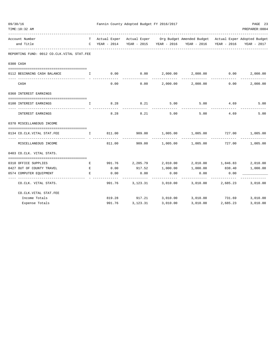| 09/30/16<br>TIME:10:32 AM                  |              |        | Fannin County Adopted Budget FY 2016/2017 | PAGE 23<br>PREPARER: 0004 |                                                                                                                                                                |          |              |
|--------------------------------------------|--------------|--------|-------------------------------------------|---------------------------|----------------------------------------------------------------------------------------------------------------------------------------------------------------|----------|--------------|
| Account Number<br>and Title                |              |        |                                           |                           | T Actual Exper Actual Exper Org Budget Amended Budget Actual Exper Adopted Budget<br>C YEAR - 2014 YEAR - 2015 YEAR - 2016 YEAR - 2016 YEAR - 2016 YEAR - 2017 |          |              |
| REPORTING FUND: 0012 CO.CLK.VITAL STAT.FEE |              |        |                                           |                           |                                                                                                                                                                |          |              |
| 0300 CASH                                  |              |        |                                           |                           |                                                                                                                                                                |          |              |
| 0112 BEGINNING CASH BALANCE                | $\mathbf{I}$ |        |                                           |                           | $0.00$ $0.00$ $2,000.00$ $2,000.00$ $0.00$                                                                                                                     |          | 2,000.00     |
| CASH                                       |              | 0.00   | 0.00                                      |                           | $2,000.00$ $2,000.00$ $0.00$                                                                                                                                   |          | 2,000.00     |
| 0360 INTEREST EARNINGS                     |              |        |                                           |                           |                                                                                                                                                                |          |              |
| 0100 INTEREST EARNINGS                     | $\mathbf{I}$ |        | 8.28 8.21                                 | 5.00                      | 5.00                                                                                                                                                           |          | 4.69<br>5.00 |
| INTEREST EARNINGS                          |              | 8.28   | 8.21                                      | 5.00                      | 5.00                                                                                                                                                           | 4.69     | 5.00         |
| 0370 MISCELLANEOUS INCOME                  |              |        |                                           |                           |                                                                                                                                                                |          |              |
| 0134 CO. CLK. VITAL STAT. FEE              | $\mathbb{I}$ |        |                                           |                           | $811.00$ $909.00$ $1,005.00$ $1,005.00$ $727.00$ $1,005.00$                                                                                                    |          |              |
| MISCELLANEOUS INCOME                       |              |        |                                           |                           | 811.00  909.00  1,005.00  1,005.00  727.00  1,005.00                                                                                                           |          |              |
| 0403 CO.CLK. VITAL STATS.                  |              |        |                                           |                           |                                                                                                                                                                |          |              |
| 0310 OFFICE SUPPLIES                       | E            |        |                                           |                           | $991.76$ $2,205.79$ $2,010.00$ $2,010.00$ $1,846.83$ $2,010.00$                                                                                                |          |              |
| 0427 OUT OF COUNTY TRAVEL                  | E            | 0.00   | 917.52                                    | 1,000.00                  | 1,000.00                                                                                                                                                       | 838.40   | 1,000.00     |
| 0574 COMPUTER EQUIPMENT                    | E.           | 0.00   | 0.00<br>---------                         | 0.00                      | 0.00<br>---------                                                                                                                                              | 0.00     |              |
| CO.CLK. VITAL STATS.                       |              | 991.76 |                                           |                           | 3,123.31 3,010.00 3,010.00 2,685.23 3,010.00                                                                                                                   |          |              |
| CO. CLK. VITAL STAT. FEE                   |              |        |                                           |                           |                                                                                                                                                                |          |              |
| Income Totals                              |              |        |                                           |                           | 819.28 917.21 3,010.00 3,010.00 731.69 3,010.00                                                                                                                |          |              |
| Expense Totals                             |              | 991.76 | 3,123.31                                  | 3,010.00                  | 3,010.00                                                                                                                                                       | 2,685.23 | 3,010.00     |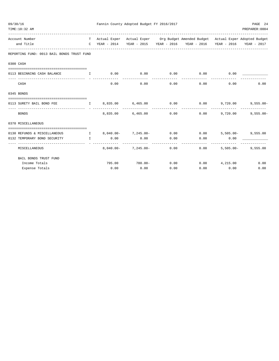| 09/30/16 | TIME: 10:32 AM                                                       |                                     |             | Fannin County Adopted Budget FY 2016/2017 |      |                                                                                                                                        |              | PAGE 24<br>PREPARER: 0004 |
|----------|----------------------------------------------------------------------|-------------------------------------|-------------|-------------------------------------------|------|----------------------------------------------------------------------------------------------------------------------------------------|--------------|---------------------------|
|          | Account Number<br>and Title                                          |                                     |             |                                           |      | T Actual Exper Actual Exper Org Budget Amended Budget Actual Exper Adopted Budget<br>C YEAR - 2014 YEAR - 2015 YEAR - 2016 YEAR - 2016 | YEAR - 2016  | YEAR - 2017               |
|          | REPORTING FUND: 0013 BAIL BONDS TRUST FUND                           |                                     |             |                                           |      |                                                                                                                                        |              |                           |
|          | 0300 CASH                                                            |                                     |             |                                           |      |                                                                                                                                        |              |                           |
|          | =====================================<br>0113 BEGINNING CASH BALANCE | <b>The Community of The Table 1</b> | $0.00$ 0.00 |                                           |      | $0.00$ 0.00                                                                                                                            | 0.00         |                           |
|          | CASH                                                                 |                                     | 0.00        | 0.00                                      | .    | 0.00<br>0.00                                                                                                                           | 0.00         | 0.00                      |
|          | 0345 BONDS                                                           |                                     |             |                                           |      |                                                                                                                                        |              |                           |
|          |                                                                      |                                     |             |                                           |      |                                                                                                                                        |              |                           |
|          | 0113 SURETY BAIL BOND FEE                                            |                                     |             |                                           |      | $I$ 8,835.00 6,465.00 0.00 0.00 9,720.00                                                                                               |              | $9,555.00 -$              |
|          | <b>BONDS</b>                                                         |                                     |             | 8,835,00 6,465,00                         | 0.00 | 0.00                                                                                                                                   | 9,720,00     | $9.555.00 -$              |
|          | 0370 MISCELLANEOUS                                                   |                                     |             |                                           |      |                                                                                                                                        |              |                           |
|          | 0130 REFUNDS & MISCELLANEOUS                                         |                                     |             |                                           |      | 1 8,040.00- 7,245.00- 0.00 0.00 5,505.00- 9,555.00                                                                                     |              |                           |
|          | 0132 TEMPORARY BOND SECURITY<br>---------------                      | $\mathbf{I}$ and $\mathbf{I}$       | 0.00        | 0.00                                      | 0.00 | 0.00                                                                                                                                   | 0.00         |                           |
|          | MISCELLANEOUS                                                        |                                     |             | $8,040.00 - 7,245.00 - 0.00$              |      | 0.00                                                                                                                                   | $5,505.00 -$ | 9,555.00                  |
|          | BAIL BONDS TRUST FUND                                                |                                     |             |                                           |      |                                                                                                                                        |              |                           |
|          | Income Totals                                                        |                                     |             |                                           |      | $795.00$ $780.00 -$ 0.00 0.00 $4,215.00$                                                                                               |              | 0.00                      |
|          | Expense Totals                                                       |                                     | 0.00        | 0.00                                      | 0.00 | 0.00                                                                                                                                   | 0.00         | 0.00                      |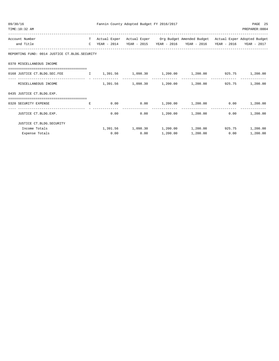| 09/30/16<br>TIME:10:32 AM                                                          |    |      | Fannin County Adopted Budget FY 2016/2017 |          |                                                                                                                                                                |      | PAGE 25<br>PREPARER: 0004 |
|------------------------------------------------------------------------------------|----|------|-------------------------------------------|----------|----------------------------------------------------------------------------------------------------------------------------------------------------------------|------|---------------------------|
| Account Number<br>and Title                                                        |    |      |                                           |          | T Actual Exper Actual Exper Org Budget Amended Budget Actual Exper Adopted Budget<br>C YEAR - 2014 YEAR - 2015 YEAR - 2016 YEAR - 2016 YEAR - 2016 YEAR - 2017 |      |                           |
| REPORTING FUND: 0014 JUSTICE CT.BLDG.SECURITY                                      |    |      |                                           |          |                                                                                                                                                                |      |                           |
| 0370 MISCELLANEOUS INCOME                                                          |    |      |                                           |          |                                                                                                                                                                |      |                           |
| 0168 JUSTICE CT.BLDG.SEC.FEE $1,391.56$ 1,098.30 1,200.00 1,200.00 925.75 1,200.00 |    |      |                                           |          |                                                                                                                                                                |      |                           |
| MISCELLANEOUS INCOME                                                               |    |      |                                           |          | $1,391.56$ $1,098.30$ $1,200.00$ $1,200.00$ $925.75$                                                                                                           |      | 1,200.00                  |
| 0435 JUSTICE CT.BLDG.EXP.                                                          |    |      |                                           |          |                                                                                                                                                                |      |                           |
| 0320 SECURITY EXPENSE                                                              | E. |      |                                           |          | $0.00$ $0.00$ $1.200.00$ $1.200.00$                                                                                                                            |      | $0.00$ 1,200.00           |
| JUSTICE CT.BLDG.EXP.                                                               |    | 0.00 |                                           |          | $0.00$ $1,200.00$ $1,200.00$                                                                                                                                   | 0.00 | 1,200.00                  |
| JUSTICE CT.BLDG.SECURITY                                                           |    |      |                                           |          |                                                                                                                                                                |      |                           |
| Income Totals                                                                      |    |      |                                           |          | $1,391.56$ $1,098.30$ $1,200.00$ $1,200.00$ $925.75$ $1,200.00$                                                                                                |      |                           |
| Expense Totals                                                                     |    | 0.00 | 0.00                                      | 1,200.00 | 1,200.00                                                                                                                                                       | 0.00 | 1,200.00                  |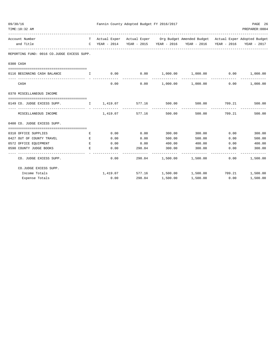| 09/30/16<br>TIME:10:32 AM                  |                                                                                                                                                                                                                                      |      | Fannin County Adopted Budget FY 2016/2017 |        |                                                                                                                                                    | -------------------------------------- | PAGE 26<br>PREPARER: 0004 |
|--------------------------------------------|--------------------------------------------------------------------------------------------------------------------------------------------------------------------------------------------------------------------------------------|------|-------------------------------------------|--------|----------------------------------------------------------------------------------------------------------------------------------------------------|----------------------------------------|---------------------------|
| Account Number<br>and Title                |                                                                                                                                                                                                                                      |      |                                           |        | T Actual Exper Actual Exper Org Budget Amended Budget Actual Exper Adopted Budget<br>C YEAR - 2014 YEAR - 2015 YEAR - 2016 YEAR - 2016 YEAR - 2016 |                                        | YEAR - 2017               |
| REPORTING FUND: 0016 CO.JUDGE EXCESS SUPP. |                                                                                                                                                                                                                                      |      |                                           |        |                                                                                                                                                    |                                        |                           |
| 0300 CASH                                  |                                                                                                                                                                                                                                      |      |                                           |        |                                                                                                                                                    |                                        |                           |
|                                            |                                                                                                                                                                                                                                      |      |                                           |        |                                                                                                                                                    |                                        |                           |
| 0116 BEGINNING CASH BALANCE                | I.                                                                                                                                                                                                                                   |      | _____________                             |        | $0.00$ $0.00$ $1,000.00$ $1,000.00$ $0.00$ $0.00$ $1,000.00$                                                                                       | ______________                         |                           |
| CASH                                       |                                                                                                                                                                                                                                      | 0.00 |                                           |        | $0.00$ $1,000.00$ $1,000.00$ $0.00$ $1,000.00$                                                                                                     |                                        |                           |
| 0370 MISCELLANEOUS INCOME                  |                                                                                                                                                                                                                                      |      |                                           |        |                                                                                                                                                    |                                        |                           |
| 0149 CO. JUDGE EXCESS SUPP.                |                                                                                                                                                                                                                                      |      |                                           |        | $\qquad \qquad 1\qquad 1,419.07 \qquad \qquad 577.16 \qquad \qquad 500.00 \qquad \qquad 500.00 \qquad \qquad 709.21 \qquad \qquad 500.00$          |                                        |                           |
|                                            |                                                                                                                                                                                                                                      |      |                                           |        | ------------                                                                                                                                       | .                                      |                           |
| MISCELLANEOUS INCOME                       |                                                                                                                                                                                                                                      |      |                                           |        | $1,419.07$ $577.16$ $500.00$ $500.00$ $709.21$                                                                                                     |                                        | 500.00                    |
| 0400 CO. JUDGE EXCESS SUPP.                |                                                                                                                                                                                                                                      |      |                                           |        |                                                                                                                                                    |                                        |                           |
| 0310 OFFICE SUPPLIES                       | Е                                                                                                                                                                                                                                    | 0.00 | 0.00                                      | 300.00 |                                                                                                                                                    | 300.00 0.00                            | 300.00                    |
| 0427 OUT OF COUNTY TRAVEL                  | E.                                                                                                                                                                                                                                   | 0.00 | 0.00                                      | 500.00 | 500.00                                                                                                                                             | 0.00                                   | 500.00                    |
| 0572 OFFICE EQUIPMENT                      | <b>Experimental Experimental Experimental Experimental Experimental Experimental Experimental Experimental Experimental Experimental Experimental Experimental Experimental Experimental Experimental Experimental Experimental </b> | 0.00 | 0.00                                      | 400.00 | 400.00                                                                                                                                             |                                        | $0.00$ 400.00             |
| 0590 COUNTY JUDGE BOOKS                    | $\mathbf{E}$                                                                                                                                                                                                                         | 0.00 | 298.84 300.00                             |        | 300.00                                                                                                                                             | 0.00                                   | 300.00                    |
| CO. JUDGE EXCESS SUPP.                     |                                                                                                                                                                                                                                      |      | 0.00                                      |        | 298.84 1,500.00 1,500.00                                                                                                                           |                                        | $0.00$ 1,500.00           |
| CO.JUDGE EXCESS SUPP.                      |                                                                                                                                                                                                                                      |      |                                           |        |                                                                                                                                                    |                                        |                           |
| Income Totals                              |                                                                                                                                                                                                                                      |      |                                           |        | $1,419.07$ $577.16$ $1,500.00$ $1,500.00$ $709.21$ $1,500.00$                                                                                      |                                        |                           |
| Expense Totals                             |                                                                                                                                                                                                                                      | 0.00 | 298.84 1,500.00                           |        | 1,500.00                                                                                                                                           | 0.00                                   | 1,500.00                  |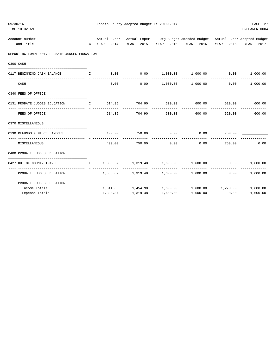| 09/30/16 | TIME:10:32 AM                                                                                          |                 | Fannin County Adopted Budget FY 2016/2017 |                        |                                                                                   |        | PAGE 27<br>PREPARER:0004 |
|----------|--------------------------------------------------------------------------------------------------------|-----------------|-------------------------------------------|------------------------|-----------------------------------------------------------------------------------|--------|--------------------------|
|          | Account Number                                                                                         |                 |                                           |                        | T Actual Exper Actual Exper Org Budget Amended Budget Actual Exper Adopted Budget |        |                          |
|          | and Title                                                                                              | $C$ YEAR - 2014 |                                           |                        | YEAR - 2015 YEAR - 2016 YEAR - 2016 YEAR - 2016 YEAR - 2017                       |        |                          |
|          | REPORTING FUND: 0017 PROBATE JUDGES EDUCATION                                                          |                 |                                           |                        |                                                                                   |        |                          |
|          | 0300 CASH                                                                                              |                 |                                           |                        |                                                                                   |        |                          |
|          | 0117 BEGINNING CASH BALANCE I                                                                          |                 |                                           |                        | $0.00$ $0.00$ $1,000.00$ $1,000.00$ $0.00$ $1,000.00$                             |        |                          |
|          | CASH                                                                                                   | 0.00            | 0.00                                      |                        | $1,000.00$ $1,000.00$ 0.00 $1,000.00$                                             |        |                          |
|          | 0340 FEES OF OFFICE                                                                                    |                 |                                           |                        |                                                                                   |        |                          |
|          | 0131 PROBATE JUDGES EDUCATION                                                                          |                 | I 614.35 704.90 600.00                    |                        | 600.00                                                                            |        | 520.00 600.00            |
|          | FEES OF OFFICE                                                                                         |                 |                                           | -------------          | ------------<br>614.35 704.90 600.00 600.00                                       | 520.00 | 600.00                   |
|          | 0370 MISCELLANEOUS                                                                                     |                 |                                           |                        |                                                                                   |        |                          |
|          | -------------------------------------<br>0130 REFUNDS & MISCELLANEOUS $I$ 400.00 750.00 0.00 0.00 0.00 |                 |                                           |                        |                                                                                   | 750.00 |                          |
|          | MISCELLANEOUS                                                                                          | 400.00          | --------------<br>750.00                  | --------------<br>0.00 | -------------<br>0.00                                                             |        | 750.00 0.00              |
|          | 0400 PROBATE JUDGES EDUCATION                                                                          |                 |                                           |                        |                                                                                   |        |                          |
|          | 0427 OUT OF COUNTY TRAVEL                                                                              |                 |                                           |                        | $E$ 1,338.87 1,319.48 1,600.00 1,600.00 0.00 1,600.00                             |        |                          |
|          | PROBATE JUDGES EDUCATION                                                                               |                 |                                           |                        | $1,338.87$ $1,319.48$ $1,600.00$ $1,600.00$ $0.00$ $1,600.00$                     |        | -------------            |
|          | PROBATE JUDGES EDUCATION                                                                               |                 |                                           |                        |                                                                                   |        |                          |
|          | Income Totals                                                                                          |                 |                                           |                        | $1,014.35$ $1,454.90$ $1,600.00$ $1,600.00$ $1,270.00$ $1,600.00$                 |        |                          |
|          | Expense Totals                                                                                         | 1,338.87        | 1,319.48                                  | 1,600.00               | 1,600.00                                                                          | 0.00   | 1,600.00                 |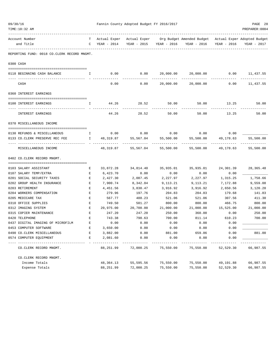| 09/30/16<br>TIME:10:32 AM |                                             | Fannin County Adopted Budget FY 2016/2017      |                             | PAGE 28<br>PREPARER: 0004 |                         |                                                                      |             |             |
|---------------------------|---------------------------------------------|------------------------------------------------|-----------------------------|---------------------------|-------------------------|----------------------------------------------------------------------|-------------|-------------|
|                           |                                             |                                                |                             |                           |                         |                                                                      |             |             |
|                           | Account Number<br>and Title                 | T –<br>$\mathbb{C}$                            | Actual Exper<br>YEAR - 2014 | Actual Exper              | YEAR - 2015 YEAR - 2016 | Org Budget Amended Budget Actual Exper Adopted Budget<br>YEAR - 2016 | YEAR - 2016 | YEAR - 2017 |
|                           | REPORTING FUND: 0018 CO.CLERK RECORD MNGMT. |                                                |                             |                           |                         |                                                                      |             |             |
|                           |                                             |                                                |                             |                           |                         |                                                                      |             |             |
|                           | 0300 CASH                                   |                                                |                             |                           |                         |                                                                      |             |             |
|                           | 0118 BEGINNING CASH BALANCE                 | $\mathbf{I}$                                   | 0.00                        | 0.00                      |                         | 20,000.00 20,000.00 0.00 11,437.55                                   |             |             |
|                           | CASH                                        |                                                | 0.00                        | 0.00                      | 20,000.00               | 20,000.00                                                            | 0.00        | 11,437.55   |
|                           | 0360 INTEREST EARNINGS                      |                                                |                             |                           |                         |                                                                      |             |             |
|                           |                                             |                                                |                             |                           |                         |                                                                      |             |             |
|                           | 0100 INTEREST EARNINGS                      | Ι.                                             | 44.26                       | 28.52                     | 50.00                   | 50.00                                                                | 13.25       | 50.00       |
|                           | INTEREST EARNINGS                           |                                                | 44.26                       | 28.52                     | 50.00                   | 50.00                                                                | 13.25       | 50.00       |
|                           | 0370 MISCELLANEOUS INCOME                   |                                                |                             |                           |                         |                                                                      |             |             |
|                           | 0130 REFUNDS & MISCELLANEOUS                | $\mathbb{I}$                                   |                             | $0.00$ 0.00               | 0.00                    | 0.00                                                                 | 0.00        |             |
|                           | 0133 CO.CLERK PRESERVE REC FEE              | $\mathbf{I}$ and $\mathbf{I}$ and $\mathbf{I}$ |                             | 48,319.87 55,567.04       | 55,500.00               | 55,500.00                                                            | 49,178.63   | 55,500.00   |
|                           | MISCELLANEOUS INCOME                        |                                                |                             | 48,319.87 55,567.04       | 55,500.00               | 55,500.00                                                            | 49,178.63   | 55,500.00   |
|                           | 0402 CO. CLERK RECORD MNGMT.                |                                                |                             |                           |                         |                                                                      |             |             |
|                           |                                             |                                                |                             |                           |                         |                                                                      |             |             |
|                           | 0103 SALARY ASSISTANT                       | Е                                              | 33,872.28                   | 34,814.40                 | 35,935.01               | 35,935.01                                                            | 24,301.39   | 28, 365.48  |
|                           | 0107 SALARY TEMP/EXTRA                      | Е                                              | 6,423.70                    | 0.00                      | 0.00                    | 0.00                                                                 | 0.00        |             |
|                           | 0201 SOCIAL SECURITY TAXES                  | Е                                              | 2,427.30                    | 2,087.45                  | 2,227.97                | 2,227.97                                                             | 1,315.25    | 1,758.66    |
|                           | 0202 GROUP HEALTH INSURANCE                 | Е                                              | 7,900.74                    | 8,342.84                  | 9,113.21                | 9,113.21                                                             | 7,172.88    | 9,559.08    |
|                           | 0203 RETIREMENT                             | Е                                              | 4,451.56                    | 3,830.47                  | 3,916.92                | 3,916.92                                                             | 2,650.56    | 3,120.20    |
|                           | 0204 WORKERS COMPENSATION                   | Е                                              | 279.96                      | 197.76                    | 204.83                  | 204.83                                                               | 179.68      | 141.83      |
|                           | 0205 MEDICARE TAX                           | Е                                              | 567.77                      | 488.23                    | 521.06                  | 521.06                                                               | 307.56      | 411.30      |
|                           | 0310 OFFICE SUPPLIES                        | Е                                              | 749.50                      | 501.27                    | 800.00                  | 800.00                                                               | 466.75      | 800.00      |
|                           | 0312 IMAGING SYSTEM                         | Е                                              | 20,975.00                   | 20,700.00                 | 21,000.00               | 21,000.00                                                            | 15,525.00   | 21,000.00   |
|                           | 0315 COPIER MAINTENANCE                     | Е                                              | 247.20                      | 247.20                    | 250.00                  | 360.00                                                               | 0.00        | 250.00      |
|                           | 0420 TELEPHONE                              | E                                              | 743.38                      | 790.63                    | 700.00                  | 811.14                                                               | 610.23      | 700.00      |
|                           | 0437 DIGITAL IMAGING OF MICROFILM           | E                                              | 0.00                        | 0.00                      | 0.00                    | 0.00                                                                 | 0.00        |             |
|                           | 0453 COMPUTER SOFTWARE                      | Е                                              | 3,650.00                    | 0.00                      | 0.00                    | 0.00                                                                 | 0.00        |             |
|                           | 0490 CO. CLERK MISCELLANEOUS                | Ε                                              | 3,882.00                    | 0.00                      | 881.00                  | 659.86                                                               | 0.00        | 881.00      |
|                           | 0574 COMPUTER EQUIPMENT                     | Е                                              | 2,081.60                    | 0.00                      | 0.00                    | 0.00                                                                 | 0.00        |             |
|                           | CO. CLERK RECORD MNGMT.                     |                                                | 88,251.99                   | 72,000.25                 | 75,550.00               | 75,550.00                                                            | 52,529.30   | 66,987.55   |
|                           | CO. CLERK RECORD MNGMT.                     |                                                |                             |                           |                         |                                                                      |             |             |
|                           | Income Totals                               |                                                | 48, 364. 13                 | 55,595.56                 | 75,550.00               | 75,550.00                                                            | 49,191.88   | 66,987.55   |
|                           | Expense Totals                              |                                                | 88,251.99                   | 72,000.25                 | 75,550.00               | 75,550.00                                                            | 52,529.30   | 66,987.55   |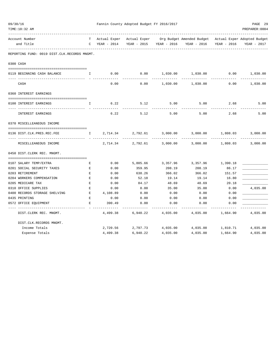| 09/30/16<br>TIME:10:32 AM                         |                    |             | Fannin County Adopted Budget FY 2016/2017 |                   |                                                                                                                  |             | PAGE 29<br>PREPARER: 0004 |
|---------------------------------------------------|--------------------|-------------|-------------------------------------------|-------------------|------------------------------------------------------------------------------------------------------------------|-------------|---------------------------|
| Account Number                                    | T                  |             |                                           |                   | _____________________________<br>Actual Exper Actual Exper Org Budget Amended Budget Actual Exper Adopted Budget |             |                           |
| and Title                                         | C                  | YEAR - 2014 | YEAR - 2015                               | YEAR - 2016       | YEAR - 2016                                                                                                      | YEAR - 2016 | YEAR - 2017               |
| .<br>REPORTING FUND: 0019 DIST.CLK.RECORDS MNGMT. |                    |             |                                           |                   |                                                                                                                  |             |                           |
| 0300 CASH                                         |                    |             |                                           |                   |                                                                                                                  |             |                           |
| 0119 BEGINNING CASH BALANCE                       | Ι.                 | 0.00        | 0.00                                      | 1,030.00          | 1,030.00                                                                                                         | 0.00        | 1,030.00                  |
| CASH                                              |                    | 0.00        | 0.00                                      | 1,030.00          | 1,030.00                                                                                                         | 0.00        | 1,030.00                  |
| 0360 INTEREST EARNINGS                            |                    |             |                                           |                   |                                                                                                                  |             |                           |
| 0100 INTEREST EARNINGS                            | I.                 | 6.22        | 5.12                                      | 5.00              | 5.00                                                                                                             | 2.68        | 5.00                      |
| INTEREST EARNINGS                                 |                    | 6.22        | 5.12                                      | 5.00              | 5.00                                                                                                             | 2.68        | 5.00                      |
| 0370 MISCELLEANEOUS INCOME                        |                    |             |                                           |                   |                                                                                                                  |             |                           |
| 0136 DIST.CLK.PRES.REC.FEE                        | I.                 | 2,714.34    | 2,792.61                                  | 3,000.00          | 3,000.00                                                                                                         | 1,808.03    | 3,000.00                  |
| .<br>MISCELLEANEOUS INCOME                        |                    | 2,714.34    | 2,792.61                                  | 3,000.00          | 3,000.00                                                                                                         | 1,808.03    | 3,000.00                  |
| 0450 DIST. CLERK REC. MNGMT.                      |                    |             |                                           |                   |                                                                                                                  |             |                           |
| 0107 SALARY TEMP/EXTRA                            | Е                  | 0.00        | 5,805.66                                  | 3,357.96          | 3,357.96                                                                                                         | 1,390.18    |                           |
| 0201 SOCIAL SECURITY TAXES                        | $\mathbf{E}% _{0}$ | 0.00        | 359.95                                    | 208.19            | 208.19                                                                                                           | 86.17       |                           |
| 0203 RETIREMENT                                   | E                  | 0.00        | 638.26                                    | 366.02            | 366.02                                                                                                           | 151.57      |                           |
| 0204 WORKERS COMPENSATION                         | $\,$ E             | 0.00        | 52.18                                     | 19.14             | 19.14                                                                                                            | 16.80       |                           |
| 0205 MEDICARE TAX                                 | $\mathbf E$        | 0.00        | 84.17                                     | 48.69             | 48.69                                                                                                            | 20.18       |                           |
| 0310 OFFICE SUPPLIES                              | $\mathbf E$        | 0.00        | 0.00                                      | 35.00             | 35.00                                                                                                            | 0.00        | 4,035.00                  |
| 0400 RECORDS STORAGE SHELVING                     | E                  | 4,108.89    | 0.00                                      | 0.00              | 0.00                                                                                                             | 0.00        |                           |
| 0435 PRINTING                                     | $\mathbf E$        | 0.00        | 0.00                                      | 0.00              | 0.00                                                                                                             | 0.00        |                           |
| 0572 OFFICE EQUIPMENT                             | $\mathbf{E}$       | 390.49      | 0.00                                      | 0.00              | 0.00                                                                                                             | 0.00        |                           |
| DIST. CLERK REC. MNGMT.                           |                    | 4,499.38    | 6,940.22                                  | 4,035.00          | 4,035.00                                                                                                         | 1,664.90    | 4,035.00                  |
| DIST.CLK.RECORDS MNGMT.                           |                    |             |                                           |                   |                                                                                                                  |             |                           |
| Income Totals                                     |                    | 2,720.56    |                                           | 2,797.73 4,035.00 | 4,035.00                                                                                                         | 1,810.71    | 4,035.00                  |
| Expense Totals                                    |                    | 4,499.38    | 6,940.22                                  | 4,035.00          | 4,035.00                                                                                                         | 1,664.90    | 4,035.00                  |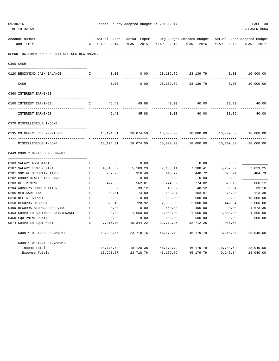| 09/30/16<br>TIME:10:32 AM                      |              |              | Fannin County Adopted Budget FY 2016/2017 |             |                                                       |             | PAGE 30<br>PREPARER: 0004 |
|------------------------------------------------|--------------|--------------|-------------------------------------------|-------------|-------------------------------------------------------|-------------|---------------------------|
| Account Number                                 | T            | Actual Exper | Actual Exper                              |             | Org Budget Amended Budget Actual Exper Adopted Budget |             |                           |
| and Title                                      | C            | YEAR - 2014  | YEAR - 2015                               | YEAR - 2016 | YEAR - 2016                                           | YEAR - 2016 | YEAR - 2017               |
| REPORTING FUND: 0020 COUNTY OFFICES REC.MNGMT. |              |              |                                           |             |                                                       |             |                           |
| 0300 CASH                                      |              |              |                                           |             |                                                       |             |                           |
| 0120 BEGINNING CASH BALANCE                    | Ι.           | 0.00         | 0.00                                      | 28,139.79   | 28,139.79                                             | 0.00        | 10,000.00                 |
| CASH                                           |              | 0.00         | 0.00                                      | 28, 139.79  | 28, 139. 79                                           | 0.00        | 10,000.00                 |
| 0360 INTEREST EARNINGS                         |              |              |                                           |             |                                                       |             |                           |
| 0100 INTEREST EARNINGS                         | I.           | 46.43        | 45.88                                     | 40.00       | 40.00                                                 | 33.89       | 40.00                     |
| INTEREST EARNINGS                              |              | 46.43        | 45.88                                     | 40.00       | 40.00                                                 | 33.89       | 40.00                     |
| 0370 MISCELLENEOUS INCOME                      |              |              |                                           |             |                                                       |             |                           |
| 0135 CO.OFFICE REC.MNGMT.FEE                   | $\mathbf{I}$ | 18,124.31    | 18,074.50                                 | 18,000.00   | 18,000.00                                             | 10,709.80   | 18,000.00                 |
| -- ----------------<br>MISCELLENEOUS INCOME    |              | 18,124.31    | 18,074.50                                 | 18,000.00   | 18,000.00                                             | 10,709.80   | 18,000.00                 |
| 0449 COUNTY OFFICES REC.MNGMT.                 |              |              |                                           |             |                                                       |             |                           |
| 0103 SALARY ASSISTANT                          | Е            | 0.00         | 0.00                                      | 0.00        | 0.00                                                  | 0.00        |                           |
| 0107 SALARY TEMP./EXTRA                        | E            | 4,316.59     | 5,103.29                                  | 7,108.41    | 7,108.41                                              | 5,257.09    | 7,819.25                  |
| 0201 SOCIAL SECURITY TAXES                     | $\mathbf E$  | 267.73       | 316.40                                    | 440.72      | 440.72                                                | 325.94      | 484.79                    |
| 0202 GROUP HEALTH INSURANCE                    | Ε            | 0.00         | 0.00                                      | 0.00        | 0.00                                                  | 0.00        |                           |
| 0203 RETIREMENT                                | E            | 477.00       | 562.81                                    | 774.82      | 774.82                                                | 573.18      | 860.12                    |
| 0204 WORKERS COMPENSATION                      | Ε            | 30.82        | 39.12                                     | 40.52       | 40.52                                                 | 35.54       | 39.10                     |
| 0205 MEDICARE TAX                              | Е            | 62.61        | 74.00                                     | 103.07      | 103.07                                                | 76.25       | 113.38                    |
| 0310 OFFICE SUPPLIES                           | $\mathbf{E}$ | 0.00         | 0.00                                      | 500.00      | 500.00                                                | 0.00        | 10,000.00                 |
| 0350 RECORDS DISPOSAL                          | Ε            | 823.12       | 728.92                                    | 2,000.00    | 2,000.00                                              | 442.34      | 2,000.00                  |
| 0400 RECORDS STORAGE SHELVING                  | E            | 0.00         | 0.00                                      | 450.00      | 450.00                                                | 0.00        | 4,673.36                  |
| 0453 COMPUTER SOFTWARE MAINTENANCE             | E            | 0.00         | 1,550.00                                  | 1,550.00    | 1,550.00                                              | 1,550.00    | 1,550.00                  |
| 0460 EQUIPMENT RENTAL                          | Ε            | 0.00         | 0.00                                      | 500.00      | 500.00                                                | 0.00        | 500.00                    |
| 0574 COMPUTER EQUIPMENT                        | Е            | 7,315.70     | 15,344.22                                 | 32,712.25   | 32,712.25                                             | 985.50      |                           |
| COUNTY OFFICES REC.MNGMT.                      |              | 13,293.57    | 23,718.76                                 | 46,179.79   | 46,179.79                                             | 9,245.84    | 28,040.00                 |
| COUNTY OFFICES REC.MNGMT.                      |              |              |                                           |             |                                                       |             |                           |
| Income Totals                                  |              | 18,170.74    | 18,120.38                                 | 46,179.79   | 46,179.79                                             | 10,743.69   | 28,040.00                 |
| Expense Totals                                 |              | 13,293.57    | 23,718.76                                 | 46,179.79   | 46, 179. 79                                           | 9,245.84    | 28,040.00                 |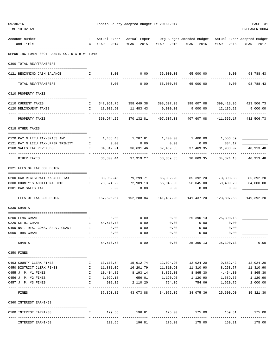| 09/30/16<br>TIME:10:32 AM                     |              |                      | Fannin County Adopted Budget FY 2016/2017 |                         |                                                                                 |                           | PAGE 31<br>PREPARER: 0004                      |
|-----------------------------------------------|--------------|----------------------|-------------------------------------------|-------------------------|---------------------------------------------------------------------------------|---------------------------|------------------------------------------------|
| Account Number<br>and Title                   | T –          | C YEAR - 2014        |                                           | YEAR - 2015 YEAR - 2016 | Actual Exper Actual Exper Org Budget Amended Budget Actual Exper Adopted Budget | YEAR - 2016 YEAR - 2016   | YEAR - 2017                                    |
| REPORTING FUND: 0021 FANNIN CO. R & B #1 FUND |              |                      |                                           |                         |                                                                                 |                           |                                                |
| 0300 TOTAL REV/TRANSFERS                      |              |                      |                                           |                         |                                                                                 |                           |                                                |
| 0121 BEGINNING CASH BALANCE                   | $\mathbb{I}$ |                      |                                           |                         | $0.00$ $0.00$ $65,000.00$ $65,000.00$ $0.00$ $98,788.43$                        |                           |                                                |
| TOTAL REV/TRANSFERS                           |              | 0.00                 |                                           | $0.00$ 65,000.00        | 65,000.00                                                                       | 0.00                      | 98,788.43                                      |
| 0310 PROPERTY TAXES                           |              |                      |                                           |                         |                                                                                 |                           |                                                |
| 0110 CURRENT TAXES                            |              |                      |                                           |                         | I 347,961.75 358,649.38 398,607.08 398,607.08 399,418.95 423,506.73             |                           |                                                |
| 0120 DELINQUENT TAXES                         |              | I 13,012.50          | 11,483.43                                 | 9,000.00                | 9,000.00                                                                        | 12,136.22                 | 9,000.00                                       |
| PROPERTY TAXES                                |              | 360,974.25           | ------------- --                          | 370, 132.81 407, 607.08 | 407,607.08                                                                      | 411,555.17                | 432,506.73                                     |
| 0318 OTHER TAXES                              |              |                      |                                           |                         |                                                                                 |                           |                                                |
| 0120 PAY N LIEU TAX/GRASSLAND                 | $\mathbb{I}$ |                      |                                           |                         | $1,488.43$ $1,287.81$ $1,400.00$ $1,400.00$ $1,556.89$                          |                           |                                                |
| 0121 PAY N LIEU TAX/UPPER TRINITY I           |              | 0.00                 | 0.00                                      | 0.00                    |                                                                                 | $0.00$ 884.17             |                                                |
| 0160 SALES TAX REVENUES                       | I.           | 34,812.01            | 36,631.46                                 | 37,469.35               |                                                                                 | 37,469.35 31,933.07       | 40,913.48                                      |
| OTHER TAXES                                   |              |                      | 36,300.44 37,919.27                       | 38,869.35               | -----------                                                                     | ------------              | -------------<br>38,869.35 34,374.13 40,913.48 |
| 0321 FEES OF TAX COLLECTOR                    |              |                      |                                           |                         |                                                                                 |                           |                                                |
| 0200 CAR REGISTRATION/SALES TAX               | $\mathbf{I}$ |                      |                                           |                         | 83,952.45 79,299.71 85,392.20 85,392.20 73,398.33 85,392.20                     |                           |                                                |
| 0300 COUNTY'S ADDITIONAL \$10                 | $\mathbf{I}$ | 73,574.22            |                                           |                         | 72,989.13 56,045.00 56,045.00                                                   | 50,409.20                 | 64,000.00                                      |
| 0301 CAR SALES TAX                            |              | 0.00                 | 0.00                                      | 0.00                    | 0.00                                                                            | 0.00                      |                                                |
| FEES OF TAX COLLECTOR                         |              | 157,526.67           | 152,288.84 141,437.20                     |                         | 141,437.20                                                                      | 123,807.53                | 149,392.20                                     |
| 0330 GRANTS                                   |              |                      |                                           |                         |                                                                                 |                           |                                                |
| 0200 FEMA GRANT                               | $\mathbb{I}$ | 0.00                 | 0.00                                      | 0.00                    | 25,390.13                                                                       | 25,390.13                 |                                                |
| 0220 CETRZ GRANT                              | $\mathbb{I}$ | 54,570.78            | 0.00                                      | 0.00                    | 0.00                                                                            | 0.00                      |                                                |
| 0400 NAT. RES. CONS. SERV. GRANT              | I            | 0.00                 | 0.00                                      | 0.00                    | 0.00                                                                            | 0.00                      |                                                |
| 0600 TDRA GRANT                               | I.           | 0.00                 | 0.00                                      | 0.00                    | 0.00                                                                            | 0.00                      |                                                |
| GRANTS                                        |              | 54,570.78            | -------------<br>0.00                     | ----------<br>0.00      | ---------<br>25,390.13                                                          | 25,390.13                 | 0.00                                           |
| 0350 FINES                                    |              |                      |                                           |                         |                                                                                 |                           |                                                |
| 0403 COUNTY CLERK FINES                       | Ι.           | 13,173.54            |                                           |                         | 12,024.20                                                                       | 9,682.42                  | 12,024.20                                      |
| 0450 DISTRICT CLERK FINES                     | Ι.           | 11,881.09            | 16,201.79                                 | 11,310.90               | 11,310.90                                                                       | 8,253.77                  | 11,310.90                                      |
| 0455 J. P. #1 FINES                           | $\mathbf I$  | 10,404.82            | 8,193.14                                  | 8,865.30                | 8,865.30                                                                        | 4,454.30                  | 8,865.30                                       |
| 0456 J. P. #2 FINES                           | $\mathbf{I}$ | 1,029.18             | 656.01                                    | 1,120.90                | 1,120.90                                                                        | 1,589.66                  | 1,120.90                                       |
| 0457 J. P. #3 FINES                           | I.           | 902.19<br>---------- | 2,110.20<br>-------------                 | 754.06                  | 754.06<br>-------------                                                         | 1,620.75<br>------------- | 2,000.00                                       |
| FINES                                         |              | 37,390.82            | 43,073.88                                 | 34,075.36               | 34,075.36                                                                       | 25,600.90                 | 35, 321.30                                     |
| 0360 INTEREST EARNINGS                        |              |                      |                                           |                         |                                                                                 |                           |                                                |
| 0100 INTEREST EARNINGS                        | I.           |                      | 129.56 196.81 175.00<br>-------------     | -------------           | 175.00<br>. <u>.</u>                                                            |                           | 159.31 175.00<br>-------------                 |
| INTEREST EARNINGS                             |              | 129.56               | 196.81                                    | 175.00                  | 175.00                                                                          | 159.31                    | 175.00                                         |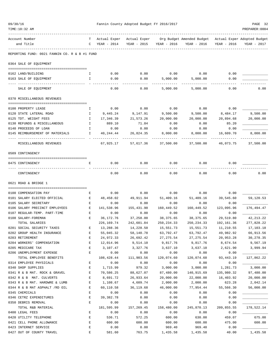| 09/30/16                                      |                                               |                     |                             | Fannin County Adopted Budget FY 2016/2017 |                       |                                                                        |                        | PAGE 32        |
|-----------------------------------------------|-----------------------------------------------|---------------------|-----------------------------|-------------------------------------------|-----------------------|------------------------------------------------------------------------|------------------------|----------------|
| TIME:10:32 AM                                 |                                               |                     |                             |                                           |                       |                                                                        |                        | PREPARER: 0004 |
| Account Number<br>and Title                   |                                               | T –<br>$\mathbb{C}$ | Actual Exper<br>YEAR - 2014 | Actual Exper<br>YEAR - 2015               | YEAR - 2016           | Org Budget Amended Budget - Actual Exper Adopted Budget<br>YEAR - 2016 | YEAR - 2016            | YEAR - 2017    |
|                                               | REPORTING FUND: 0021 FANNIN CO. R & B #1 FUND |                     |                             |                                           |                       |                                                                        |                        |                |
| 0364 SALE OF EQUIPMENT                        |                                               |                     |                             |                                           |                       |                                                                        |                        |                |
|                                               |                                               |                     |                             |                                           |                       |                                                                        |                        |                |
| 0162 LAND/BUILDING                            |                                               | Ι.                  | 0.00                        | 0.00                                      | 0.00                  | 0.00                                                                   | 0.00                   |                |
| 0163 SALE OF EQUIPMENT                        |                                               | I.                  | 0.00                        | 0.00                                      | 5,000.00              | 5,000.00                                                               | 0.00                   |                |
| SALE OF EQUIPMENT                             |                                               |                     | 0.00                        | 0.00                                      | 5,000.00              | 5,000.00                                                               | 0.00                   | 0.00           |
| 0370 MISCELLANEOUS REVENUES                   |                                               |                     |                             |                                           |                       |                                                                        |                        |                |
| 0100 PROPERTY LEASE                           |                                               | Ι.                  | 0.00                        | 0.00                                      | 0.00                  | 0.00                                                                   | 0.00                   |                |
| 0120 STATE LATERAL ROAD                       |                                               | Ι.                  | 9,445.24                    | 9,147.91                                  | 9,500.00              | 9,500.00                                                               | 8,484.17               | 9,500.00       |
| 0125 TDT. WEIGHT FEES                         |                                               | $\mathbf{I}$        | 17,346.39                   | 21,573.26                                 | 20,000.00             | 20,000.00                                                              | 20,894.68              | 20,000.00      |
| 0130 REFUNDS & MISCELLANEOUS                  |                                               | $\mathbb{I}$        | 889.10                      | 71.84                                     | 0.00                  | 0.00                                                                   | 85.20                  |                |
| 0140 PROCEEDS OF LOAN                         |                                               | Ι.                  | 0.00                        | 0.00                                      | 0.00                  | 0.00                                                                   | 0.00                   |                |
|                                               | 0145 REIMBURSEMENT OF MATERIALS               | I.                  | 40,244.44                   | 26,824.35                                 | 8,000.00              | 8,000.00                                                               | 16,609.70<br>-------   | 8,000.00       |
|                                               | MISCELLANEOUS REVENUES                        |                     | 67,925.17                   | 57,617.36                                 | 37,500.00             | 37,500.00                                                              | 46,073.75              | 37,500.00      |
| 0509 CONTINGENCY                              |                                               |                     |                             |                                           |                       |                                                                        |                        |                |
| 0475 CONTINGENCY                              |                                               | Е                   | 0.00                        | 0.00                                      | 0.00                  | 0.00                                                                   | 0.00                   |                |
| CONTINGENCY                                   |                                               |                     | 0.00                        | 0.00                                      | 0.00                  | 0.00                                                                   | 0.00                   | 0.00           |
| 0621 ROAD & BRIDGE 1                          |                                               |                     |                             |                                           |                       |                                                                        |                        |                |
| 0100 COMPENSATION PAY                         |                                               |                     |                             |                                           |                       |                                                                        |                        |                |
| 0101 SALARY ELECTED OFFICIAL                  |                                               | Е<br>E              | 0.00<br>48,458.02           | 0.00<br>49,911.94                         | 0.00<br>51,409.16     | 0.00<br>51,409.16                                                      | 0.00<br>39,545.60      | 59,120.53      |
| 0105 SALARY SECRETARY                         |                                               | Е                   | 0.00                        | 0.00                                      | 0.00                  | 0.00                                                                   | 0.00                   |                |
|                                               | 0106 SALARY PRECINCT EMPLOYEES                | <b>Experience B</b> | 141,538.96                  | 155,431.90                                | 160,449.52            | 160,449.52                                                             | 123,095.96             | 176,494.47     |
| 0107 REGULAR-TEMP. PART-TIME                  |                                               | E                   | 0.00                        | 0.00                                      | 0.00                  | 0.00                                                                   | 0.00                   |                |
| 0108 SALARY-FOREMAN                           |                                               | Е                   | 36,172.76                   | 37,258.00                                 | 38,375.65             | 38,375.65                                                              | 29,519.80              | 42, 213. 22    |
| TOTAL SALARIES                                |                                               |                     | 226,169.74                  | 242,601.84                                | 250,234.33            | 250, 234.33                                                            | 192,161.36             | 277,828.22     |
| 0201 SOCIAL SECURITY TAXES                    |                                               | Ε                   | 13,288.36                   | 14,228.50                                 | 15,551.73             | 15,551.73                                                              | 11,210.55              | 17,103.18      |
| 0202 GROUP HEALTH INSURANCE                   |                                               | E                   | 55,045.32                   | 58,140.78                                 | 63,792.47             | 63,792.47                                                              | 49,982.92              | 66,913.56      |
| 0203 RETIREMENT                               |                                               | E                   | 24,972.33                   | 26,692.42                                 | 27, 275.54            | 27, 275.54                                                             | 20,953.28              | 30,278.35      |
| 0204 WORKERS' COMPENSATION                    |                                               | E                   | 12,014.96                   | 9,514.10                                  | 9,817.76              | 9,817.76                                                               | 8,674.54               | 9,567.19       |
| 0205 MEDICARE TAX                             |                                               | E                   | 3,107.47                    | 3,327.76                                  | 3,637.10              | 3,637.10                                                               | 2,621.90               | 3,999.94       |
| 0206 UNEMPLOYMENT EXPENSE                     |                                               | E                   | 0.00                        | 0.00                                      | 0.00                  | 0.00                                                                   | 0.00                   |                |
|                                               | TOTAL EMPLOYEE BENEFITS                       |                     | 108,428.44                  | 111,903.56                                | 120,074.60            | 120,074.60                                                             | 93, 443. 19            | 127,862.22     |
| 0314 EMPLOYEE PHYSICALS<br>0340 SHOP SUPPLIES |                                               | Ε                   | 0.00                        | 0.00                                      | 0.00                  | 0.00                                                                   | 0.00                   | 3,000.00       |
|                                               | 0341 R & B MAT. ROCK & GRAVEL                 | Ε<br>$\mathbf E$    | 1,715.99<br>70,586.25       | 979.32<br>88,627.07                       | 3,000.00<br>87,480.00 | 3,000.00<br>140,915.69                                                 | 1,281.73<br>135,980.32 | 97,480.00      |
| 0342 R & B MAT. CULVERTS                      |                                               | E                   | 8,691.72                    | 26,933.64                                 | 20,000.00             | 22,000.00                                                              | 16,403.92              | 20,000.00      |
|                                               | 0343 R & B MAT. HARDWRE & LUMB                | E                   | 1,108.67                    | 4,609.74                                  | 2,000.00              | 2,000.00                                                               | 623.28                 | 2,042.14       |
|                                               | 0344 R & B MAT ASPHALT /RD OIL                | E                   | 60,110.58                   | 36,119.68                                 | 46,000.00             | 77,954.44                                                              | 55,566.30              | 56,000.00      |
| 0345 CHEMICALS                                |                                               | E                   | 0.00                        | 0.00                                      | 0.00                  | 0.00                                                                   | 0.00                   |                |
| 0346 CETRZ EXPENDITURES                       |                                               | E                   | 39, 382. 78                 | 0.00                                      | 0.00                  | 0.00                                                                   | 0.00                   |                |
| 0350 DEBRIS REMOVAL                           |                                               | E                   | 0.00                        | 0.00                                      | 0.00                  | 0.00                                                                   | 0.00                   |                |
| TOTAL R&B MATERIAL                            |                                               |                     | 181,595.99                  | 157,269.45                                | 158,480.00            | 245,870.13                                                             | 209,855.55             | 178,522.14     |
| 0400 LEGAL FEES                               |                                               | E                   | 0.00                        | 0.00                                      | 0.00                  | 0.00                                                                   | 0.00                   |                |
| 0420 UTILITY TELEPHONE                        |                                               | E                   | 536.71                      | 572.25                                    | 600.00                | 630.00                                                                 | 459.07                 | 675.00         |
| 0421 CELL PHONE ALLOWANCE                     |                                               | E                   | 600.00                      | 600.00                                    | 600.00                | 600.00                                                                 | 475.00                 | 600.00         |
| 0423 INTERNET SERVICE                         |                                               | E                   | 0.00                        | 0.00                                      | 969.40                | 969.40                                                                 | 0.00                   |                |
| 0427 OUT OF COUNTY TRAVEL                     |                                               | $\mathbf E$         | 581.60                      | 763.75                                    | 1,435.58              | 1,435.58                                                               | 40.00                  | 1,435.58       |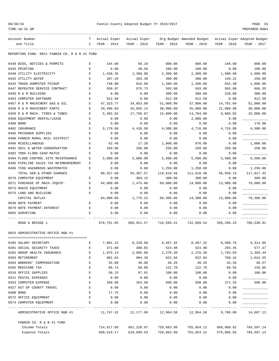| 09/30/16 |
|----------|
|----------|

## Fannin County Adopted Budget FY 2016/2017 PAGE 33

| Account Number                                | T – |              |                               |             | Actual Exper Actual Exper Org Budget Amended Budget Actual Exper Adopted Budget |                       |             |
|-----------------------------------------------|-----|--------------|-------------------------------|-------------|---------------------------------------------------------------------------------|-----------------------|-------------|
| and Title                                     | C   | YEAR - 2014  | YEAR - 2015                   | YEAR - 2016 | YEAR - 2016                                                                     | YEAR - 2016           | YEAR - 2017 |
| REPORTING FUND: 0021 FANNIN CO. R & B #1 FUND |     |              |                               |             |                                                                                 |                       |             |
| 0430 BIDS, NOTICES & PERMITS                  | Е   | 194.60       | 66.19                         | 800.00      | 800.00                                                                          | 146.60                | 800.00      |
| 0435 PRINTING                                 | Е   | 0.00         | 48.50                         | 100.00      | 100.00                                                                          | 0.00                  | 100.00      |
| 0440 UTILITY ELECTRICITY                      | Е   | 1,438.35     | 1,368.89                      | 2,300.00    | 2,300.00                                                                        | 1,090.80              | 1,600.00    |
| 0442 UTILITY WATER                            | Е   | 207.26       | 203.39                        | 300.00      | 300.00                                                                          | 149.22                | 250.00      |
| 0443 TRASH DUMPSTER PICKUP                    | Е   | 748.00       | 816.00                        | 1,200.00    | 1,200.00                                                                        | 632.40                | 1,000.00    |
| 0447 REPEATER SERVICE CONTRACT                | Ε   | 558.97       | 575.73                        | 593.00      | 593.00                                                                          | 593.00                | 666.35      |
| 0450 R & M BUILDING                           | Ε   | 0.00         | 0.00                          | 300.00      | 300.00                                                                          | 220.00                | 300.00      |
| 0453 COMPUTER SOFTWARE                        | Е   | 912.50       | 0.00                          | 912.50      | 912.50                                                                          | 0.00                  | 912.50      |
| 0457 R & M MACHINERY GAS & OIL                | Е   | 47,323.77    | 34,853.08                     | 51,000.00   | 37,000.00                                                                       | 14,791.04             | 51,000.00   |
| 0458 R & M MACHINERY PARTS                    | Е   | 29,480.04    | 26,055.14                     | 30,000.00   | 35,000.00                                                                       | 21,009.98             | 30,000.00   |
| 0459 R & M MACH. TIRES & TUBES                | Е   | 5,483.82     | 17,766.87                     | 15,000.00   | 14,784.00                                                                       | 6,866.02              | 15,000.00   |
| 0460 EQUIPMENT RENTAL/LEASE                   | Ε   | 0.00         | 0.00                          | 0.00        | 2,000.00                                                                        | 0.00                  |             |
| 0480 BOND                                     | Е   | 0.00         | 0.00                          | 0.00        | 0.00                                                                            | 0.00                  | 178.00      |
| 0482 INSURANCE                                | Е   | 5,179.60     | 4,410.50                      | 4,500.00    | 4,716.00                                                                        | 4,716.00              | 4,500.00    |
| 0485 PRISONER SUPPLIES                        | Е   | 0.00         | 0.00                          | 0.00        | 0.00                                                                            | 0.00                  |             |
| 0488 FANNIN RURAL RAIL DISTRICT               | Е   | 0.00         | 0.00                          | 0.00        | 0.00                                                                            | 0.00                  |             |
| 0490 MISCELLANEOUS                            | Е   | 62.46        | 17.28                         | 1,000.00    | 970.00                                                                          | 0.00                  | 1,000.00    |
| 0491 SOIL & WATER CONSERVATION                | Е   | 250.00       | 250.00                        | 250.00      | 250.00                                                                          | 250.00                | 250.00      |
| 0492 TDRA FLOOD CASH MATCH                    | Е   | 0.00         | 0.00                          | 0.00        | 0.00                                                                            | 0.00                  |             |
| 0494 FLOOD CONTROL SITE MAINTENANCE           | Е   | 5,000.00     | 5,000.00                      | 5,500.00    | 5,500.00                                                                        | 5,500.00              | 5,500.00    |
| 0495 PIPELINE SALES TAX REIMBURSEMENT         | Е   | 0.00         | 0.00                          | 0.00        | 0.00                                                                            | 0.00                  |             |
| 0496 TCOG HAZARDOUS WASTEMATCH                | Е   | 0.00         | 0.00                          | 1,250.00    | 1,250.00                                                                        | 0.00                  | 1,250.00    |
| TOTAL SER. & OTHER CHARGES                    |     | 98,557.68    | 93,367.57                     | 118,610.48  | 111,610.48                                                                      | 56,939.13             | 117,017.43  |
| 0570 COMPUTER EQUIPMENT                       | Е   | 0.00         | 304.15                        | 300.00      | 300.00                                                                          | 0.00                  | 300.00      |
| 0571 PURCHASE OF MACH./EQUIP.                 | E   | 64,000.00    | 1,475.00                      | 69,000.00   | 14,000.00                                                                       | 13,900.00             | 79,000.00   |
| 0573 RADIO EQUIPMENT                          | Е   | 0.00         | 0.00                          | 0.00        | 0.00                                                                            | 0.00                  |             |
| 0575 LAND AND BUILDING                        | Е   | 0.00         | 0.00                          | 0.00        | 0.00                                                                            | 0.00                  |             |
| CAPITAL OUTLAY                                |     | 64,000.00    | 1,779.15                      | 69,300.00   | 14,300.00                                                                       | 13,900.00             | 79,300.00   |
| 0630 NOTE PAYMENT                             | Е   | 0.00         | 0.00                          | 0.00        | 0.00                                                                            | 0.00                  |             |
| 0670 NOTE PAYMENT-INTEREST                    | Е   | 0.00         | 0.00                          | 0.00        | 0.00                                                                            | 0.00                  |             |
| 0695 SURVEYING                                | E   | 0.00         | 0.00                          | 0.00        | 0.00                                                                            | 0.00                  |             |
| ROAD & BRIDGE 1                               |     | 678,751.85   | 606,921.57                    | 716,699.41  | 742,089.54                                                                      | 566,299.23            | 780,530.01  |
| 0625 ADMINISTRATIVE OFFICE R&B #1             |     |              |                               |             |                                                                                 |                       |             |
|                                               |     |              |                               |             |                                                                                 |                       |             |
| 0105 SALARY SECRETARY                         | Е   | 7,981.22     | 8,220.68                      | 8,467.32    | 8,467.32                                                                        | 6,508.76              | 9,314.05    |
| 0201 SOCIAL SECURITY TAXES                    | Е   | 371.60       | 380.02                        | 524.98      | 524.98                                                                          | 293.45                | 577.47      |
| 0202 GROUP HEALTH INSURANCE                   | Е   | 1,975.14     | 2,085.80                      | 2,278.30    | 2,278.30                                                                        | 1,793.03              | 2,369.44    |
| 0203 RETIREMENT                               | Е   | 881.64       | 904.39                        | 922.94      | 922.94                                                                          | 709.42                | 1,024.55    |
| 0204 WORKERS' COMPENSATION                    | Е   | 55.08        | 46.60                         | 48.26       | 48.26                                                                           | 42.34                 | 46.57       |
| 0205 MEDICARE TAX                             | Е   | 86.74        | 89.06                         | 122.78      | 122.78                                                                          | 68.55                 | 135.05      |
| 0310 OFFICE SUPPLIES                          | Е   | 58.15        | 97.91                         | 100.00      | 100.00                                                                          | 0.00                  | 100.00      |
| 0311 POSTAL EXPENSES                          | E   | 0.00         | 0.00                          | 0.00        | 0.00                                                                            | 0.00                  |             |
| 0353 COMPUTER EXPENSE                         | Ε   | 340.00       | 353.50                        | 500.00      | 500.00                                                                          | 371.25                | 500.00      |
| 0427 OUT OF COUNTY TRAVEL                     | Е   | 0.00         | 0.00                          | 0.00        | 0.00                                                                            | 0.00                  |             |
| 0480 BOND                                     | Е   | 17.75        | 0.00                          | 0.00        | 0.00                                                                            | 0.00                  |             |
| 0572 OFFICE EQUIPMENT                         | Е   | 0.00         | 0.00                          | 0.00        | 0.00                                                                            | 0.00                  |             |
| 0574 COMPUTER EQUIPMENT                       | Е   | 0.00         | 0.00                          | 0.00        | 0.00                                                                            | 0.00                  |             |
| ADMINISTRATIVE OFFICE R&B #1                  |     | ------------ | 11,767.32 12,177.96 12,964.58 |             | 12,964.58                                                                       | 9,786.80              | 14,067.13   |
| FANNIN CO. R & B #1 FUND                      |     |              |                               |             |                                                                                 |                       |             |
| Income Totals                                 |     | 714,817.69   | 661,228.97                    | 729,663.99  | 755,054.12                                                                      | 666,960.92            | 794,597.14  |
| Expense Totals                                |     |              | 690,519.17 619,099.53         | 729,663.99  |                                                                                 | 755,054.12 576,086.03 | 794,597.14  |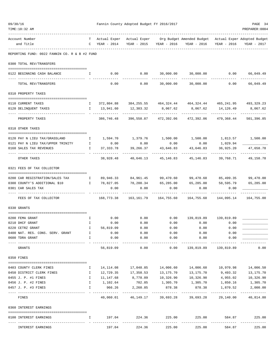| 09/30/16 |                                                                                                                                                    |              |                         |                                    | Fannin County Adopted Budget FY 2016/2017<br>PAGE 34 |                                                                                   |                              |                           |  |  |
|----------|----------------------------------------------------------------------------------------------------------------------------------------------------|--------------|-------------------------|------------------------------------|------------------------------------------------------|-----------------------------------------------------------------------------------|------------------------------|---------------------------|--|--|
|          | TIME:10:32 AM                                                                                                                                      |              |                         |                                    |                                                      |                                                                                   |                              | PREPARER: 0004            |  |  |
|          | Account Number                                                                                                                                     |              |                         |                                    |                                                      | T Actual Exper Actual Exper Org Budget Amended Budget Actual Exper Adopted Budget |                              |                           |  |  |
|          | and Title                                                                                                                                          |              | $C$ YEAR - 2014         |                                    | YEAR - 2015 YEAR - 2016                              | YEAR - 2016                                                                       | YEAR - 2016                  | YEAR - 2017               |  |  |
|          | REPORTING FUND: 0022 FANNIN CO. R & B #2 FUND                                                                                                      |              |                         |                                    |                                                      |                                                                                   |                              |                           |  |  |
|          | 0300 TOTAL REV/TRANSFERS                                                                                                                           |              |                         |                                    |                                                      |                                                                                   |                              |                           |  |  |
|          | 0122 BEGINNING CASH BALANCE                                                                                                                        | $\mathbb{I}$ |                         | $0.00$ 0.00                        |                                                      | $30,000.00$ $30,000.00$ $0.00$ $66,049.49$                                        |                              | ----------                |  |  |
|          | TOTAL REV/TRANSFERS                                                                                                                                |              | 0.00                    |                                    | $0.00$ 30,000.00                                     | 30,000.00                                                                         | 0.00                         | 66,049.49                 |  |  |
|          | 0310 PROPERTY TAXES                                                                                                                                |              |                         |                                    |                                                      |                                                                                   |                              |                           |  |  |
|          | 0110 CURRENT TAXES                                                                                                                                 |              |                         |                                    |                                                      | 1 372,804.88 384,255.55 464,324.44 464,324.44 465,241.95 493,329.23               |                              |                           |  |  |
|          | 0120 DELINQUENT TAXES                                                                                                                              | $\mathbf{I}$ | 13,941.60               | 12,303.32                          | 8,067.62                                             | 8,067.62                                                                          | 14,126.49                    | 8,067.62                  |  |  |
|          | PROPERTY TAXES                                                                                                                                     |              | 386,746.48              | 396,558.87                         | 472,392.06                                           | 472,392.06                                                                        | 479,368.44                   | 501,396.85                |  |  |
|          | 0318 OTHER TAXES                                                                                                                                   |              |                         |                                    |                                                      |                                                                                   |                              |                           |  |  |
|          | 0120 PAY N LIEU TAX/GRASSLAND                                                                                                                      | $\mathbf{I}$ |                         |                                    |                                                      |                                                                                   | 1,500.00  1,813.57  1,500.00 |                           |  |  |
|          | 0121 PAY N LIEU TAX/UPPER TRINITY                                                                                                                  | $\mathbf{I}$ | 0.00                    | 0.00                               | 0.00                                                 | 0.00                                                                              | 1,029.94                     |                           |  |  |
|          | 0160 SALES TAX REVENUES                                                                                                                            | $\mathbf{I}$ | 37,333.78               | 39,266.37                          | 43,646.83                                            | 43,646.83                                                                         | 36,925.20                    | 47,658.78                 |  |  |
|          | OTHER TAXES                                                                                                                                        |              | 38,928.48               | 40,646.13                          |                                                      | 45, 146.83 45, 146.83                                                             | 39,768.71                    | 49,158.78                 |  |  |
|          | 0321 FEES OF TAX COLLECTOR                                                                                                                         |              |                         |                                    |                                                      |                                                                                   |                              |                           |  |  |
|          | 0200 CAR REGISTRATION/SALES TAX<br>and the state of the state of the state of the state of the state of the state of the state of the state of the |              |                         |                                    |                                                      | 89,946.33   84,961.45   99,470.60   99,470.60   85,499.35   99,470.00             |                              |                           |  |  |
|          | 0300 COUNTY'S ADDITIONAL \$10<br>$\mathbb{I}$                                                                                                      |              | 78,827.05               | 78,200.34 65,285.00                |                                                      | 65,285.00 58,595.79 65,285.00                                                     |                              |                           |  |  |
|          | 0301 CAR SALES TAX                                                                                                                                 |              | 0.00                    | 0.00                               | 0.00                                                 | 0.00                                                                              | 0.00                         |                           |  |  |
|          | FEES OF TAX COLLECTOR                                                                                                                              |              | 168,773.38              |                                    |                                                      |                                                                                   |                              | 164,755.00                |  |  |
|          | 0330 GRANTS                                                                                                                                        |              |                         |                                    |                                                      |                                                                                   |                              |                           |  |  |
|          | 0200 FEMA GRANT                                                                                                                                    | $\mathbb{I}$ | 0.00                    | 0.00                               |                                                      | $0.00$ 139,819.89 139,819.89                                                      |                              |                           |  |  |
|          | 0210 DHCF GRANT                                                                                                                                    | $\mathbb{I}$ | 0.00                    | 0.00                               | 0.00                                                 | 0.00                                                                              | 0.00                         |                           |  |  |
|          | 0220 CETRZ GRANT                                                                                                                                   | Ι.           | 56,819.09               | 0.00                               | 0.00                                                 | 0.00                                                                              | 0.00                         |                           |  |  |
|          | 0400 NAT. RES. CONS. SERV. GRANT                                                                                                                   | Ι.           | 0.00                    | 0.00                               | 0.00                                                 | 0.00                                                                              | 0.00                         |                           |  |  |
|          | 0600 TDRA GRANT                                                                                                                                    | Ι.           | 0.00<br>_______________ | 0.00<br>-----------                | 0.00<br>----------                                   | 0.00<br>-----------                                                               | 0.00                         |                           |  |  |
|          | GRANTS                                                                                                                                             |              | 56,819.09               | 0.00                               | 0.00                                                 | 139,819.89                                                                        | 139,819.89                   | 0.00                      |  |  |
|          | 0350 FINES                                                                                                                                         |              |                         |                                    |                                                      |                                                                                   |                              |                           |  |  |
|          | 0403 COUNTY CLERK FINES                                                                                                                            | Ι.           | 14,114.08               |                                    |                                                      | 14,006.60                                                                         | 10,970.98                    | 14,006.50                 |  |  |
|          | 0450 DISTRICT CLERK FINES                                                                                                                          | $\mathbf{I}$ | 12,729.35               | 17,358.53                          | 13,175.70                                            | 13,175.70                                                                         | 9,493.32                     | 13,175.70                 |  |  |
|          | 0455 J. P. #1 FINES                                                                                                                                | $\mathbf{I}$ | 11,147.68               |                                    | 8,778.09 10,326.90                                   | 10,326.90                                                                         | 4,955.02                     | 10,326.90                 |  |  |
|          | 0456 J. P. #2 FINES                                                                                                                                | $\mathbf{I}$ | 1,102.64                |                                    | 702.85 1,305.70                                      | 1,305.70                                                                          | 1,850.16                     | 1,305.70                  |  |  |
|          | 0457 J. P. #3 FINES                                                                                                                                | I.           | 966.26<br>-----------   | 2,260.85<br>-------------          | 878.38<br>------------                               | 878.38<br>------------                                                            | 1,870.52<br>-------------    | 2,000.00<br>------------- |  |  |
|          | FINES                                                                                                                                              |              |                         | 40,060.01 46,149.17                | 39,693.28                                            | 39,693.28                                                                         | 29,140.00                    | 40,814.80                 |  |  |
|          | 0360 INTEREST EARNINGS                                                                                                                             |              |                         |                                    |                                                      |                                                                                   |                              |                           |  |  |
|          | 0100 INTEREST EARNINGS                                                                                                                             | $\mathbf{I}$ |                         | 197.04 224.36 225.00<br>---------- |                                                      | 225.00<br>.                                                                       | 584.87                       | 225.00<br>----------      |  |  |
|          | INTEREST EARNINGS                                                                                                                                  |              | 197.04                  | 224.36                             | 225.00                                               | 225.00                                                                            | 584.87                       | 225.00                    |  |  |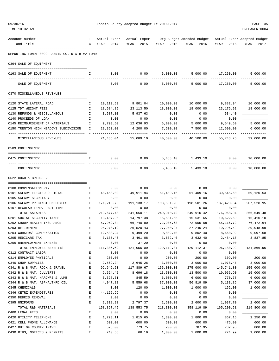| 09/30/16 | TIME:10:32 AM                                                                    |              |                         | Fannin County Adopted Budget FY 2016/2017 |                         |                                                                                                |                       | PAGE 35<br>PREPARER: 0004 |
|----------|----------------------------------------------------------------------------------|--------------|-------------------------|-------------------------------------------|-------------------------|------------------------------------------------------------------------------------------------|-----------------------|---------------------------|
|          | Account Number<br>and Title                                                      | T –          | $C$ YEAR - 2014         |                                           | YEAR - 2015 YEAR - 2016 | Actual Exper Actual Exper Org Budget Amended Budget Actual Exper Adopted Budget<br>YEAR - 2016 | YEAR - 2016           | YEAR - 2017               |
|          | REPORTING FUND: 0022 FANNIN CO. R & B #2 FUND                                    |              |                         |                                           |                         |                                                                                                |                       |                           |
|          | 0364 SALE OF EQUIPMENT                                                           |              |                         |                                           |                         |                                                                                                |                       |                           |
|          | 0163 SALE OF EQUIPMENT                                                           | I.           | 0.00                    | 0.00                                      | 5,000.00                |                                                                                                | 5,000.00 17,250.00    | 5,000.00<br>----------    |
|          | SALE OF EQUIPMENT                                                                |              | 0.00                    | 0.00                                      | 5,000.00                | 5,000.00                                                                                       | 17,250.00             | 5,000.00                  |
|          | 0370 MISCELLANEOUS REVENUES                                                      |              |                         |                                           |                         |                                                                                                |                       |                           |
|          | 0120 STATE LATERAL ROAD                                                          | Ι.           | 10,119.59               | 9,801.04                                  | 10,000.00               | 10,000.00                                                                                      | 9,882.94              | 10,000.00                 |
|          | 0125 TDT WEIGHT FEES                                                             | I.           | 18,584.85               | 23,113.50                                 | 18,000.00               | 18,000.00                                                                                      | 23, 176.92            | 18,000.00                 |
|          | 0130 REFUNDS & MISCELLANEOUS                                                     | $\mathbf{I}$ | 3,587.10                | 5,937.63                                  | 0.00                    | 0.00                                                                                           | 534.40                |                           |
|          | 0140 PROCEEDS OF LOAN                                                            | Ι.           | 0.00                    | 0.00                                      | 0.00                    | 0.00                                                                                           | 0.00                  |                           |
|          | 0145 REIMBURSEMENT OF MATERIALS<br>$\mathbf{I}$ and $\mathbf{I}$                 |              | 9,793.50                | 12,036.93                                 | 5,000.00                | 5,000.00                                                                                       | 9,549.50              | 5,000.00                  |
|          | 0150 TRENTON HIGH MEADOWS SUBDIVISION                                            | Ι.           | 29,350.00               | 4,200.00                                  | 7,500.00                | 7,500.00                                                                                       | 12,600.00             | 6,000.00<br>----------    |
|          | MISCELLANEOUS REVENUES                                                           |              | 71,435.04               | 55,089.10                                 | 40,500.00               | 40,500.00                                                                                      | 55,743.76             | 39,000.00                 |
|          | 0509 CONTINGENCY                                                                 |              |                         |                                           |                         |                                                                                                |                       |                           |
|          | 0475 CONTINGENCY                                                                 | Е            | 0.00                    | 0.00                                      | 5,433.10                | 5,433.10                                                                                       | 0.00                  | 10,000.00                 |
|          | CONTINGENCY                                                                      |              | 0.00                    | 0.00                                      |                         | 5,433.10 5,433.10                                                                              | 0.00                  | 10,000.00                 |
|          | 0622 ROAD & BRIDGE 2                                                             |              |                         |                                           |                         |                                                                                                |                       |                           |
|          | 0100 COMPENSATION PAY                                                            | Е            | 0.00                    | 0.00                                      | 0.00                    | 0.00                                                                                           | 0.00                  |                           |
|          | 0101 SALARY ELECTED OFFICIAL                                                     | E            | 48,458.02               | 49,911.94                                 | 51,409.16               | 51,409.16                                                                                      | 39,545.60             | 59,120.53                 |
|          | 0105 SALARY SECRETARY                                                            | Е            | 0.00                    | 0.00                                      | 0.00                    | 0.00                                                                                           | 0.00                  |                           |
|          | 0106 SALARY PRECINCT EMPLOYEES<br><b>Expanding Expanding Expanding Expanding</b> |              | 171,219.76              | 191,138.17                                | 198,501.26              | 198,501.26                                                                                     | 137,423.34            | 207,528.95                |
|          | 0107 REGULAR-TEMP. PART-TIME                                                     | Е            | 0.00                    | 0.00                                      | 0.00                    | 0.00                                                                                           | 0.00                  |                           |
|          | TOTAL SALARIES                                                                   |              | 219,677.78              | 241,050.11                                | 249,910.42              | 249,910.42                                                                                     | 176,968.94            | 266,649.48                |
|          | 0201 SOCIAL SECURITY TAXES                                                       | Е            | 13,407.96               | 14,797.38                                 | 15,531.65               | 15,531.65                                                                                      | 10,622.69             | 16,410.10                 |
|          | 0202 GROUP HEALTH INSURANCE                                                      | E            | 57,959.84               | 66,740.80                                 | 72,905.68               | 72,905.68                                                                                      | 55,116.72             | 76,472.64                 |
|          | 0203 RETIREMENT<br>0204 WORKERS' COMPENSATION                                    | E<br>E       | 24, 270.19<br>12,533.24 | 26,520.43<br>9,499.20                     | 27, 240.24<br>9,802.40  | 27, 240.24<br>9,802.40                                                                         | 19,296.42<br>8,660.92 | 29,048.69<br>9,097.68     |
|          | 0205 MEDICARE TAX                                                                | $\mathbf E$  | 3, 135.46               | 3,461.08                                  | 3,632.40                | 3,632.40                                                                                       | 2,484.17              | 3,837.85                  |
|          | 0206 UNEMPLOYMENT EXPENSE                                                        | $\mathbf E$  | 0.00                    | 37.20                                     | 0.00                    | 0.00                                                                                           | 0.00                  |                           |
|          | TOTAL EMPLOYEE BENEFITS                                                          |              | 111,306.69              | 121,056.09                                | 129, 112.37             | 129, 112.37                                                                                    | 96,180.92             | 134,866.96                |
|          | 0312 CONTRACT LABOR                                                              | E            | 0.00                    | 0.00                                      | 0.00                    | 0.00                                                                                           | 0.00                  |                           |
|          | 0314 EMPLOYEE PHYSICALS                                                          | E            | 206.00                  | 0.00                                      | 200.00                  | 200.00                                                                                         | 309.00                | 200.00                    |
|          | 0340 SHOP SUPPLIES                                                               | E            | 2,569.24                | 2,645.26                                  | 3,000.00                | 3,000.00                                                                                       | 1,078.47              | 3,000.00                  |
|          | 0341 R & B MAT. ROCK & GRAVEL                                                    | E            | 92,646.51               | 117,889.67                                | 155,000.00              | 275,000.00                                                                                     | 145,741.80            | 155,000.00                |
|          | 0342 R & B MAT. CULVERTS                                                         | $\mathbf E$  | 9,624.45                | 8,696.18                                  | 13,500.00               | 13,500.00                                                                                      | 10,066.90             | 15,000.00                 |
|          | 0343 R & B MAT. HARDWRE & LUMB                                                   | E            | 3,327.51                | 845.59                                    | 6,000.00                | 6,000.00                                                                                       | 770.78                | 6,000.00                  |
|          | 0344 R & B MAT. ASPHALT/RD OIL                                                   | E            | 4,047.82                | 5,559.68                                  | 37,000.00               | 56,819.89                                                                                      | 5,133.86              | 37,000.00                 |
|          | 0345 CHEMICALS                                                                   | E            | 0.00                    | 120.00                                    | 1,000.00                | 1,000.00                                                                                       | 162.00                | 1,000.00                  |
|          | 0346 CETRZ EXPENDITURES<br>0350 DEBRIS REMOVAL                                   | E<br>E       | 44,126.99<br>0.00       | 0.00<br>0.00                              | 0.00<br>0.00            | 0.00<br>0.00                                                                                   | 0.00<br>0.00          |                           |
|          | 0395 UNIFORMS                                                                    | E            | 2,318.93                | 2,797.37                                  | 2,600.00                | 2,600.00                                                                                       | 1,937.70              | 2,600.00                  |
|          | TOTAL R&B MATERIALS                                                              |              | 158,867.45              | 138,553.75                                | 218,300.00              | 358,119.89                                                                                     | 165,200.51            | 219,800.00                |
|          | 0400 LEGAL FEES                                                                  | E            | 0.00                    | 0.00                                      | 0.00                    | 0.00                                                                                           | 0.00                  |                           |
|          | 0420 UTILITY TELEPHONE                                                           | E            | 1,723.11                | 1,815.65                                  | 1,800.00                | 1,800.00                                                                                       | 867.15                | 1,250.00                  |
|          | 0421 CELL PHONE ALLOWANCE                                                        | $\mathbf E$  | 600.00                  | 600.00                                    | 600.00                  | 600.00                                                                                         | 475.00                | 600.00                    |
|          | 0427 OUT OF COUNTY TRAVEL                                                        | $\mathbf E$  | 575.00                  | 773.75                                    | 700.00                  | 787.95                                                                                         | 787.95                | 800.00                    |
|          | 0430 BIDS, NOTICES & PERMITS                                                     | E            | 240.68                  | 66.19                                     | 1,000.00                | 1,000.00                                                                                       | 224.99                | 1,000.00                  |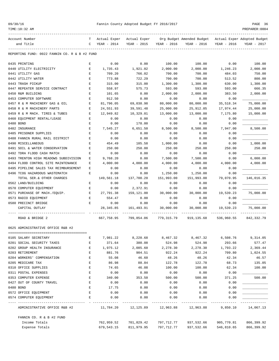| 09/30/1 |  |
|---------|--|
|---------|--|

| 09/30/16<br>TIME:10:32 AM                     |                                                                                                |                   | Fannin County Adopted Budget FY 2016/2017 |                   |                                                                                                  |                   | PAGE 36<br>PREPARER: 0004 |
|-----------------------------------------------|------------------------------------------------------------------------------------------------|-------------------|-------------------------------------------|-------------------|--------------------------------------------------------------------------------------------------|-------------------|---------------------------|
| Account Number<br>and Title                   | C                                                                                              | YEAR - 2014       | YEAR - 2015                               | YEAR - 2016       | T Actual Exper Actual Exper Org Budget Amended Budget Actual Exper Adopted Budget<br>YEAR - 2016 | YEAR - 2016       | YEAR - 2017               |
| REPORTING FUND: 0022 FANNIN CO. R & B #2 FUND |                                                                                                |                   |                                           |                   |                                                                                                  |                   |                           |
| 0435 PRINTING                                 | E                                                                                              | 0.00              | 0.00                                      | 100.00            | 100.00                                                                                           | 0.00              | 100.00                    |
| 0440 UTILITY ELECTRICITY                      | Е                                                                                              | 1,735.43          | 1,921.02                                  | 2,000.00          | 2,000.00                                                                                         | 1,246.23          | 2.000.00                  |
| 0441 UTILITY GAS                              | E                                                                                              | 709.20            | 766.02                                    | 700.00            | 700.00                                                                                           | 484.03            | 750.00                    |
| 0442 UTILITY WATER                            | E                                                                                              | 773.88            | 722.29                                    | 700.00            | 700.00                                                                                           | 513.52            | 800.00                    |
| 0443 TRASH PICKUP                             | Е                                                                                              | 315.00            | 315.00                                    | 1,300.00          | 1,300.00                                                                                         | 630.00            | 1,300.00                  |
| 0447 REPEATER SERVICE CONTRACT                | E                                                                                              | 558.97            | 575.73                                    | 593.00            | 593.00                                                                                           | 593.00            | 666.35                    |
| 0450 R&M BUILDING                             | Е                                                                                              | 101.65            | 0.00                                      | 2,000.00          | 2,000.00                                                                                         | 383.50            | 2,000.00                  |
| 0453 COMPUTER SOFTWARE                        | E                                                                                              | 912.50            | 0.00                                      | 0.00              | 0.00                                                                                             | 0.00              |                           |
| 0457 R & M MACHINERY GAS & OIL                | E                                                                                              | 81,796.05         | 69,038.98                                 | 80,000.00         | 80,000.00                                                                                        | 35,518.34         | 75,000.00                 |
| 0458 R & M MACHINERY PARTS                    | Е                                                                                              | 24,551.93         | 39,591.48                                 | 25,000.00         | 25,912.05                                                                                        | 17.974.44         | 25,000.00                 |
| 0459 R & M MACH. TIRES & TUBES                | Е                                                                                              | 12,949.82         | 10,329.01                                 | 13,000.00         | 13,000.00                                                                                        | 7,175.80          | 15,000.00                 |
| 0460 EQUIPMENT RENTAL/LEASE                   | Е                                                                                              | 0.00              | 0.00                                      | 0.00              | 0.00                                                                                             | 0.00              |                           |
| 0480 BOND                                     | Ε                                                                                              | 0.00              | 178.00                                    | 0.00              | 0.00                                                                                             | 0.00              |                           |
| 0482 INSURANCE                                | E                                                                                              | 7,545.27          | 6,651.50                                  | 8,500.00          | 8,500.00                                                                                         | 7,947.00          | 8,500.00                  |
| 0485 PRISONER SUPPLIES                        | Е                                                                                              | 0.00              | 0.00                                      | 0.00              | 0.00                                                                                             | 0.00              |                           |
| 0488 FANNIN RURAL RAIL DISTRICT               | Е                                                                                              | 0.00              | 0.00                                      | 0.00              | 0.00                                                                                             | 0.00              |                           |
| 0490 MISCELLANEOUS                            | Е                                                                                              | 454.49            | 105.58                                    | 1,000.00          | 0.00                                                                                             | 0.00              | 1,000.00                  |
| 0491 SOIL & WATER CONSERVATION                | Е                                                                                              | 250.00            | 250.00                                    | 250.00            | 250.00                                                                                           | 250.00            | 250.00                    |
| 0492 TDRA FLOOD CASH MATCH                    | Е                                                                                              | 0.00              | 0.00                                      | 0.00              | 0.00                                                                                             | 0.00              |                           |
| 0493 TRENTON HIGH MEADOWS SUBDIVISION         | Ε                                                                                              | 9,768.20          | 0.00                                      | 7,500.00          | 7,500.00                                                                                         | 0.00              | 6,000.00                  |
| 0494 FLOOD CONTROL SITE MAINTENANCE           | Е                                                                                              | 4,000.00          | 4,000.00                                  | 4,000.00          | 4,000.00                                                                                         | 4,000.00          | 4,000.00                  |
| 0495 PIPELINE SALES TAX REIMBURSEMENT         | Ε                                                                                              | 0.00              | 0.00                                      | 0.00              | 0.00                                                                                             | 0.00              |                           |
| 0496 TCOG HAZARDOUS WASTEMATCH                | Е                                                                                              | 0.00              | 0.00                                      | 1,250.00          | 1,250.00                                                                                         | 0.00              |                           |
| TOTAL SER. & OTHER CHARGES                    |                                                                                                | 149,561.18        | 137,700.20                                | 151,993.00        | 151,993.00                                                                                       | 79,070.95         | 146,016.35                |
| 0562 LAND/BUILDING                            | E                                                                                              | 0.00              | 0.00                                      | 0.00              | 0.00                                                                                             | 0.00              |                           |
| 0570 COMPUTER EQUIPMENT                       | Е                                                                                              | 0.00              | 2,372.91                                  | 0.00              | 0.00                                                                                             | 0.00              |                           |
| 0571 PURCHASE OF MACH./EQUIP.                 | Е                                                                                              | 27,791.38         | 159,121.00                                | 30,000.00         | 30,000.00                                                                                        | 19,539.23         | 75,000.00                 |
| 0573 RADIO EQUIPMENT<br>0580 PRECINCT BRIDGE  | Е<br>Е                                                                                         | 554.47            | 0.00                                      | 0.00              | 0.00                                                                                             | 0.00              |                           |
| CAPITAL OUTLAY                                |                                                                                                | 0.00<br>28,345.85 | 0.00<br>161,493.91                        | 0.00<br>30,000.00 | 0.00<br>30,000.00                                                                                | 0.00<br>19,539.23 | 75,000.00                 |
|                                               |                                                                                                |                   |                                           |                   |                                                                                                  |                   |                           |
| ROAD & BRIDGE 2                               |                                                                                                | 667,758.95        | 799,854.06                                | 779,315.79        | 919, 135.68                                                                                      | 536,960.55        | 842, 332, 79              |
| 0625 ADMINISTRATIVE OFFICE R&B #2             |                                                                                                |                   |                                           |                   |                                                                                                  |                   |                           |
| 0105 SALARY SECRETARY                         | E                                                                                              | 7,981.22          | 8,220.68                                  | 8,467.32          | 8,467.32                                                                                         | 6,508.76          | 9,314.05                  |
| 0201 SOCIAL SECURITY TAXES                    | $\mathbf{E}% _{t}\left  \mathbf{1}\right\rangle =\mathbf{1}_{t}\left  \mathbf{1}\right\rangle$ | 371.64            | 380.08                                    | 524.98            | 524.98                                                                                           | 293.66            | 577.47                    |
| 0202 GROUP HEALTH INSURANCE                   | Е                                                                                              | 1,975.12          | 2,085.60                                  | 2,278.30          | 2,278.30                                                                                         | 1,793.22          | 2,369.44                  |
| 0203 RETIREMENT                               | Е                                                                                              | 881.76            | 904.51                                    | 922.24            | 922.24                                                                                           | 709.80            | 1,024.55                  |
| 0204 WORKERS' COMPENSATION                    | Е                                                                                              | 55.08             | 46.60                                     | 48.26             | 48.26                                                                                            | 42.34             | 46.57                     |
| 0205 MEDICARE TAX                             | Е                                                                                              | 86.98             | 88.84                                     | 122.78            | 122.78                                                                                           | 68.73             | 135.05                    |
| 0310 OFFICE SUPPLIES                          | Ε                                                                                              | 74.65             | 46.08                                     | 100.00            | 100.00                                                                                           | 62.34             | 100.00                    |
| 0311 POSTAL EXPENSES                          | Е                                                                                              | 0.00              | 0.00                                      | 0.00              | 0.00                                                                                             | 0.00              |                           |
| 0353 COMPUTER EXPENSE                         | Е                                                                                              | 340.00            | 353.50                                    | 500.00            | 500.00                                                                                           | 371.25            | 500.00                    |
| 0427 OUT OF COUNTY TRAVEL                     | E                                                                                              | 0.00              | 0.00                                      | 0.00              | 0.00                                                                                             | 0.00              |                           |
| 0480 BOND                                     | Е                                                                                              | 17.75             | 0.00                                      | 0.00              | 0.00                                                                                             | 0.00              |                           |
| 0572 OFFICE EQUIPMENT                         | Е                                                                                              | 0.00              | 0.00                                      | 0.00              | 0.00                                                                                             | 0.00              |                           |
| 0574 COMPUTER EQUIPMENT                       | Е                                                                                              | 0.00              | 0.00                                      | 0.00              | 0.00                                                                                             | 0.00              |                           |
| ADMINISTRATIVE OFFICE R&B #2                  |                                                                                                |                   | 11,784.20 12,125.89 12,963.88 12,963.88   |                   |                                                                                                  | 9,850.10          | 14,067.13                 |
| FANNIN CO. R & B #2 FUND                      |                                                                                                |                   |                                           |                   |                                                                                                  |                   |                           |
| Income Totals                                 |                                                                                                | 762,959.52        | 701,829.42                                | 797,712.77        | 937,532.66                                                                                       | 905,770.81        | 866,399.92                |
| Expense Totals                                |                                                                                                | 679,543.15        | 811,979.95                                | 797,712.77        | 937,532.66                                                                                       | 546,810.65        | 866,399.92                |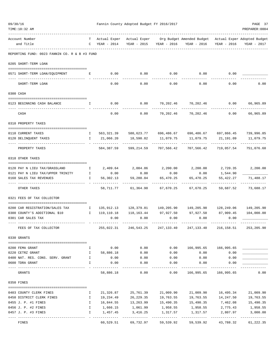| 09/30/16<br>Fannin County Adopted Budget FY 2016/2017<br>TIME:10:32 AM |                                               |              |                               |                   | PAGE 37<br>PREPARER: 0004        |                                                                                   |                         |                         |
|------------------------------------------------------------------------|-----------------------------------------------|--------------|-------------------------------|-------------------|----------------------------------|-----------------------------------------------------------------------------------|-------------------------|-------------------------|
|                                                                        | Account Number<br>and Title                   | $\mathbb{C}$ | T Actual Exper<br>YEAR - 2014 | YEAR - 2015       | YEAR - 2016                      | Actual Exper Org Budget Amended Budget Actual Exper Adopted Budget<br>YEAR - 2016 | YEAR - 2016             | YEAR - 2017             |
|                                                                        | REPORTING FUND: 0023 FANNIN CO. R & B #3 FUND |              |                               |                   |                                  |                                                                                   |                         |                         |
|                                                                        | 0205 SHORT-TERM LOAN                          |              |                               |                   |                                  |                                                                                   |                         |                         |
|                                                                        | 0571 SHORT-TERM LOAN/EOUIPMENT                | E            | 0.00                          | 0.00              | 0.00                             | 0.00                                                                              | 0.00                    |                         |
|                                                                        | --- -------------<br>SHORT-TERM LOAN          |              | 0.00                          | 0.00              | 0.00                             | 0.00                                                                              | 0.00                    | 0.00                    |
|                                                                        | 0300 CASH                                     |              |                               |                   |                                  |                                                                                   |                         |                         |
|                                                                        | 0123 BEGINNING CASH BALANCE                   | Ι.           | 0.00                          | 0.00              | 70,202.46                        | 70,202.46                                                                         | 0.00                    | 66,965.89               |
|                                                                        | CASH                                          |              | 0.00                          | 0.00              | 70,202.46                        | 70,202.46                                                                         | 0.00                    | 66,965.89               |
|                                                                        | 0310 PROPERTY TAXES                           |              |                               |                   |                                  |                                                                                   |                         |                         |
|                                                                        | 0110 CURRENT TAXES                            | $\mathbb{I}$ |                               |                   |                                  | 563,321.39 580,623.77 696,486.67 696,486.67 697,866.45 739,996.85                 |                         |                         |
|                                                                        | 0120 DELINQUENT TAXES                         | $\mathbf{I}$ | 21,066.20                     | 18,590.82         | 11,079.75                        | 11,079.75                                                                         | 21,191.09               | 11,079.75               |
|                                                                        | PROPERTY TAXES                                |              | 584,387.59                    | 599,214.59        | 707,566.42                       | 707,566.42                                                                        | 719,057.54              | 751,076.60              |
|                                                                        | 0318 OTHER TAXES                              |              |                               |                   |                                  |                                                                                   |                         |                         |
|                                                                        | 0120 PAY N LIEU TAX/GRASSLAND                 | $\mathbb{I}$ |                               | 2,409.64 2,084.86 | 2,200.00                         | 2,200.00                                                                          | 2,720.35                | 2,200.00                |
|                                                                        | 0121 PAY N LIEU TAX/UPPER TRINITY             | $\mathbb{I}$ | 0.00                          | 0.00              | 0.00                             | 0.00                                                                              | 1,544.90                |                         |
|                                                                        | 0160 SALES TAX REVENUES                       | $\mathbf{I}$ | 56,302.13                     | 59,280.04         | 65,470.25<br>. _ _ _ _ _ _ _ _ _ | 65,470.25                                                                         | 55, 422.27<br>--------- | 71,488.17<br>---------- |
|                                                                        | OTHER TAXES                                   |              | 58,711.77                     | 61,364.90         | 67,670.25                        | 67,670.25                                                                         | 59,687.52               | 73,688.17               |
|                                                                        | 0321 FEES OF TAX COLLECTOR                    |              |                               |                   |                                  |                                                                                   |                         |                         |
|                                                                        | 0200 CAR REGISTRATION/SALES TAX               | $\mathbf{I}$ | 135,912.13                    |                   |                                  |                                                                                   |                         | 149,205.90              |
|                                                                        | 0300 COUNTY'S ADDITIONAL \$10                 | $\mathbf{I}$ | 119,110.18                    |                   | 118, 163. 44 97, 927. 50         | 97,927.50 87,909.45                                                               |                         | 104,000.00              |
|                                                                        | 0301 CAR SALES TAX                            |              | 0.00                          | 0.00              | 0.00                             | 0.00                                                                              | 0.00                    |                         |
|                                                                        | FEES OF TAX COLLECTOR                         |              | 255,022.31                    | 246,543.25        | 247,133.40                       | 247,133.40                                                                        | 216,158.51              | 253,205.90              |
|                                                                        | 0330 GRANTS                                   |              |                               |                   |                                  |                                                                                   |                         |                         |
|                                                                        | 0200 FEMA GRANT                               | Ι.           | 0.00                          | 0.00              | 0.00                             | 166,995.65                                                                        | 166,995.65              |                         |
|                                                                        | 0220 CETRZ GRANT                              | $\mathbf{I}$ | 58,886.18                     | 0.00              | 0.00                             | 0.00                                                                              | 0.00                    |                         |
|                                                                        | 0400 NAT. RES. CONS. SERV. GRANT              | $\mathbf{I}$ | 0.00                          | 0.00              | 0.00                             | 0.00                                                                              | 0.00                    |                         |
|                                                                        | 0600 TDRA GRANT                               | I.           | 0.00                          | 0.00              | 0.00                             | 0.00                                                                              | 0.00                    |                         |
|                                                                        | GRANTS                                        |              | 58,886.18                     | 0.00              | 0.00                             | 166,995.65                                                                        | 166,995.65              | 0.00                    |
|                                                                        | 0350 FINES                                    |              |                               |                   |                                  |                                                                                   |                         |                         |
|                                                                        | 0403 COUNTY CLERK FINES                       | Ι.           | 21,326.87                     | 25,761.39         | 21,009.90                        | 21,009.90                                                                         | 16,495.34               | 21,009.90               |
|                                                                        | 0450 DISTRICT CLERK FINES                     | Ι.           | 19,234.49                     | 26,229.35         | 19,763.55                        | 19,763.55                                                                         | 14,247.50               | 19,763.55               |
|                                                                        | 0455 J. P. #1 FINES                           | I.           | 16,844.55                     | 13,263.99         | 15,490.35                        | 15,490.35                                                                         | 7,462.08                | 15,490.35               |
|                                                                        | 0456 J. P. #2 FINES                           | I            | 1,666.15                      | 1,061.99          | 1,958.55                         | 1,958.55                                                                          | 2,775.43                | 1,958.55                |
|                                                                        | 0457 J. P. #3 FINES                           | I.           | 1,457.45                      | 3,416.25          | 1,317.57                         | 1,317.57                                                                          | 2,807.97                | 3,000.00                |
|                                                                        | FINES                                         |              | 60,529.51                     | 69,732.97         | 59,539.92                        | 59,539.92                                                                         | ----------<br>43,788.32 | 61,222.35               |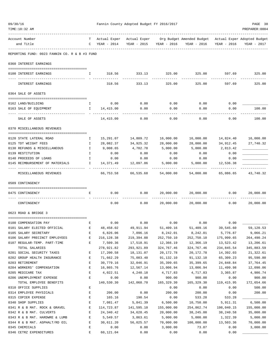| 09/30/16 | TIME:10:32 AM                                         |                  |                  | Fannin County Adopted Budget FY 2016/2017 |                         |                                                                                                  |                | PAGE 38<br>PREPARER: 0004 |
|----------|-------------------------------------------------------|------------------|------------------|-------------------------------------------|-------------------------|--------------------------------------------------------------------------------------------------|----------------|---------------------------|
|          | Account Number<br>and Title                           | $\mathbb{C}$     | YEAR - 2014      |                                           | YEAR - 2015 YEAR - 2016 | T Actual Exper Actual Exper Org Budget Amended Budget Actual Exper Adopted Budget<br>YEAR - 2016 | YEAR - 2016    | YEAR - 2017               |
|          | REPORTING FUND: 0023 FANNIN CO. R & B #3 FUND         |                  |                  |                                           |                         |                                                                                                  |                |                           |
|          | 0360 INTEREST EARNINGS                                |                  |                  |                                           |                         |                                                                                                  |                |                           |
|          | 0100 INTEREST EARNINGS                                | I.               |                  | 318.56 333.13 325.00                      |                         | 325.00                                                                                           | 597.69         | 325.00                    |
|          | INTEREST EARNINGS                                     |                  | 318.56           | 333.13                                    | 325.00                  | 325.00                                                                                           | 597.69         | 325.00                    |
|          | 0364 SALE OF ASSETS                                   |                  |                  |                                           |                         |                                                                                                  |                |                           |
|          | 0162 LAND/BUILDING                                    | Ι.               | 0.00             | 0.00                                      | 0.00                    | 0.00                                                                                             | 0.00           |                           |
|          | 0163 SALE OF EQUIPMENT                                | Ι.               | 14,415.00        | 0.00                                      | 0.00                    | 0.00                                                                                             | 0.00           | 100.00                    |
|          |                                                       |                  |                  |                                           |                         |                                                                                                  |                | -------                   |
|          | SALE OF ASSETS                                        |                  | 14,415.00        | 0.00                                      | 0.00                    | 0.00                                                                                             | 0.00           | 100.00                    |
|          | 0370 MISCELLANEOUS REVENUES                           |                  |                  |                                           |                         |                                                                                                  |                |                           |
|          | 0120 STATE LATERAL ROAD                               | Ι.               | 15,291.07        | 14,809.72                                 | 16,000.00               | 16,000.00                                                                                        | 14,824.40      | 16,000.00                 |
|          | 0125 TDT WEIGHT FEES                                  | Ι.               | 28,082.37        | 34,925.32                                 | 28,000.00               | 28,000.00                                                                                        | 34,912.45      | 27,740.32                 |
|          | 0130 REFUNDS & MISCELLANEOUS                          | $\mathbf{I}$     | 9,008.65         | 4,702.78                                  | 5,000.00                | 5,000.00                                                                                         | 2,813.42       |                           |
|          | 0139 RESTITUTION                                      | $\mathbf{I}$     | 0.00             | 0.00                                      | 0.00                    | 0.00                                                                                             | 0.00           |                           |
|          | 0140 PROCEEDS OF LOANS                                | $\mathbf{I}$     | 0.00             | 0.00                                      | 0.00                    | 0.00                                                                                             | 0.00           |                           |
|          | 0145 REIMBURSEMENT OF MATERIALS                       | <b>I</b>         | 14,371.49        | 12,097.86                                 | 5,000.00                | 5,000.00                                                                                         | 12,536.38      |                           |
|          | MISCELLANEOUS REVENUES                                |                  | 66,753.58        | 66,535.68                                 | 54,000.00               | 54,000.00                                                                                        | 65,086.65      | 43,740.32                 |
|          | 0509 CONTINGENCY                                      |                  |                  |                                           |                         |                                                                                                  |                |                           |
|          |                                                       |                  |                  |                                           |                         |                                                                                                  |                |                           |
|          | 0475 CONTINGENCY                                      | Е                | 0.00             | 0.00                                      | 20,000.00               | 20,000.00                                                                                        | 0.00           | 20,000.00                 |
|          | CONTINGENCY                                           |                  | 0.00             | 0.00                                      | 20,000.00               | 20,000.00                                                                                        | 0.00           | 20,000.00                 |
|          | 0623 ROAD & BRIDGE 3                                  |                  |                  |                                           |                         |                                                                                                  |                |                           |
|          |                                                       | E                | 0.00             | 0.00                                      | 0.00                    | 0.00                                                                                             | 0.00           |                           |
|          | 0100 COMPENSATION PAY<br>0101 SALARY ELECTED OFFICIAL | Ε                | 48,458.02        | 49,911.94                                 | 51,409.16               | 51,409.16                                                                                        | 39,545.60      | 59,120.53                 |
|          | 0105 SALARY SECRETARY                                 | E                | 6,826.06         | 7,096.16                                  | 8,242.01                | 8,242.01                                                                                         | 5,776.87       | 9,066.21                  |
|          | 0106 SALARY PRECINCT EMPLOYEES                        | $\mathbf E$      | 216, 128.38      | 219,394.88                                | 252,750.10              | 252,750.10                                                                                       | 175,999.65     | 264,490.24                |
|          | 0107 REGULAR-TEMP. PART-TIME                          | Е                | 7,509.36         | 17,518.91                                 | 12,366.19               | 12,366.19                                                                                        | 13,523.42      | 13,206.61                 |
|          | TOTAL SALARIES                                        |                  | 278,921.82       | 293,921.89                                | 324,767.46              | 324,767.46                                                                                       | 234,845.54     | 345,883.59                |
|          | 0201 SOCIAL SECURITY TAXES                            | Ε                | 17,200.58        | 18,131.07                                 | 20, 172. 78             | 20,172.78                                                                                        | 14,392.03      | 21,322.61                 |
|          | 0202 GROUP HEALTH INSURANCE                           | E                | 71,662.29        | 75,083.40                                 | 91,132.10               | 91,132.10                                                                                        | 65,309.23      | 95,590.80                 |
|          | 0203 RETIREMENT                                       | E                | 30,779.16        | 32,046.91                                 | 35,399.65               | 35, 399.65                                                                                       | 24,848.84      | 37,764.45                 |
|          | 0204 WORKERS' COMPENSATION                            | E                | 16,865.76        | 12,567.14                                 | 13,006.94               | 13,006.94                                                                                        | 11,499.98      | 12,090.06                 |
|          | 0205 MEDICARE TAX                                     | $\mathbf E$      | 4,022.51         | 4,240.18                                  | 4,717.83                | 4,717.83                                                                                         | 3,365.87       | 4,986.74                  |
|          | 0206 UNEMPLOYMENT EXPENSE                             | $\mathbf E$      | 0.00             | 0.00                                      | 900.00                  | 900.00                                                                                           | 0.00           | 900.00                    |
|          | TOTAL EMPLOYEE BENEFITS                               |                  | 140,530.30       | 142,068.70                                | 165,329.30              | 165,329.30                                                                                       | 119, 415.95    | 172,654.66                |
|          | 0310 OFFICE SUPPLIES                                  | E                |                  |                                           | 0.00<br>200.00          | 0.00                                                                                             | 0.00           | 500.00                    |
|          | 0314 EMPLOYEE PHYSICALS<br>0315 COPIER EXPENSE        | E<br>$\mathbf E$ | 206.00<br>165.16 | 0.00<br>190.54                            | 0.00                    | 200.00<br>533.28                                                                                 | 0.00<br>533.28 | 200.00                    |
|          | 0340 SHOP SUPPLIES                                    | $\mathbf E$      | 7,081.47         | 5,841.39                                  | 6,500.00                | 10,750.00                                                                                        | 5,911.31       | 6,500.00                  |
|          | 0341 R & B MAT. ROCK & GRAVEL                         | $\mathbf E$      | 114,723.87       | 141,595.10                                | 155,000.00              | 254,862.74                                                                                       | 198,040.15     | 155,000.00                |
|          | 0342 R & B MAT. CULVERTS                              | E                | 24,340.42        | 34,628.45                                 | 20,000.00               | 38,245.00                                                                                        | 38,240.58      | 35,000.00                 |
|          | 0343 R & B MAT. HARDWRE & LUMB                        | E                | 5,549.57         | 3,863.61                                  | 5,000.00                | 5,000.00                                                                                         | 1,322.39       | 5,000.00                  |
|          | 0344 R & B MAT. ASPHALT/RD OIL                        | Е                | 30,611.20        | 56,025.57                                 | 70,000.00               | 100,000.00                                                                                       | 13,503.36      | 70,000.00                 |
|          | 0345 CHEMICALS                                        | E                | 0.00             | 0.00                                      | 3,000.00                | 73.07                                                                                            | 0.00           | 3,000.00                  |
|          | 0346 CETRZ EXPENDITURES                               | E                | 60,121.04        | 0.00                                      | 0.00                    | 0.00                                                                                             | 0.00           |                           |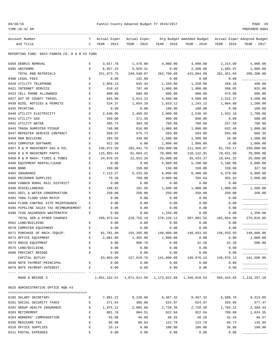| 09/30/16 |  |  |  |  |
|----------|--|--|--|--|
|----------|--|--|--|--|

| Account Number                                | т                  | Actual Exper     | Actual Exper                                           |                  | Org Budget Amended Budget Actual Exper Adopted Budget |               |                            |
|-----------------------------------------------|--------------------|------------------|--------------------------------------------------------|------------------|-------------------------------------------------------|---------------|----------------------------|
| and Title                                     | C                  | YEAR - 2014      | YEAR - 2015                                            | YEAR - 2016      | YEAR - 2016                                           | YEAR - 2016   | YEAR - 2017                |
| REPORTING FUND: 0023 FANNIN CO. R & B #3 FUND |                    |                  |                                                        |                  |                                                       |               |                            |
| 0350 DEBRIS REMOVAL                           | Е                  | 3,017.78         | 1,476.00                                               | 4,000.00         | 4,000.00                                              | 2,214.00      | 4,000.00                   |
| 0395 UNIFORMS                                 | Е                  | 6,057.24         | 5,928.31                                               | 0.00             | 2,200.00                                              | 1,585.97      | 1,000.00                   |
| TOTAL R&B MATERIALS                           |                    | 251,873.75       | 249,548.97                                             | 263,700.00       | 415,864.09                                            | 261, 351.04   | 280,200.00                 |
| 0400 LEGAL FEES                               | Ε                  | 0.00             | 132.00                                                 | 0.00             | 0.00                                                  | 0.00          |                            |
| 0420 UTILITY TELEPHONE                        | E                  | 2,856.13         | 935.44                                                 | 1,250.00         | 1,250.00                                              | 269.10        | 400.00                     |
| 0421 INTERNET SERVICE                         | Ε                  | 618.43           | 797.40                                                 | 1,000.00         | 1,000.00                                              | 598.05        | 825.00                     |
| 0423 CELL PHONE ALLOWANCE                     | E                  | 600.00           | 600.00                                                 | 600.00           | 600.00                                                | 475.00        | 600.00                     |
| 0427 OUT OF COUNTY TRAVEL                     | E                  | 645.00           | 2,814.23                                               | 4,500.00         | 4,500.00                                              | 2,522.37      | 3,500.00                   |
| 0430 BIDS, NOTICES & PERMITS                  | E                  | 524.37           | 1,054.18                                               | 1,033.12         | 1,143.12                                              | 1,064.60      | 1,200.00                   |
| 0435 PRINTING                                 | Ε                  | 0.00             | 0.00                                                   | 100.00           | 100.00                                                | 0.00          | 100.00                     |
| 0440 UTILITY ELECTRICITY                      | E                  | 2,640.95         | 2,469.93                                               | 2,000.00         | 2,536.45                                              | 1,932.16      | 2,700.00                   |
| 0441 UTILITY GAS                              | E                  | 359.00           | 371.50                                                 | 800.00           | 800.00                                                | 0.00          | 500.00                     |
| 0442 UTILITY WATER                            | $\mathbf{E}% _{0}$ | 495.74           | 384.39                                                 | 700.00           | 700.00                                                | 257.59        | 700.00                     |
| 0443 TRASH DUMPSTER PICKUP                    | $\mathbf E$        | 748.00           | 816.00                                                 | 1,000.00         | 1,000.00                                              | 632.40        | 1,000.00                   |
| 0447 REPEATER SERVICE CONTRACT                | E                  | 558.97           | 575.73                                                 | 593.00           | 593.00                                                | 593.00        | 666.35                     |
| 0450 R&M BUILDING                             | E                  | 284.50           | 339.00                                                 | 1,500.00         | 1,500.00                                              | 10.00         | 1,500.00                   |
| 0453 COMPUTER SOFTWARE                        | Е                  | 912.50           | 0.00                                                   | 1,000.00         | 1,000.00                                              | 0.00          | 1,000.00                   |
| 0457 R & M MACHINERY GAS & OIL                | Ε                  | 136,072.59       | 105,441.75                                             | 150,000.00       | 111,566.07                                            | 61,793.17     | 150,000.00                 |
| 0458 R & M MACHINERY PARTS                    | E                  | 115,893.44       | 81,664.41                                              | 70,000.00        | 110,132.91                                            | 79,631.60     | 70,000.00                  |
| 0459 R & M MACH. TIRES & TUBES                | $\mathbf E$        | 24,976.55        | 22,913.26                                              | 25,000.00        | 35, 424.37                                            | 19,841.32     | 25,000.00                  |
| 0460 EQUIPMENT RENTAL/LEASE                   | Е                  | 0.00             | 0.00                                                   | 5,000.00         | 5,100.00                                              | 5,100.00      | 5,000.00                   |
| 0480 BOND                                     | E                  | 150.00           | 150.00                                                 | 150.00           | 150.00                                                | 150.00        | 327.50                     |
| 0482 INSURANCE                                | E                  | 7,113.27         | 6,233.50                                               | 6,000.00         | 6,380.00                                              | 6,379.00      | 6,000.00                   |
| 0485 PRISONER SUPPLIES                        | $\mathbf{E}% _{0}$ | 75.28            | 709.90                                                 | 3,000.00         | 355.63                                                | 355.63        | 2,000.00                   |
| 0488 FANNIN RURAL RAIL DISTRICT               | Ε                  | 0.00             | 0.00                                                   | 0.00             | 0.00                                                  | 0.00          |                            |
| 0490 MISCELLANEOUS                            | Ε                  | 198.92           | 102.56                                                 | 1,500.00         | 1,000.00                                              | 1,000.00      | 1,500.00                   |
| 0491 SOIL & WATER CONSERVATION                | Ε                  | 250.00           | 250.00                                                 | 250.00           | 250.00                                                | 250.00        | 250.00                     |
| 0492 TDRA FLOOD CASH MATCH                    | Ε                  | 0.00             | 0.00                                                   | 0.00             | 0.00                                                  | 0.00          |                            |
| 0494 FLOOD CONTROL SITE MAINTENANCE           | Ε                  | 0.00             | 0.00                                                   | 0.00             | 0.00                                                  | 0.00          |                            |
| 0495 PIPELINE SALES TAX REIMBURSEMENT         | Е                  | 0.00             | 0.00                                                   | 0.00             | 0.00                                                  | 0.00          |                            |
| 0496 TCOG HAZARDOUS WASTEMATCH                | Ε                  | 0.00             | 0.00                                                   | 1,250.00         | 0.00                                                  | 0.00          | 1,250.00                   |
| TOTAL SER. & OTHER CHARGES                    |                    | 295, 973.64      | 228,755.18                                             | 278, 226.12      | 287,081.55                                            | 182,854.99    | 276,018.85                 |
| 0562 LAND/BUILDING                            | Е                  | 0.00             | 0.00                                                   | 0.00             | 0.00                                                  | 0.00          |                            |
| 0570 COMPUTER EQUIPMENT                       | Ε                  | 0.00             | 0.00                                                   | 0.00             | 0.00                                                  | 0.00          |                            |
| 0571 PURCHASE OF MACH./EQUIP.                 | $\mathbf E$        | 81,781.40        | 155,265.00                                             | 140,000.00       | 146,933.93                                            | 146,933.93    | 140,000.00                 |
| 0572 OFFICE EQUIPMENT<br>0573 RADIO EQUIPMENT | Ε<br>E             | 2,081.60<br>0.00 | 1,355.00<br>996.76                                     | 1,000.00<br>0.00 | 0.00<br>42.20                                         | 0.00<br>42.20 | 1,000.00<br>500.00         |
| 0575 LAND/BUILDING                            | E                  | 0.00             | 0.00                                                   | 0.00             | 0.00                                                  | 0.00          |                            |
| 0580 PRECINCT BRIDGE                          | $\mathbf E$        | 0.00             | 0.00                                                   | 0.00             | 0.00                                                  | 0.00          |                            |
| CAPITAL OUTLAY                                |                    | 83,863.00        | 157,616.76                                             | 141,000.00       | 146,976.13                                            | 146,976.13    | 141,500.00                 |
| 0630 NOTE PAYMENT-PRINCIPAL                   | Ε                  | 0.00             | 0.00                                                   | 0.00             | 0.00                                                  | 0.00          |                            |
| 0670 NOTE PAYMENT-INTEREST                    | E                  | 0.00             | 0.00                                                   | 0.00             | 0.00                                                  | 0.00          |                            |
| ----------------------------------            |                    | ------------     | ------------                                           | -----------      | -----------                                           |               | ___________                |
| ROAD & BRIDGE 3                               |                    |                  | 1,051,162.51  1,071,911.50  1,173,022.88  1,340,018.53 |                  |                                                       |               | 945, 443.65 1, 216, 257.10 |
| 0625 ADMINISTRATIVE OFFICE R&B #3             |                    |                  |                                                        |                  |                                                       |               |                            |
| 0105 SALARY SECRETARY                         | Е                  | 7,981.22         | 8,220.68                                               | 8,467.32         | 8,467.32                                              | 6,508.76      | 9,314.05                   |
| 0201 SOCIAL SECURITY TAXES                    | Ε                  | 371.64           | 380.08                                                 | 524.97           | 524.97                                                | 293.66        | 577.47                     |
| 0202 GROUP HEALTH INSURANCE                   | Ε                  | 1,975.12         | 2,085.60                                               | 2,728.30         | 2,728.30                                              | 1,793.22      | 2,369.44                   |
| 0203 RETIREMENT                               | E                  | 881.76           | 904.51                                                 | 922.94           | 922.94                                                | 709.80        | 1,024.55                   |
| 0204 WORKERS' COMPENSATION                    | E                  | 55.08            | 46.60                                                  | 48.26            | 48.26                                                 | 42.34         | 46.57                      |
| 0205 MEDICARE TAX                             | E                  | 86.98            | 88.84                                                  | 122.78           | 122.78                                                | 68.73         | 135.05                     |
| 0310 OFFICE SUPPLIES                          | E                  | 33.14            | 0.00                                                   | 100.00           | 100.00                                                | 36.66         | 100.00                     |
| 0311 POSTAL EXPENSES                          | E                  | 0.00             | 0.00                                                   | 0.00             | 0.00                                                  | 0.00          |                            |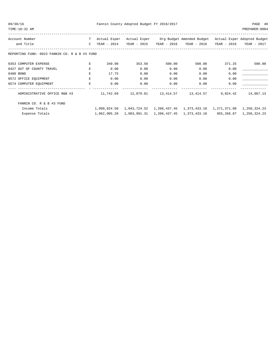|  | 09/30/16 |  |
|--|----------|--|
|  |          |  |

| Account Number                                | T            | Actual Exper | Actual Exper              |             | Org Budget Amended Budget                       |             | Actual Exper Adopted Budget |
|-----------------------------------------------|--------------|--------------|---------------------------|-------------|-------------------------------------------------|-------------|-----------------------------|
| and Title                                     | $\mathsf{C}$ | YEAR - 2014  | YEAR - 2015               | YEAR - 2016 | YEAR - 2016                                     | YEAR - 2016 | YEAR - 2017                 |
| REPORTING FUND: 0023 FANNIN CO. R & B #3 FUND |              |              |                           |             |                                                 |             |                             |
| 0353 COMPUTER EXPENSE                         | E            | 340.00       | 353.50                    | 500.00      | 500.00                                          | 371.25      | 500.00                      |
| 0427 OUT OF COUNTY TRAVEL                     | E            | 0.00         | 0.00                      | 0.00        | 0.00                                            | 0.00        |                             |
| 0480 BOND                                     | Ε            | 17.75        | 0.00                      | 0.00        | 0.00                                            | 0.00        |                             |
| 0572 OFFICE EQUIPMENT                         | E            | 0.00         | 0.00                      | 0.00        | 0.00                                            | 0.00        |                             |
| 0574 COMPUTER EQUIPMENT                       | $\mathbf E$  | 0.00         | 0.00                      | 0.00        | 0.00                                            | 0.00        |                             |
|                                               |              |              |                           |             |                                                 |             |                             |
| ADMINISTRATIVE OFFICE R&B #3                  |              | 11,742.69    | 12,079.81                 | 13,414.57   | 13,414.57                                       | 9,824.42    | 14,067.13                   |
| FANNIN CO. R & B #3 FUND                      |              |              |                           |             |                                                 |             |                             |
| Income Totals                                 |              |              | 1,099,024.50 1,043,724.52 |             | 1, 206, 437. 45 1, 373, 433. 10 1, 271, 371. 88 |             | 1,250,324.23                |
| Expense Totals                                |              |              | 1,062,905.20 1,083,991.31 |             | 1,206,437.45 1,373,433.10                       | 955,268.07  | 1,250,324.23                |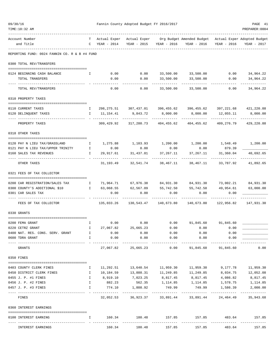| 09/30/16<br>TIME:10:32 AM                      |              |                               | Fannin County Adopted Budget FY 2016/2017 |                         |                                                                                               |                                   | PAGE 41<br>PREPARER: 0004 |
|------------------------------------------------|--------------|-------------------------------|-------------------------------------------|-------------------------|-----------------------------------------------------------------------------------------------|-----------------------------------|---------------------------|
| Account Number<br>and Title                    | T.           | Actual Exper<br>C YEAR - 2014 | YEAR - 2015                               | YEAR - 2016             | Actual Exper Org Budget Amended Budget Actual Exper Adopted Budget<br>YEAR - 2016 YEAR - 2016 |                                   | YEAR - 2017               |
| REPORTING FUND: 0024 FANNIN CO. R & B #4 FUND  |              |                               |                                           |                         |                                                                                               |                                   |                           |
| 0300 TOTAL REV/TRANSFERS                       |              |                               |                                           |                         |                                                                                               |                                   |                           |
|                                                |              | 0.00                          |                                           |                         | $0.00$ $33,500.00$ $33,500.00$                                                                | 0.00                              | 34,964.22                 |
| 0124 BEGINNING CASH BALANCE<br>TOTAL TRANSFERS | Ι.           | 0.00                          | 0.00                                      | 33,500.00               | 33,500.00                                                                                     | 0.00                              | 34,964.22                 |
| TOTAL REV/TRANSFERS                            |              | 0.00                          | 0.00                                      | 33,500.00               | 33,500.00                                                                                     | 0.00                              | 34,964.22                 |
|                                                |              |                               |                                           |                         |                                                                                               |                                   |                           |
| 0310 PROPERTY TAXES                            |              |                               |                                           |                         |                                                                                               |                                   |                           |
| 0110 CURRENT TAXES                             | Ι.           |                               |                                           |                         | 298, 275.51 307, 437.01 396, 455.62 396, 455.62                                               | 397,221.68                        | 421,220.88                |
| 0120 DELINQUENT TAXES                          |              | I 11,154.41                   | 9,843.72                                  | 8,000.00                | 8,000.00                                                                                      | 12,055.11                         | 8,000.00                  |
| PROPERTY TAXES                                 |              | 309,429.92                    | 317,280.73                                | 404,455.62              | 404,455.62                                                                                    | -----------<br>409,276.79         | 429,220.88                |
| 0318 OTHER TAXES                               |              |                               |                                           |                         |                                                                                               |                                   |                           |
| 0120 PAY N LIEU TAX/GRASSLAND                  | $\mathbf{I}$ |                               |                                           |                         | $1,275.88$ $1,103.93$ $1,200.00$ $1,200.00$ $1,548.49$ $1,200.00$                             |                                   |                           |
| 0121 PAY N LIEU TAX/UPPER TRINITY I            |              | 0.00                          | 0.00                                      | 0.00                    | 0.00                                                                                          | 879.39                            |                           |
| 0160 SALES TAX REVENUES                        | I.           | 29,917.61                     | 31,437.81                                 | 37,267.11               | 37,267.11                                                                                     | 31,360.04                         | 40,692.65                 |
| OTHER TAXES                                    |              | 31,193.49                     |                                           | 32,541.74 38,467.11     | 38,467.11                                                                                     | 33,787.92                         | 41,892.65                 |
| 0321 FEES OF TAX COLLECTOR                     |              |                               |                                           |                         |                                                                                               |                                   |                           |
| 0200 CAR REGISTRATION/SALES TAX                | $\mathbf{I}$ |                               |                                           |                         | 71,964.71    67,976.38    84,931.30    84,931.30    73,002.21                                 |                                   | 84,931.30                 |
| 0300 COUNTY'S ADDITIONAL \$10                  | $\mathbf{I}$ | 63,068.55                     | 62,567.09                                 | 55,742.50               | 55,742.50                                                                                     | 49,954.61                         | 63,000.00                 |
| 0301 CAR SALES TAX                             |              | 0.00                          | 0.00                                      | 0.00                    | 0.00                                                                                          | 0.00                              |                           |
| FEES OF TAX COLLECTOR                          |              | 135,033.26                    |                                           |                         | 140,673.80                                                                                    | 122,956.82                        | 147,931.30                |
| 0330 GRANTS                                    |              |                               |                                           |                         |                                                                                               |                                   |                           |
| 0200 FEMA GRANT                                | I.           |                               | $0.00$ $0.00$ $0.00$                      |                         | 91,845.60                                                                                     | 91,845.60                         |                           |
| 0220 CETRZ GRANT                               | I.           | 27,067.82                     | 25,665.23                                 | 0.00                    | 0.00                                                                                          | 0.00                              |                           |
| 0400 NAT. RES. CONS. SERV. GRANT               | $\mathbb{I}$ | 0.00                          | 0.00                                      | 0.00                    | 0.00                                                                                          | 0.00                              |                           |
| 0600 TDRA GRANT                                | $\mathbb{I}$ | 0.00                          | 0.00<br>-------------                     | 0.00<br>-----------     | 0.00<br>-----------                                                                           | 0.00<br>-------------             |                           |
| GRANTS                                         |              | 27,067.82                     | 25,665.23                                 | 0.00                    | 91,845.60                                                                                     | 91,845.60                         | 0.00                      |
| 0350 FINES                                     |              |                               |                                           |                         |                                                                                               |                                   |                           |
| 0403 COUNTY CLERK FINES                        | Ι.           | 11,292.51                     | 13,640.54                                 | 11,959.30               | 11,959.30                                                                                     | 9,177.78                          | 11,959.30                 |
| 0450 DISTRICT CLERK FINES                      | $\mathbb{I}$ | 10,184.59                     |                                           | 13,888.31 11,249.85     | 11,249.85                                                                                     | 8,034.75                          | 12,052.08                 |
| 0455 J. P. #1 FINES                            | $\mathbb{I}$ |                               | 8,919.10 7,023.25 8,817.45                |                         | 8,817.45                                                                                      | 4,086.82                          | 8,817.45                  |
| 0456 J. P. #2 FINES                            | $\mathbf{I}$ |                               |                                           |                         | 882.23 562.35 1,114.85 1,114.85                                                               |                                   | 1,578.75 1,114.85         |
| 0457 J. P. #3 FINES                            | $\mathbf{I}$ | 774.10<br>_______________     | 1,808.92<br>-------------                 | 749.99<br>------------- | -------------                                                                                 | 749.99 1,586.39<br>-------------- | 2,000.00<br>------------- |
| FINES                                          |              |                               | 32,052.53 36,923.37                       | 33,891.44               | 33,891.44                                                                                     | 24,464.49                         | 35,943.68                 |
| 0360 INTEREST EARNINGS                         |              |                               |                                           |                         |                                                                                               |                                   |                           |
| 0100 INTEREST EARNING                          | $\mathbf{I}$ |                               | ------------                              |                         | $160.34$ $180.48$ $157.85$ $157.85$ $483.64$ $157.85$                                         |                                   |                           |
| INTEREST EARNINGS                              |              | 160.34                        | 180.48                                    | 157.85                  | 157.85                                                                                        | 483.64                            | 157.85                    |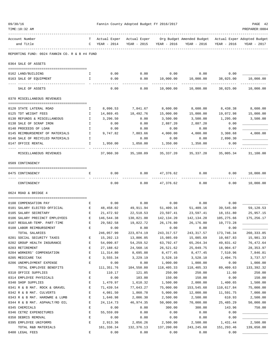| 09/30/16                                                  |                    | Fannin County Adopted Budget FY 2016/2017 |                             |                        |                                                                      |                        |                        |  |  |  |
|-----------------------------------------------------------|--------------------|-------------------------------------------|-----------------------------|------------------------|----------------------------------------------------------------------|------------------------|------------------------|--|--|--|
| TIME:10:32 AM                                             |                    |                                           |                             |                        |                                                                      |                        | PREPARER: 0004         |  |  |  |
| Account Number<br>and Title                               | T.<br>$\mathbb{C}$ | Actual Exper<br>YEAR - 2014               | Actual Exper<br>YEAR - 2015 | YEAR - 2016            | Org Budget Amended Budget Actual Exper Adopted Budget<br>YEAR - 2016 | YEAR - 2016            | YEAR - 2017            |  |  |  |
| REPORTING FUND: 0024 FANNIN CO. R & B #4 FUND             |                    |                                           |                             |                        |                                                                      |                        |                        |  |  |  |
| 0364 SALE OF ASSETS                                       |                    |                                           |                             |                        |                                                                      |                        |                        |  |  |  |
| 0162 LAND/BUILDING                                        | I.                 | 0.00                                      | 0.00                        | 0.00                   | 0.00                                                                 | 0.00                   |                        |  |  |  |
| 0163 SALE OF EQUIPMENT                                    | I.                 | 0.00                                      | 0.00                        | 10,000.00              | 10,000.00                                                            | 38,025.00              | 10,000.00              |  |  |  |
| SALE OF ASSETS                                            |                    | 0.00                                      | 0.00                        | 10,000.00              | 10,000.00                                                            | 38,025.00              | 10,000.00              |  |  |  |
| 0370 MISCELLANEOUS REVENUES                               |                    |                                           |                             |                        |                                                                      |                        |                        |  |  |  |
| 0120 STATE LATERAL ROAD                                   | Ι.                 | 8,096.53                                  | 7,841.67                    | 8,600.00               | 8,600.00                                                             | 8,438.38               | 8,600.00               |  |  |  |
| 0125 TDT WEIGHT FEES                                      | I                  | 14,869.45                                 | 18,492.76                   | 15,000.00              | 15,000.00                                                            | 19,072.98              | 15,000.00              |  |  |  |
| 0130 REFUNDS & MISCELLANEOUS                              | Ι.                 | 3,296.50                                  | 0.00                        | 3,500.00               | 3,500.00                                                             | 1,295.00               | 3,500.00               |  |  |  |
| 0138 SALE OF SCRAP IRON                                   | Ι.                 | 0.00                                      | 0.00                        | 2,887.20               | 2,887.20                                                             | 0.00                   |                        |  |  |  |
| 0140 PROCEEDS OF LOAN                                     | $\mathbf I$        | 0.00                                      | 0.00                        | 0.00                   | 0.00                                                                 | 0.00                   |                        |  |  |  |
| 0145 REIMBURSEMENT OF MATERIALS                           | $\mathbf{I}$       | 9,747.82                                  | 7,803.66                    | 4,000.00               | 4,000.00                                                             | 3,308.68               | 4,000.00               |  |  |  |
| 0146 SALE OF RECYCLED MATERIALS                           | I.                 |                                           | 0.00                        | 0.00                   | 0.00                                                                 | 2,890.30               |                        |  |  |  |
| 0147 OFFICE RENTAL                                        | I.                 | 1,950.00                                  | 1,050.00                    | 1,350.00               | 1,350.00                                                             | 0.00                   |                        |  |  |  |
| MISCELLANEOUS REVENUES                                    |                    | 37,960.30                                 | 35,188.09                   | 35, 337.20             | 35, 337. 20                                                          | 35,005.34              | 31,100.00              |  |  |  |
| 0509 CONTINGENCY                                          |                    |                                           |                             |                        |                                                                      |                        |                        |  |  |  |
| 0475 CONTINGENCY                                          | E                  | 0.00                                      | 0.00                        | 47,376.62              | 0.00                                                                 | 0.00                   | 10,000.00              |  |  |  |
| CONTINGENCY                                               |                    | 0.00                                      | 0.00                        | 47,376.62              | 0.00                                                                 | 0.00                   | 10,000.00              |  |  |  |
| 0624 ROAD & BRIDGE 4                                      |                    |                                           |                             |                        |                                                                      |                        |                        |  |  |  |
|                                                           |                    |                                           |                             |                        |                                                                      |                        |                        |  |  |  |
| 0100 COMPENSATION PAY                                     | Е                  | 0.00                                      | 0.00                        | 0.00                   | 0.00                                                                 | 0.00                   |                        |  |  |  |
| 0101 SALARY ELECTED OFFICIAL                              | $\mathbf{E}$       | 48,458.02                                 | 49,911.94                   | 51,409.16              | 51,409.16                                                            | 39,545.60              | 59,120.53              |  |  |  |
| 0105 SALARY SECRETARY                                     | Е                  | 21,472.92                                 | 22,518.53                   | 23,597.41              | 23,597.41                                                            | 18,151.80              | 25,957.15              |  |  |  |
| 0106 SALARY PRECINCT EMPLOYEES                            | E                  | 146,544.38                                | 130,821.00                  | 142,134.20             | 142,134.20                                                           | 105,275.66             | 175,256.17             |  |  |  |
| 0107 REGULAR-TEMP. PART-TIME                              | E                  | 29,582.58                                 | 19,822.72                   | 26,176.80              | 26,176.80                                                            | 10,773.28              |                        |  |  |  |
| 0108 LABOR REIMBURSEMENT                                  | Ε                  | 0.00                                      | 0.00                        | 0.00                   | 0.00                                                                 | 0.00                   |                        |  |  |  |
| TOTAL SALARIES                                            |                    | 246,057.90                                | 223,074.19                  | 243, 317.57            | 243, 317.57                                                          | 173,746.34             | 260, 333.85            |  |  |  |
| 0201 SOCIAL SECURITY TAXES<br>0202 GROUP HEALTH INSURANCE | Е<br>E             | 15,202.13                                 | 13,806.05                   | 15,085.69              | 15,085.69                                                            | 10,667.83              | 15,981.33<br>76,472.64 |  |  |  |
| 0203 RETIREMENT                                           | E                  | 54,090.87<br>27,188.62                    | 54,259.52<br>24,560.16      | 63,792.47<br>26,521.62 | 65, 264.34<br>25,049.75                                              | 49,831.42<br>18,904.67 | 28, 353.97             |  |  |  |
| 0204 WORKERS' COMPENSATION                                | E                  | 11,314.80                                 | 8,695.88                    | 8,477.45               | 8,477.45                                                             | 7,510.96               | 7,846.81               |  |  |  |
| 0205 MEDICARE TAX                                         | E                  | 3,555.34                                  | 3,229.19                    | 3,528.10               | 3,528.10                                                             | 2,494.75               | 3,737.57               |  |  |  |
| 0206 UNEMPLOYMENT EXPENSE                                 | E                  | 0.00                                      | 0.00                        | 1,000.00               | 1,000.00                                                             | 0.00                   | 1,000.00               |  |  |  |
| TOTAL EMPLOYEE BENEFITS                                   |                    | 111,351.76                                | 104,550.80                  | 118,405.33             | 118,405.33                                                           | 89,409.63              | 133, 392.32            |  |  |  |
| 0310 OFFICE SUPPLIES                                      | $\mathbf E$        | 110.17                                    | 121.85                      | 250.00                 | 250.00                                                               | 11.60                  | 250.00                 |  |  |  |
| 0314 EMPLOYEE PHYSICALS                                   | E                  | 0.00                                      | 103.00                      | 150.00                 | 150.00                                                               | 0.00                   | 150.00                 |  |  |  |
| 0340 SHOP SUPPLIES                                        | $\mathbf E$        | 1,470.97                                  | 1,610.32                    | 1,500.00               | 2,000.00                                                             | 1,400.65               | 1,500.00               |  |  |  |
| 0341 R & B MAT. ROCK & GRAVEL                             | E                  | 71,439.54                                 | 77,643.27                   | 75,000.00              | 153,545.60                                                           | 110,617.84             | 75,000.00              |  |  |  |
| 0342 R & B MAT. CULVERTS                                  | $\mathbf E$        | 4,081.50                                  | 1,860.78                    | 5,000.00               | 12,000.00                                                            | 11,591.75              | 7,000.00               |  |  |  |
| 0343 R & B MAT. HARDWRE & LUMB                            | $\mathbf E$        | 1,646.98                                  | 2,006.30                    | 2,500.00               | 2,500.00                                                             | 610.93                 | 2,500.00               |  |  |  |
| 0344 R & B MAT. ASPHALT/RD OIL                            | $\mathbf E$        | 24, 114.73                                | 46,974.35                   | 50,000.00              | 70,000.00                                                            | 25, 485.29             | 50,000.00              |  |  |  |
| 0345 CHEMICALS                                            | E                  | 0.00                                      | 0.00                        | 300.00                 | 300.00                                                               | 143.96                 | 750.00                 |  |  |  |
| 0346 CETRZ EXPENDITURES                                   | $\mathbf E$        | 55,559.09                                 | 0.00                        | 0.00                   | 0.00                                                                 | 0.00                   |                        |  |  |  |
| 0350 DEBRIS REMOVAL                                       | E                  | 0.00                                      | 0.00                        | 0.00                   | 0.00                                                                 | 0.00                   |                        |  |  |  |
| 0395 EMPLOYEE UNIFORMS                                    | E                  | 2,913.36                                  | 2,056.26                    | 2,500.00               | 2,500.00                                                             | 1,431.44               | 2,500.00               |  |  |  |
| TOTAL R&B MATERIALS                                       |                    | 161,336.34                                | 132,376.13                  | 137,200.00             | 243, 245.60                                                          | 151,293.46             | 139,650.00             |  |  |  |
| 0400 LEGAL FEES                                           | $\mathbf E$        | 0.00                                      | 0.00                        | 0.00                   | 0.00                                                                 | 0.00                   |                        |  |  |  |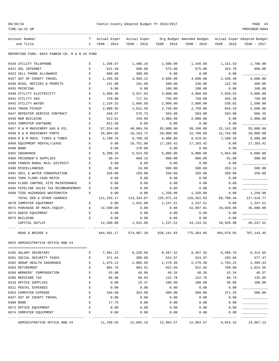| 09/30/1 |  |
|---------|--|
|---------|--|

| Account Number                                | т           | Actual Exper | Actual Exper |             | Org Budget Amended Budget |             | Actual Exper Adopted Budget |
|-----------------------------------------------|-------------|--------------|--------------|-------------|---------------------------|-------------|-----------------------------|
| and Title                                     | C           | YEAR - 2014  | YEAR - 2015  | YEAR - 2016 | YEAR - 2016               | YEAR - 2016 | YEAR - 2017                 |
|                                               |             |              |              |             |                           |             |                             |
| REPORTING FUND: 0024 FANNIN CO. R & B #4 FUND |             |              |              |             |                           |             |                             |
| 0420 UTILITY TELEPHONE                        | Е           | 1,298.67     | 1,480.16     | 1,500.00    | 1,540.00                  | 1,151.53    | 1,700.00                    |
| 0421 DSL INTERNET                             | E           | 521.40       | 568.80       | 575.00      | 575.00                    | 423.78      | 600.00                      |
| 0423 CELL PHONE ALLOWANCE                     | E           | 600.00       | 300.00       | 0.00        | 0.00                      | 0.00        |                             |
| 0427 OUT OF COUNTY TRAVEL                     | E           | 1,295.50     | 4,589.12     | 4,600.00    | 4,600.00                  | 2,436.40    | 4,600.00                    |
| 0430 BIDS, NOTICES & PERMITS                  | E           | 141.88       | 181.68       | 200.00      | 230.00                    | 122.39      | 200.00                      |
| 0435 PRINTING                                 | Е           | 0.00         | 0.00         | 100.00      | 100.00                    | 0.00        | 100.00                      |
| 0440 UTILITY ELECTRICITY                      | E           | 3,688.46     | 3,527.64     | 4,000.00    | 4,000.00                  | 2,039.53    | 4,000.00                    |
| 0441 UTILITY GAS                              | E           | 729.00       | 717.51       | 750.00      | 750.00                    | 435.36      | 750.00                      |
| 0442 UTILITY WATER                            | E           | 2,134.32     | 2,666.58     | 2,000.00    | 2,000.00                  | 530.02      | 1,500.00                    |
| 0443 TRASH PICKUP                             | E           | 2,000.95     | 2,021.58     | 2,750.00    | 2,750.00                  | 644.43      | 2,500.00                    |
| 0447 REPEATER SERVICE CONTRACT                | $\mathbf E$ | 558.97       | 575.73       | 593.00      | 593.00                    | 593.00      | 666.35                      |
| 0450 R&M BUILDING                             | E           | 813.01       | 449.99       | 2,000.00    | 2,000.00                  | 0.00        | 2,000.00                    |
| 0453 COMPUTER SOFTWARE                        | E           | 912.50       | 0.00         | 0.00        | 0.00                      | 0.00        |                             |
| 0457 R & M MACHINERY GAS & OIL                | E           | 57,914.40    | 48,004.56    | 65,000.00   | 50,100.00                 | 31, 141.98  | 55,000.00                   |
| 0458 R & M MACHINERY PARTS                    | E           | 26,084.05    | 18,163.72    | 20,000.00   | 22,700.00                 | 15,743.68   | 20,000.00                   |
| 0459 R & M MACH. TIRES & TUBES                | E           | 5,789.76     | 6,708.39     | 6,000.00    | 8,419.61                  | 7,180.20    | 8,000.00                    |
| 0460 EQUIPMENT RENTAL/LEASE                   | Ε           | 0.00         | 16,751.00    | 17,103.42   | 17,103.42                 | 0.00        | 17,103.42                   |
| 0480 BOND                                     | E           | 0.00         | 178.00       | 0.00        | 0.00                      | 0.00        |                             |
| 0482 INSURANCE                                | E           | 6,390.26     | 5,524.50     | 6,000.00    | 6,000.00                  | 5,654.00    | 6,000.00                    |
| 0485 PRISONER'S SUPPLIES                      | E           | 50.44        | 650.15       | 800.00      | 800.00                    | 91.00       | 800.00                      |
| 0488 FANNIN RURAL RAIL DISTRICT               | E           | 0.00         | 0.00         | 0.00        | 0.00                      | 0.00        |                             |
| 0490 MISCELLANEOUS                            | Ε           | 81.60        | 24.96        | 500.00      | 500.00                    | 263.14      | 500.00                      |
| 0491 SOIL & WATER CONSERVATION                | E           | 250.00       | 250.00       | 250.00      | 250.00                    | 250.00      | 250.00                      |
| 0492 TDRA FLOOD CASH MATCH                    | E           | 0.00         | 0.00         | 0.00        | 0.00                      | 0.00        |                             |
| 0494 FLOOD CONTROL SITE MAINTENANCE           | E           | 0.00         | 0.00         | 0.00        | 0.00                      | 0.00        |                             |
| 0495 PIPELINE SALES TAX REIMBURSEMENT         | Ε           | 0.00         | 0.00         | 0.00        | 0.00                      | 0.00        |                             |
| 0496 TCOG HAZARDOUS WASTEMATCH                | E           | 0.00         | 0.00         | 1,250.00    | 1,250.00                  | 0.00        | 1,250.00                    |
| TOTAL SER. & OTHER CHARGES                    |             | 111,255.17   | 113,334.07   | 135,971.42  | 126, 261.03               | 68,700.44   | 127,519.77                  |
| 0570 COMPUTER EQUIPMENT                       | Ε           | 0.00         | 1,632.09     | 1,247.51    | 1,247.51                  | 0.00        | 1,247.51                    |
| 0571 PURCHASE OF MACH./EOUIP.                 | Ε           | 14,500.00    | 0.00         | 0.00        | 42,887.01                 | 10,926.98   | 45,000.00                   |
| 0573 RADIO EQUIPMENT                          | E           | 0.00         | 0.00         | 0.00        | 0.00                      | 0.00        |                             |
| 0575 BUILDING                                 | E           | 0.00         | 0.00         | 0.00        | 0.00                      | 0.00        |                             |
| CAPITAL OUTLAY                                |             | 14,500.00    | 1,632.09     | 1,247.51    | 44, 134.52                | 10,926.98   | 46,247.51                   |
| ROAD & BRIDGE 4                               |             | 644,501.17   | 574,967.28   | 636, 141.83 | 775,364.05                | 494,076.85  | 707,143.45                  |
| 0625 ADMINISTRATIVE OFFICE R&B #4             |             |              |              |             |                           |             |                             |
| 0105 SALARY SECRETARY                         | Е           | 7,981.22     | 8,220.68     | 8,467.32    | 8,467.32                  | 6,508.76    | 9,314.05                    |
| 0201 SOCIAL SECURITY TAXES                    | Ε           | 371.64       | 380.08       | 524.97      | 524.97                    | 293.66      | 577.47                      |
| 0202 GROUP HEALTH INSURANCE                   | Ε           | 1,975.12     | 2,085.60     | 2,278.30    | 2,278.30                  | 1,793.22    | 2,369.44                    |
| 0203 RETIREMENT                               | E           | 881.76       | 904.51       | 922.94      | 922.94                    | 709.80      | 1,024.55                    |
| 0204 WORKERS' COMPENSATION                    | E           | 55.08        | 46.60        | 48.26       | 48.26                     | 42.34       | 46.57                       |
| 0205 MEDICARE TAX                             | E           | 86.98        | 88.84        | 122.78      | 122.78                    | 68.73       | 135.05                      |
| 0310 OFFICE SUPPLIES                          | E           | 0.00         | 15.37        | 100.00      | 100.00                    | 36.66       | 100.00                      |
| 0311 POSTAL EXPENSES                          | E           | 0.00         | 0.00         | 0.00        | 0.00                      | 0.00        |                             |
| 0353 COMPUTER EXPENSE                         | Ε           | 340.00       | 353.50       | 500.00      | 500.00                    | 371.25      | 500.00                      |
| 0427 OUT OF COUNTY TRAVEL                     | E           | 0.00         | 0.00         | 0.00        | 0.00                      | 0.00        |                             |
| 0480 BOND                                     | E           | 17.75        | 0.00         | 0.00        | 0.00                      | 0.00        |                             |
| 0572 OFFICE EQUIPMENT                         | Ε           | 0.00         | 0.00         | 0.00        | 0.00                      | 0.00        |                             |
| 0574 COMPUTER EQUIPMENT                       | E           | 0.00         | 0.00         | 0.00        | 0.00                      | 0.00        |                             |
|                                               |             |              |              |             |                           |             |                             |

ADMINISTRATIVE OFFICE R&B #4 11,709.55 12,095.18 12,964.57 12,964.57 9,824.42 14,067.13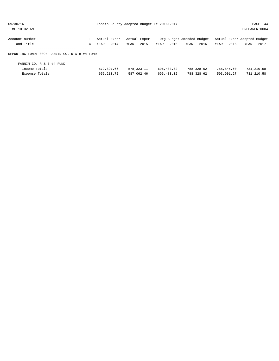| 09/30/16                                      | Fannin County Adopted Budget FY 2016/2017 |              |              |             | PAGE 44                   |             |                             |
|-----------------------------------------------|-------------------------------------------|--------------|--------------|-------------|---------------------------|-------------|-----------------------------|
| TIME:10:32 AM                                 |                                           |              |              |             |                           |             | PREPARER: 0004              |
| Account Number                                |                                           | Actual Exper | Actual Exper |             | Org Budget Amended Budget |             | Actual Exper Adopted Budget |
| and Title                                     | C                                         | YEAR - 2014  | YEAR - 2015  | YEAR - 2016 | YEAR - 2016               | YEAR - 2016 | YEAR - 2017                 |
| REPORTING FUND: 0024 FANNIN CO. R & B #4 FUND |                                           |              |              |             |                           |             |                             |
| FANNIN CO. R & B #4 FUND                      |                                           |              |              |             |                           |             |                             |
| Income Totals                                 |                                           | 572,897.66   | 578, 323. 11 | 696,483.02  | 788,328.62                | 755,845.60  | 731,210.58                  |
| Expense Totals                                |                                           | 656, 210. 72 | 587,062.46   | 696,483.02  | 788,328.62                | 503,901.27  | 731, 210.58                 |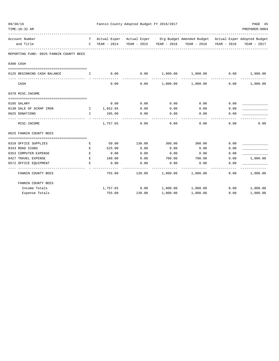| 09/30/16<br>TIME:10:32 AM   |                                         |               |                        |        |        | Fannin County Adopted Budget FY 2016/2017 |                                                 |      | PAGE 45<br>PREPARER: 0004                                                                      |
|-----------------------------|-----------------------------------------|---------------|------------------------|--------|--------|-------------------------------------------|-------------------------------------------------|------|------------------------------------------------------------------------------------------------|
| Account Number<br>and Title | т                                       | C YEAR - 2014 |                        |        |        |                                           | YEAR - 2015 YEAR - 2016 YEAR - 2016 YEAR - 2016 |      | Actual Exper Actual Exper Org Budget Amended Budget Actual Exper Adopted Budget<br>YEAR - 2017 |
|                             | REPORTING FUND: 0025 FANNIN COUNTY BEES |               |                        |        |        |                                           |                                                 |      |                                                                                                |
| 0300 CASH                   |                                         |               |                        |        |        |                                           |                                                 |      |                                                                                                |
|                             |                                         |               |                        |        |        |                                           |                                                 |      |                                                                                                |
| 0125 BEGINNING CASH BALANCE | $\mathbf{I}$ . The state $\mathbf{I}$   | 0.00          |                        |        | 0.00   |                                           | $1,000.00$ $1,000.00$ $0.00$ $1,000.00$         |      |                                                                                                |
| CASH                        |                                         |               | 0.00                   |        | 0.00   |                                           | $1,000.00$ $1,000.00$ 0.00                      |      | 1,000.00                                                                                       |
| 0370 MISC. INCOME           |                                         |               |                        |        |        |                                           |                                                 |      |                                                                                                |
|                             |                                         |               |                        |        |        |                                           |                                                 |      |                                                                                                |
| 0105 SALARY                 |                                         |               | 0.00                   |        | 0.00   | 0.00                                      | 0.00                                            | 0.00 |                                                                                                |
| 0138 SALE OF SCRAP IRON     | I 1,652.65                              |               |                        |        | 0.00   | 0.00                                      | 0.00                                            | 0.00 |                                                                                                |
| 0625 DONATIONS              | $\mathbf{L}$                            | 105.00        |                        |        | 0.00   | 0.00                                      | 0.00                                            | 0.00 |                                                                                                |
| MISC.INCOME                 |                                         |               | ----------<br>1,757.65 |        | 0.00   | 0.00                                      | $- - - - -$<br>0.00                             | 0.00 | 0.00                                                                                           |
| 0625 FANNIN COUNTY BEES     |                                         |               |                        |        |        |                                           |                                                 |      |                                                                                                |
| 0310 OFFICE SUPPLIES        | Е                                       |               | 50.00                  | 130.00 |        | 300.00                                    | 300.00                                          | 0.00 |                                                                                                |
| 0343 ROAD SIGNS             | E.                                      |               | 525.00                 | 0.00   |        | 0.00                                      | 0.00                                            | 0.00 |                                                                                                |
| 0353 COMPUTER EXPENSE       | E                                       |               | 0.00                   |        | 0.00   | 0.00                                      | 0.00                                            | 0.00 |                                                                                                |
| 0427 TRAVEL EXPENSE         | E                                       |               | 180.00                 |        | 0.00   | 700.00                                    | 700.00                                          | 0.00 | 1,000.00                                                                                       |
| 0572 OFFICE EQUIPMENT       | E.                                      |               | 0.00                   |        | 0.00   | 0.00                                      | 0.00                                            | 0.00 |                                                                                                |
| FANNIN COUNTY BEES          |                                         |               | 755.00                 |        | 130.00 | 1,000.00                                  | 1,000.00                                        | 0.00 | 1,000.00                                                                                       |
| FANNIN COUNTY BEES          |                                         |               |                        |        |        |                                           |                                                 |      |                                                                                                |
| Income Totals               |                                         |               | 1,757.65               | 0.00   |        | 1,000.00                                  | 1,000.00                                        | 0.00 | 1,000.00                                                                                       |
| Expense Totals              |                                         |               | 755.00                 | 130.00 |        | 1,000.00                                  | 1,000.00                                        | 0.00 | 1,000.00                                                                                       |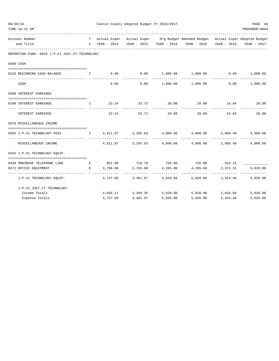| 09/30/16<br>TIME:10:32 AM                      |                                                | Fannin County Adopted Budget FY 2016/2017<br>PREPARER: 0004 |                                |                   |                                                                                                                                                                |                                          |                   |  |  |  |  |
|------------------------------------------------|------------------------------------------------|-------------------------------------------------------------|--------------------------------|-------------------|----------------------------------------------------------------------------------------------------------------------------------------------------------------|------------------------------------------|-------------------|--|--|--|--|
| Account Number<br>and Title                    |                                                |                                                             |                                |                   | T Actual Exper Actual Exper Org Budget Amended Budget Actual Exper Adopted Budget<br>C YEAR - 2014 YEAR - 2015 YEAR - 2016 YEAR - 2016 YEAR - 2016 YEAR - 2017 |                                          |                   |  |  |  |  |
| REPORTING FUND: 0026 J.P.#1 JUST.CT.TECHNOLOGY |                                                |                                                             |                                |                   |                                                                                                                                                                |                                          |                   |  |  |  |  |
| 0300 CASH                                      |                                                |                                                             |                                |                   |                                                                                                                                                                |                                          |                   |  |  |  |  |
|                                                |                                                |                                                             |                                |                   |                                                                                                                                                                |                                          |                   |  |  |  |  |
| 0126 BEGINNING CASH BALANCE                    | $\mathbf{I}$ and $\mathbf{I}$ and $\mathbf{I}$ |                                                             |                                |                   | $0.00$ $0.00$ $1,000.00$ $1,000.00$ $0.00$ $1,000.00$                                                                                                          |                                          |                   |  |  |  |  |
| CASH                                           |                                                |                                                             | 0.00                           |                   | $0.00$ 1,000.00 1,000.00                                                                                                                                       | 0.00                                     | 1,000.00          |  |  |  |  |
| 0360 INTEREST EARNINGS                         |                                                |                                                             |                                |                   |                                                                                                                                                                |                                          |                   |  |  |  |  |
|                                                |                                                |                                                             |                                |                   |                                                                                                                                                                |                                          |                   |  |  |  |  |
| 0100 INTEREST EARNINGS                         |                                                |                                                             |                                |                   | $\qquad \qquad 1 \qquad \qquad 33.24 \qquad \qquad 33.72 \qquad \qquad 20.00 \qquad \qquad 20.00 \qquad \qquad 24.64 \qquad \qquad 20.00$                      |                                          |                   |  |  |  |  |
| INTEREST EARNINGS                              |                                                |                                                             | 33.24 33.72                    | 20.00             | 20.00                                                                                                                                                          | 24.64                                    | 20.00             |  |  |  |  |
| 0370 MISCELLANEOUS INCOME                      |                                                |                                                             |                                |                   |                                                                                                                                                                |                                          |                   |  |  |  |  |
| 0455 J.P.#1 TECHNOLOGY FEES                    |                                                |                                                             |                                |                   |                                                                                                                                                                |                                          |                   |  |  |  |  |
|                                                |                                                |                                                             |                                |                   | ______________                                                                                                                                                 |                                          |                   |  |  |  |  |
| MISCELLANEOUS INCOME                           |                                                |                                                             |                                |                   | $4,611.87$ $3,335.63$ $4,000.00$ $4,000.00$                                                                                                                    |                                          | 2,009.40 4,000.00 |  |  |  |  |
| 0455 J.P.#1 TECHNOLOGY EQUIP.                  |                                                |                                                             |                                |                   |                                                                                                                                                                |                                          |                   |  |  |  |  |
| --------------------------------------         |                                                |                                                             |                                |                   |                                                                                                                                                                |                                          |                   |  |  |  |  |
| 0420 OMNIBASE TELEPHONE LINE                   |                                                | E 3,786.00                                                  |                                |                   | E 951.60 718.79 735.00 735.00 552.15<br>4,285.00                                                                                                               |                                          |                   |  |  |  |  |
| 0572 OFFICE EQUIPMENT                          |                                                |                                                             | ------------------------------ | 2,763.08 4,285.00 | -------------                                                                                                                                                  | 2,372.31<br>-------------- ------------- | 5,020.00          |  |  |  |  |
| J.P.#1 TECHNOLOGY EQUIP.                       |                                                |                                                             | 4,737.60 3,481.87              |                   | 5,020.00 5,020.00 2,924.46 5,020.00                                                                                                                            |                                          |                   |  |  |  |  |
| J.P.#1 JUST.CT.TECHNOLOGY                      |                                                |                                                             |                                |                   |                                                                                                                                                                |                                          |                   |  |  |  |  |
| Income Totals                                  |                                                |                                                             | 4,645.11 3,369.35              |                   | $5,020.00$ $5,020.00$ $2,034.04$ $5,020.00$                                                                                                                    |                                          |                   |  |  |  |  |
| Expense Totals                                 |                                                | 4,737.60                                                    | 3,481.87                       | 5.020.00          | 5.020.00                                                                                                                                                       | 2,924.46                                 | 5,020.00          |  |  |  |  |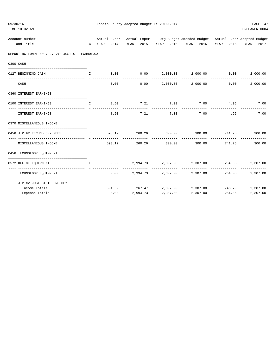| 09/30/16 | TIME:10:32 AM                                                                 |              |        | Fannin County Adopted Budget FY 2016/2017 |                    |                                                                                                                                                    |                         | PAGE 47<br>PREPARER: 0004 |
|----------|-------------------------------------------------------------------------------|--------------|--------|-------------------------------------------|--------------------|----------------------------------------------------------------------------------------------------------------------------------------------------|-------------------------|---------------------------|
|          | Account Number<br>and Title                                                   |              |        |                                           |                    | T Actual Exper Actual Exper Org Budget Amended Budget Actual Exper Adopted Budget<br>C YEAR - 2014 YEAR - 2015 YEAR - 2016 YEAR - 2016 YEAR - 2016 |                         | YEAR - 2017               |
|          | REPORTING FUND: 0027 J.P.#2 JUST.CT.TECHNOLOGY                                |              |        |                                           |                    |                                                                                                                                                    |                         |                           |
|          | 0300 CASH                                                                     |              |        |                                           |                    |                                                                                                                                                    |                         |                           |
|          |                                                                               |              |        |                                           |                    |                                                                                                                                                    |                         |                           |
|          | 0127 BEGINNING CASH<br>and the state of the Table                             |              |        |                                           |                    | $0.00$ $0.00$ $2,000.00$ $2,000.00$ $0.00$ $0.00$                                                                                                  |                         | 2,000.00                  |
|          | CASH                                                                          |              | 0.00   | 0.00                                      |                    | 2,000.00 2,000.00                                                                                                                                  | 0.00                    | 2,000.00                  |
|          | 0360 INTEREST EARNINGS                                                        |              |        |                                           |                    |                                                                                                                                                    |                         |                           |
|          | 0100 INTEREST EARNINGS                                                        | $\mathbf{T}$ |        | 8.50 7.21 7.00                            |                    | 7.00 4.95                                                                                                                                          |                         | 7.00                      |
|          | INTEREST EARNINGS                                                             |              | 8.50   | 7.21                                      | ----------<br>7.00 | ------------<br>7.00                                                                                                                               | -----------<br>4.95     | 7.00                      |
|          | 0370 MISCELLANEOUS INCOME                                                     |              |        |                                           |                    |                                                                                                                                                    |                         |                           |
|          | 0456 J.P.#2 TECHNOLOGY FEES<br>$\mathbf{I}$ and $\mathbf{I}$ and $\mathbf{I}$ |              | 593.12 | 260.26                                    |                    | $300.00$ $300.00$ $741.75$ $300.00$                                                                                                                |                         |                           |
|          | MISCELLANEOUS INCOME                                                          |              | 593.12 | ----------<br>260.26                      | 300.00             | -------------<br>300.00                                                                                                                            | -------------<br>741.75 | -------------<br>300.00   |
|          | 0456 TECHNOLOGY EQUIPMENT                                                     |              |        |                                           |                    |                                                                                                                                                    |                         |                           |
|          | 0572 OFFICE EQUIPMENT                                                         | Е            | 0.00   |                                           |                    | $2.994.73$ $2.307.00$ $2.307.00$ $264.05$                                                                                                          |                         | 2,307.00                  |
|          | -----------------  - --------------<br>TECHNOLOGY EQUIPMENT                   |              | 0.00   |                                           |                    | 2,994.73 2,307.00 2,307.00                                                                                                                         | 264.05                  | 2,307.00                  |
|          | J.P.#2 JUST.CT.TECHNOLOGY                                                     |              |        |                                           |                    |                                                                                                                                                    |                         |                           |
|          | Income Totals                                                                 |              |        | 601.62 267.47 2,307.00                    |                    | 2,307.00                                                                                                                                           | 746.70                  | 2,307.00                  |
|          | Expense Totals                                                                |              | 0.00   |                                           | 2,994.73 2,307.00  | 2,307.00                                                                                                                                           | 264.05                  | 2,307.00                  |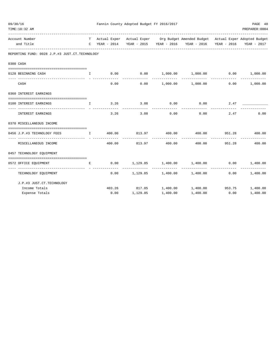| 09/30/16 | TIME:10:32 AM                                  |                                                                                                                           | Fannin County Adopted Budget FY 2016/2017<br>PAGE 48<br>PREPARER: 0004 |                              |                       |                                                                                                                                      |                          |             |  |  |  |  |
|----------|------------------------------------------------|---------------------------------------------------------------------------------------------------------------------------|------------------------------------------------------------------------|------------------------------|-----------------------|--------------------------------------------------------------------------------------------------------------------------------------|--------------------------|-------------|--|--|--|--|
|          | Account Number<br>and Title                    |                                                                                                                           | C YEAR - 2014                                                          |                              |                       | T Actual Exper Actual Exper Org Budget Amended Budget Actual Exper Adopted Budget<br>YEAR - 2015 YEAR - 2016 YEAR - 2016 YEAR - 2016 |                          | YEAR - 2017 |  |  |  |  |
|          | REPORTING FUND: 0028 J.P.#3 JUST.CT.TECHNOLOGY |                                                                                                                           |                                                                        |                              |                       |                                                                                                                                      |                          |             |  |  |  |  |
|          | 0300 CASH                                      |                                                                                                                           |                                                                        |                              |                       |                                                                                                                                      |                          |             |  |  |  |  |
|          | 0128 BEGINNING CASH                            | $\mathbf{T}$                                                                                                              |                                                                        |                              |                       | $0.00$ $0.00$ $1,000.00$ $1,000.00$ $0.00$ $0.00$ $1,000.00$                                                                         |                          |             |  |  |  |  |
|          | CASH                                           |                                                                                                                           | 0.00                                                                   | 0.00                         |                       | $1,000.00$ $1,000.00$                                                                                                                | 0.00                     | 1,000.00    |  |  |  |  |
|          | 0360 INTEREST EARNINGS                         |                                                                                                                           |                                                                        |                              |                       |                                                                                                                                      |                          |             |  |  |  |  |
|          | 0100 INTEREST EARNINGS                         | $\mathbf{I}$                                                                                                              | 3.26                                                                   |                              | $3.08$ 0.00           | 0.00                                                                                                                                 | 2.47                     |             |  |  |  |  |
|          | INTEREST EARNINGS                              |                                                                                                                           | 3.26                                                                   | --------------<br>3.08       | 0.00                  | ------------<br>0.00                                                                                                                 | 2.47                     | 0.00        |  |  |  |  |
|          | 0370 MISCELLANEOUS INCOME                      |                                                                                                                           |                                                                        |                              |                       |                                                                                                                                      |                          |             |  |  |  |  |
|          | 0456 J.P.#3 TECHNOLOGY FEES                    | $\mathbf{I}$ . The state of $\mathbf{I}$ is a state of $\mathbf{I}$ is a state of $\mathbf{I}$ is a state of $\mathbf{I}$ | 400.00                                                                 | 813.97 400.00                |                       |                                                                                                                                      | 400.00 951.28            | 400.00      |  |  |  |  |
|          | MISCELLANEOUS INCOME                           |                                                                                                                           | 400.00                                                                 | 813.97                       | -----------<br>400.00 | -----------<br>400.00                                                                                                                | --------------<br>951.28 | 400.00      |  |  |  |  |
|          | 0457 TECHNOLOGY EQUIPMENT                      |                                                                                                                           |                                                                        |                              |                       |                                                                                                                                      |                          |             |  |  |  |  |
|          | 0572 OFFICE EQUIPMENT                          | E.                                                                                                                        |                                                                        |                              |                       | $0.00$ $1,129.85$ $1,400.00$ $1,400.00$ $0.00$ $1,400.00$                                                                            |                          |             |  |  |  |  |
|          | TECHNOLOGY EQUIPMENT                           |                                                                                                                           |                                                                        |                              |                       | $0.00$ 1,129.85 1,400.00 1,400.00                                                                                                    | -------------<br>0.00    | 1,400.00    |  |  |  |  |
|          | J.P.#3 JUST.CT.TECHNOLOGY                      |                                                                                                                           |                                                                        |                              |                       |                                                                                                                                      |                          |             |  |  |  |  |
|          | Income Totals<br>Expense Totals                |                                                                                                                           |                                                                        | $0.00$ $1,129.85$ $1,400.00$ |                       | 403.26 817.05 1,400.00 1,400.00 953.75 1,400.00<br>1,400.00                                                                          | 0.00                     | 1,400.00    |  |  |  |  |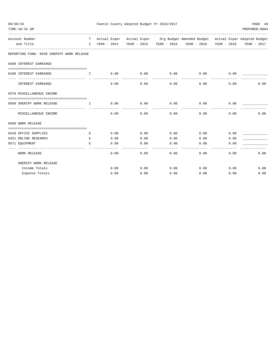| 09/30/16<br>TIME:10:32 AM                               |              |      | Fannin County Adopted Budget FY 2016/2017 |                     |                                                                                   |      | PAGE 49<br>PREPARER: 0004 |
|---------------------------------------------------------|--------------|------|-------------------------------------------|---------------------|-----------------------------------------------------------------------------------|------|---------------------------|
| Account Number                                          |              |      |                                           |                     | T Actual Exper Actual Exper Org Budget Amended Budget Actual Exper Adopted Budget |      |                           |
| and Title                                               |              |      |                                           |                     | C YEAR - 2014 YEAR - 2015 YEAR - 2016 YEAR - 2016 YEAR - 2016 YEAR - 2017         |      |                           |
| REPORTING FUND: 0030 SHERIFF WORK RELEASE               |              |      |                                           |                     |                                                                                   |      |                           |
| 0360 INTEREST EARNINGS                                  |              |      |                                           |                     |                                                                                   |      |                           |
| 0100 INTEREST EARNINGS                                  | $\mathbf{T}$ | 0.00 | $0.00$ 0.00                               |                     | 0.00                                                                              | 0.00 |                           |
| INTEREST EARNINGS                                       |              | 0.00 | 0.00                                      | -----------<br>0.00 | 0.00                                                                              | 0.00 | 0.00                      |
| 0370 MISCELLANEOUS INCOME                               |              |      |                                           |                     |                                                                                   |      |                           |
|                                                         |              |      |                                           |                     |                                                                                   |      |                           |
| 0569 SHERIFF WORK RELEASE<br>and the state of the Table |              | 0.00 | 0.00                                      | 0.00                | 0.00                                                                              | 0.00 |                           |
| MISCELLANEOUS INCOME                                    |              | 0.00 | 0.00                                      |                     | $0.00$ 0.00                                                                       | 0.00 | 0.00                      |
| 0569 WORK RELEASE                                       |              |      |                                           |                     |                                                                                   |      |                           |
|                                                         |              |      |                                           |                     |                                                                                   |      |                           |
| 0310 OFFICE SUPPLIES                                    | E            | 0.00 | 0.00                                      |                     | $0.00$ 0.00                                                                       | 0.00 |                           |
| 0421 ONLINE RESEARCH                                    | E            | 0.00 | 0.00                                      | 0.00                | 0.00                                                                              | 0.00 |                           |
| 0571 EQUIPMENT                                          | E.           | 0.00 | 0.00                                      | 0.00                | 0.00                                                                              | 0.00 |                           |
| <b>WORK RELEASE</b>                                     |              | 0.00 | 0.00                                      | ------<br>0.00      | 0.00                                                                              | 0.00 | 0.00                      |
| SHERIFF WORK RELEASE                                    |              |      |                                           |                     |                                                                                   |      |                           |
| Income Totals                                           |              | 0.00 | 0.00                                      | 0.00                | $0.00$ 0.00                                                                       |      | 0.00                      |
| Expense Totals                                          |              | 0.00 | 0.00                                      | 0.00                | 0.00                                                                              | 0.00 | 0.00                      |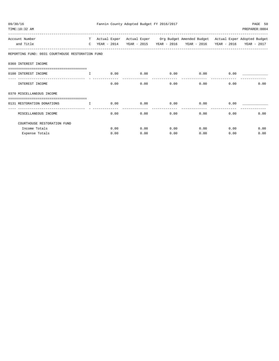| 09/30/16<br>TIME:10:32 AM                                        |               |              | Fannin County Adopted Budget FY 2016/2017 |      |                                                                    |             | PAGE 50<br>PREPARER: 0004 |
|------------------------------------------------------------------|---------------|--------------|-------------------------------------------|------|--------------------------------------------------------------------|-------------|---------------------------|
| Account Number                                                   | T             | Actual Exper |                                           |      | Actual Exper Org Budget Amended Budget Actual Exper Adopted Budget |             |                           |
| and Title                                                        | $\mathcal{C}$ | YEAR - 2014  | YEAR - 2015                               |      | YEAR - 2016 YEAR - 2016                                            | YEAR - 2016 | YEAR - 2017               |
| REPORTING FUND: 0031 COURTHOUSE RESTORATION FUND                 |               |              |                                           |      |                                                                    |             |                           |
| 0360 INTEREST INCOME                                             |               |              |                                           |      |                                                                    |             |                           |
| 0100 INTEREST INCOME                                             | $\mathbf{T}$  | 0.00         | 0.00                                      | 0.00 | 0.00                                                               | 0.00        |                           |
| INTEREST INCOME                                                  |               | 0.00         | 0.00                                      | 0.00 | 0.00                                                               | 0.00        | 0.00                      |
| 0370 MISCELLANEOUS INCOME                                        |               |              |                                           |      |                                                                    |             |                           |
| ==================================<br>0131 RESTORATION DONATIONS | $\mathbf{I}$  | 0.00         | 0.00                                      | 0.00 | 0.00                                                               | 0.00        |                           |
| ---------------------------<br>MISCELLANEOUS INCOME              |               | 0.00         | 0.00                                      | 0.00 | 0.00                                                               | 0.00        | 0.00                      |
| COURTHOUSE RESTORATION FUND                                      |               |              |                                           |      |                                                                    |             |                           |
| Income Totals                                                    |               | 0.00         | 0.00                                      | 0.00 | 0.00                                                               | 0.00        | 0.00                      |
| Expense Totals                                                   |               | 0.00         | 0.00                                      | 0.00 | 0.00                                                               | 0.00        | 0.00                      |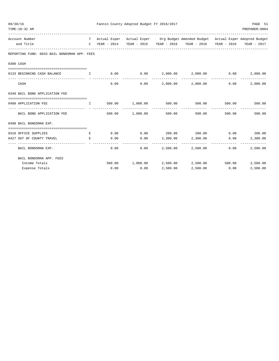| 09/30/16<br>TIME:10:32 AM                                    |              | Fannin County Adopted Budget FY 2016/2017 |                        | PAGE 51<br>PREPARER: 0004 |                                                                                                                                      |               |               |
|--------------------------------------------------------------|--------------|-------------------------------------------|------------------------|---------------------------|--------------------------------------------------------------------------------------------------------------------------------------|---------------|---------------|
| Account Number<br>and Title                                  |              | C YEAR - 2014                             |                        |                           | T Actual Exper Actual Exper Org Budget Amended Budget Actual Exper Adopted Budget<br>YEAR - 2015 YEAR - 2016 YEAR - 2016 YEAR - 2016 |               | YEAR - 2017   |
| REPORTING FUND: 0033 BAIL BONDSMAN APP. FEES                 |              |                                           |                        |                           |                                                                                                                                      |               |               |
| 0300 CASH<br>================================                |              |                                           |                        |                           |                                                                                                                                      |               |               |
| 0133 BEGINNING CASH BALANCE<br>$\mathbf{I}$ and $\mathbf{I}$ |              |                                           |                        |                           | $0.00$ $0.00$ $2,000.00$ $2,000.00$ $0.00$ $0.00$                                                                                    |               | 2,000.00      |
| CASH                                                         |              | 0.00                                      | 0.00                   |                           | 2,000.00 2,000.00                                                                                                                    | 0.00          | 2,000.00      |
| 0340 BAIL BOND APPLICATION FEE                               |              |                                           |                        |                           |                                                                                                                                      |               |               |
| 0480 APPLICATION FEE                                         | $\mathbf{I}$ |                                           | 500.00 1,000.00 500.00 |                           | 500.00                                                                                                                               |               | 500.00 500.00 |
| BAIL BOND APPLICATION FEE                                    |              | 500.00                                    | 1,000.00 500.00        |                           | 500.00                                                                                                                               | 500.00        | 500.00        |
| 0498 BAIL BONDSMAN EXP.                                      |              |                                           |                        |                           |                                                                                                                                      |               |               |
|                                                              |              |                                           |                        |                           |                                                                                                                                      |               |               |
| 0310 OFFICE SUPPLIES                                         | E            | 0.00                                      |                        |                           | $0.00$ 200.00 200.00                                                                                                                 | $0.00$ 200.00 |               |
| 0427 OUT OF COUNTY TRAVEL<br>-----------                     | E.           | 0.00                                      | 0.00                   | 2,300.00                  | 2,300.00                                                                                                                             | 0.00          | 2,300.00      |
| BAIL BONDSMAN EXP.                                           |              | 0.00                                      | 0.00                   |                           | 2,500.00 2,500.00                                                                                                                    | 0.00          | 2,500.00      |
| BAIL BONDSMAN APP. FEES                                      |              |                                           |                        |                           |                                                                                                                                      |               |               |
| Income Totals                                                |              |                                           |                        |                           | $500.00$ 1,000.00 2,500.00 2,500.00 500.00                                                                                           |               | 2,500.00      |
| Expense Totals                                               |              | 0.00                                      | 0.00                   | 2,500.00                  | 2,500.00                                                                                                                             | 0.00          | 2,500.00      |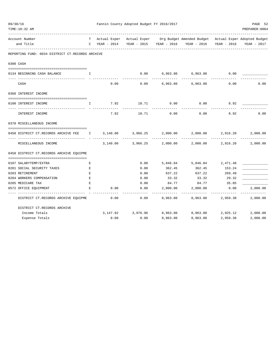| TIME:10:32 AM                                                                       |                  |          |                      |                         |                                                                                                                                        |                                    | PREPARER: 0004            |
|-------------------------------------------------------------------------------------|------------------|----------|----------------------|-------------------------|----------------------------------------------------------------------------------------------------------------------------------------|------------------------------------|---------------------------|
| Account Number<br>and Title                                                         |                  |          |                      |                         | T Actual Exper Actual Exper Org Budget Amended Budget Actual Exper Adopted Budget<br>C YEAR - 2014 YEAR - 2015 YEAR - 2016 YEAR - 2016 |                                    | YEAR - 2016 YEAR - 2017   |
| REPORTING FUND: 0034 DISTRICT CT.RECORDS ARCHIVE                                    |                  |          |                      |                         |                                                                                                                                        |                                    |                           |
| 0300 CASH                                                                           |                  |          |                      |                         |                                                                                                                                        |                                    |                           |
| 0134 BEGINNING CASH BALANCE                                                         | I.               |          | 0.00                 |                         | 6,963.80 6,963.80                                                                                                                      | 0.00                               |                           |
| CASH                                                                                |                  | 0.00     |                      |                         | $0.00$ 6,963.80 6,963.80                                                                                                               | 0.00                               | 0.00                      |
| 0360 INTEREST INCOME                                                                |                  |          |                      |                         |                                                                                                                                        |                                    |                           |
|                                                                                     |                  | 7.92     | 10.71                | 0.00                    |                                                                                                                                        | 8.92                               |                           |
| 0100 INTEREST INCOME                                                                | Ι.               |          |                      |                         | 0.00                                                                                                                                   |                                    |                           |
| INTEREST INCOME                                                                     |                  | 7.92     | 10.71                | 0.00                    | 0.00                                                                                                                                   | 8.92                               | 0.00                      |
| 0370 MISCELLANEOUS INCOME                                                           |                  |          |                      |                         |                                                                                                                                        |                                    |                           |
| 0450 DISTRICT CT.RECORDS ARCHIVE FEE 1 3,140.00 3,966.25 2,000.00 2,000.00 2,916.20 |                  |          |                      |                         |                                                                                                                                        |                                    | 2,000.00                  |
| MISCELLANEOUS INCOME                                                                |                  | 3,140.00 |                      |                         | -------------<br>$3,966.25$ $2,000.00$ $2,000.00$ $2,916.20$                                                                           | -------------                      | -------------<br>2,000.00 |
| 0450 DISTRICT CT.RECORDS ARCHIVE EQUIPME                                            |                  |          |                      |                         |                                                                                                                                        |                                    |                           |
|                                                                                     |                  |          |                      |                         |                                                                                                                                        |                                    |                           |
| 0107 SALARYTEMP/EXTRA                                                               | Е                |          | 0.00                 |                         | 5,846.04 5,846.04 2,471.48                                                                                                             |                                    |                           |
| 0201 SOCIAL SECURITY TAXES<br>0203 RETIREMENT                                       | $\mathbf E$<br>E |          | 0.00<br>0.00         | 362.45                  | 362.45<br>637.22 637.22                                                                                                                | 153.24<br>269.49                   |                           |
| 0204 WORKERS COMPENSATION<br>$\mathbf{E}$ and $\mathbf{E}$                          |                  |          | 0.00                 |                         | 33.32 33.32 29.32                                                                                                                      |                                    |                           |
| 0205 MEDICARE TAX                                                                   | E                |          | 0.00                 |                         | 84.77 84.77 35.85                                                                                                                      |                                    |                           |
| 0572 OFFICE EQUIPMENT                                                               | E                | 0.00     | 0.00                 |                         | 2,000.00 2,000.00 0.00                                                                                                                 |                                    | 2,000.00                  |
| DISTRICT CT.RECORDS ARCHIVE EQUIPME                                                 |                  | 0.00     | ------------<br>0.00 | -----------<br>8,963.80 | ------------                                                                                                                           | -------------<br>8,963.80 2,959.38 | -------------<br>2,000.00 |
| DISTRICT CT.RECORDS ARCHIVE                                                         |                  |          |                      |                         |                                                                                                                                        |                                    |                           |
| Income Totals                                                                       |                  |          | 3, 147.92 3, 976.96  |                         | 8,963.80 8,963.80 2,925.12 2,000.00                                                                                                    |                                    |                           |
| Expense Totals                                                                      |                  | 0.00     | 0.00                 | 8,963.80                | 8,963.80                                                                                                                               | 2,959.38                           | 2,000.00                  |

09/30/16 Fannin County Adopted Budget FY 2016/2017 PAGE 52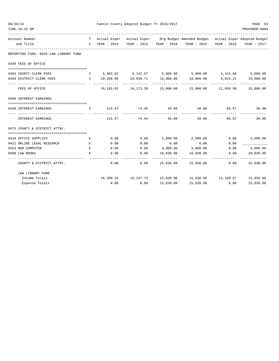| 09/30/16 | TIME:10:32 AM                                                            |      |                 | Fannin County Adopted Budget FY 2016/2017 |                      |                                                                                          |                | PAGE 53<br>PREPARER: 0004 |
|----------|--------------------------------------------------------------------------|------|-----------------|-------------------------------------------|----------------------|------------------------------------------------------------------------------------------|----------------|---------------------------|
|          | Account Number                                                           |      |                 |                                           |                      | T Actual Exper Actual Exper Org Budget Amended Budget Actual Exper Adopted Budget        |                |                           |
|          | and Title                                                                |      |                 |                                           |                      | C YEAR - 2014 YEAR - 2015 YEAR - 2016 YEAR - 2016 YEAR - 2016 YEAR - 2017                |                |                           |
|          | REPORTING FUND: 0035 LAW LIBRARY FUND                                    |      |                 |                                           |                      |                                                                                          |                |                           |
|          | 0340 FEES OF OFFICE                                                      |      |                 |                                           |                      |                                                                                          |                |                           |
|          | 0403 COUNTY CLERK FEES                                                   |      |                 |                                           |                      | 1 5,903.82 6,142.57 5,000.00 5,000.00 4,415.69 5,000.00                                  |                |                           |
|          | 0450 DISTRICT CLERK FEES                                                 |      | $I = 10,290.00$ | 10,030.71  10,000.00                      |                      | 10,000.00 6,624.21 10,000.00                                                             |                |                           |
|          | FEES OF OFFICE                                                           |      |                 | -------------                             | -------------        | -------------<br>$16,193.82$ $16,173.28$ $15,000.00$ $15,000.00$ $11,039.90$ $15,000.00$ | -------------- |                           |
|          | 0360 INTEREST EARNINGS                                                   |      |                 |                                           |                      |                                                                                          |                |                           |
|          | 0100 INTEREST EARNINGS<br>and the state of the state of the state of the |      |                 | 115.57 74.45 30.00 30.00                  |                      |                                                                                          | 60.97 30.00    |                           |
|          | ------------------------------<br>INTEREST EARNINGS                      |      | 115.57          | 74.45                                     | -----------<br>30.00 | 30.00                                                                                    | 60.97          | 30.00                     |
|          | 0475 COUNTY & DISTRICT ATTNY.                                            |      |                 |                                           |                      |                                                                                          |                |                           |
|          | 0310 OFFICE SUPPLIES                                                     | E    | 0.00            | 0.00                                      | 2,000.00             | 2,000.00                                                                                 | 0.00           | 2,000.00                  |
|          | 0421 ONLINE LEGAL RESEARCH                                               | $ E$ | 0.00            | 0.00                                      | 0.00                 | 0.00                                                                                     | 0.00           |                           |
|          | 0453 R&M COMPUTER                                                        | E.   | 0.00            | 0.00                                      | 3,000.00             | 3,000.00                                                                                 | 0.00           | 3,000.00                  |
|          | 0590 LAW BOOKS                                                           | E.   | 0.00            | 0.00                                      | 10,030.00            | 10,030.00                                                                                | 0.00           | 10,030.00                 |
|          | COUNTY & DISTRICT ATTNY.                                                 |      | 0.00            | 0.00                                      |                      | 15,030.00    15,030.00                                                                   | 0.00           | 15,030.00                 |
|          | LAW LIBRARY FUND                                                         |      |                 |                                           |                      |                                                                                          |                |                           |
|          | Income Totals                                                            |      |                 |                                           |                      | 16, 309.39   16, 247.73   15, 030.00   15, 030.00   11, 100.87   15, 030.00              |                |                           |
|          | Expense Totals                                                           |      | 0.00            | 0.00                                      | 15,030.00            | 15,030.00                                                                                | 0.00           | 15,030.00                 |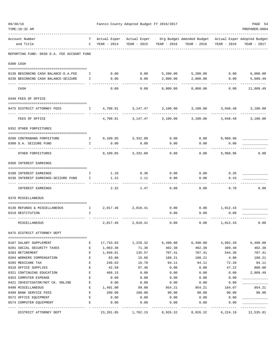| 09/30/16<br>TIME:10:32 AM                  |              |                     | Fannin County Adopted Budget FY 2016/2017 |             |                                                                      |                   | PAGE 54<br>PREPARER: 0004 |
|--------------------------------------------|--------------|---------------------|-------------------------------------------|-------------|----------------------------------------------------------------------|-------------------|---------------------------|
|                                            |              |                     |                                           |             |                                                                      |                   |                           |
| Account Number<br>and Title                | C            | YEAR - 2014         | Actual Exper Actual Exper<br>YEAR - 2015  | YEAR - 2016 | Org Budget Amended Budget Actual Exper Adopted Budget<br>YEAR - 2016 | YEAR - 2016       | YEAR - 2017               |
| REPORTING FUND: 0036 D.A. FEE ACCOUNT FUND |              |                     |                                           |             |                                                                      |                   |                           |
| 0300 CASH                                  |              |                     |                                           |             |                                                                      |                   |                           |
| 0136 BEGINNING CASH BALANCE-D.A.FEE        | $\mathbf{I}$ |                     | $0.00$ 0.00                               |             | 5,200.00 5,200.00 0.00                                               |                   | 6,000.00                  |
| 0236 BEGINNING CASH BALANCE-SEIZURE        | Ι.           | 0.00                | 0.00                                      | 2,800.00    | 2,800.00                                                             | 0.00              | 5,609.49<br>----------    |
| CASH                                       |              | 0.00                | 0.00                                      | 8,000.00    | 8,000.00                                                             | 0.00              | 11,609.49                 |
| 0340 FEES OF OFFICE                        |              |                     |                                           |             |                                                                      |                   |                           |
| 0475 DISTRICT ATTORNEY FEES                | $\mathbf{I}$ | 4,700.91            | 3,147.47 3,100.00                         |             |                                                                      | 3,100.00 3,048.48 | 3,100.00<br>-----------   |
| FEES OF OFFICE                             |              | 4,700.91            | 3,147.47                                  | 3,100.00    | 3,100.00                                                             | 3,048.48          | 3,100.00                  |
| 0352 OTHER FORFEITURES                     |              |                     |                                           |             |                                                                      |                   |                           |
| 0200 CONTRABAND FORFEITURE                 |              | 1 9,109.05 3,332.00 |                                           | 0.00        |                                                                      | $0.00$ 9,960.96   |                           |
| 0300 D.A. SEIZURE FUND                     | $\mathbf{I}$ | 0.00                | 0.00                                      | 0.00        | 0.00                                                                 | 0.00              |                           |
| OTHER FORFEITURES                          |              | 9,109.05            | 3,332.00                                  | 0.00        | 0.00                                                                 | 9,960.96          | 0.00                      |
| 0360 INTEREST EARNINGS                     |              |                     |                                           |             |                                                                      |                   |                           |
| 0100 INTEREST EARNINGS                     | Ι.           | 1.10                | 0.36                                      | 0.00        | 0.00                                                                 | 0.35              |                           |
| 0236 INTEREST EARNINGS-SEIZURE FUND        | $\mathbb{I}$ | 1.22                | 1.11                                      | 0.00        | 0.00                                                                 | 0.43              |                           |
| INTEREST EARNINGS                          |              | 2.32                | 1.47                                      | 0.00        | 0.00                                                                 | 0.78              | 0.00                      |
| 0370 MISCELLANEOUS                         |              |                     |                                           |             |                                                                      |                   |                           |
| 0130 REFUNDS & MISCELLANEOUS               | $\mathbb{I}$ |                     | 2,017.46 2,018.41                         | 0.00        |                                                                      | $0.00$ 1,012.43   |                           |
| 0319 RESTITUTION                           | I            |                     |                                           | 0.00        | 0.00                                                                 | 0.00              |                           |
| MISCELLANEOUS                              |              | 2,017.46            | 2,018.41                                  | 0.00        | 0.00                                                                 | 1,012.43          | 0.00                      |
| 0475 DISTRICT ATTORNEY DEPT                |              |                     |                                           |             |                                                                      |                   |                           |
| 0107 SALARY SUPPLEMENT                     | Е            | 17,733.83           | 1,226.32                                  | 6,490.00    | 6,490.00                                                             | 4,992.20          | 6,490.00                  |
| 0201 SOCIAL SECURITY TAXES                 | Е            | 1,063.38            | 71.36                                     | 402.38      | 402.38                                                               | 309.40            | 402.38                    |
| 0203 RETIREMENT                            | E            | 1,949.61            | 135.57                                    | 707.41      | 707.41                                                               | 544.30            | 707.41                    |
| 0204 WORKERS COMPENSATION                  | $\mathbf{E}$ | 83.86               | 15.66                                     | 188.21      | 188.21                                                               | 4.80              | 188.21                    |
| 0205 MEDICARE TAX                          | Е            | 248.63              | 16.78                                     | 94.11       | 94.11                                                                | 72.20             | 94.11                     |
| 0310 OFFICE SUPPLIES                       | Е            | 42.59               | 97.46                                     | 0.00        | 0.00                                                                 | 47.22             | 800.00                    |
| 0321 CONTINUING EDUCATION                  | Е            | 468.15              | 0.00                                      | 0.00        | 0.00                                                                 | 0.00              | 2,809.49                  |
| 0353 COMPUTER EXPENSE                      | Е            | 0.00                | 0.00                                      | 0.00        | 0.00                                                                 | 0.00              |                           |
| 0421 INVESTIGATOR/HOT CK. ONLINE           | Е            | 0.00                | 0.00                                      | 0.00        | 0.00                                                                 | 0.00              |                           |
| 0490 MISCELLANEOUS                         | Ε            | 1,491.00            | 99.00                                     | 954.21      | 954.21                                                               | 164.07            | 954.21                    |
| 0499 BANK SERVICE FEES                     | Ε            | 200.00              | 100.00                                    | 90.00       | 90.00                                                                | 90.00             | 90.00                     |
| 0572 OFFICE EQUIPMENT                      | Е            | 0.00                | 0.00                                      | 0.00        | 0.00                                                                 | 0.00              |                           |
| 0574 COMPUTER EQUIPMENT                    | Е            | 0.00                | 0.00                                      | 0.00        | 0.00                                                                 | 0.00              |                           |
| DISTRICT ATTORNEY DEPT                     |              | 23,281.05           | 1,762.15                                  | 8,926.32    | 8,926.32                                                             | 6,224.19          | 12,535.81                 |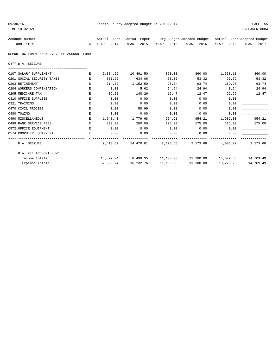| 09/30/16                                                     |                | Fannin County Adopted Budget FY 2016/2017 |                               |        |                                                                                   |                 |                               |  |  |  |  |
|--------------------------------------------------------------|----------------|-------------------------------------------|-------------------------------|--------|-----------------------------------------------------------------------------------|-----------------|-------------------------------|--|--|--|--|
| TIME:10:32 AM                                                |                |                                           |                               |        |                                                                                   |                 | PREPARER:0004                 |  |  |  |  |
| Account Number                                               |                |                                           |                               |        | T Actual Exper Actual Exper Org Budget Amended Budget Actual Exper Adopted Budget |                 |                               |  |  |  |  |
| and Title                                                    |                |                                           |                               |        | C YEAR - 2014 YEAR - 2015 YEAR - 2016 YEAR - 2016 YEAR - 2016 YEAR - 2017         |                 |                               |  |  |  |  |
| REPORTING FUND: 0036 D.A. FEE ACCOUNT FUND                   |                |                                           |                               |        |                                                                                   |                 |                               |  |  |  |  |
| 0477 D.A. SEIZURE                                            |                |                                           |                               |        |                                                                                   |                 |                               |  |  |  |  |
|                                                              |                |                                           |                               |        |                                                                                   |                 |                               |  |  |  |  |
| 0107 SALARY SUPPLEMENT                                       | Е              |                                           | 6,384.56 10,491.50            | 860.00 |                                                                                   | 860.00 1,558.18 | 860.00                        |  |  |  |  |
| 0201 SOCIAL SECURITY TAXES                                   | $\,$ E         |                                           | 381.66 634.06                 | 53.32  | 53.32                                                                             | 96.59           | 53.32                         |  |  |  |  |
| 0203 RETIREMENT                                              | E              | 714.82                                    | 1,152.50                      | 93.74  | 93.74                                                                             | 169.97          | 93.74                         |  |  |  |  |
| 0204 WORKERS COMPENSATION                                    | E.             | 0.00                                      | 5.62                          | 24.94  |                                                                                   | 24.94 0.64      | 24.94                         |  |  |  |  |
| 0205 MEDICARE TAX                                            | E              | 89.22                                     | 148.26                        | 12.47  | 12.47                                                                             | 22.69           | 12.47                         |  |  |  |  |
| 0310 OFFICE SUPPLIES                                         | E.             | 0.00                                      | 0.00                          | 0.00   | 0.00                                                                              | 0.00            |                               |  |  |  |  |
| 0321 TRAINING                                                | Е              | 0.00                                      | 0.00                          | 0.00   | 0.00                                                                              | 0.00            |                               |  |  |  |  |
| 0470 CIVIL PROCESS                                           | E.             | 0.00                                      | 58.99                         | 0.00   | 0.00                                                                              | 0.00            |                               |  |  |  |  |
| 0480 TOWING                                                  | Е              | 0.00                                      | 0.00                          | 0.00   | 0.00                                                                              | 0.00            |                               |  |  |  |  |
| 0490 MISCELLANEOUS                                           | E              |                                           | 1,548.43 1,779.68             | 954.21 |                                                                                   | 954.21 1,982.00 | 954.21                        |  |  |  |  |
| 0499 BANK SERVICE FEES                                       | E              | 300.00 200.00                             |                               | 175.00 |                                                                                   | 175.00 175.00   | 175.00                        |  |  |  |  |
| 0572 OFFICE EQUIPMENT                                        | $\mathbf{E}^-$ | 0.00                                      | 0.00                          | 0.00   | $0.00$ 0.00                                                                       |                 |                               |  |  |  |  |
| 0574 COMPUTER EOUIPMENT<br>--------------------------------- | E.,            | 0.00                                      | 0.00                          | 0.00   | 0.00                                                                              | 0.00            |                               |  |  |  |  |
| D.A. SEIZURE                                                 |                |                                           |                               |        | 9,418.69 14,470.61 2,173.68 2,173.68 4,005.07                                     |                 | 2,173.68                      |  |  |  |  |
| D.A. FEE ACCOUNT FUND                                        |                |                                           |                               |        |                                                                                   |                 |                               |  |  |  |  |
| Income Totals                                                |                |                                           |                               |        | 15,829.74 8,499.35 11,100.00 11,100.00 14,022.65 14,709.49                        |                 |                               |  |  |  |  |
| Expense Totals                                               |                |                                           | 32,699.74 16,232.76 11,100.00 |        |                                                                                   |                 | 11,100.00 10,229.26 14,709.49 |  |  |  |  |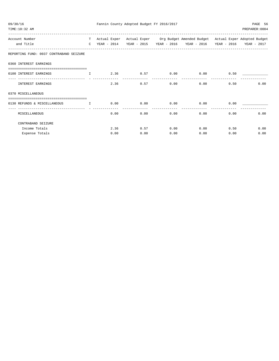| 09/30/16<br>TIME: 10:32 AM                                                                                                |  |      |                   |      | Fannin County Adopted Budget FY 2016/2017 |                                                                                                                                                                |                           | PAGE 56<br>PREPARER: 0004 |
|---------------------------------------------------------------------------------------------------------------------------|--|------|-------------------|------|-------------------------------------------|----------------------------------------------------------------------------------------------------------------------------------------------------------------|---------------------------|---------------------------|
| Account Number<br>and Title                                                                                               |  |      |                   |      |                                           | T Actual Exper Actual Exper Org Budget Amended Budget Actual Exper Adopted Budget<br>C YEAR - 2014 YEAR - 2015 YEAR - 2016 YEAR - 2016 YEAR - 2016 YEAR - 2017 |                           |                           |
| REPORTING FUND: 0037 CONTRABAND SEIZURE                                                                                   |  |      |                   |      |                                           |                                                                                                                                                                |                           |                           |
| 0360 INTEREST EARNINGS                                                                                                    |  |      |                   |      |                                           |                                                                                                                                                                |                           |                           |
| =====================================<br>0100 INTEREST EARNINGS<br><b>The Community of The Community of The Community</b> |  |      |                   |      |                                           | $2.36$ 0.57 0.00 0.00                                                                                                                                          | 0.50                      |                           |
| INTEREST EARNINGS                                                                                                         |  |      | 2.36              |      |                                           | $0.57$ 0.00 0.00                                                                                                                                               | 0.50                      | 0.00                      |
| 0370 MISCELLANEOUS                                                                                                        |  |      |                   |      |                                           |                                                                                                                                                                |                           |                           |
| 0130 REFUNDS & MISCELLANEOUS<br><b>The Community of The Table 1</b>                                                       |  |      |                   |      |                                           | $0.00$ $0.00$ $0.00$ $0.00$ $0.00$ $0.00$                                                                                                                      | 0.00                      |                           |
| MISCELLANEOUS                                                                                                             |  |      | $0.00$ and $0.00$ |      | $0.00$ 0.00                               |                                                                                                                                                                | 0.00                      | 0.00<br>0.00              |
| CONTRABAND SEIZURE                                                                                                        |  |      |                   |      |                                           |                                                                                                                                                                |                           |                           |
| Income Totals                                                                                                             |  |      |                   |      |                                           | $2.36$ 0.57 0.00 0.00                                                                                                                                          |                           | 0.00<br>0.50              |
| Expense Totals                                                                                                            |  | 0.00 |                   | 0.00 | 0.00                                      |                                                                                                                                                                | $0.00$ and $0.00$<br>0.00 | 0.00                      |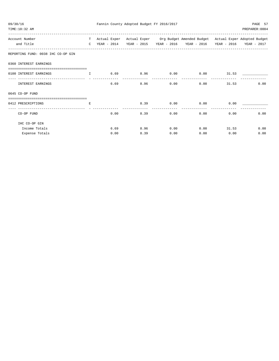| 09/30/16<br>TIME:10:32 AM                                   |    |      | Fannin County Adopted Budget FY 2016/2017 |           |                                                                                   |                                                                                                                                                                                                                             | PAGE 57<br>PREPARER: 0004 |
|-------------------------------------------------------------|----|------|-------------------------------------------|-----------|-----------------------------------------------------------------------------------|-----------------------------------------------------------------------------------------------------------------------------------------------------------------------------------------------------------------------------|---------------------------|
| Account Number                                              |    |      |                                           |           | T Actual Exper Actual Exper Org Budget Amended Budget Actual Exper Adopted Budget |                                                                                                                                                                                                                             |                           |
| and Title                                                   |    |      |                                           |           | C YEAR - 2014 YEAR - 2015 YEAR - 2016 YEAR - 2016 YEAR - 2016 YEAR - 2017         |                                                                                                                                                                                                                             |                           |
| REPORTING FUND: 0038 IHC CO-OP GIN                          |    |      |                                           |           |                                                                                   |                                                                                                                                                                                                                             |                           |
| 0360 INTEREST EARNINGS                                      |    |      |                                           |           |                                                                                   |                                                                                                                                                                                                                             |                           |
| 0100 INTEREST EARNINGS<br><b>The Community of The Terms</b> |    |      |                                           |           | $6.69$ $8.96$ $0.00$ $0.00$ $31.53$                                               |                                                                                                                                                                                                                             |                           |
| INTEREST EARNINGS                                           |    |      | 6.69                                      | 8.96 0.00 |                                                                                   | $0.00$ and $0.00$ and $0.00$ and $0.00$ and $0.00$ and $0.00$ and $0.00$ and $0.00$ and $0.00$ and $0.00$ and $0.00$ and $0.00$ and $0.00$ and $0.00$ and $0.00$ and $0.00$ and $0.00$ and $0.00$ and $0.00$ and $0.00$ and | 0.00<br>31.53             |
| $0645$ CO-OP FUND                                           |    |      |                                           |           |                                                                                   |                                                                                                                                                                                                                             |                           |
|                                                             |    |      |                                           |           |                                                                                   |                                                                                                                                                                                                                             |                           |
| 0412 PRESCRIPTIONS                                          | E. |      |                                           |           | 8.39 0.00 0.00                                                                    | 0.00                                                                                                                                                                                                                        |                           |
| CO-OP FUND                                                  |    |      | $0.00$ and $0.00$                         | 8.39 0.00 |                                                                                   | 0.00<br>0.00                                                                                                                                                                                                                | 0.00                      |
| IHC CO-OP GIN                                               |    |      |                                           |           |                                                                                   |                                                                                                                                                                                                                             |                           |
| Income Totals                                               |    |      | 6.69<br>8.96                              |           | $0.00$ 0.00 31.53                                                                 |                                                                                                                                                                                                                             | 0.00                      |
| Expense Totals                                              |    | 0.00 | 8.39                                      | 0.00      | 0.00                                                                              | 0.00                                                                                                                                                                                                                        | 0.00                      |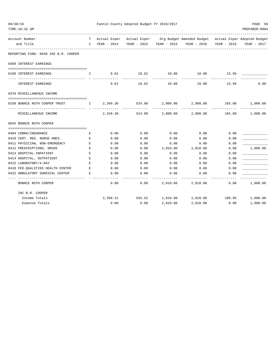| 09/30/16<br>TIME:10:32 AM                              |                         | Fannin County Adopted Budget FY 2016/2017 |                                  | PAGE 58<br>PREPARER:0004 |                                                                                                                                                    |        |             |
|--------------------------------------------------------|-------------------------|-------------------------------------------|----------------------------------|--------------------------|----------------------------------------------------------------------------------------------------------------------------------------------------|--------|-------------|
| Account Number<br>and Title                            |                         |                                           |                                  |                          | T Actual Exper Actual Exper Org Budget Amended Budget Actual Exper Adopted Budget<br>C YEAR - 2014 YEAR - 2015 YEAR - 2016 YEAR - 2016 YEAR - 2016 |        | YEAR - 2017 |
| REPORTING FUND: 0039 IHC B.R. COOPER                   |                         |                                           |                                  |                          |                                                                                                                                                    |        |             |
| 0360 INTEREST EARNINGS                                 |                         |                                           |                                  |                          |                                                                                                                                                    |        |             |
| 0100 INTEREST EARNINGS                                 | I.                      |                                           | 9.01 10.62 10.00                 |                          | 10.00                                                                                                                                              | 15.95  |             |
| INTEREST EARNINGS                                      |                         | 9.01                                      | . _ _ _ _ _ _ _ _ _ _ _<br>10.62 | ------------<br>10.00    | 10.00                                                                                                                                              | 15.95  | 0.00        |
| 0370 MISCELLANEOUS INCOME                              |                         |                                           |                                  |                          |                                                                                                                                                    |        |             |
| 0150 BONNIE RUTH COOPER TRUST                          | $\mathbb{I}$            | 2,349.30                                  | 524.90                           | 2,000.00                 | 2,000.00                                                                                                                                           | 165.00 | 1,000.00    |
| MISCELLANEOUS INCOME                                   |                         | 2,349.30                                  | 524.90                           |                          | 2,000.00 2,000.00 165.00 1,000.00                                                                                                                  |        |             |
| 0645 BONNIE RUTH COOPER                                |                         |                                           |                                  |                          |                                                                                                                                                    |        |             |
|                                                        |                         |                                           | 0.00                             |                          | 0.00                                                                                                                                               | 0.00   |             |
| 0404 COBRA/INSURANCE<br>0410 CERT. REG. NURSE ANES.    | Е<br>$\mathbf{E}% _{0}$ | 0.00<br>0.00                              | 0.00                             | 0.00<br>0.00             | 0.00                                                                                                                                               | 0.00   |             |
| 0411 PHYSICIAN, NON-EMERGENCY                          | Ε                       | 0.00                                      | 0.00                             | 0.00                     | 0.00                                                                                                                                               | 0.00   |             |
| 0412 PRESCRIPTIONS, DRUGS                              | E                       | 0.00                                      | 0.00                             | 2,010.00                 | 2,010.00                                                                                                                                           | 0.00   | 1,000.00    |
| 0413 HOSPITAL-INPATIENT                                | $\mathbf E$             | 0.00                                      | 0.00                             | 0.00                     | 0.00                                                                                                                                               | 0.00   |             |
| 0414 HOSPITAL, OUTPATIENT                              | E                       | 0.00                                      | 0.00                             | 0.00                     | 0.00                                                                                                                                               | 0.00   |             |
| 0415 LABORATORY/X-RAY                                  | Е                       | 0.00                                      | 0.00                             | 0.00                     | 0.00                                                                                                                                               | 0.00   |             |
| 0418 FED. OUALIFIED HEALTH CENTER                      | E                       | 0.00                                      | 0.00                             | 0.00                     | 0.00                                                                                                                                               | 0.00   |             |
| 0422 AMBULATORY SURGICAL CENTER                        | Е                       | 0.00                                      | 0.00                             | 0.00                     | 0.00                                                                                                                                               | 0.00   |             |
| --------------------------------<br>BONNIE RUTH COOPER |                         | 0.00                                      | 0.00                             | -----------<br>2,010.00  | -----------<br>2,010.00                                                                                                                            | 0.00   | 1,000.00    |
| IHC B.R. COOPER                                        |                         |                                           |                                  |                          |                                                                                                                                                    |        |             |
| Income Totals                                          |                         |                                           | 2,358.31 535.52 2,010.00         |                          | 2,010.00  180.95  1,000.00                                                                                                                         |        |             |
| Expense Totals                                         |                         | 0.00                                      | 0.00                             | 2,010.00                 | 2,010.00                                                                                                                                           | 0.00   | 1,000.00    |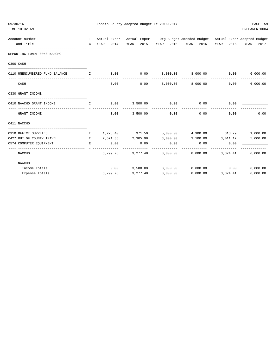| 09/30/16 | TIME:10:32 AM                                |              |                    | Fannin County Adopted Budget FY 2016/2017 |                                      |                                                                                   |             | PAGE 59<br>PREPARER: 0004 |
|----------|----------------------------------------------|--------------|--------------------|-------------------------------------------|--------------------------------------|-----------------------------------------------------------------------------------|-------------|---------------------------|
|          | --------------------------<br>Account Number |              |                    |                                           |                                      | T Actual Exper Actual Exper Org Budget Amended Budget Actual Exper Adopted Budget |             |                           |
|          | and Title<br>----------------------------    |              |                    |                                           |                                      | C YEAR - 2014 YEAR - 2015 YEAR - 2016 YEAR - 2016                                 | YEAR - 2016 | YEAR - 2017               |
|          | REPORTING FUND: 0040 NAACHO                  |              |                    |                                           |                                      |                                                                                   |             |                           |
|          | 0300 CASH                                    |              |                    |                                           |                                      |                                                                                   |             |                           |
|          | 0110 UNENCUMBERED FUND BALANCE               |              |                    |                                           |                                      | -------------                                                                     |             | 6,000.00                  |
|          | CASH                                         |              | 0.00               | 0.00                                      |                                      | 8,000.00 8,000.00                                                                 | 0.00        | 6,000.00                  |
|          | 0330 GRANT INCOME                            |              |                    |                                           |                                      |                                                                                   |             |                           |
|          | 0410 NAACHO GRANT INCOME                     | $\mathbf{I}$ | 0.00               | 3,500.00                                  | 0.00                                 | 0.00                                                                              | 0.00        |                           |
|          | GRANT INCOME                                 |              | 0.00               | 3,500.00                                  | ____________________________<br>0.00 | -------------<br>0.00                                                             | 0.00        | 0.00                      |
|          | 0411 NACCHO                                  |              |                    |                                           |                                      |                                                                                   |             |                           |
|          | 0310 OFFICE SUPPLIES                         |              |                    |                                           |                                      | E 1,278.40 971.50 5,000.00 4,900.00 313.29                                        |             | 1,000.00                  |
|          | 0427 OUT OF COUNTY TRAVEL                    | E            |                    | 2,521.38 2,305.98                         | 3,000.00                             | 3,100.00 3,011.12                                                                 |             | 5,000.00                  |
|          | 0574 COMPUTER EQUIPMENT                      | E            | 0.00<br>---------- | 0.00<br>---------                         | 0.00<br>---------                    | 0.00<br>---------                                                                 | 0.00        |                           |
|          | NACCHO                                       |              |                    |                                           |                                      | 3,799.78 3,277.48 8,000.00 8,000.00 3,324.41 6,000.00                             |             |                           |
|          | NAACHO                                       |              |                    |                                           |                                      |                                                                                   |             |                           |
|          | Income Totals                                |              |                    | $0.00$ 3,500.00                           |                                      | 8,000.00 8,000.00                                                                 | 0.00        | 6,000.00                  |
|          | Expense Totals                               |              | 3,799.78           | 3, 277.48                                 | 8,000.00                             | 8,000.00                                                                          | 3,324.41    | 6,000.00                  |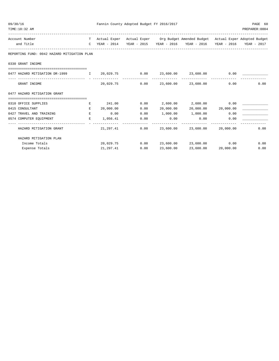| 09/30/16 | TIME:10:32 AM                                                         |              |             | Fannin County Adopted Budget FY 2016/2017 |                    |                                                                                   |                     | PAGE 60<br>PREPARER: 0004 |
|----------|-----------------------------------------------------------------------|--------------|-------------|-------------------------------------------|--------------------|-----------------------------------------------------------------------------------|---------------------|---------------------------|
|          | Account Number                                                        |              |             |                                           |                    | T Actual Exper Actual Exper Org Budget Amended Budget Actual Exper Adopted Budget |                     |                           |
|          | and Title                                                             | $\mathbb{C}$ | YEAR - 2014 |                                           |                    | YEAR - 2015 YEAR - 2016 YEAR - 2016                                               |                     | YEAR - 2016 YEAR - 2017   |
|          | REPORTING FUND: 0042 HAZARD MITIGATION PLAN                           |              |             |                                           |                    |                                                                                   |                     |                           |
|          | 0330 GRANT INCOME                                                     |              |             |                                           |                    |                                                                                   |                     |                           |
|          | 0477 HAZARD MITIGATION DR-1999                                        |              | I 20,029.75 | 0.00<br>--------------                    |                    | 23,600.00 23,600.00                                                               | 0.00                |                           |
|          | GRANT INCOME                                                          |              | 20,029.75   | 0.00                                      |                    | 23,600.00 23,600.00                                                               | 0.00                | 0.00                      |
|          | 0477 HAZARD MITIGATION GRANT<br>------------------------------------- |              |             |                                           |                    |                                                                                   |                     |                           |
|          | 0310 OFFICE SUPPLIES                                                  | Е            | 241.00      | 0.00                                      |                    | 2,600.00 2,600.00                                                                 | 0.00                |                           |
|          | 0415 CONSULTANT                                                       | E.           | 20,000.00   | 0.00                                      | 20,000.00          |                                                                                   | 20,000.00 20,000.00 |                           |
|          | 0427 TRAVEL AND TRAINING                                              | E            | 0.00        | 0.00                                      | 1,000.00           | 1,000.00                                                                          | 0.00                |                           |
|          | 0574 COMPUTER EQUIPMENT                                               | E.           | 1,056.41    | 0.00                                      | 0.00<br>---------- | 0.00                                                                              | 0.00                |                           |
|          | HAZARD MITIGATION GRANT                                               |              | 21,297.41   | 0.00                                      | 23,600.00          | 23,600.00                                                                         | 20,000.00           | 0.00                      |
|          | HAZARD MITIGATION PLAN                                                |              |             |                                           |                    |                                                                                   |                     |                           |
|          | Income Totals                                                         |              | 20,029.75   | 0.00                                      |                    | 23,600.00 23,600.00                                                               | 0.00                | 0.00                      |
|          | Expense Totals                                                        |              | 21,297.41   | 0.00                                      | 23,600.00          | 23,600.00                                                                         | 20,000.00           | 0.00                      |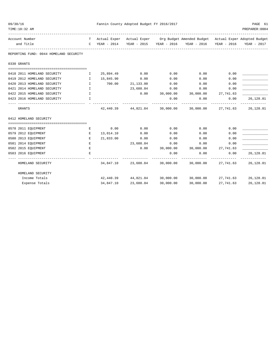| 09/30/16<br>TIME:10:32 AM                  |                               |                        | Fannin County Adopted Budget FY 2016/2017 |              | ----------------------------------                                                                                       |                     | PAGE 61<br>PREPARER: 0004 |
|--------------------------------------------|-------------------------------|------------------------|-------------------------------------------|--------------|--------------------------------------------------------------------------------------------------------------------------|---------------------|---------------------------|
| Account Number<br>and Title                |                               | C YEAR - 2014          |                                           |              | T Actual Exper Actual Exper Org Budget Amended Budget Actual Exper Adopted Budget<br>YEAR - 2015 YEAR - 2016 YEAR - 2016 | YEAR - 2016         | YEAR - 2017               |
| REPORTING FUND: 0044 HOMELAND SECURITY     |                               |                        |                                           |              |                                                                                                                          |                     |                           |
| 0330 GRANTS                                |                               |                        |                                           |              |                                                                                                                          |                     |                           |
| 0418 2011 HOMELAND SECURITY                | $\mathbf{I}$                  | 25,894.49              | 0.00                                      | 0.00         | 0.00                                                                                                                     | 0.00                |                           |
| 0419 2012 HOMELAND SECURITY                | $\mathbf{I}$                  | 15,845.90              | 0.00                                      | 0.00         | 0.00                                                                                                                     | 0.00                |                           |
| 0420 2013 HOMELAND SECURITY                | $\mathbf{I}$                  | 700.00                 | 21,133.00                                 | 0.00         | 0.00                                                                                                                     | 0.00                |                           |
| 0421 2014 HOMELAND SECURITY                | $\mathbf{I}$                  |                        | 23,688.84                                 | 0.00         | 0.00                                                                                                                     | 0.00                |                           |
| 0422 2015 HOMELAND SECURITY                | $\mathbf{I}$ and $\mathbf{I}$ |                        | 0.00                                      |              | 30,000.00 30,000.00 27,741.63                                                                                            |                     |                           |
| 0423 2016 HOMELAND SECURITY                | I.                            |                        |                                           | 0.00         | 0.00                                                                                                                     | 0.00                | 26, 128.81                |
| <b>GRANTS</b>                              |                               |                        | 42,440.39 44,821.84                       | 30,000.00    |                                                                                                                          | 30,000.00 27,741.63 | 26,128.81                 |
| 0412 HOMELAND SECURITY                     |                               |                        |                                           |              |                                                                                                                          |                     |                           |
|                                            |                               |                        |                                           |              |                                                                                                                          |                     |                           |
| 0578 2011 EQUIPMENT<br>0579 2012 EQUIPMENT | E<br>E                        | 0.00                   | 0.00<br>0.00                              | 0.00<br>0.00 | 0.00<br>0.00                                                                                                             | 0.00<br>0.00        |                           |
| 0580 2013 EQUIPMENT                        | Е                             | 13,014.10<br>21,833.00 | 0.00                                      | 0.00         | 0.00                                                                                                                     | 0.00                |                           |
| 0581 2014 EQUIPMENT                        | E                             |                        | 23,688.84                                 | 0.00         | 0.00                                                                                                                     | 0.00                |                           |
| 0582 2015 EQUIPMENT                        | E                             |                        | 0.00                                      |              | 30,000.00 30,000.00 27,741.63                                                                                            |                     |                           |
| 0583 2016 EQUIPMENT                        | E.                            |                        |                                           | 0.00         | 0.00                                                                                                                     | 0.00                | 26,128.81                 |
| HOMELAND SECURITY                          |                               |                        |                                           |              | $34,847.10$ $23,688.84$ $30,000.00$ $30,000.00$ $27,741.63$ $26,128.81$                                                  | -------------       |                           |
| HOMELAND SECURITY                          |                               |                        |                                           |              |                                                                                                                          |                     |                           |
| Income Totals                              |                               |                        |                                           |              | 42,440.39 44,821.84 30,000.00 30,000.00 27,741.63 26,128.81                                                              |                     |                           |
| Expense Totals                             |                               | 34,847.10              | 23,688.84                                 | 30,000.00    | 30,000.00                                                                                                                | 27,741.63           | 26,128.81                 |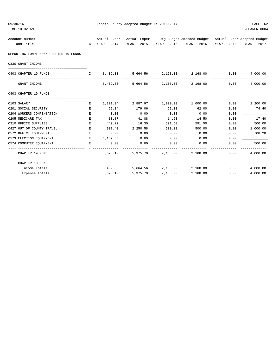| 09/30/16<br>TIME:10:32 AM             |    | Fannin County Adopted Budget FY 2016/2017 |                                             |          |                                                                                   |             |                            |
|---------------------------------------|----|-------------------------------------------|---------------------------------------------|----------|-----------------------------------------------------------------------------------|-------------|----------------------------|
| Account Number                        |    |                                           |                                             |          | T Actual Exper Actual Exper Org Budget Amended Budget Actual Exper Adopted Budget |             |                            |
| and Title                             |    |                                           |                                             |          | C YEAR - 2014 YEAR - 2015 YEAR - 2016 YEAR - 2016                                 | YEAR - 2016 | YEAR - 2017                |
| REPORTING FUND: 0045 CHAPTER 19 FUNDS |    |                                           |                                             |          |                                                                                   |             |                            |
| 0330 GRANT INCOME                     |    |                                           |                                             |          |                                                                                   |             |                            |
| 0403 CHAPTER 19 FUNDS                 |    | $1 \t 8, 409.33$                          |                                             |          | $5,664.56$ $2,168.00$ $2,168.00$ $0.00$                                           |             | 4,000.00<br>-------------- |
| GRANT INCOME                          |    | 8,409.33                                  |                                             |          | 5,664.56 2,168.00 2,168.00                                                        | 0.00        | 4,000.00                   |
| 0403 CHAPTER 19 FUNDS                 |    |                                           |                                             |          |                                                                                   |             |                            |
| 0103 SALARY                           | Е  |                                           | $1,121.94$ $2,887.97$ $1,000.00$ $1,000.00$ |          |                                                                                   | 0.00        | 1,200.00                   |
| 0201 SOCIAL SECURITY                  | Е  | 59.34                                     | 179.06                                      | 62.00    | 62.00                                                                             | 0.00        | 74.40                      |
| 0204 WORKERS COMPENSATION             | E. | 0.00                                      | 0.00                                        | 0.00     | 0.00                                                                              | 0.00        |                            |
| 0205 MEDICARE TAX                     | Е  | 13.87                                     | 41.88                                       | 14.50    | 14.50                                                                             | 0.00        | 17.40                      |
| 0310 OFFICE SUPPLIES                  | Е  | 449.22                                    | 16.30                                       | 591.50   | 591.50                                                                            | 0.00        | 500.00                     |
| 0427 OUT OF COUNTY TRAVEL             | E  | 901.40                                    | 2,250.58                                    | 500.00   | 500.00                                                                            | 0.00        | 1,000.00                   |
| 0572 OFFICE EQUIPMENT                 | E  | 0.00                                      | 0.00                                        | 0.00     | 0.00                                                                              | 0.00        | 708.20                     |
| 0573 ELECTION EQUIPMENT               | Е  | 6,152.33                                  | 0.00                                        | 0.00     | 0.00                                                                              | 0.00        |                            |
| 0574 COMPUTER EQUIPMENT               | Е  | 0.00<br>-----------                       | 0.00                                        | 0.00     | 0.00                                                                              | 0.00        | 500.00                     |
| CHAPTER 19 FUNDS                      |    | 8,698.10                                  |                                             |          | 5,375.79 2,168.00 2,168.00                                                        | 0.00        | 4,000.00                   |
| CHAPTER 19 FUNDS                      |    |                                           |                                             |          |                                                                                   |             |                            |
| Income Totals                         |    | 8,409.33                                  |                                             |          | 5,664.56 2,168.00 2,168.00                                                        | 0.00        | 4,000.00                   |
| Expense Totals                        |    | 8,698.10                                  | 5,375.79                                    | 2,168.00 | 2,168.00                                                                          | 0.00        | 4,000.00                   |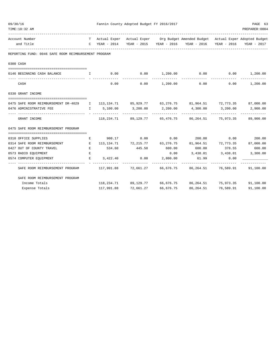| 09/30/16 | TIME: 10:32 AM                                                                                                                                                                                                                                                    |    |               | Fannin County Adopted Budget FY 2016/2017 |                           |                                                                                   |                | PAGE 63<br>PREPARER: 0004 |
|----------|-------------------------------------------------------------------------------------------------------------------------------------------------------------------------------------------------------------------------------------------------------------------|----|---------------|-------------------------------------------|---------------------------|-----------------------------------------------------------------------------------|----------------|---------------------------|
|          | Account Number                                                                                                                                                                                                                                                    |    |               |                                           |                           | T Actual Exper Actual Exper Org Budget Amended Budget Actual Exper Adopted Budget |                |                           |
|          | and Title                                                                                                                                                                                                                                                         |    | C YEAR - 2014 |                                           |                           | YEAR - 2015 YEAR - 2016 YEAR - 2016 YEAR - 2016                                   |                | YEAR - 2017               |
|          | REPORTING FUND: 0046 SAFE ROOM REIMBURSEMENT PROGRAM                                                                                                                                                                                                              |    |               |                                           |                           |                                                                                   |                |                           |
|          | 0300 CASH                                                                                                                                                                                                                                                         |    |               |                                           |                           |                                                                                   |                |                           |
|          | 0146 BEGINNING CASH BALANCE                                                                                                                                                                                                                                       | H. |               | $0.00$ $0.00$ $1,200.00$                  |                           | $0.00$ $0.00$ $1,200.00$                                                          |                |                           |
|          | CASH                                                                                                                                                                                                                                                              |    | 0.00          | 0.00                                      |                           | $1,200.00$ 0.00                                                                   | 0.00           | 1,200.00                  |
|          | 0330 GRANT INCOME                                                                                                                                                                                                                                                 |    |               |                                           |                           |                                                                                   |                |                           |
|          |                                                                                                                                                                                                                                                                   |    |               |                                           |                           |                                                                                   |                |                           |
|          | 0475 SAFE ROOM REIMBURSEMENT DR-4029 I 113,134.71 85,929.77 63,276.75 81,964.51 72,773.35 87,000.00                                                                                                                                                               |    |               |                                           |                           |                                                                                   |                |                           |
|          | 0476 ADMINISTRATIVE FEE                                                                                                                                                                                                                                           |    | I 5,100.00    | 3,200.00                                  | 2,200.00<br>------------- | 4,300.00 3,200.00                                                                 | -------------- | 2,900.00<br>------------- |
|          | GRANT INCOME                                                                                                                                                                                                                                                      |    |               |                                           |                           | $118,234.71$ $89,129.77$ $65,476.75$ $86,264.51$ $75,973.35$                      |                | 89,900.00                 |
|          | 0475 SAFE ROOM REIMBURSEMENT PROGRAM                                                                                                                                                                                                                              |    |               |                                           |                           |                                                                                   |                |                           |
|          | 0310 OFFICE SUPPLIES                                                                                                                                                                                                                                              | E  |               |                                           |                           | $900.17$ $0.00$ $0.00$ $200.00$ $0.00$ $200.00$                                   |                |                           |
|          | 0314 SAFE ROOM REIMBURSEMENT<br><b>Experimental Experimental Experimental</b>                                                                                                                                                                                     |    |               |                                           |                           | $113, 134.71$ $72, 215.77$ $63, 276.75$ $81, 964.51$ $72, 773.35$ $87, 000.00$    |                |                           |
|          | 0427 OUT OF COUNTY TRAVEL<br><b>Experimental Experimental Experimental Experimental Experimental Experimental Experimental Experimental Experimental Experimental Experimental Experimental Experimental Experimental Experimental Experimental Experimental </b> |    | 534.60 445.50 |                                           | 600.00                    | 600.00 378.55 600.00                                                              |                |                           |
|          | 0573 RADIO EQUIPMENT                                                                                                                                                                                                                                              | Е  |               |                                           |                           | $0.00$ $3,438.01$ $3,438.01$                                                      |                | 3,300.00                  |
|          | 0574 COMPUTER EQUIPMENT                                                                                                                                                                                                                                           | E. | 3,422.40      | 0.00                                      | 2,800.00                  | 61.99                                                                             | 0.00           |                           |
|          | SAFE ROOM REIMBURSEMENT PROGRAM                                                                                                                                                                                                                                   |    |               | 117,991.88 72,661.27                      |                           | 66,676.75 86,264.51 76,589.91                                                     |                | 91,100.00                 |
|          | SAFE ROOM REIMBURSEMENT PROGRAM                                                                                                                                                                                                                                   |    |               |                                           |                           |                                                                                   |                |                           |
|          | Income Totals                                                                                                                                                                                                                                                     |    |               |                                           |                           | $118,234.71$ $89,129.77$ $66,676.75$ $86,264.51$ $75,973.35$                      |                | 91,100.00                 |
|          | Expense Totals                                                                                                                                                                                                                                                    |    | 117,991.88    | 72,661.27                                 | 66,676.75                 | 86,264.51                                                                         | 76,589.91      | 91,100.00                 |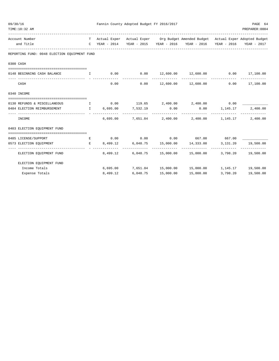| 09/30/16 | TIME:10:32 AM                                                              |          | Fannin County Adopted Budget FY 2016/2017 |                |                                                                                   |          | PAGE 64<br>PREPARER: 0004                 |
|----------|----------------------------------------------------------------------------|----------|-------------------------------------------|----------------|-----------------------------------------------------------------------------------|----------|-------------------------------------------|
|          | Account Number                                                             |          |                                           |                | T Actual Exper Actual Exper Org Budget Amended Budget Actual Exper Adopted Budget |          |                                           |
|          | and Title                                                                  |          |                                           |                | C YEAR - 2014 YEAR - 2015 YEAR - 2016 YEAR - 2016 YEAR - 2016 YEAR - 2017         |          |                                           |
|          | REPORTING FUND: 0048 ELECTION EQUIPMENT FUND                               |          |                                           |                |                                                                                   |          |                                           |
|          | 0300 CASH                                                                  |          |                                           |                |                                                                                   |          |                                           |
|          | 0148 BEGINNING CASH BALANCE 1 0.00 0.00 12,600.00 12,600.00 0.00 17,100.00 |          |                                           |                |                                                                                   |          | _____________                             |
|          | CASH                                                                       | 0.00     | 0.00                                      |                | 12,600.00    12,600.00                                                            |          | $0.00$ 17,100.00                          |
|          | 0340 INCOME                                                                |          |                                           |                |                                                                                   |          |                                           |
|          | 0130 REFUNDS & MISCELLANEOUS 10.00 119.65 2,400.00 2,400.00 2,400.00 0.00  |          |                                           |                |                                                                                   |          |                                           |
|          | 0.00 0484 ELECTION REIMBURSEMENT THE 6,695.00 7,532.19 0.00                |          | -------------                             | ______________ | $0.00$ 1, 145.17<br>--------------                                                |          | 2,400.00<br>-------------- -------------- |
|          | INCOME                                                                     | 6,695.00 |                                           |                | 7,651.84 2,400.00 2,400.00 1,145.17                                               |          | 2,400.00                                  |
|          | 0403 ELECTION EQUIPMENT FUND                                               |          |                                           |                |                                                                                   |          |                                           |
|          | 0485 LICENSE/SUPPORT                                                       |          |                                           |                | $E$ 0.00 0.00 0.00 0.00 667.00 667.00                                             |          |                                           |
|          | 0573 ELECTION EQUIPMENT E 8,499.12 6,048.75 15,000.00 14,333.00            |          | --------------                            |                |                                                                                   |          | 3, 131. 20   19, 500. 00                  |
|          | ELECTION EQUIPMENT FUND                                                    |          |                                           |                | 8,499.12 6,048.75 15,000.00 15,000.00 3,798.20 19,500.00                          |          |                                           |
|          | ELECTION EQUIPMENT FUND                                                    |          |                                           |                |                                                                                   |          |                                           |
|          | Income Totals                                                              |          |                                           |                | 6,695.00 7,651.84 15,000.00 15,000.00 1,145.17 19,500.00                          |          |                                           |
|          | Expense Totals                                                             | 8,499.12 | 6,048.75                                  | 15,000.00      | 15,000.00                                                                         | 3,798.20 | 19,500.00                                 |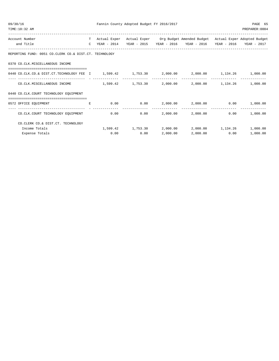| 09/30/16<br>TIME:10:32 AM                                                                                                                | Fannin County Adopted Budget FY 2016/2017 | PAGE 65<br>PREPARER: 0004 |                |                                                                                   |      |                 |
|------------------------------------------------------------------------------------------------------------------------------------------|-------------------------------------------|---------------------------|----------------|-----------------------------------------------------------------------------------|------|-----------------|
| Account Number                                                                                                                           |                                           |                           |                | T Actual Exper Actual Exper Org Budget Amended Budget Actual Exper Adopted Budget |      |                 |
| and Title                                                                                                                                |                                           |                           |                | C YEAR - 2014 YEAR - 2015 YEAR - 2016 YEAR - 2016 YEAR - 2016 YEAR - 2017         |      |                 |
| REPORTING FUND: 0051 CO.CLERK CO.& DIST.CT. TECHNOLOGY                                                                                   |                                           |                           |                |                                                                                   |      |                 |
| 0370 CO.CLK.MISCELLANEOUS INCOME                                                                                                         |                                           |                           |                |                                                                                   |      |                 |
| 0440 CO.CLK.CO.& DIST.CT.TECHNOLOGY FEE 1 1,599.42 1,753.30 2,000.00 2,000.00 1,134.26 1,000.00                                          |                                           |                           |                |                                                                                   |      |                 |
| $CO.CLK.MISCELLANEOUS INCOME$ 1,599.42 1,753.30 2,000.00 2,000.00 1,134.26                                                               |                                           |                           | -------------- |                                                                                   |      | 1,000.00        |
| 0440 CO.CLK.COURT TECHNOLOGY EQUIPMENT                                                                                                   |                                           |                           |                |                                                                                   |      |                 |
| the contract of the contract of the contract of the contract of the contract of the contract of the contract of<br>0572 OFFICE EOUIPMENT |                                           |                           |                | $0.00$ $0.00$ $2,000.00$ $2,000.00$                                               |      | $0.00$ 1,000.00 |
| CO.CLK.COURT TECHNOLOGY EOUIPMENT                                                                                                        |                                           |                           |                | $0.00$ $0.00$ $2,000.00$ $2,000.00$                                               | 0.00 | 1,000.00        |
| CO. CLERK CO.& DIST. CT. TECHNOLOGY                                                                                                      |                                           |                           |                |                                                                                   |      |                 |
| Income Totals                                                                                                                            |                                           |                           |                | $1,599.42$ $1,753.30$ $2,000.00$ $2,000.00$ $1,134.26$ $1,000.00$                 |      |                 |
| Expense Totals                                                                                                                           | 0.00                                      | 0.00                      | 2,000.00       | 2,000.00                                                                          | 0.00 | 1,000.00        |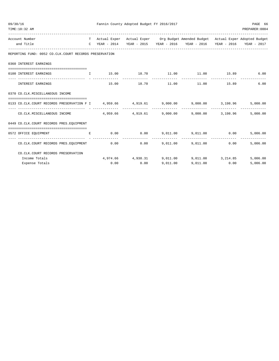| 09/30/16 | TIME:10:32 AM                                                                           | Fannin County Adopted Budget FY 2016/2017<br>PAGE 66<br>PREPARER: 0004 |       |             |          |                                                                                   |               |          |  |  |  |  |
|----------|-----------------------------------------------------------------------------------------|------------------------------------------------------------------------|-------|-------------|----------|-----------------------------------------------------------------------------------|---------------|----------|--|--|--|--|
|          | Account Number                                                                          |                                                                        |       |             |          | T Actual Exper Actual Exper Org Budget Amended Budget Actual Exper Adopted Budget |               |          |  |  |  |  |
|          | and Title                                                                               |                                                                        |       |             |          | C YEAR - 2014 YEAR - 2015 YEAR - 2016 YEAR - 2016 YEAR - 2016 YEAR - 2017         |               |          |  |  |  |  |
|          | REPORTING FUND: 0052 CO.CLK.COURT RECORDS PRESERVATION                                  |                                                                        |       |             |          |                                                                                   |               |          |  |  |  |  |
|          | 0360 INTEREST EARNINGS                                                                  |                                                                        |       |             |          |                                                                                   |               |          |  |  |  |  |
|          |                                                                                         |                                                                        |       |             |          |                                                                                   |               |          |  |  |  |  |
|          | 0100 INTEREST EARNINGS                                                                  | $\mathbf{I}$                                                           | 15.00 | 18.70 11.00 | .        | 11.00                                                                             | 15.89         | 6.00     |  |  |  |  |
|          | INTEREST EARNINGS                                                                       |                                                                        | 15.00 |             |          | 18.70 11.00 11.00                                                                 | 15.89         | 6.00     |  |  |  |  |
|          | 0370 CO.CLK.MISCELLANEOUS INCOME                                                        |                                                                        |       |             |          |                                                                                   |               |          |  |  |  |  |
|          | 0133 CO.CLK.COURT RECORDS PRESERVATION F I 4,959.66 4,919.61 9,000.00 9,000.00 3,198.96 |                                                                        |       |             |          |                                                                                   |               | 5,000.00 |  |  |  |  |
|          | $CO.CLK.MISCELLANEOUS INCOMP$ $4.959.66$ $4.919.61$                                     |                                                                        |       |             |          | $9,000.00$ $9,000.00$ $3,198.96$                                                  |               | 5,000.00 |  |  |  |  |
|          | 0449 CO.CLK.COURT RECORDS PRES.EQUIPMENT                                                |                                                                        |       |             |          |                                                                                   |               |          |  |  |  |  |
|          |                                                                                         |                                                                        |       |             |          |                                                                                   |               |          |  |  |  |  |
|          | 0572 OFFICE EQUIPMENT                                                                   | E.                                                                     | 0.00  | 0.00        |          | 9,011.00 9,011.00 0.00                                                            | ------------- | 5,006.00 |  |  |  |  |
|          | CO.CLK.COURT RECORDS PRES.EQUIPMENT                                                     |                                                                        | 0.00  | 0.00        |          | 9,011.00 9,011.00 0.00                                                            |               | 5.006.00 |  |  |  |  |
|          | CO.CLK.COURT RECORDS PRESERVATION                                                       |                                                                        |       |             |          |                                                                                   |               |          |  |  |  |  |
|          | Income Totals                                                                           |                                                                        |       |             |          | $4,974.66$ $4,938.31$ $9,011.00$ $9,011.00$ $3,214.85$                            |               | 5,006.00 |  |  |  |  |
|          | Expense Totals                                                                          |                                                                        | 0.00  | 0.00        | 9,011.00 | 9.011.00                                                                          | 0.00          | 5,006.00 |  |  |  |  |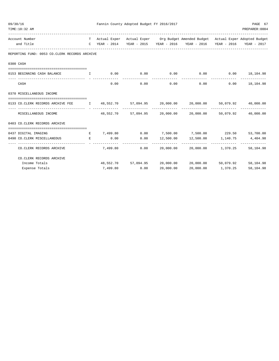| 09/30/16 | TIME:10:32 AM                                                                                   | Fannin County Adopted Budget FY 2016/2017<br>PREPARER: 0004 |          |                                   |                |                                                                                   |                |           |  |  |
|----------|-------------------------------------------------------------------------------------------------|-------------------------------------------------------------|----------|-----------------------------------|----------------|-----------------------------------------------------------------------------------|----------------|-----------|--|--|
|          | Account Number                                                                                  |                                                             |          |                                   |                | T Actual Exper Actual Exper Org Budget Amended Budget Actual Exper Adopted Budget |                |           |  |  |
|          | and Title                                                                                       |                                                             |          |                                   |                | C YEAR - 2014 YEAR - 2015 YEAR - 2016 YEAR - 2016 YEAR - 2016 YEAR - 2017         |                |           |  |  |
|          | REPORTING FUND: 0053 CO.CLERK RECORDS ARCHIVE                                                   |                                                             |          |                                   |                |                                                                                   |                |           |  |  |
|          | 0300 CASH                                                                                       |                                                             |          |                                   |                |                                                                                   |                |           |  |  |
|          | 0153 BEGINNING CASH BALANCE                                                                     | $\mathbf{T}$                                                |          | $0.00$ $0.00$ $0.00$ $0.00$       |                | $0.00$ $0.00$ $18,104.98$                                                         |                |           |  |  |
|          |                                                                                                 |                                                             |          |                                   | ------------   | --------------                                                                    | -------------- |           |  |  |
|          | CASH                                                                                            |                                                             | 0.00     | 0.00                              |                | $0.00$ 0.00 0.00 18,104.98                                                        |                |           |  |  |
|          | 0370 MISCELLANEOUS INCOME                                                                       |                                                             |          |                                   |                |                                                                                   |                |           |  |  |
|          | 0133 CO.CLERK RECORDS ARCHIVE FEE T 48,552.70 57,094.95 20,000.00 20,000.00 50,079.92 40,000.00 |                                                             |          |                                   |                |                                                                                   |                |           |  |  |
|          | MISCELLANEOUS INCOME                                                                            |                                                             |          |                                   |                | $48,552.70$ $57,094.95$ $20,000.00$ $20,000.00$ $50,079.92$ $40,000.00$           |                |           |  |  |
|          | 0403 CO. CLERK RECORDS ARCHIVE                                                                  |                                                             |          |                                   |                |                                                                                   |                |           |  |  |
|          | 0437 DIGITAL IMAGING                                                                            |                                                             |          |                                   |                | $E$ 7,499.80 0.00 7,500.00 7,500.00 229.50                                        |                | 53,700.00 |  |  |
|          | 0490 CO. CLERK MISCELLANEOUS<br>and the state of the Barrist                                    |                                                             | 0.00     |                                   |                | $0.00$ 12,500.00 12,500.00 1,140.75 4,404.98                                      |                |           |  |  |
|          | CO. CLERK RECORDS ARCHIVE                                                                       |                                                             | 7,499.80 | ---------- --------------<br>0.00 | -------------- | -------------- --------------<br>20,000.00 20,000.00 1,370.25                     |                | 58,104.98 |  |  |
|          | CO. CLERK RECORDS ARCHIVE                                                                       |                                                             |          |                                   |                |                                                                                   |                |           |  |  |
|          | Income Totals                                                                                   |                                                             |          |                                   |                | 48,552.70 57,094.95 20,000.00 20,000.00 50,079.92                                 |                | 58,104.98 |  |  |
|          | Expense Totals                                                                                  |                                                             | 7,499.80 | 0.00                              | 20,000.00      | 20,000.00                                                                         | 1,370.25       | 58,104.98 |  |  |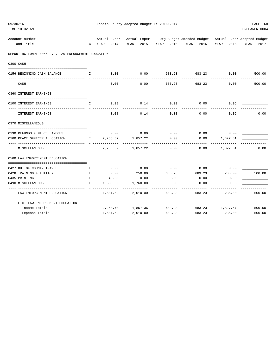| 09/30/16                                            |                                                                 |                                                         | Fannin County Adopted Budget FY 2016/2017 |        |                                                                                   |                 | PAGE 68        |
|-----------------------------------------------------|-----------------------------------------------------------------|---------------------------------------------------------|-------------------------------------------|--------|-----------------------------------------------------------------------------------|-----------------|----------------|
| TIME:10:32 AM                                       |                                                                 |                                                         |                                           |        | -------------------------------                                                   |                 | PREPARER: 0004 |
| Account Number                                      |                                                                 |                                                         |                                           |        | T Actual Exper Actual Exper Org Budget Amended Budget Actual Exper Adopted Budget |                 |                |
| and Title                                           |                                                                 | C YEAR - 2014                                           |                                           |        | YEAR - 2015 YEAR - 2016 YEAR - 2016 YEAR - 2016                                   |                 | YEAR - 2017    |
| REPORTING FUND: 0055 F.C. LAW ENFORCEMENT EDUCATION |                                                                 |                                                         |                                           |        |                                                                                   |                 |                |
| 0300 CASH                                           |                                                                 |                                                         |                                           |        |                                                                                   |                 |                |
| 0156 BEGINNING CASH BALANCE                         | $\mathbf{I}$ and $\mathbf{I}$ and $\mathbf{I}$ and $\mathbf{I}$ | 0.00                                                    | 0.00                                      | 683.23 | 683.23                                                                            | 0.00            | 500.00         |
| CASH                                                |                                                                 | 0.00                                                    | 0.00                                      | 683.23 | 683.23                                                                            | 0.00            | 500.00         |
| 0360 INTEREST EARNINGS                              |                                                                 |                                                         |                                           |        |                                                                                   |                 |                |
| 0100 INTEREST EARNINGS                              | $\mathbf{I}$                                                    | 0.08                                                    | 0.14                                      | 0.00   | 0.00                                                                              | 0.06            |                |
| INTEREST EARNINGS                                   |                                                                 | 0.08                                                    | 0.14                                      | 0.00   | 0.00                                                                              | 0.06            | 0.00           |
| 0370 MISCELLANEOUS                                  |                                                                 |                                                         |                                           |        |                                                                                   |                 |                |
| 0130 REFUNDS & MISCELLANEOUS                        |                                                                 | $\qquad \qquad 1 \qquad \qquad 0.00 \qquad \qquad 0.00$ |                                           | 0.00   | 0.00                                                                              | 0.00            |                |
| 0160 PEACE OFFICER ALLOCATION                       |                                                                 | $1 \t 2, 258.62$                                        | 1,857.22                                  | 0.00   | 0.00                                                                              | 1,827.51        |                |
| MISCELLANEOUS                                       |                                                                 |                                                         | 2, 258.62 1, 857.22                       | 0.00   | 0.00                                                                              | 1,827.51        | 0.00           |
| 0560 LAW ENFORCEMENT EDUCATION                      |                                                                 |                                                         |                                           |        |                                                                                   |                 |                |
|                                                     |                                                                 |                                                         |                                           |        |                                                                                   |                 |                |
| 0427 OUT OF COUNTY TRAVEL                           | E                                                               | 0.00                                                    | 0.00                                      | 0.00   | 0.00                                                                              | 0.00            |                |
| 0428 TRAINING & TUITION                             | E                                                               | 0.00                                                    | 250.00                                    | 683.23 | 683.23                                                                            | 235.00          | 500.00         |
| 0435 PRINTING                                       | E                                                               | 49.69                                                   | 0.00                                      | 0.00   | 0.00                                                                              | 0.00            |                |
| 0490 MISCELLANEOUS                                  | E.                                                              | 1,635.00                                                | 1,760.00                                  | 0.00   | 0.00                                                                              | 0.00            |                |
| LAW ENFORCEMENT EDUCATION                           |                                                                 | 1,684.69                                                | 2,010.00                                  | 683.23 | 683.23                                                                            | 235.00          | 500.00         |
| F.C. LAW ENFORCEMENT EDUCATION                      |                                                                 |                                                         |                                           |        |                                                                                   |                 |                |
| Income Totals                                       |                                                                 |                                                         | 2, 258.70 1, 857.36 683.23                |        |                                                                                   | 683.23 1,827.57 | 500.00         |
| Expense Totals                                      |                                                                 | 1,684.69                                                | 2,010.00                                  | 683.23 | 683.23                                                                            | 235.00          | 500.00         |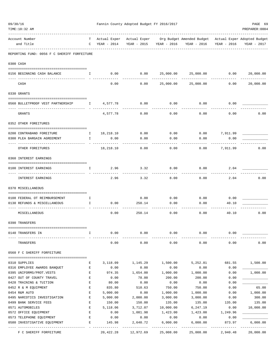| 09/30/16<br>TIME:10:32 AM                                  |              |                         | Fannin County Adopted Budget FY 2016/2017 |           |                                                                                                                          |                      | PAGE 69<br>PREPARER: 0004 |
|------------------------------------------------------------|--------------|-------------------------|-------------------------------------------|-----------|--------------------------------------------------------------------------------------------------------------------------|----------------------|---------------------------|
|                                                            |              |                         |                                           |           | -----------------------                                                                                                  |                      |                           |
| Account Number<br>and Title                                |              | $C$ YEAR - 2014         |                                           |           | T Actual Exper Actual Exper Org Budget Amended Budget Actual Exper Adopted Budget<br>YEAR - 2015 YEAR - 2016 YEAR - 2016 | YEAR - 2016          | YEAR - 2017               |
| REPORTING FUND: 0056 F C SHERIFF FORFEITURE                |              |                         |                                           |           |                                                                                                                          |                      |                           |
| 0300 CASH                                                  |              |                         |                                           |           |                                                                                                                          |                      |                           |
| 0156 BEGINNING CASH BALANCE                                | $\mathbf{I}$ | 0.00                    | 0.00                                      |           | 25,000.00 25,000.00                                                                                                      | 0.00                 | 20,000.00                 |
| CASH                                                       |              | 0.00                    | 0.00                                      | 25,000.00 | 25,000.00                                                                                                                | 0.00                 | 20,000.00                 |
| 0330 GRANTS                                                |              |                         |                                           |           |                                                                                                                          |                      |                           |
| 0560 BULLETPROOF VEST PARTNERSHIP                          |              | I 4,577.78              | 0.00                                      | 0.00      | 0.00                                                                                                                     | 0.00                 |                           |
|                                                            |              |                         |                                           |           |                                                                                                                          |                      |                           |
| GRANTS                                                     |              | 4,577.78                | 0.00                                      | 0.00      | 0.00                                                                                                                     | 0.00                 | 0.00                      |
| 0352 OTHER FOREITURES                                      |              |                         |                                           |           |                                                                                                                          |                      |                           |
| 0200 CONTRABAND FOREITURE<br>$\mathbf{I}$ and $\mathbf{I}$ |              | 18,218.10 0.00          |                                           | 0.00      | $0.00$ 7,911.99                                                                                                          |                      |                           |
| 0300 PLEA BARGAIN AGREEMENT                                | $\mathbb{I}$ | 0.00                    | 0.00                                      | 0.00      | 0.00                                                                                                                     | 0.00                 |                           |
| OTHER FOREITURES                                           |              | ----------<br>18,218.10 | 0.00                                      | 0.00      | 0.00                                                                                                                     | --------<br>7,911.99 | 0.00                      |
| 0360 INTEREST EARNINGS                                     |              |                         |                                           |           |                                                                                                                          |                      |                           |
| 0100 INTEREST EARNINGS                                     | I.           | 2.96                    | 3.32                                      | 8.00      | 8.00                                                                                                                     | 2.04                 |                           |
|                                                            |              |                         |                                           |           |                                                                                                                          |                      |                           |
| INTEREST EARNINGS                                          |              | 2.96                    | 3.32                                      | 8.00      | 8.00                                                                                                                     | 2.04                 | 0.00                      |
| 0370 MISCELLANEOUS                                         |              |                         |                                           |           |                                                                                                                          |                      |                           |
| 0108 FEDERAL OT REIMBURSEMENT                              | $\mathbf{I}$ |                         | 0.00                                      | 0.00      | 0.00                                                                                                                     | 0.00                 |                           |
| 0130 REFUNDS & MISCELLANEOUS                               | $\mathbf{I}$ | 0.00                    | 250.14                                    | 0.00      | 0.00                                                                                                                     | 40.10                |                           |
| MISCELLANEOUS                                              |              | 0.00                    | 250.14                                    | 0.00      | 0.00                                                                                                                     | 40.10                | 0.00                      |
| 0390 TRANSFERS                                             |              |                         |                                           |           |                                                                                                                          |                      |                           |
| =============<br>0140 TRANSFERS IN                         | I.           | 0.00                    | 0.00                                      | 0.00      | 0.00                                                                                                                     | 0.00                 |                           |
| TRANSFERS                                                  |              | 0.00                    | 0.00                                      | 0.00      | 0.00                                                                                                                     | 0.00                 | 0.00                      |
| 0560 F C SHERIFF FORFEITURE                                |              |                         |                                           |           |                                                                                                                          |                      |                           |
| 0310 SUPPLIES                                              | Е            | 3,118.09                | 1,145.29                                  | 1,500.00  | 5,252.81                                                                                                                 | 681.55               | 1,500.00                  |
| 0316 EMPLOYEE AWARDS BANQUET                               | Е            | 0.00                    | 0.00                                      | 0.00      | 0.00                                                                                                                     | 0.00                 |                           |
| 0395 UNIFORMS/PROT.VESTS                                   | Ε            | 974.35                  | 1,654.00                                  | 1,000.00  | 1,000.00                                                                                                                 | 0.00                 | 1,000.00                  |
| 0427 OUT OF COUNTY TRAVEL                                  | Ε            | 0.00                    | 78.00                                     | 200.00    | 200.00                                                                                                                   | 0.00                 |                           |
| 0428 TRAINING & TUITION                                    | E            | 80.00                   | 0.00                                      | 0.00      | 0.00                                                                                                                     | 0.00                 |                           |
| 0452 R & M EQUIPMENT                                       | Ε            | 835.80                  | 510.63                                    | 750.00    | 750.00                                                                                                                   | 0.00                 | 65.00                     |
| 0454 R&M AUTO                                              | Ε            | 5,000.00                | 0.00                                      | 1,000.00  | 1,000.00                                                                                                                 | 0.00                 | 1,000.00                  |
| 0495 NARCOTICS INVESTIGATION                               | Ε            | 5,000.00                | 2,000.00                                  | 3,000.00  | 3,000.00                                                                                                                 | 0.00                 | 300.00                    |
| 0499 BANK SERVICE FEES                                     | Е            | 150.00                  | 150.00                                    | 135.00    | 135.00                                                                                                                   | 135.00               | 135.00                    |
| 0571 AUTOMOBILES                                           | E            | 5,118.06                | 3,712.07                                  | 10,000.00 | 6,247.19                                                                                                                 | 0.00                 | 10,000.00                 |
| 0572 OFFICE EQUIPMENT                                      | E            | 0.00                    | 1,081.98                                  | 1,423.00  | 1,423.00                                                                                                                 | 1,249.96             |                           |
| 0573 TELEPHONE EQUIPMENT                                   | Ε            | 0.00                    | 0.00                                      | 0.00      | 0.00                                                                                                                     | 0.00                 |                           |
| 0580 INVESTIGATIVE EQUIPMENT                               | Е            | 145.98                  | 2,640.72                                  | 6,000.00  | 6,000.00                                                                                                                 | 873.97               | 6,000.00                  |
| F C SHERIFF FORFEITURE                                     |              | 20,422.28               | 12,972.69                                 | 25,008.00 | 25,008.00                                                                                                                | 2,940.48             | 20,000.00                 |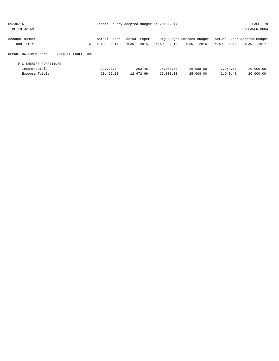| 09/30/16                                    |    |              | Fannin County Adopted Budget FY 2016/2017 |             |                           |             | PAGE 70                     |
|---------------------------------------------|----|--------------|-------------------------------------------|-------------|---------------------------|-------------|-----------------------------|
| TIME:10:32 AM                               |    |              |                                           |             |                           |             | PREPARER: 0004              |
| Account Number                              | T. | Actual Exper | Actual Exper                              |             | Org Budget Amended Budget |             | Actual Exper Adopted Budget |
| and Title                                   | C  | YEAR - 2014  | YEAR - 2015                               | YEAR - 2016 | YEAR - 2016               | YEAR - 2016 | YEAR - 2017                 |
| REPORTING FUND: 0056 F C SHERIFF FORFEITURE |    |              |                                           |             |                           |             |                             |
| F C SHERIFF FORFEITURE                      |    |              |                                           |             |                           |             |                             |
| Income Totals                               |    | 22,798.84    | 253.46                                    | 25,008.00   | 25,008.00                 | 7,954.13    | 20,000.00                   |
| Expense Totals                              |    | 20,422.28    | 12,972.69                                 | 25,008.00   | 25,008.00                 | 2,940.48    | 20,000.00                   |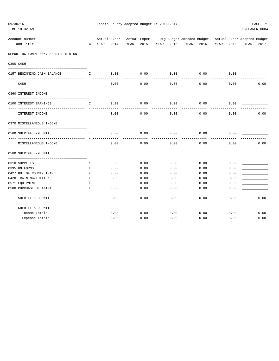| 09/30/16                              |              |             | Fannin County Adopted Budget FY 2016/2017 |                         |                                                                                   |             | PAGE 71        |
|---------------------------------------|--------------|-------------|-------------------------------------------|-------------------------|-----------------------------------------------------------------------------------|-------------|----------------|
| TIME:10:32 AM                         |              |             |                                           |                         |                                                                                   |             | PREPARER: 0004 |
|                                       |              |             |                                           |                         |                                                                                   |             |                |
| Account Number                        |              |             |                                           |                         | T Actual Exper Actual Exper Org Budget Amended Budget Actual Exper Adopted Budget |             |                |
| and Title                             | $\mathbf C$  | YEAR - 2014 |                                           | YEAR - 2015 YEAR - 2016 | YEAR - 2016                                                                       | YEAR - 2016 | YEAR - 2017    |
| REPORTING FUND: 0057 SHERIFF K-9 UNIT |              |             |                                           |                         |                                                                                   |             |                |
| 0300 CASH                             |              |             |                                           |                         |                                                                                   |             |                |
|                                       |              |             |                                           |                         |                                                                                   |             |                |
| 0157 BEGINNING CASH BALANCE           | $\mathbf{I}$ | 0.00        | 0.00                                      | 0.00                    | 0.00                                                                              | 0.00        |                |
| CASH                                  |              | 0.00        | 0.00                                      | 0.00                    | 0.00                                                                              | 0.00        | 0.00           |
| 0360 INTEREST INCOME                  |              |             |                                           |                         |                                                                                   |             |                |
| 0100 INTEREST EARNINGS                | Ι.           | 0.00        | 0.00                                      | 0.00                    | 0.00                                                                              | 0.00        |                |
| INTEREST INCOME                       |              | 0.00        | 0.00                                      | 0.00                    | 0.00                                                                              | 0.00        | 0.00           |
| 0370 MISCELLANEOUS INCOME             |              |             |                                           |                         |                                                                                   |             |                |
| 0560 SHERIFF K-9 UNIT                 | $\mathbf{I}$ | 0.00        | 0.00                                      | 0.00                    | 0.00                                                                              | 0.00        |                |
| MISCELLANEOUS INCOME                  |              | 0.00        | 0.00                                      | 0.00                    | 0.00                                                                              | 0.00        | 0.00           |
| 0560 SHERIFF K-9 UNIT                 |              |             |                                           |                         |                                                                                   |             |                |
| 0310 SUPPLIES                         | Е            | 0.00        | 0.00                                      | 0.00                    | 0.00                                                                              | 0.00        |                |
| 0395 UNIFORMS                         | Е            | 0.00        | 0.00                                      | 0.00                    | 0.00                                                                              | 0.00        |                |
| 0427 OUT OF COUNTY TRAVEL             | E            | 0.00        | 0.00                                      | 0.00                    | 0.00                                                                              | 0.00        |                |
| 0428 TRAINING/TUITION                 | $\mathbf E$  | 0.00        | 0.00                                      | 0.00                    | 0.00                                                                              | 0.00        |                |
| 0571 EQUIPMENT                        | E            | 0.00        | 0.00                                      | 0.00                    | 0.00                                                                              | 0.00        |                |
| 0580 PURCHASE OF ANIMAL               | E            | 0.00        | 0.00                                      | 0.00                    | 0.00                                                                              | 0.00        |                |
| SHERIFF K-9 UNIT                      |              | 0.00        | 0.00                                      | 0.00                    | 0.00                                                                              | 0.00        | 0.00           |
| SHERIFF K-9 UNIT                      |              |             |                                           |                         |                                                                                   |             |                |
| Income Totals                         |              | 0.00        | 0.00                                      | 0.00                    | 0.00                                                                              | 0.00        | 0.00           |
| Expense Totals                        |              | 0.00        | 0.00                                      | 0.00                    | 0.00                                                                              | 0.00        | 0.00           |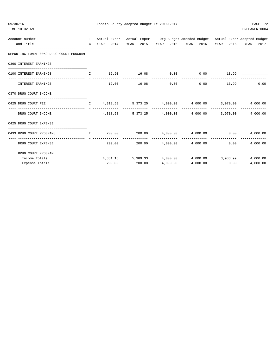| 09/30/16<br>TIME:10:32 AM                |              |          | Fannin County Adopted Budget FY 2016/2017 |                |                                                                                                                                                                |      | PAGE 72<br>PREPARER: 0004 |
|------------------------------------------|--------------|----------|-------------------------------------------|----------------|----------------------------------------------------------------------------------------------------------------------------------------------------------------|------|---------------------------|
| Account Number<br>and Title              |              |          |                                           |                | T Actual Exper Actual Exper Org Budget Amended Budget Actual Exper Adopted Budget<br>C YEAR - 2014 YEAR - 2015 YEAR - 2016 YEAR - 2016 YEAR - 2016 YEAR - 2017 |      |                           |
| REPORTING FUND: 0059 DRUG COURT PROGRAM  |              |          |                                           |                |                                                                                                                                                                |      |                           |
| 0360 INTEREST EARNINGS                   |              |          |                                           |                |                                                                                                                                                                |      |                           |
| 0100 INTEREST EARNINGS                   | $\mathbf{I}$ |          |                                           |                | $12.60$ $16.08$ $0.00$ $0.00$ $13.99$                                                                                                                          |      |                           |
| INTEREST EARNINGS                        |              |          | 12.60 16.08                               | 0.00           | $0.00$ 13.99                                                                                                                                                   |      | 0.00                      |
| 0370 DRUG COURT INCOME                   |              |          |                                           |                |                                                                                                                                                                |      |                           |
| 0425 DRUG COURT FEE                      |              |          |                                           |                |                                                                                                                                                                |      |                           |
| DRUG COURT INCOME                        |              | 4,318.58 |                                           |                | $5,373.25$ $4,000.00$ $4,000.00$ $3,970.00$                                                                                                                    |      | 4,000.00                  |
| 0425 DRUG COURT EXPENSE                  |              |          |                                           |                |                                                                                                                                                                |      |                           |
| 0433 DRUG COURT PROGRAMS                 |              |          |                                           |                | $E$ 200.00 200.00 4,000.00 4,000.00 0.00                                                                                                                       |      | 4,000.00                  |
| ------------------<br>DRUG COURT EXPENSE |              |          |                                           | -------------- | $200.00$ $200.00$ $4,000.00$ $4,000.00$                                                                                                                        | 0.00 | _____________<br>4,000.00 |
| DRUG COURT PROGRAM                       |              |          |                                           |                |                                                                                                                                                                |      |                           |
| Income Totals                            |              |          |                                           |                | $4,331.18$ $5,389.33$ $4,000.00$ $4,000.00$ $3,983.99$                                                                                                         |      | 4,000.00                  |
| Expense Totals                           |              | 200.00   | 200.00                                    | 4,000.00       | 4,000.00                                                                                                                                                       | 0.00 | 4,000.00                  |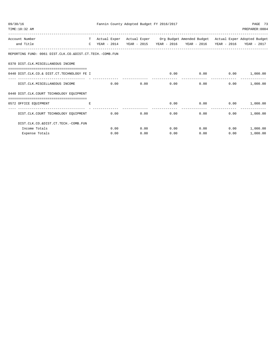| 09/30/16<br>TIME:10:32 AM                                                      |   |      | Fannin County Adopted Budget FY 2016/2017 |                                                                                                                                                    |                           |                 | PAGE 73<br>PREPARER: 0004 |
|--------------------------------------------------------------------------------|---|------|-------------------------------------------|----------------------------------------------------------------------------------------------------------------------------------------------------|---------------------------|-----------------|---------------------------|
| Account Number<br>and Title                                                    |   |      |                                           | T Actual Exper Actual Exper Org Budget Amended Budget Actual Exper Adopted Budget<br>C YEAR - 2014 YEAR - 2015 YEAR - 2016 YEAR - 2016 YEAR - 2016 |                           |                 | YEAR - 2017               |
| REPORTING FUND: 0061 DIST.CLK.CO.&DIST.CT.TECH.-COMB.FUN                       |   |      |                                           |                                                                                                                                                    |                           |                 |                           |
| 0370 DIST.CLK.MISCELLANEOUS INCOME                                             |   |      |                                           |                                                                                                                                                    |                           |                 |                           |
| 0440 DIST.CLK.CO.& DIST.CT.TECHNOLOGY FE I                                     |   |      |                                           |                                                                                                                                                    | $0.00$ 0.00 0.00 1,000.00 |                 |                           |
| DIST.CLK.MISCELLANEOUS INCOME                                                  |   | 0.00 | 0.00                                      | 0.00                                                                                                                                               | 0.00                      |                 | $0.00$ 1,000.00           |
| 0440 DIST.CLK.COURT TECHNOLOGY EOUIPMENT<br>================================== |   |      |                                           |                                                                                                                                                    |                           |                 |                           |
| 0572 OFFICE EQUIPMENT                                                          | Е |      |                                           | 0.00                                                                                                                                               | 0.00                      | $0.00$ 1,000.00 |                           |
| DIST.CLK.COURT TECHNOLOGY EQUIPMENT                                            |   | 0.00 | 0.00                                      | 0.00                                                                                                                                               | 0.00                      | 0.00            | 1,000.00                  |
| DIST.CLK.CO.&DIST.CT.TECH.-COMB.FUN                                            |   |      |                                           |                                                                                                                                                    |                           |                 |                           |
| Income Totals                                                                  |   | 0.00 | 0.00                                      | 0.00                                                                                                                                               | 0.00                      |                 | $0.00$ 1,000.00           |
| Expense Totals                                                                 |   | 0.00 | 0.00                                      | 0.00                                                                                                                                               | 0.00                      | 0.00            | 1,000.00                  |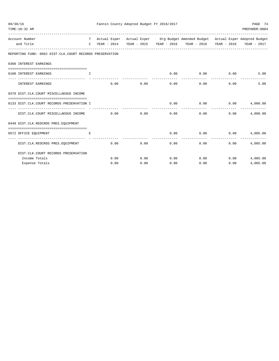| 09/30/16<br>TIME:10:32 AM                                                      |      | Fannin County Adopted Budget FY 2016/2017 |      |      |                                                                                                                                                                                                                                |                       | PAGE 74<br>PREPARER: 0004  |
|--------------------------------------------------------------------------------|------|-------------------------------------------|------|------|--------------------------------------------------------------------------------------------------------------------------------------------------------------------------------------------------------------------------------|-----------------------|----------------------------|
| Account Number<br>and Title                                                    | C    |                                           |      |      | T Actual Exper Actual Exper Org Budget Amended Budget Actual Exper Adopted Budget<br>YEAR - 2014 YEAR - 2015 YEAR - 2016 YEAR - 2016 YEAR - 2016                                                                               |                       | YEAR - 2017                |
| REPORTING FUND: 0062 DIST.CLK.COURT RECORDS PRESERVATION                       |      |                                           |      |      |                                                                                                                                                                                                                                |                       |                            |
| 0360 INTEREST EARNINGS                                                         |      |                                           |      |      |                                                                                                                                                                                                                                |                       |                            |
| ==================================<br>0100 INTEREST EARNINGS                   | T.   |                                           |      | 0.00 | $0.00$ 0.00                                                                                                                                                                                                                    |                       | 5.00                       |
| INTEREST EARNINGS                                                              |      | 0.00<br>0.00                              |      | 0.00 | -------------<br>0.00                                                                                                                                                                                                          | -------------<br>0.00 | 5.00                       |
| 0370 DIST.CLK.COURT MISCELLAEOUS INCOME                                        |      |                                           |      |      |                                                                                                                                                                                                                                |                       |                            |
| 0133 DIST.CLK.COURT RECORDS PRESERVATION I                                     |      |                                           |      | 0.00 | 0.00                                                                                                                                                                                                                           | 0.00                  | 4,000.00                   |
| DIST.CLK.COURT MISCELLAEOUS INCOME                                             | 0.00 | 0.00                                      |      | 0.00 | 0.00                                                                                                                                                                                                                           | 0.00                  | 4,000.00                   |
| 0449 DIST.CLK.REOCRDS PRES.EQUIPMENT                                           |      |                                           |      |      |                                                                                                                                                                                                                                |                       |                            |
| 0572 OFFICE EQUIPMENT                                                          | E.   |                                           |      |      | $0.00$ $0.00$ $0.00$ $0.00$ $0.00$ $0.00$ $0.00$ $0.00$ $0.00$ $0.00$ $0.00$ $0.00$ $0.00$ $0.00$ $0.00$ $0.00$ $0.00$ $0.00$ $0.00$ $0.00$ $0.00$ $0.00$ $0.00$ $0.00$ $0.00$ $0.00$ $0.00$ $0.00$ $0.00$ $0.00$ $0.00$ $0.0$ |                       |                            |
| DIST.CLK.REOCRDS PRES.EQUIPMENT                                                |      | 0.00<br>0.00                              |      | 0.00 | 0.00                                                                                                                                                                                                                           | 0.00                  | 4,005.00                   |
| DIST. CLK. COURT RECORDS PRESERVATION                                          |      |                                           |      |      |                                                                                                                                                                                                                                |                       |                            |
| Income Totals                                                                  |      | 0.00                                      |      |      |                                                                                                                                                                                                                                | 0.00                  | 4,005.00                   |
| ------------------------------------<br>------------------ -<br>Expense Totals |      | 0.00                                      | 0.00 | 0.00 | -----------<br>$0.00$ $0.00$ $0.00$ $0.00$<br>0.00                                                                                                                                                                             | -------------<br>0.00 | --------------<br>4,005.00 |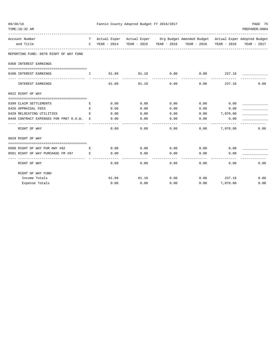| 09/30/16                                                                     |              |       | Fannin County Adopted Budget FY 2016/2017 |             |                                                                                   |          | PAGE 75        |
|------------------------------------------------------------------------------|--------------|-------|-------------------------------------------|-------------|-----------------------------------------------------------------------------------|----------|----------------|
| TIME: 10:32 AM                                                               |              |       |                                           |             |                                                                                   |          | PREPARER: 0004 |
| Account Number                                                               |              |       |                                           |             | T Actual Exper Actual Exper Org Budget Amended Budget Actual Exper Adopted Budget |          |                |
| and Title                                                                    | $\mathbb{C}$ |       |                                           |             | YEAR - 2014 YEAR - 2015 YEAR - 2016 YEAR - 2016 YEAR - 2016                       |          | YEAR - 2017    |
| REPORTING FUND: 0070 RIGHT OF WAY FUND                                       |              |       |                                           |             |                                                                                   |          |                |
| 0360 INTEREST EARNINGS                                                       |              |       |                                           |             |                                                                                   |          |                |
|                                                                              |              |       |                                           |             |                                                                                   |          |                |
| 0100 INTEREST EARNINGS                                                       | $\mathbf{I}$ | 61.89 | -----------                               | ----------- | -----------                                                                       |          |                |
| INTEREST EARNINGS                                                            |              | 61.89 | 81.18                                     | 0.00        | 0.00                                                                              | 237.16   | 0.00           |
| 0622 RIGHT OF WAY                                                            |              |       |                                           |             |                                                                                   |          |                |
|                                                                              |              |       |                                           |             |                                                                                   |          |                |
| 0399 CLAIM SETTLEMENTS                                                       | Е            | 0.00  | 0.00                                      | 0.00        | $0.00$ 0.00                                                                       |          |                |
| 0426 APPRAISAL FEES                                                          | E            | 0.00  | 0.00                                      | 0.00        | 0.00                                                                              | 0.00     |                |
| 0429 RELOCATING UTILITIES                                                    | E            | 0.00  | 0.00                                      | 0.00        | $0.00$ 7,070.00                                                                   |          |                |
| 0449 CONTRACT EXPENSES FOR FM87 R.O.W.<br>---------------------------------- | E.           | 0.00  | 0.00                                      | 0.00        | 0.00                                                                              | 0.00     |                |
| RIGHT OF WAY                                                                 |              | 0.00  | 0.00                                      | 0.00        | 0.00                                                                              | 7,070.00 | 0.00           |
| 0629 RIGHT OF WAY                                                            |              |       |                                           |             |                                                                                   |          |                |
| 0500 RIGHT OF WAY PUR HWY #82 E                                              |              | 0.00  |                                           |             | $0.00$ $0.00$ $0.00$ $0.00$                                                       | 0.00     |                |
| 0501 RIGHT OF WAY PURCHASE FM #87                                            | E            | 0.00  | 0.00                                      | 0.00        | 0.00                                                                              | 0.00     |                |
| RIGHT OF WAY                                                                 |              | 0.00  | 0.00                                      | 0.00        | ---------<br>0.00                                                                 | 0.00     | 0.00           |
| RIGHT OF WAY FUND                                                            |              |       |                                           |             |                                                                                   |          |                |
| Income Totals                                                                |              |       | 61.89 81.18                               | 0.00        | $0.00$ 237.16                                                                     |          | 0.00           |
| Expense Totals                                                               |              | 0.00  | 0.00                                      | 0.00        | 0.00                                                                              | 7,070.00 | 0.00           |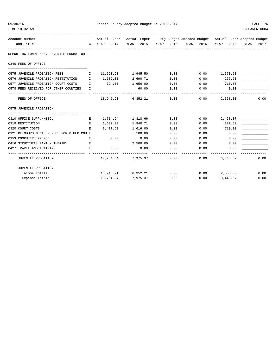| 09/30/16 |                                                                        |   |                 | Fannin County Adopted Budget FY 2016/2017 |                              |                                                                                   |                  | PAGE 76        |
|----------|------------------------------------------------------------------------|---|-----------------|-------------------------------------------|------------------------------|-----------------------------------------------------------------------------------|------------------|----------------|
|          | TIME:10:32 AM                                                          |   |                 |                                           |                              |                                                                                   |                  | PREPARER: 0004 |
|          | Account Number                                                         |   |                 |                                           |                              | T Actual Exper Actual Exper Org Budget Amended Budget Actual Exper Adopted Budget |                  |                |
|          | and Title                                                              |   |                 |                                           |                              | C YEAR - 2014 YEAR - 2015 YEAR - 2016 YEAR - 2016 YEAR - 2016 YEAR - 2017         |                  |                |
|          | REPORTING FUND: 0087 JUVENILE PROBATION                                |   |                 |                                           |                              |                                                                                   |                  |                |
|          | 0340 FEES OF OFFICE                                                    |   |                 |                                           |                              |                                                                                   |                  |                |
|          |                                                                        |   |                 |                                           |                              |                                                                                   |                  |                |
|          | 0575 JUVENILE PROBATION FEES $11,520.91$ $1,945.50$ 0.00 0.00 1,570.50 |   |                 |                                           |                              |                                                                                   |                  |                |
|          | 0576 JUVENILE PROBATION RESTITUTION I                                  |   |                 | 1,632.00 2,690.71                         | 0.00                         | 0.00                                                                              | 277.50           |                |
|          | 0577 JUVENILE PROBATION COURT COSTS I                                  |   | 794.00 1,656.00 |                                           |                              | $0.00$ $0.00$ $710.00$                                                            |                  |                |
|          | 0578 FEES RECEIVED FOR OTHER COUNTIES I                                |   |                 | 60.00<br>-------------                    | -------------                | $0.00$ $0.00$ $0.00$ $0.00$                                                       |                  |                |
|          | FEES OF OFFICE                                                         |   |                 |                                           |                              | $13,946.91$ 6,352.21 0.00 0.00                                                    | 2,558.00         | 0.00           |
|          | 0575 JUVENILE PROBATION                                                |   |                 |                                           |                              |                                                                                   |                  |                |
|          |                                                                        |   |                 |                                           |                              |                                                                                   |                  |                |
|          | 0310 OFFICE SUPP./MISC.                                                | Е |                 |                                           | 1,714.94    1,818.66    0.00 |                                                                                   | $0.00$ 2,458.07  |                |
|          | 0319 RESTITUTION                                                       | E |                 | 1,632.00 1,940.71                         | 0.00                         | 0.00                                                                              | 277.50           |                |
|          | 0320 COURT COSTS                                                       | E | 7,417.60        | 1,616.00                                  | 0.00                         | 0.00                                                                              | 710.00           |                |
|          | 0321 REIMBURSEMENT OF FEES FOR OTHER COU E                             |   |                 | 100.00                                    | 0.00                         |                                                                                   | $0.00$ 0.00      |                |
|          | $\mathbf{E}$ and $\mathbf{E}$<br>0353 COMPUTER EXPENSE                 |   | 0.00            | 0.00                                      | 0.00                         | 0.00                                                                              | 0.00             |                |
|          | 0416 STRUCTURAL FAMILY THERAPY E                                       |   |                 | 2,500.00                                  | 0.00                         | $0.00$ 0.00                                                                       |                  |                |
|          | 0427 TRAVEL AND TRAINING                                               | Е | 0.00            | 0.00                                      | 0.00                         |                                                                                   | 0.00<br>0.00     |                |
|          | JUVENILE PROBATION                                                     |   |                 |                                           | $10,764.54$ $7,975.37$ 0.00  |                                                                                   | $0.00$ 3, 445.57 | 0.00           |
|          | JUVENILE PROBATION                                                     |   |                 |                                           |                              |                                                                                   |                  |                |
|          | Income Totals                                                          |   |                 |                                           |                              | $13,946.91$ 6,352.21 0.00 0.00 2,558.00                                           |                  | 0.00           |
|          | Expense Totals                                                         |   |                 | 10,764.54 7,975.37                        |                              | 0.00                                                                              | $0.00$ 3, 445.57 | 0.00           |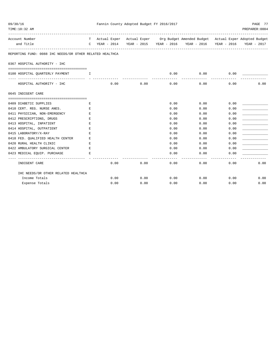| 09/30/16                                                 |                               |      | Fannin County Adopted Budget FY 2016/2017 |      |                                                                                   |      | PAGE 77        |
|----------------------------------------------------------|-------------------------------|------|-------------------------------------------|------|-----------------------------------------------------------------------------------|------|----------------|
| TIME:10:32 AM                                            |                               |      |                                           |      |                                                                                   |      | PREPARER: 0004 |
| Account Number                                           |                               |      |                                           |      | T Actual Exper Actual Exper Org Budget Amended Budget Actual Exper Adopted Budget |      |                |
| and Title                                                |                               |      |                                           |      | C YEAR - 2014 YEAR - 2015 YEAR - 2016 YEAR - 2016 YEAR - 2016                     |      | YEAR - 2017    |
| REPORTING FUND: 0088 IHC NEEDS/OR OTHER RELATED HEALTHCA |                               |      |                                           |      |                                                                                   |      |                |
| 0367 HOSPITAL AUTHORITY - IHC                            |                               |      |                                           |      |                                                                                   |      |                |
|                                                          |                               |      |                                           |      |                                                                                   |      |                |
| 0100 HOSPITAL QUARTERLY PAYMENT                          | $\mathbf{I}$ and $\mathbf{I}$ |      |                                           | 0.00 | 0.00                                                                              | 0.00 |                |
| HOSPITAL AUTHORITY - IHC                                 |                               | 0.00 | 0.00                                      | 0.00 | 0.00                                                                              | 0.00 | 0.00           |
| 0645 INDIGENT CARE                                       |                               |      |                                           |      |                                                                                   |      |                |
|                                                          |                               |      |                                           |      |                                                                                   |      |                |
| 0409 DIABETIC SUPPLIES                                   | Е                             |      |                                           | 0.00 | 0.00                                                                              | 0.00 |                |
| 0410 CERT. REG. NURSE ANES.                              | Е                             |      |                                           | 0.00 | 0.00                                                                              | 0.00 |                |
| 0411 PHYSICIAN, NON-EMERGENCY                            | E                             |      |                                           | 0.00 | 0.00                                                                              | 0.00 |                |
| 0412 PRESCRIPTIONS, DRUGS                                | Е                             |      |                                           | 0.00 | 0.00                                                                              | 0.00 |                |
| 0413 HOSPITAL, INPATIENT                                 | Е                             |      |                                           | 0.00 | 0.00                                                                              | 0.00 |                |
| 0414 HOSPITAL, OUTPATIENT                                | Е                             |      |                                           | 0.00 | 0.00                                                                              | 0.00 |                |
| 0415 LABORATORY/X-RAY                                    | E.                            |      |                                           | 0.00 | 0.00                                                                              | 0.00 |                |
| 0418 FED. OUALIFIED HEALTH CENTER                        | Е                             |      |                                           | 0.00 | 0.00                                                                              | 0.00 |                |
| 0420 RURAL HEALTH CLINIC                                 | E                             |      |                                           | 0.00 | 0.00                                                                              | 0.00 |                |
| 0422 AMBULATORY SURGICAL CENTER                          | E.                            |      |                                           | 0.00 | 0.00                                                                              | 0.00 |                |
| 0423 MEDICAL EQUIP. PURCHASE                             |                               |      |                                           | 0.00 | 0.00                                                                              | 0.00 |                |
| INDIGENT CARE                                            |                               | 0.00 | 0.00                                      | 0.00 | 0.00                                                                              | 0.00 | 0.00           |
| IHC NEEDS/OR OTHER RELATED HEALTHCA                      |                               |      |                                           |      |                                                                                   |      |                |
| Income Totals                                            |                               | 0.00 | 0.00                                      |      | $0.00$ 0.00                                                                       | 0.00 | 0.00           |
| Expense Totals                                           |                               | 0.00 | 0.00                                      | 0.00 | 0.00                                                                              | 0.00 | 0.00           |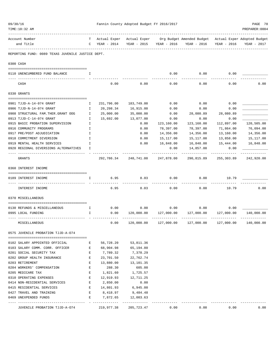| 09/30/16<br>TIME:10:32 AM |                                                                      |              |                     | Fannin County Adopted Budget FY 2016/2017 |            |                                                                                                  | PAGE 78<br>PREPARER: 0004 |             |
|---------------------------|----------------------------------------------------------------------|--------------|---------------------|-------------------------------------------|------------|--------------------------------------------------------------------------------------------------|---------------------------|-------------|
|                           | Account Number<br>and Title                                          | $\mathsf{C}$ | YEAR - 2014         | YEAR - 2015 YEAR - 2016                   |            | T Actual Exper Actual Exper Org Budget Amended Budget Actual Exper Adopted Budget<br>YEAR - 2016 | YEAR - 2016               | YEAR - 2017 |
|                           | REPORTING FUND: 0089 TEXAS JUVENILE JUSTICE DEPT.                    |              |                     |                                           |            |                                                                                                  |                           |             |
|                           | 0300 CASH                                                            |              |                     |                                           |            |                                                                                                  |                           |             |
|                           | 0110 UNENCUMBERED FUND BALANCE                                       | I            |                     |                                           | 0.00       | 0.00                                                                                             | 0.00                      |             |
|                           | CASH                                                                 |              | 0.00                | 0.00                                      | 0.00       | 0.00                                                                                             | 0.00                      | 0.00        |
|                           | 0330 GRANTS                                                          |              |                     |                                           |            |                                                                                                  |                           |             |
|                           | 0901 TJJD-A-14-074 GRANT                                             | Ι.           | 231,796.00          |                                           | 0.00       | 0.00                                                                                             | 0.00                      |             |
|                           |                                                                      |              |                     | 183,749.00                                |            |                                                                                                  |                           |             |
|                           | 0906 TJJD-N-14-074 GRANT                                             | T            | 20,298.34           | 16,915.00                                 | 0.00       | 0.00                                                                                             | 0.00                      |             |
|                           | 0908 STRUCTURAL FAM. THER. GRANT OOG                                 | I.           | 25,000.00           | 35,000.00                                 | 0.00       | 28,080.89                                                                                        | 28,080.89                 |             |
|                           | 0913 TJJD-C-14-074 GRANT                                             | I            | 15,692.00           | 13,077.00                                 | 0.00       | 0.00                                                                                             | 0.00                      |             |
|                           | 0915 BASIC PROBATION SUPERVISION                                     | I.           |                     | 0.00                                      | 123,160.00 | 123,160.00                                                                                       | 112,897.00                | 120,505.00  |
|                           | 0916 COMMUNITY PROGRAMS                                              | I            |                     | 0.00                                      | 78,397.00  | 78,397.00                                                                                        | 71,864.00                 | 76,094.00   |
|                           | 0917 PRE/POST ADJUDICATION                                           | I            |                     | 0.00                                      | 14,356.00  | 14,356.00                                                                                        | 13,160.00                 | 14,356.00   |
|                           | 0918 COMMITMENT DIVERSION                                            | I            |                     | 0.00                                      | 15,117.00  | 15,117.00                                                                                        | 13,858.00                 | 15,117.00   |
|                           | 0919 MENTAL HEALTH SERVICES<br>0920 REGIONAL DIVERSIONS ALTERNATIVES | I<br>I       |                     | 0.00                                      | 16,848.00  | 16,848.00                                                                                        | 15,444.00                 | 16,848.00   |
|                           |                                                                      |              |                     |                                           | 0.00       | 14,857.00                                                                                        | 0.00                      |             |
|                           | GRANTS                                                               |              | 292,786.34          | 248,741.00                                | 247,878.00 | 290,815.89                                                                                       | 255,303.89                | 242,920.00  |
|                           | 0360 INTEREST INCOME                                                 |              |                     |                                           |            |                                                                                                  |                           |             |
|                           | 0189 INTEREST INCOME                                                 | I.           | 6.95                | 8.03                                      | 0.00       | 0.00                                                                                             | 10.79                     |             |
|                           | INTEREST INCOME                                                      |              | 6.95                | 8.03                                      | 0.00       | 0.00                                                                                             | 10.79                     | 0.00        |
|                           | 0370 MISCELLANEOUS                                                   |              |                     |                                           |            |                                                                                                  |                           |             |
|                           | 0130 REFUNDS & MISCELLANEOUS                                         | Ι.           | 0.00                | 0.00                                      | 0.00       | 0.00                                                                                             | 0.00                      |             |
|                           | 0995 LOCAL FUNDING                                                   | Ι.           | 0.00                | 120,000.00                                | 127,000.00 | 127,000.00                                                                                       | 127,000.00                | 140,000.00  |
|                           | MISCELLANEOUS                                                        |              | 0.00                | 120,000.00                                | 127,000.00 | 127,000.00                                                                                       | --------<br>127,000.00    | 140,000.00  |
|                           |                                                                      |              |                     |                                           |            |                                                                                                  |                           |             |
|                           | 0575 JUVENILE PROBATION TJJD-A-074                                   |              |                     |                                           |            |                                                                                                  |                           |             |
|                           | 0102 SALARY APPOINTED OFFICIAL                                       | Е            | 56,728.20 53,811.36 |                                           |            |                                                                                                  |                           |             |
|                           | 0103 SALARY COMM. CORR. OFFICER                                      | E            | 68,904.98           | 65,194.80                                 |            |                                                                                                  |                           |             |
|                           | 0201 SOCIAL SECURITY TAX                                             | $\mathbf{E}$ | 7,789.32            | 7,378.29                                  |            |                                                                                                  |                           |             |
|                           | 0202 GROUP HEALTH INSURANCE                                          | E            | 23,701.50           | 22,762.74                                 |            |                                                                                                  |                           |             |
|                           | 0203 RETIREMENT                                                      | E            |                     | 13,880.00 13,101.35                       |            |                                                                                                  |                           |             |
|                           | 0204 WORKERS' COMPENSATION                                           | E            | 288.30              | 605.00                                    |            |                                                                                                  |                           |             |
|                           | 0205 MEDICARE TAX                                                    | Е            | 1,821.60            | 1,725.57                                  |            |                                                                                                  |                           |             |
|                           | 0310 OPERATING EXPENSES                                              | Е            | 12,919.93           | 12,711.25                                 |            |                                                                                                  |                           |             |
|                           | 0414 NON-RESIDENTIAL SERVICES                                        | E            | 2,850.00            | 0.00                                      |            |                                                                                                  |                           |             |
|                           | 0415 RESIDENTIAL SERVICES                                            | E            |                     | 14,801.93 6,945.00                        |            |                                                                                                  |                           |             |
|                           | 0427 TRAVEL AND TRAINING                                             | E            | 8,418.97 9,484.48   |                                           |            |                                                                                                  |                           |             |
|                           | 0469 UNEXPENDED FUNDS                                                | Е            | _______________     | 7,872.65 12,003.63<br>-------------       |            |                                                                                                  |                           |             |
|                           | JUVENILE PROBATION TJJD-A-074                                        |              | 219,977.38          | 205,723.47                                | 0.00       | 0.00                                                                                             | 0.00                      | 0.00        |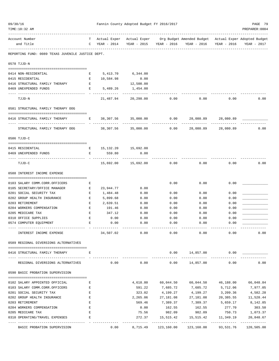| 09/30/16<br>TIME:10:32 AM                                        |                                                                                                |                       | Fannin County Adopted Budget FY 2016/2017 |                       |                                                                                                                          |                     | PAGE 79<br>PREPARER: 0004 |
|------------------------------------------------------------------|------------------------------------------------------------------------------------------------|-----------------------|-------------------------------------------|-----------------------|--------------------------------------------------------------------------------------------------------------------------|---------------------|---------------------------|
|                                                                  |                                                                                                |                       |                                           |                       |                                                                                                                          |                     |                           |
| Account Number<br>and Title                                      |                                                                                                | $C$ YEAR - 2014       |                                           |                       | T Actual Exper Actual Exper Org Budget Amended Budget Actual Exper Adopted Budget<br>YEAR - 2015 YEAR - 2016 YEAR - 2016 | YEAR - 2016         | YEAR - 2017               |
|                                                                  |                                                                                                |                       |                                           |                       |                                                                                                                          |                     |                           |
| REPORTING FUND: 0089 TEXAS JUVENILE JUSTICE DEPT.                |                                                                                                |                       |                                           |                       |                                                                                                                          |                     |                           |
| 0578 TJJD-N                                                      |                                                                                                |                       |                                           |                       |                                                                                                                          |                     |                           |
| 0414 NON-RESIDENTIAL                                             | Е                                                                                              |                       | 5,413.70 6,344.00                         |                       |                                                                                                                          |                     |                           |
| 0415 RESIDENTIAL                                                 | E                                                                                              | 10,584.98             | 0.00                                      |                       |                                                                                                                          |                     |                           |
| 0416 STRUCTURAL FAMILY THERAPY                                   | $\mathbf{E}$                                                                                   |                       | 12,500.00                                 |                       |                                                                                                                          |                     |                           |
| 0469 UNEXPENDED FUNDS                                            | Е                                                                                              | 5,489.26              | 1,454.00                                  |                       |                                                                                                                          |                     |                           |
| TJJD-N                                                           |                                                                                                | 21,487.94             | 20,298.00                                 | 0.00                  | 0.00                                                                                                                     | 0.00                | 0.00                      |
| 0581 STRUCTURAL FAMILY THERAPY OOG                               |                                                                                                |                       |                                           |                       |                                                                                                                          |                     |                           |
| 0416 STRUCTURAL FAMILY THERAPY                                   | $\mathbf{E}$                                                                                   |                       | 38,307.56 35,000.00                       | 0.00<br>-----------   |                                                                                                                          | 28,080.89 28,080.89 |                           |
| STRUCTURAL FAMILY THERAPY OOG                                    |                                                                                                |                       | 38,307.56 35,000.00                       | 0.00                  | 28,080.89                                                                                                                | 28,080.89           | 0.00                      |
| 0586 TJJD-C                                                      |                                                                                                |                       |                                           |                       |                                                                                                                          |                     |                           |
| 0415 RESIDENTIAL                                                 |                                                                                                | E 15,132.20 15,692.00 |                                           |                       |                                                                                                                          |                     |                           |
| 0469 UNEXPENDED FUNDS                                            | $\mathbf{E}$                                                                                   | 559.80<br>----------  | 0.00                                      |                       |                                                                                                                          |                     |                           |
| TJJD-C                                                           |                                                                                                |                       | 15,692.00 15,692.00                       | 0.00                  | 0.00                                                                                                                     | 0.00                | 0.00                      |
| 0588 INTEREST INCOME EXPENSE                                     |                                                                                                |                       |                                           |                       |                                                                                                                          |                     |                           |
| 0103 SALARY COMM.CORR.OFFICERS                                   | Е                                                                                              |                       |                                           | 0.00                  | 0.00                                                                                                                     | 0.00                |                           |
| 0105 SECRETARY/OFFICE MANAGER                                    | E                                                                                              | 23,944.77             | 0.00                                      |                       |                                                                                                                          |                     |                           |
| 0201 SOCIAL SECURITY TAX                                         | Е                                                                                              | 1,484.48              | 0.00                                      | 0.00                  | 0.00                                                                                                                     | 0.00                |                           |
| 0202 GROUP HEALTH INSURANCE                                      | E                                                                                              | 5,899.68              | 0.00                                      | 0.00                  | 0.00                                                                                                                     | 0.00                |                           |
| 0203 RETIREMENT                                                  | Е                                                                                              | 2,639.51              | 0.00                                      | 0.00                  | 0.00                                                                                                                     | 0.00                |                           |
| 0204 WORKERS COMPENSATION                                        | $\mathbf{E}% _{t}\left  \mathbf{1}\right\rangle =\mathbf{1}_{t}\left  \mathbf{1}\right\rangle$ | 191.46                | 0.00                                      | 0.00                  | 0.00                                                                                                                     | 0.00                |                           |
| 0205 MEDICARE TAX                                                | E                                                                                              | 347.12                | 0.00                                      | 0.00                  | 0.00                                                                                                                     | 0.00                |                           |
| 0310 OFFICE SUPPLIES<br>0574 COMPUTER EQUIPMENT                  | Е<br>E                                                                                         | 0.00<br>0.00          | 0.00<br>0.00                              | 0.00<br>0.00          | 0.00<br>0.00                                                                                                             | 0.00<br>0.00        |                           |
|                                                                  |                                                                                                |                       |                                           |                       |                                                                                                                          |                     |                           |
| INTEREST INCOME EXPENSE                                          |                                                                                                | 34,507.02             | 0.00                                      | 0.00                  | 0.00                                                                                                                     | 0.00                | 0.00                      |
| 0589 REGIONAL DIVERSIONS ALTERNATIVES                            |                                                                                                |                       |                                           |                       |                                                                                                                          |                     |                           |
| 0416 STRUCTURAL FAMILY THERAPY                                   | Е                                                                                              |                       |                                           |                       | 0.00 14,857.00                                                                                                           | 0.00                |                           |
| REGIONAL DIVERSIONS ALTERNATIVES                                 |                                                                                                | 0.00                  | 0.00                                      |                       | $0.00$ 14,857.00                                                                                                         | 0.00                | 0.00                      |
| 0590 BASIC PROBATION SUPERVISION                                 |                                                                                                |                       |                                           |                       |                                                                                                                          |                     |                           |
|                                                                  |                                                                                                |                       |                                           |                       |                                                                                                                          |                     |                           |
| 0102 SALARY APPOINTED OFFICIAL<br>0103 SALARY COMM.CORR.OFFICERS | Е<br>E                                                                                         |                       | 4,618.80<br>591.22                        | 60,044.50<br>7,685.72 | 60,044.50   46,188.00<br>7,685.72                                                                                        | 5,712.06            | 66,048.84<br>7,977.05     |
| 0201 SOCIAL SECURITY TAX                                         | E                                                                                              |                       | 323.02                                    | 4,199.27              | 4,199.27                                                                                                                 | 3,209.36            | 4,582.28                  |
| 0202 GROUP HEALTH INSURANCE                                      | E                                                                                              |                       | 2,265.06                                  |                       | 27,181.08 27,181.08                                                                                                      |                     | 20, 385.55 11, 528.44     |
| 0203 RETIREMENT                                                  | Е                                                                                              |                       | 569.46                                    | 7,389.37              | 7,389.37                                                                                                                 | 5,659.17            | 8,142.85                  |
| 0204 WORKERS COMPENSATION                                        | E                                                                                              |                       | 0.00                                      | 162.55                | 162.55                                                                                                                   | 277.70              | 303.50                    |
| 0205 MEDICARE TAX                                                | $\mathbf E$                                                                                    |                       | 75.56                                     | 982.09                | 982.09                                                                                                                   | 750.73              | 1,073.37                  |
| 0310 OPERATING/TRAVEL EXPENSES                                   | $\mathbf E$                                                                                    |                       | 272.37                                    | 15,515.42             | 15,515.42                                                                                                                | 11,349.19           | 20,848.67                 |
| BASIC PROBATION SUPERVISION                                      |                                                                                                |                       |                                           |                       | $0.00$ 8,715.49 123,160.00 123,160.00                                                                                    | 93,531.76           | 120,505.00                |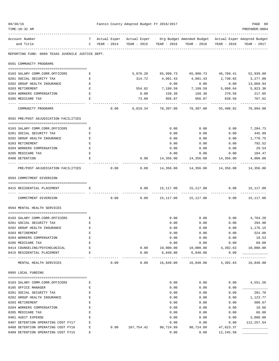| 09/30/16                                          |                    |               |      |            | Fannin County Adopted Budget FY 2016/2017 |                                                                                                                                      |                        | PAGE 80          |
|---------------------------------------------------|--------------------|---------------|------|------------|-------------------------------------------|--------------------------------------------------------------------------------------------------------------------------------------|------------------------|------------------|
| TIME:10:32 AM                                     |                    |               |      |            |                                           | ---------------------------------                                                                                                    |                        | PREPARER: 0004   |
| Account Number<br>and Title                       |                    | C YEAR - 2014 |      |            |                                           | T Actual Exper Actual Exper Org Budget Amended Budget Actual Exper Adopted Budget<br>YEAR - 2015 YEAR - 2016 YEAR - 2016 YEAR - 2016 |                        | YEAR - 2017      |
| REPORTING FUND: 0089 TEXAS JUVENILE JUSTICE DEPT. |                    |               |      |            |                                           |                                                                                                                                      |                        |                  |
| 0591 COMMUNITY PROGRAMS                           |                    |               |      |            |                                           |                                                                                                                                      |                        |                  |
| 0103 SALARY COMM.CORR.OFFICERS                    | E                  |               |      |            |                                           | 5,076.20 65,990.73 65,990.73 46,760.41                                                                                               |                        | 52,939.09        |
| 0201 SOCIAL SECURITY TAX                          | Е                  |               |      | 314.72     | 4,091.43                                  | 4,091.43                                                                                                                             | 2,730.65               | 3,277.00         |
| 0202 GROUP HEALTH INSURANCE                       | $\mathbf{E}% _{0}$ |               |      |            | 0.00                                      | 0.00                                                                                                                                 | 0.00                   | 13,069.94        |
| 0203 RETIREMENT                                   | Ε                  |               |      |            |                                           | 554.82 7,199.59 7,199.59 5,098.64                                                                                                    |                        | 5,823.30         |
| 0204 WORKERS COMPENSATION                         | E                  |               |      | 0.00       | 158.38                                    |                                                                                                                                      | 158.38 270.56          | 217.05           |
| 0205 MEDICARE TAX                                 | Е                  |               |      | 73.60      | 956.87<br>----------                      | 956.87<br>------------                                                                                                               | 638.56<br>. <u>.</u> . | 767.62           |
| COMMUNITY PROGRAMS                                |                    |               | 0.00 |            |                                           | 6,019.34 78,397.00 78,397.00 55,498.82 76,094.00                                                                                     |                        |                  |
| 0592 PRE/POST ADJUDICATION FACILITIES             |                    |               |      |            |                                           |                                                                                                                                      |                        |                  |
| 0103 SALARY COMM.CORR.OFFICERS                    | Е                  |               |      |            | 0.00                                      | 0.00                                                                                                                                 | 0.00                   | 7,204.73         |
| 0201 SOCIAL SECURITY TAX                          | Е                  |               |      |            | 0.00                                      | 0.00                                                                                                                                 | 0.00                   | 445.99           |
| 0202 GROUP HEALTH INSURANCE                       | Е                  |               |      |            | 0.00                                      | 0.00                                                                                                                                 | 0.00                   | 1,778.75         |
| 0203 RETIREMENT                                   | Ε                  |               |      |            | 0.00                                      | 0.00                                                                                                                                 | 0.00                   | 792.52           |
| 0204 WORKERS COMPENSATION                         | E                  |               |      |            | 0.00                                      | 0.00                                                                                                                                 | 0.00                   | 29.54            |
| 0205 MEDICARE TAX                                 | Е                  |               |      |            | 0.00                                      | 0.00                                                                                                                                 | 0.00                   | 104.47           |
| 0408 DETENTION                                    | Е                  |               |      |            | $0.00$ 14,356.00                          | 14,356.00                                                                                                                            | 14,356.00              | 4,000.00         |
| PRE/POST ADJUDICATION FACILITIES                  |                    |               | 0.00 |            |                                           | -----------<br>$0.00$ 14,356.00 14,356.00 14,356.00 14,356.00                                                                        |                        |                  |
| 0593 COMMITMENT DIVERSION                         |                    |               |      |            |                                           |                                                                                                                                      |                        |                  |
| 0415 RESIDENTIAL PLACEMENT                        | E.                 |               |      | 0.00       |                                           | 15,117.00  15,117.00  0.00  15,117.00                                                                                                |                        |                  |
| COMMITMENT DIVERSION                              |                    |               | 0.00 |            |                                           | $0.00$ 15,117.00 15,117.00                                                                                                           |                        | $0.00$ 15,117.00 |
| 0594 MENTAL HEALTH SERVICES                       |                    |               |      |            |                                           |                                                                                                                                      |                        |                  |
| 0103 SALARY COMM.CORR.OFFICERS                    | E                  |               |      |            | 0.00                                      | 0.00                                                                                                                                 |                        | $0.00$ 4,764.20  |
| 0201 SOCIAL SECURITY TAX                          | Е                  |               |      |            | 0.00                                      | 0.00                                                                                                                                 | 0.00                   | 294.98           |
| 0202 GROUP HEALTH INSURANCE                       | Ε                  |               |      |            | 0.00                                      | 0.00                                                                                                                                 | 0.00                   | 1,176.15         |
| 0203 RETIREMENT                                   | E                  |               |      |            | 0.00                                      | 0.00                                                                                                                                 | 0.00                   | 524.06           |
| 0204 WORKERS COMPENSATION                         | E                  |               |      |            | 0.00                                      | 0.00                                                                                                                                 | 0.00                   | 19.53            |
| 0205 MEDICARE TAX                                 | E                  |               |      |            | 0.00                                      | 0.00                                                                                                                                 | 0.00                   | 69.08            |
| 0414 COUNSELING/PSYCHOLOGICAL                     | E                  |               |      | 0.00       | 10,000.00                                 | 10,000.00                                                                                                                            | 4,392.63               | 10,000.00        |
| 0415 RESIDENTIAL PLACEMENT                        | E                  |               |      | 0.00       | 6,848.00                                  | 6,848.00                                                                                                                             | 0.00                   |                  |
| MENTAL HEALTH SERVICES                            |                    |               | 0.00 | 0.00       | 16,848.00                                 | -------------<br>16,848.00                                                                                                           | 4,392.63               | 16,848.00        |
| 0995 LOCAL FUNDING                                |                    |               |      |            |                                           |                                                                                                                                      |                        |                  |
| 0103 SALARY COMM.CORR.OFFICERS                    | Ε                  |               |      |            | 0.00                                      | 0.00                                                                                                                                 | 0.00                   | 4,551.56         |
| 0105 OFFICE MANAGER                               | E                  |               |      |            | 0.00                                      | 0.00                                                                                                                                 | 0.00                   |                  |
| 0201 SOCIAL SECURITY TAX                          | E                  |               |      |            | 0.00                                      | 0.00                                                                                                                                 | 0.00                   | 281.70           |
| 0202 GROUP HEALTH INSURANCE                       | Ε                  |               |      |            | 0.00                                      | 0.00                                                                                                                                 | 0.00                   | 1,123.77         |
| 0203 RETIREMENT                                   | E                  |               |      |            | 0.00                                      | 0.00                                                                                                                                 | 0.00                   | 500.67           |
| 0204 WORKERS COMPENSATION                         | E                  |               |      |            | 0.00                                      | 0.00                                                                                                                                 | 0.00                   | 18.66            |
| 0205 MEDICARE TAX                                 | E                  |               |      |            | 0.00                                      | 0.00                                                                                                                                 | 0.00                   | 66.00            |
| 0401 AUDIT EXPENSE                                | Ε                  |               |      |            | 0.00                                      | 0.00                                                                                                                                 | 0.00                   | 3,000.00         |
| 0407 DETENTION OPERATING COST FY17                | Ε                  |               |      |            | 0.00                                      | 0.00                                                                                                                                 | 0.00                   | 112,257.64       |
| 0408 DETENTION OPERATING COST FY16                | Ε                  |               | 0.00 | 107,754.42 | 90,724.89                                 | 90,724.89                                                                                                                            | 47,623.37              |                  |
| 0409 DETENTION OPERATING COST FY15                | Е                  |               |      |            | 0.00                                      | 0.00                                                                                                                                 | 12,245.58              |                  |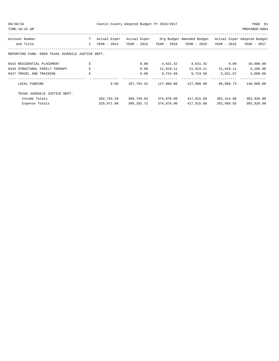| 09/30/16 | Fannin County Adopted Budget FY 2016/2017 | PAGE 81 |
|----------|-------------------------------------------|---------|
|----------|-------------------------------------------|---------|

TIME:10:32 AM PREPARER:0004

| Account Number                                    | т  | Actual Exper | Actual Exper |             | Org Budget Amended Budget |             | Actual Exper Adopted Budget |
|---------------------------------------------------|----|--------------|--------------|-------------|---------------------------|-------------|-----------------------------|
| and Title                                         | C  | YEAR - 2014  | YEAR - 2015  | YEAR - 2016 | YEAR - 2016               | YEAR - 2016 | YEAR - 2017                 |
| REPORTING FUND: 0089 TEXAS JUVENILE JUSTICE DEPT. |    |              |              |             |                           |             |                             |
| 0415 RESIDENTIAL PLACEMENT                        | E  |              | 0.00         | 4,631.42    | 4,631.42                  | 0.00        | 10,000.00                   |
| 0416 STRUCTURAL FAMILY THERAPY                    | E  |              | 0.00         | 21,919.11   | 21,919.11                 | 21,919.11   | 5,200.00                    |
| 0427 TRAVEL AND TRAINING                          | E. |              | 0.00         | 9,724.58    | 9,724.58                  | 5,021.67    | 3,000.00                    |
| LOCAL FUNDING                                     |    | 0.00         | 107,754.42   | 127,000.00  | 127,000.00                | 86,809.73   | 140,000.00                  |
| TEXAS JUVENILE JUSTICE DEPT.                      |    |              |              |             |                           |             |                             |
| Income Totals                                     |    | 292,793.29   | 368,749.03   | 374,878.00  | 417,815.89                | 382, 314.68 | 382,920.00                  |
| Expense Totals                                    |    | 329,971.90   | 399,202.72   | 374,878.00  | 417,815.89                | 282,669.83  | 382,920.00                  |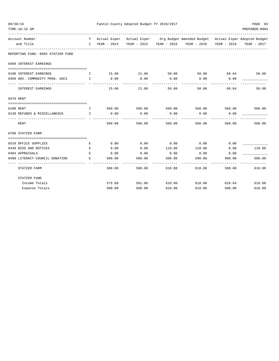| 09/30/16                                             |              | Fannin County Adopted Budget FY 2016/2017<br>PAGE 82 |               |        |                                                                                   |        |                    |  |  |  |
|------------------------------------------------------|--------------|------------------------------------------------------|---------------|--------|-----------------------------------------------------------------------------------|--------|--------------------|--|--|--|
| TIME:10:32 AM                                        |              |                                                      |               |        |                                                                                   |        | PREPARER: 0004     |  |  |  |
| Account Number                                       |              |                                                      |               |        | T Actual Exper Actual Exper Org Budget Amended Budget Actual Exper Adopted Budget |        |                    |  |  |  |
| and Title                                            |              |                                                      |               |        | C YEAR - 2014 YEAR - 2015 YEAR - 2016 YEAR - 2016 YEAR - 2016                     |        | YEAR - 2017        |  |  |  |
| REPORTING FUND: 0092 STATZER FUND                    |              |                                                      |               |        |                                                                                   |        |                    |  |  |  |
| 0360 INTEREST EARNINGS                               |              |                                                      |               |        |                                                                                   |        |                    |  |  |  |
| 0100 INTEREST EARNINGS                               | $\mathbf{I}$ |                                                      | 15.60 21.06   | 50.00  | 50.00 68.64                                                                       |        | 50.00              |  |  |  |
| 0350 GOV. COMMODITY PROG. ASCS I                     |              | 0.00<br>-----------                                  | 0.00          | 0.00   | 0.00                                                                              | 0.00   |                    |  |  |  |
| ----------------------------- -<br>INTEREST EARNINGS |              | 15.60                                                | 21.06         | 50.00  | 50.00                                                                             | 68.64  | 50.00              |  |  |  |
| 0370 RENT                                            |              |                                                      |               |        |                                                                                   |        |                    |  |  |  |
|                                                      |              |                                                      |               |        |                                                                                   |        |                    |  |  |  |
| 0100 RENT<br>and the state of the state of the       |              |                                                      |               |        | 560.00 560.00 560.00 560.00 560.00 560.00 560.00                                  |        |                    |  |  |  |
| 0130 REFUNDS & MISCELLANEOUS I                       |              | 0.00                                                 | 0.00          | 0.00   | 0.00                                                                              | 0.00   |                    |  |  |  |
| <b>RENT</b>                                          |              | 560.00                                               | 560.00        | 560.00 | 560.00                                                                            | 560.00 | 560.00             |  |  |  |
| 0700 STATZER FARM                                    |              |                                                      |               |        |                                                                                   |        |                    |  |  |  |
|                                                      |              |                                                      |               |        |                                                                                   |        |                    |  |  |  |
| 0310 OFFICE SUPPLIES                                 | Е            | 0.00                                                 | 0.00          | 0.00   | 0.00                                                                              | 0.00   |                    |  |  |  |
| 0430 BIDS AND NOTICES                                | E            | 0.00                                                 | 0.00          | 110.00 | 110.00                                                                            | 0.00   | 110.00             |  |  |  |
| 0484 APPRAISALS                                      | E.           | 0.00                                                 | 0.00          | 0.00   | 0.00                                                                              | 0.00   |                    |  |  |  |
| 0490 LITERACY COUNCIL DONATION                       | E.           | 500.00                                               | 500.00        | 500.00 | 500.00                                                                            | 500.00 | 500.00             |  |  |  |
| -------------<br>STATZER FARM                        |              | 500.00                                               | 500.00        | 610.00 | $- - - - - - -$<br>610.00                                                         | 500.00 | --------<br>610.00 |  |  |  |
| STATZER FUND                                         |              |                                                      |               |        |                                                                                   |        |                    |  |  |  |
| Income Totals                                        |              | 575.60                                               | 581.06 610.00 |        | 610.00                                                                            | 628.64 | 610.00             |  |  |  |
| Expense Totals                                       |              | 500.00                                               | 500.00        | 610.00 | 610.00                                                                            | 500.00 | 610.00             |  |  |  |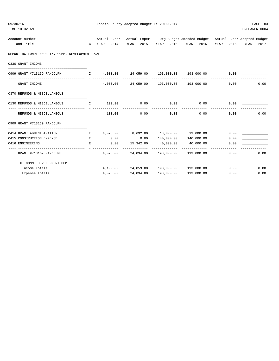| 09/30/16 | TIME: 10:32 AM                                                                         |                                                |                                 | Fannin County Adopted Budget FY 2016/2017 |                       |                                                                                   |              | PAGE 83<br>PREPARER: 0004 |
|----------|----------------------------------------------------------------------------------------|------------------------------------------------|---------------------------------|-------------------------------------------|-----------------------|-----------------------------------------------------------------------------------|--------------|---------------------------|
|          | Account Number                                                                         |                                                |                                 |                                           |                       | T Actual Exper Actual Exper Org Budget Amended Budget Actual Exper Adopted Budget |              |                           |
|          | and Title                                                                              |                                                |                                 |                                           |                       | C YEAR - 2014 YEAR - 2015 YEAR - 2016 YEAR - 2016 YEAR - 2016 YEAR - 2017         |              |                           |
|          | REPORTING FUND: 0093 TX. COMM. DEVELOPMENT PGM                                         |                                                |                                 |                                           |                       |                                                                                   |              |                           |
|          | 0330 GRANT INCOME                                                                      |                                                |                                 |                                           |                       |                                                                                   |              |                           |
|          | 0909 GRANT #713169 RANDOLPH                                                            |                                                |                                 |                                           |                       |                                                                                   | 0.00         |                           |
|          | GRANT INCOME                                                                           |                                                |                                 |                                           |                       | $4,000.00$ $24,059.00$ $193,000.00$ $193,000.00$                                  | 0.00         | 0.00                      |
|          | 0370 REFUNDS & MISCELLANEOUS                                                           |                                                |                                 |                                           |                       |                                                                                   |              |                           |
|          | 0130 REFUNDS & MISCELLANEOUS                                                           | $\mathbf{I}$ and $\mathbf{I}$ and $\mathbf{I}$ | 100.00 0.00                     |                                           | 0.00                  | 0.00                                                                              | 0.00         |                           |
|          | REFUNDS & MISCELLANEOUS                                                                |                                                | 100.00                          | 0.00                                      | -------------<br>0.00 | --------------<br>0.00                                                            | 0.00         | 0.00                      |
|          | 0909 GRANT #713169 RANDOLPH                                                            |                                                |                                 |                                           |                       |                                                                                   |              |                           |
|          |                                                                                        |                                                |                                 |                                           |                       |                                                                                   |              |                           |
|          | 0414 GRANT ADMINISTRATION                                                              | and the state of the European Europe           |                                 |                                           |                       | $4,025.00$ $8,692.00$ $13,000.00$ $13,000.00$                                     | 0.00         |                           |
|          | 0415 CONSTRUCTION EXPENSE<br>0416 ENGINEERING<br>and the state of the state of the Bar | <b>Experience of the Experience Experience</b> | 0.00<br>0.00                    |                                           |                       | $0.00$ $140,000.00$ $140,000.00$<br>15,342.00    40,000.00    40,000.00           | 0.00<br>0.00 |                           |
|          | GRANT #713169 RANDOLPH                                                                 |                                                | -------------  - -------------- |                                           | -------------         | $4,025.00$ $24,034.00$ $193,000.00$ $193,000.00$                                  | 0.00         | 0.00                      |
|          | TX. COMM. DEVELOPMENT PGM                                                              |                                                |                                 |                                           |                       |                                                                                   |              |                           |
|          | Income Totals                                                                          |                                                |                                 |                                           |                       | $4,100.00$ $24,059.00$ $193,000.00$ $193,000.00$                                  |              | 0.00<br>0.00              |
|          | Expense Totals                                                                         |                                                |                                 |                                           |                       | $4,025.00$ $24,034.00$ $193,000.00$ $193,000.00$                                  | 0.00         | 0.00                      |